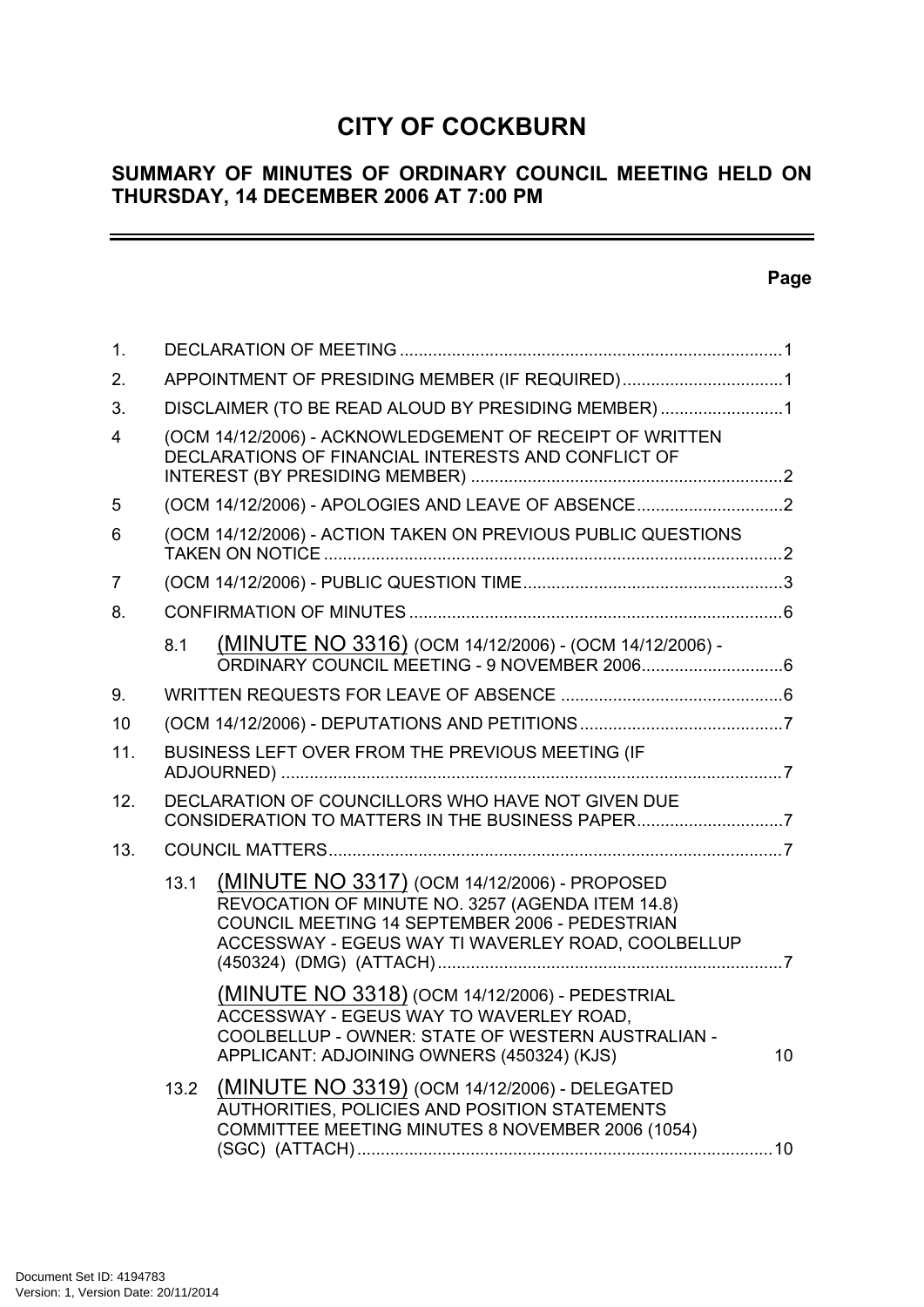# **CITY OF COCKBURN**

# **SUMMARY OF MINUTES OF ORDINARY COUNCIL MEETING HELD ON THURSDAY, 14 DECEMBER 2006 AT 7:00 PM**

# **Page**

-

| 1.             |      |                                                                                                                                                                                                          |    |
|----------------|------|----------------------------------------------------------------------------------------------------------------------------------------------------------------------------------------------------------|----|
| 2.             |      | APPOINTMENT OF PRESIDING MEMBER (IF REQUIRED)1                                                                                                                                                           |    |
| 3.             |      | DISCLAIMER (TO BE READ ALOUD BY PRESIDING MEMBER)1                                                                                                                                                       |    |
| $\overline{4}$ |      | (OCM 14/12/2006) - ACKNOWLEDGEMENT OF RECEIPT OF WRITTEN<br>DECLARATIONS OF FINANCIAL INTERESTS AND CONFLICT OF                                                                                          |    |
| 5              |      | (OCM 14/12/2006) - APOLOGIES AND LEAVE OF ABSENCE                                                                                                                                                        |    |
| 6              |      | (OCM 14/12/2006) - ACTION TAKEN ON PREVIOUS PUBLIC QUESTIONS                                                                                                                                             |    |
| 7              |      |                                                                                                                                                                                                          |    |
| 8.             |      |                                                                                                                                                                                                          |    |
|                | 8.1  | (MINUTE NO 3316) (OCM 14/12/2006) - (OCM 14/12/2006) -                                                                                                                                                   |    |
| 9.             |      |                                                                                                                                                                                                          |    |
| 10             |      |                                                                                                                                                                                                          |    |
| 11.            |      | BUSINESS LEFT OVER FROM THE PREVIOUS MEETING (IF                                                                                                                                                         |    |
| 12.            |      | DECLARATION OF COUNCILLORS WHO HAVE NOT GIVEN DUE<br>CONSIDERATION TO MATTERS IN THE BUSINESS PAPER7                                                                                                     |    |
| 13.            |      |                                                                                                                                                                                                          |    |
|                | 13.1 | (MINUTE NO 3317) (OCM 14/12/2006) - PROPOSED<br>REVOCATION OF MINUTE NO. 3257 (AGENDA ITEM 14.8)<br>COUNCIL MEETING 14 SEPTEMBER 2006 - PEDESTRIAN<br>ACCESSWAY - EGEUS WAY TI WAVERLEY ROAD, COOLBELLUP |    |
|                |      | (MINUTE NO 3318) (OCM 14/12/2006) - PEDESTRIAL<br>ACCESSWAY - EGEUS WAY TO WAVERLEY ROAD,<br>COOLBELLUP - OWNER: STATE OF WESTERN AUSTRALIAN -<br>APPLICANT: ADJOINING OWNERS (450324) (KJS)             | 10 |
|                | 13.2 | (MINUTE NO 3319) (OCM 14/12/2006) - DELEGATED<br>AUTHORITIES, POLICIES AND POSITION STATEMENTS<br>COMMITTEE MEETING MINUTES 8 NOVEMBER 2006 (1054)                                                       |    |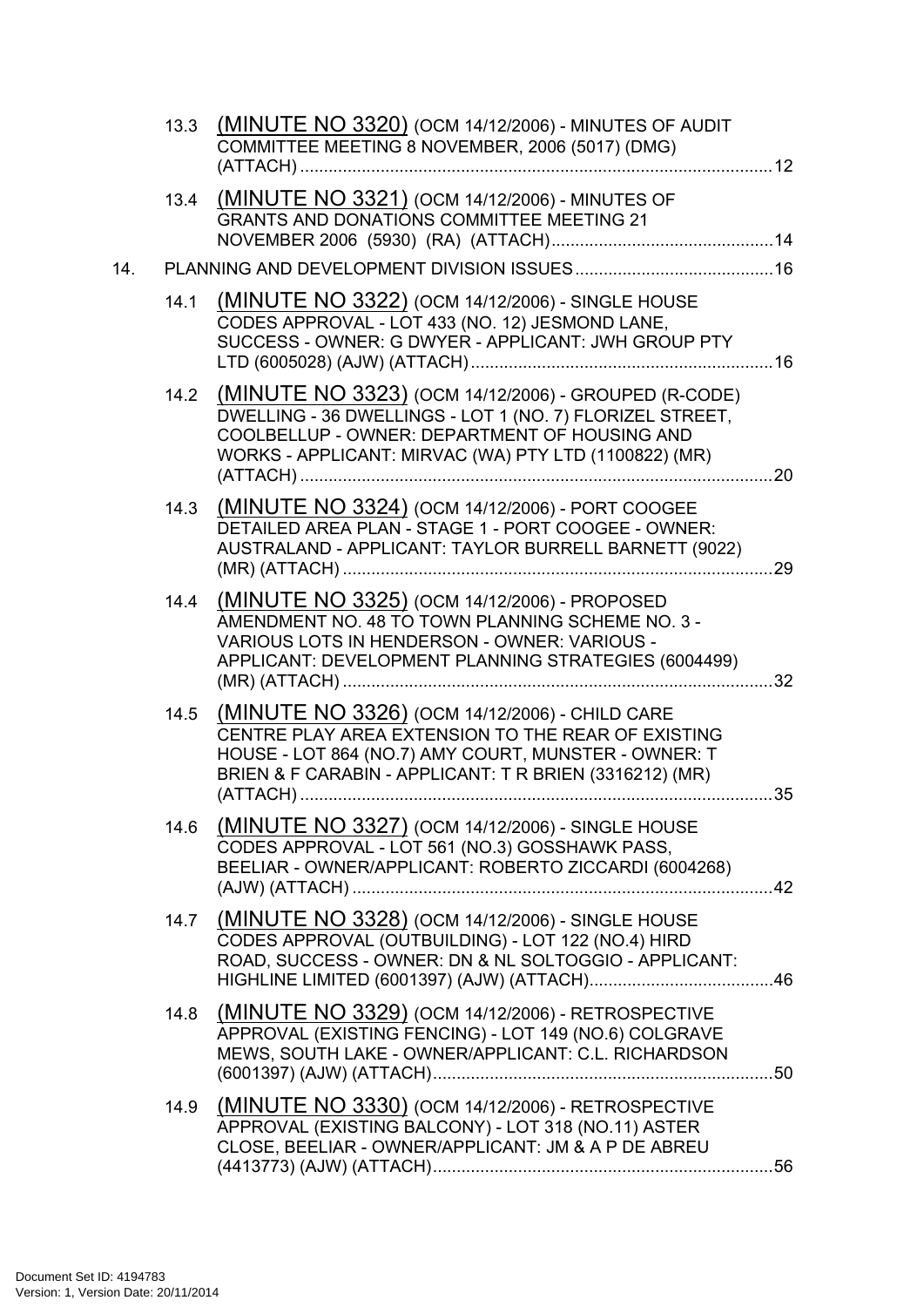|     |      | 13.3 (MINUTE NO 3320) (OCM 14/12/2006) - MINUTES OF AUDIT<br>COMMITTEE MEETING 8 NOVEMBER, 2006 (5017) (DMG)                                                                                                                    |  |
|-----|------|---------------------------------------------------------------------------------------------------------------------------------------------------------------------------------------------------------------------------------|--|
|     |      | 13.4 (MINUTE NO 3321) (OCM 14/12/2006) - MINUTES OF<br><b>GRANTS AND DONATIONS COMMITTEE MEETING 21</b>                                                                                                                         |  |
| 14. |      |                                                                                                                                                                                                                                 |  |
|     | 14.1 | (MINUTE NO 3322) (OCM 14/12/2006) - SINGLE HOUSE<br>CODES APPROVAL - LOT 433 (NO. 12) JESMOND LANE,<br>SUCCESS - OWNER: G DWYER - APPLICANT: JWH GROUP PTY                                                                      |  |
|     |      | 14.2 (MINUTE NO 3323) (OCM 14/12/2006) - GROUPED (R-CODE)<br>DWELLING - 36 DWELLINGS - LOT 1 (NO. 7) FLORIZEL STREET,<br>COOLBELLUP - OWNER: DEPARTMENT OF HOUSING AND<br>WORKS - APPLICANT: MIRVAC (WA) PTY LTD (1100822) (MR) |  |
|     |      | 14.3 (MINUTE NO 3324) (OCM 14/12/2006) - PORT COOGEE<br>DETAILED AREA PLAN - STAGE 1 - PORT COOGEE - OWNER:<br>AUSTRALAND - APPLICANT: TAYLOR BURRELL BARNETT (9022)                                                            |  |
|     |      | 14.4 (MINUTE NO 3325) (OCM 14/12/2006) - PROPOSED<br>AMENDMENT NO. 48 TO TOWN PLANNING SCHEME NO. 3 -<br>VARIOUS LOTS IN HENDERSON - OWNER: VARIOUS -<br>APPLICANT: DEVELOPMENT PLANNING STRATEGIES (6004499)                   |  |
|     |      | 14.5 (MINUTE NO 3326) (OCM 14/12/2006) - CHILD CARE<br>CENTRE PLAY AREA EXTENSION TO THE REAR OF EXISTING<br>HOUSE - LOT 864 (NO.7) AMY COURT, MUNSTER - OWNER: T<br>BRIEN & F CARABIN - APPLICANT: T R BRIEN (3316212) (MR)    |  |
|     | 14.6 | <u>(MINUTE NO 3327)</u> (OCM 14/12/2006) - SINGLE HOUSE<br>CODES APPROVAL - LOT 561 (NO.3) GOSSHAWK PASS,<br>BEELIAR - OWNER/APPLICANT: ROBERTO ZICCARDI (6004268)                                                              |  |
|     | 14.7 | (MINUTE NO 3328) (OCM 14/12/2006) - SINGLE HOUSE<br>CODES APPROVAL (OUTBUILDING) - LOT 122 (NO.4) HIRD<br>ROAD, SUCCESS - OWNER: DN & NL SOLTOGGIO - APPLICANT:                                                                 |  |
|     | 14.8 | (MINUTE NO 3329) (OCM 14/12/2006) - RETROSPECTIVE<br>APPROVAL (EXISTING FENCING) - LOT 149 (NO.6) COLGRAVE<br>MEWS, SOUTH LAKE - OWNER/APPLICANT: C.L. RICHARDSON                                                               |  |
|     | 14.9 | (MINUTE NO 3330) (OCM 14/12/2006) - RETROSPECTIVE<br>APPROVAL (EXISTING BALCONY) - LOT 318 (NO.11) ASTER<br>CLOSE, BEELIAR - OWNER/APPLICANT: JM & A P DE ABREU                                                                 |  |
|     |      |                                                                                                                                                                                                                                 |  |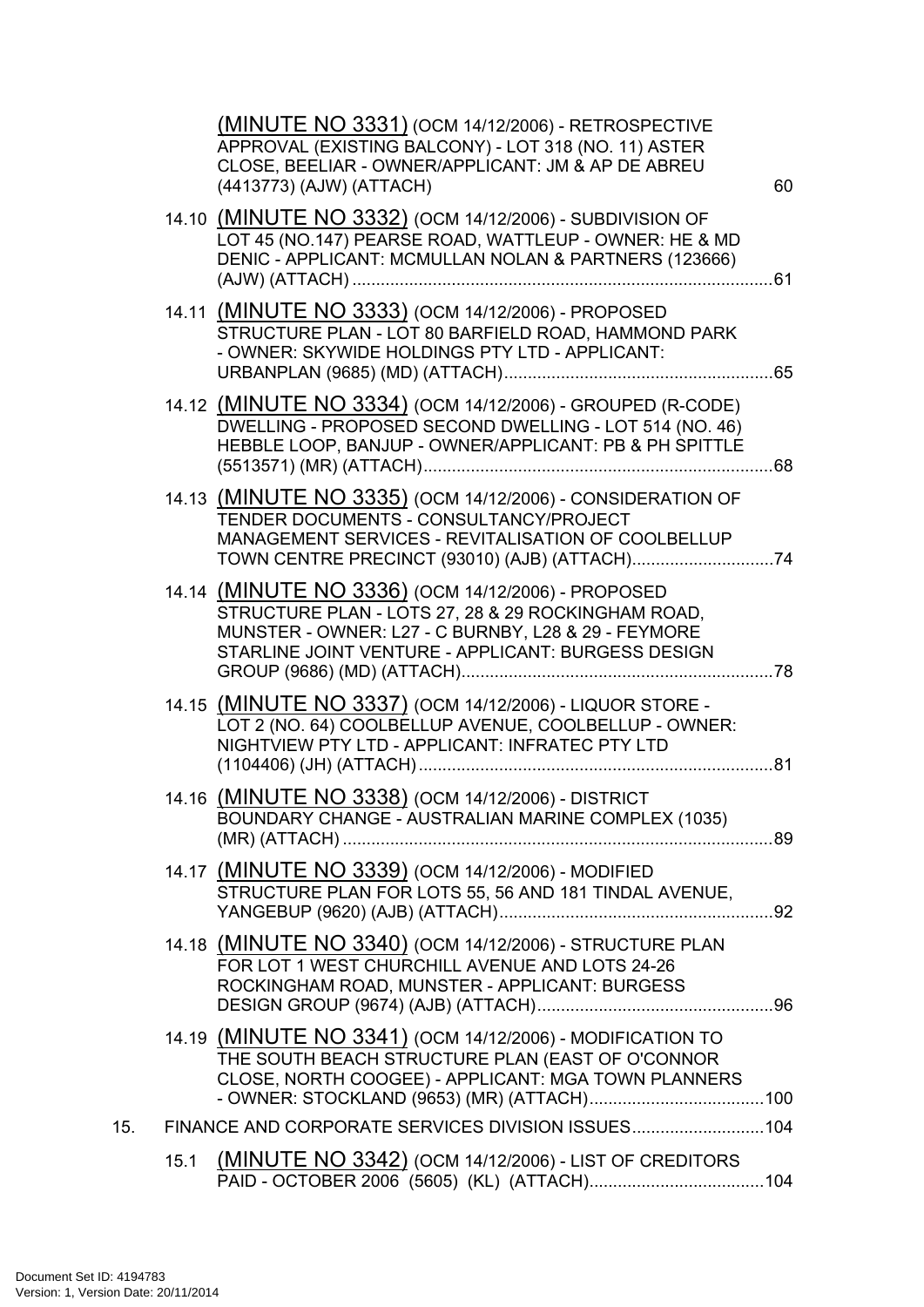| 14.10 (MINUTE NO 3332) (OCM 14/12/2006) - SUBDIVISION OF<br>LOT 45 (NO.147) PEARSE ROAD, WATTLEUP - OWNER: HE & MD<br>DENIC - APPLICANT: MCMULLAN NOLAN & PARTNERS (123666)<br>14.11 (MINUTE NO 3333) (OCM 14/12/2006) - PROPOSED<br>STRUCTURE PLAN - LOT 80 BARFIELD ROAD, HAMMOND PARK<br>- OWNER: SKYWIDE HOLDINGS PTY LTD - APPLICANT:<br>14.12 (MINUTE NO 3334) (OCM 14/12/2006) - GROUPED (R-CODE)<br>DWELLING - PROPOSED SECOND DWELLING - LOT 514 (NO. 46)<br>HEBBLE LOOP, BANJUP - OWNER/APPLICANT: PB & PH SPITTLE<br>14.13 (MINUTE NO 3335) (OCM 14/12/2006) - CONSIDERATION OF<br>TENDER DOCUMENTS - CONSULTANCY/PROJECT<br>MANAGEMENT SERVICES - REVITALISATION OF COOLBELLUP<br>14.14 (MINUTE NO 3336) (OCM 14/12/2006) - PROPOSED<br>STRUCTURE PLAN - LOTS 27, 28 & 29 ROCKINGHAM ROAD,<br>MUNSTER - OWNER: L27 - C BURNBY, L28 & 29 - FEYMORE<br>STARLINE JOINT VENTURE - APPLICANT: BURGESS DESIGN<br>14.15 (MINUTE NO 3337) (OCM 14/12/2006) - LIQUOR STORE -<br>LOT 2 (NO. 64) COOLBELLUP AVENUE, COOLBELLUP - OWNER:<br>NIGHTVIEW PTY LTD - APPLICANT: INFRATEC PTY LTD<br>14.16 (MINUTE NO 3338) (OCM 14/12/2006) - DISTRICT<br>BOUNDARY CHANGE - AUSTRALIAN MARINE COMPLEX (1035)<br>14.17 (MINUTE NO 3339) (OCM 14/12/2006) - MODIFIED<br>STRUCTURE PLAN FOR LOTS 55, 56 AND 181 TINDAL AVENUE,<br>14.18 (MINUTE NO 3340) (OCM 14/12/2006) - STRUCTURE PLAN<br>FOR LOT 1 WEST CHURCHILL AVENUE AND LOTS 24-26<br>ROCKINGHAM ROAD, MUNSTER - APPLICANT: BURGESS<br>14.19 (MINUTE NO 3341) (OCM 14/12/2006) - MODIFICATION TO<br>THE SOUTH BEACH STRUCTURE PLAN (EAST OF O'CONNOR<br>CLOSE, NORTH COOGEE) - APPLICANT: MGA TOWN PLANNERS<br>FINANCE AND CORPORATE SERVICES DIVISION ISSUES104<br>15.<br>(MINUTE NO 3342) (OCM 14/12/2006) - LIST OF CREDITORS<br>15.1 |  | (MINUTE NO 3331) (OCM 14/12/2006) - RETROSPECTIVE<br>APPROVAL (EXISTING BALCONY) - LOT 318 (NO. 11) ASTER<br>CLOSE, BEELIAR - OWNER/APPLICANT: JM & AP DE ABREU<br>(4413773) (AJW) (ATTACH) | 60 |
|--------------------------------------------------------------------------------------------------------------------------------------------------------------------------------------------------------------------------------------------------------------------------------------------------------------------------------------------------------------------------------------------------------------------------------------------------------------------------------------------------------------------------------------------------------------------------------------------------------------------------------------------------------------------------------------------------------------------------------------------------------------------------------------------------------------------------------------------------------------------------------------------------------------------------------------------------------------------------------------------------------------------------------------------------------------------------------------------------------------------------------------------------------------------------------------------------------------------------------------------------------------------------------------------------------------------------------------------------------------------------------------------------------------------------------------------------------------------------------------------------------------------------------------------------------------------------------------------------------------------------------------------------------------------------------------------------------------------------------------------------------------------------------------------|--|---------------------------------------------------------------------------------------------------------------------------------------------------------------------------------------------|----|
|                                                                                                                                                                                                                                                                                                                                                                                                                                                                                                                                                                                                                                                                                                                                                                                                                                                                                                                                                                                                                                                                                                                                                                                                                                                                                                                                                                                                                                                                                                                                                                                                                                                                                                                                                                                            |  |                                                                                                                                                                                             |    |
|                                                                                                                                                                                                                                                                                                                                                                                                                                                                                                                                                                                                                                                                                                                                                                                                                                                                                                                                                                                                                                                                                                                                                                                                                                                                                                                                                                                                                                                                                                                                                                                                                                                                                                                                                                                            |  |                                                                                                                                                                                             |    |
|                                                                                                                                                                                                                                                                                                                                                                                                                                                                                                                                                                                                                                                                                                                                                                                                                                                                                                                                                                                                                                                                                                                                                                                                                                                                                                                                                                                                                                                                                                                                                                                                                                                                                                                                                                                            |  |                                                                                                                                                                                             |    |
|                                                                                                                                                                                                                                                                                                                                                                                                                                                                                                                                                                                                                                                                                                                                                                                                                                                                                                                                                                                                                                                                                                                                                                                                                                                                                                                                                                                                                                                                                                                                                                                                                                                                                                                                                                                            |  |                                                                                                                                                                                             |    |
|                                                                                                                                                                                                                                                                                                                                                                                                                                                                                                                                                                                                                                                                                                                                                                                                                                                                                                                                                                                                                                                                                                                                                                                                                                                                                                                                                                                                                                                                                                                                                                                                                                                                                                                                                                                            |  |                                                                                                                                                                                             |    |
|                                                                                                                                                                                                                                                                                                                                                                                                                                                                                                                                                                                                                                                                                                                                                                                                                                                                                                                                                                                                                                                                                                                                                                                                                                                                                                                                                                                                                                                                                                                                                                                                                                                                                                                                                                                            |  |                                                                                                                                                                                             |    |
|                                                                                                                                                                                                                                                                                                                                                                                                                                                                                                                                                                                                                                                                                                                                                                                                                                                                                                                                                                                                                                                                                                                                                                                                                                                                                                                                                                                                                                                                                                                                                                                                                                                                                                                                                                                            |  |                                                                                                                                                                                             |    |
|                                                                                                                                                                                                                                                                                                                                                                                                                                                                                                                                                                                                                                                                                                                                                                                                                                                                                                                                                                                                                                                                                                                                                                                                                                                                                                                                                                                                                                                                                                                                                                                                                                                                                                                                                                                            |  |                                                                                                                                                                                             |    |
|                                                                                                                                                                                                                                                                                                                                                                                                                                                                                                                                                                                                                                                                                                                                                                                                                                                                                                                                                                                                                                                                                                                                                                                                                                                                                                                                                                                                                                                                                                                                                                                                                                                                                                                                                                                            |  |                                                                                                                                                                                             |    |
|                                                                                                                                                                                                                                                                                                                                                                                                                                                                                                                                                                                                                                                                                                                                                                                                                                                                                                                                                                                                                                                                                                                                                                                                                                                                                                                                                                                                                                                                                                                                                                                                                                                                                                                                                                                            |  |                                                                                                                                                                                             |    |
|                                                                                                                                                                                                                                                                                                                                                                                                                                                                                                                                                                                                                                                                                                                                                                                                                                                                                                                                                                                                                                                                                                                                                                                                                                                                                                                                                                                                                                                                                                                                                                                                                                                                                                                                                                                            |  |                                                                                                                                                                                             |    |
|                                                                                                                                                                                                                                                                                                                                                                                                                                                                                                                                                                                                                                                                                                                                                                                                                                                                                                                                                                                                                                                                                                                                                                                                                                                                                                                                                                                                                                                                                                                                                                                                                                                                                                                                                                                            |  |                                                                                                                                                                                             |    |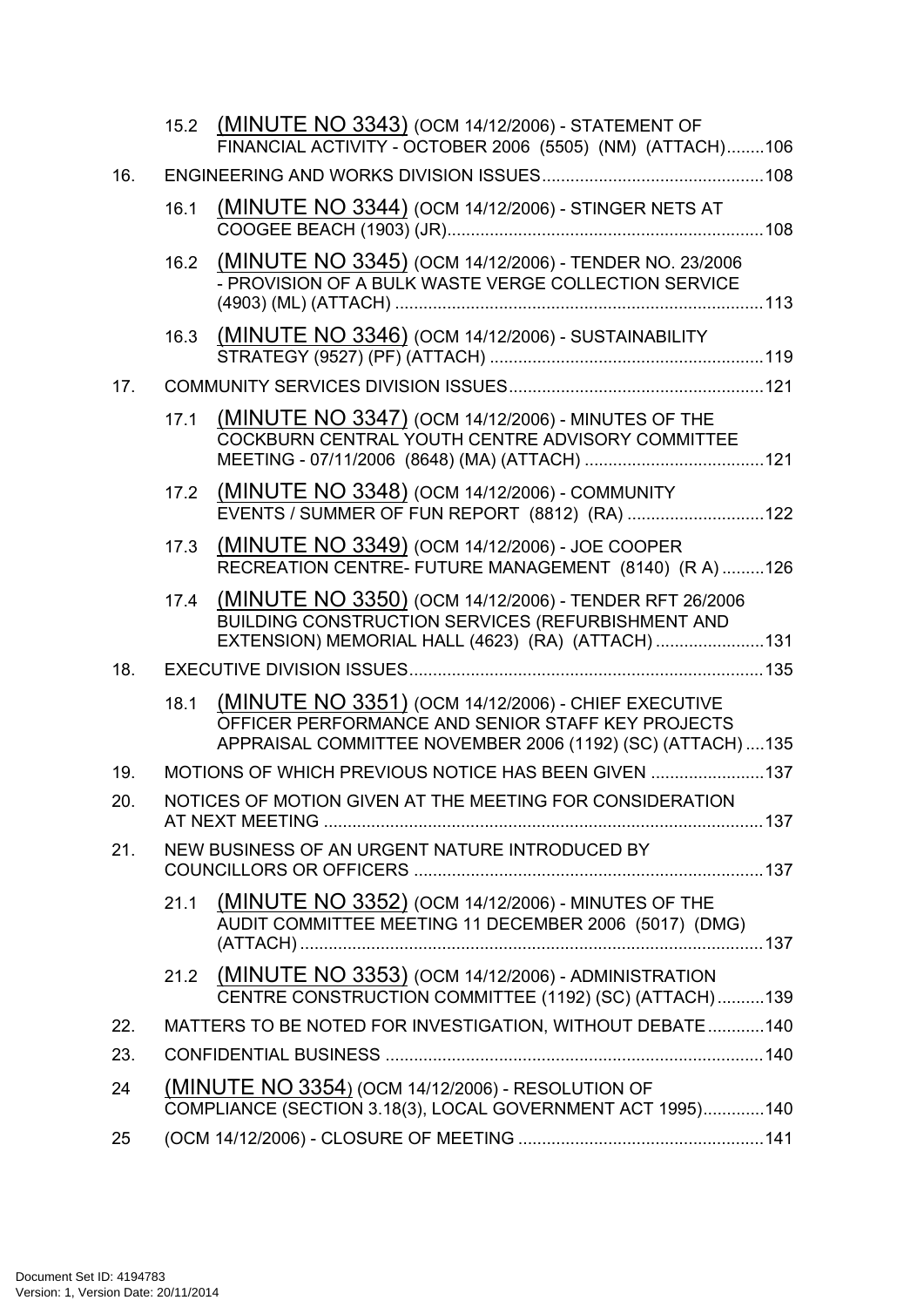|     |      | 15.2 (MINUTE NO 3343) (OCM 14/12/2006) - STATEMENT OF<br>FINANCIAL ACTIVITY - OCTOBER 2006 (5505) (NM) (ATTACH)106                                                    |  |
|-----|------|-----------------------------------------------------------------------------------------------------------------------------------------------------------------------|--|
| 16. |      |                                                                                                                                                                       |  |
|     | 16.1 | (MINUTE NO 3344) (OCM 14/12/2006) - STINGER NETS AT                                                                                                                   |  |
|     | 16.2 | (MINUTE NO 3345) (OCM 14/12/2006) - TENDER NO. 23/2006<br>- PROVISION OF A BULK WASTE VERGE COLLECTION SERVICE                                                        |  |
|     | 16.3 | (MINUTE NO 3346) (OCM 14/12/2006) - SUSTAINABILITY                                                                                                                    |  |
| 17. |      |                                                                                                                                                                       |  |
|     | 17.1 | (MINUTE NO 3347) (OCM 14/12/2006) - MINUTES OF THE<br>COCKBURN CENTRAL YOUTH CENTRE ADVISORY COMMITTEE                                                                |  |
|     | 17.2 | (MINUTE NO 3348) (OCM 14/12/2006) - COMMUNITY<br>EVENTS / SUMMER OF FUN REPORT (8812) (RA) 122                                                                        |  |
|     | 17.3 | (MINUTE NO 3349) (OCM 14/12/2006) - JOE COOPER<br>RECREATION CENTRE- FUTURE MANAGEMENT (8140) (R A) 126                                                               |  |
|     | 17.4 | (MINUTE NO 3350) (OCM 14/12/2006) - TENDER RFT 26/2006<br>BUILDING CONSTRUCTION SERVICES (REFURBISHMENT AND<br>EXTENSION) MEMORIAL HALL (4623) (RA) (ATTACH) 131      |  |
| 18. |      |                                                                                                                                                                       |  |
|     | 18.1 | (MINUTE NO 3351) (OCM 14/12/2006) - CHIEF EXECUTIVE<br>OFFICER PERFORMANCE AND SENIOR STAFF KEY PROJECTS<br>APPRAISAL COMMITTEE NOVEMBER 2006 (1192) (SC) (ATTACH)135 |  |
| 19. |      | MOTIONS OF WHICH PREVIOUS NOTICE HAS BEEN GIVEN 137                                                                                                                   |  |
| 20. |      | NOTICES OF MOTION GIVEN AT THE MEETING FOR CONSIDERATION                                                                                                              |  |
| 21. |      | NEW BUSINESS OF AN URGENT NATURE INTRODUCED BY                                                                                                                        |  |
|     | 21.1 | (MINUTE NO 3352) (OCM 14/12/2006) - MINUTES OF THE<br>AUDIT COMMITTEE MEETING 11 DECEMBER 2006 (5017) (DMG)                                                           |  |
|     |      | 21.2 (MINUTE NO 3353) (OCM 14/12/2006) - ADMINISTRATION<br>CENTRE CONSTRUCTION COMMITTEE (1192) (SC) (ATTACH)139                                                      |  |
| 22. |      | MATTERS TO BE NOTED FOR INVESTIGATION, WITHOUT DEBATE140                                                                                                              |  |
| 23. |      |                                                                                                                                                                       |  |
| 24  |      | (MINUTE NO 3354) (OCM 14/12/2006) - RESOLUTION OF<br>COMPLIANCE (SECTION 3.18(3), LOCAL GOVERNMENT ACT 1995)140                                                       |  |
| 25  |      |                                                                                                                                                                       |  |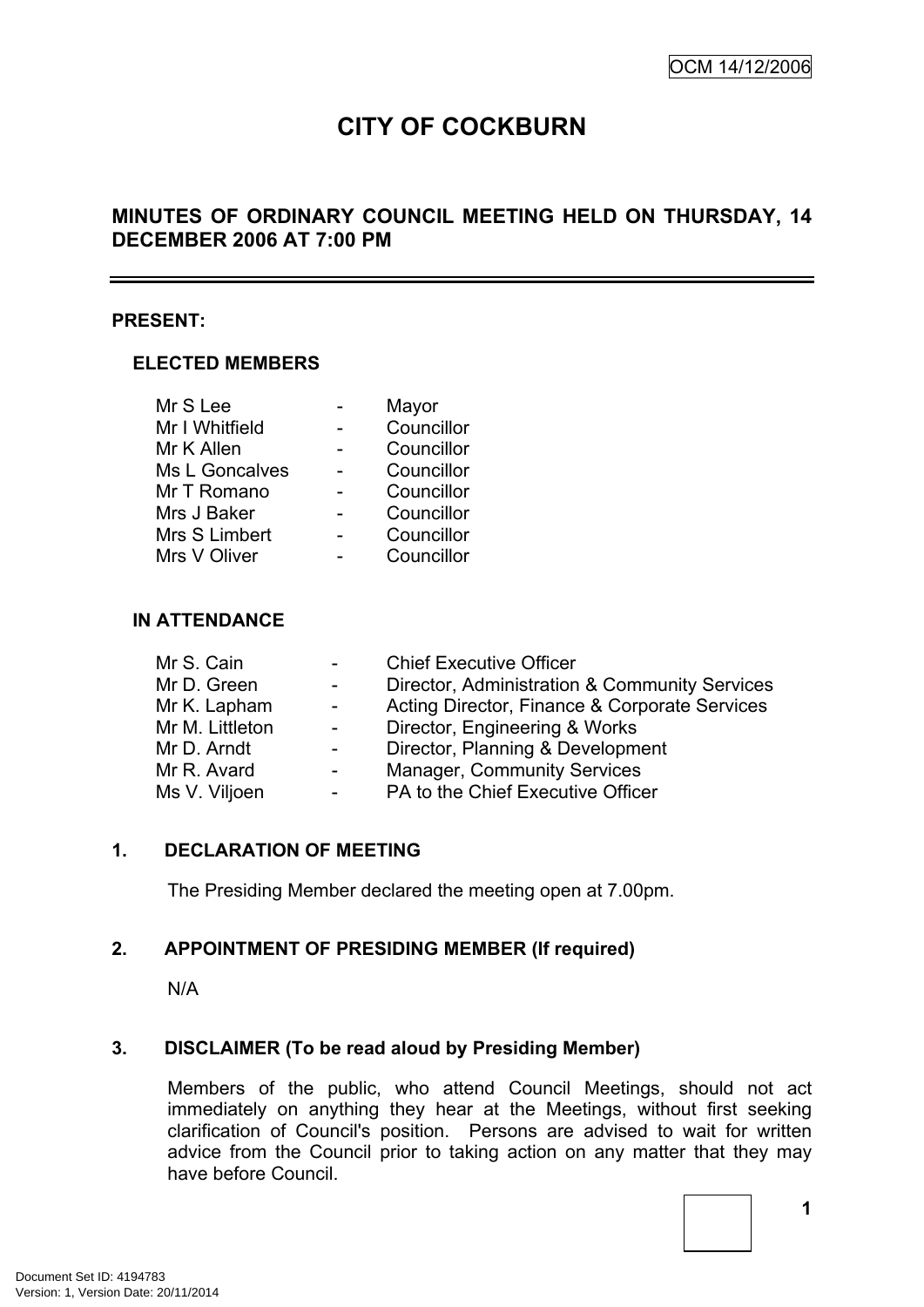# **CITY OF COCKBURN**

# **MINUTES OF ORDINARY COUNCIL MEETING HELD ON THURSDAY, 14 DECEMBER 2006 AT 7:00 PM**

#### **PRESENT:**

### **ELECTED MEMBERS**

| Mr S Lee       | Mayor      |
|----------------|------------|
| Mr I Whitfield | Councillor |
| Mr K Allen     | Councillor |
| Ms L Goncalves | Councillor |
| Mr T Romano    | Councillor |
| Mrs J Baker    | Councillor |
| Mrs S Limbert  | Councillor |
| Mrs V Oliver   | Councillor |

### **IN ATTENDANCE**

| <b>Chief Executive Officer</b>                |
|-----------------------------------------------|
| Director, Administration & Community Services |
| Acting Director, Finance & Corporate Services |
| Director, Engineering & Works                 |
| Director, Planning & Development              |
| <b>Manager, Community Services</b>            |
| PA to the Chief Executive Officer             |
|                                               |

### <span id="page-4-0"></span>**1. DECLARATION OF MEETING**

The Presiding Member declared the meeting open at 7.00pm.

### <span id="page-4-1"></span>**2. APPOINTMENT OF PRESIDING MEMBER (If required)**

N/A

### <span id="page-4-2"></span>**3. DISCLAIMER (To be read aloud by Presiding Member)**

Members of the public, who attend Council Meetings, should not act immediately on anything they hear at the Meetings, without first seeking clarification of Council's position. Persons are advised to wait for written advice from the Council prior to taking action on any matter that they may have before Council.

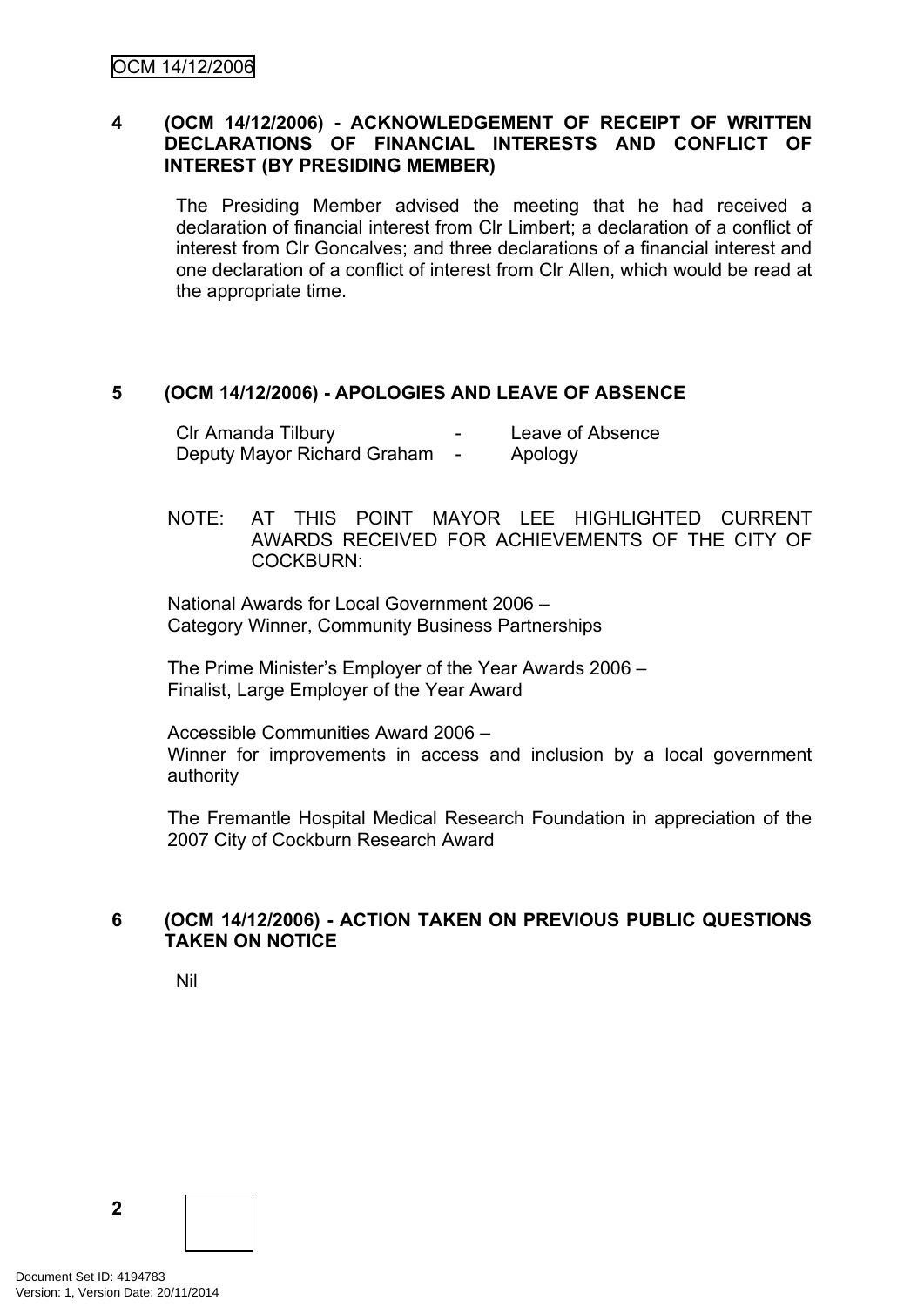### <span id="page-5-0"></span>**4 (OCM 14/12/2006) - ACKNOWLEDGEMENT OF RECEIPT OF WRITTEN DECLARATIONS OF FINANCIAL INTERESTS AND CONFLICT OF INTEREST (BY PRESIDING MEMBER)**

The Presiding Member advised the meeting that he had received a declaration of financial interest from Clr Limbert; a declaration of a conflict of interest from Clr Goncalves; and three declarations of a financial interest and one declaration of a conflict of interest from Clr Allen, which would be read at the appropriate time.

### <span id="page-5-1"></span>**5 (OCM 14/12/2006) - APOLOGIES AND LEAVE OF ABSENCE**

| CIr Amanda Tilbury          | - | Leave of Absence |
|-----------------------------|---|------------------|
| Deputy Mayor Richard Graham |   | Apology          |

NOTE: AT THIS POINT MAYOR LEE HIGHLIGHTED CURRENT AWARDS RECEIVED FOR ACHIEVEMENTS OF THE CITY OF COCKBURN:

National Awards for Local Government 2006 – Category Winner, Community Business Partnerships

The Prime Minister's Employer of the Year Awards 2006 – Finalist, Large Employer of the Year Award

Accessible Communities Award 2006 – Winner for improvements in access and inclusion by a local government authority

The Fremantle Hospital Medical Research Foundation in appreciation of the 2007 City of Cockburn Research Award

### <span id="page-5-2"></span>**6 (OCM 14/12/2006) - ACTION TAKEN ON PREVIOUS PUBLIC QUESTIONS TAKEN ON NOTICE**

Nil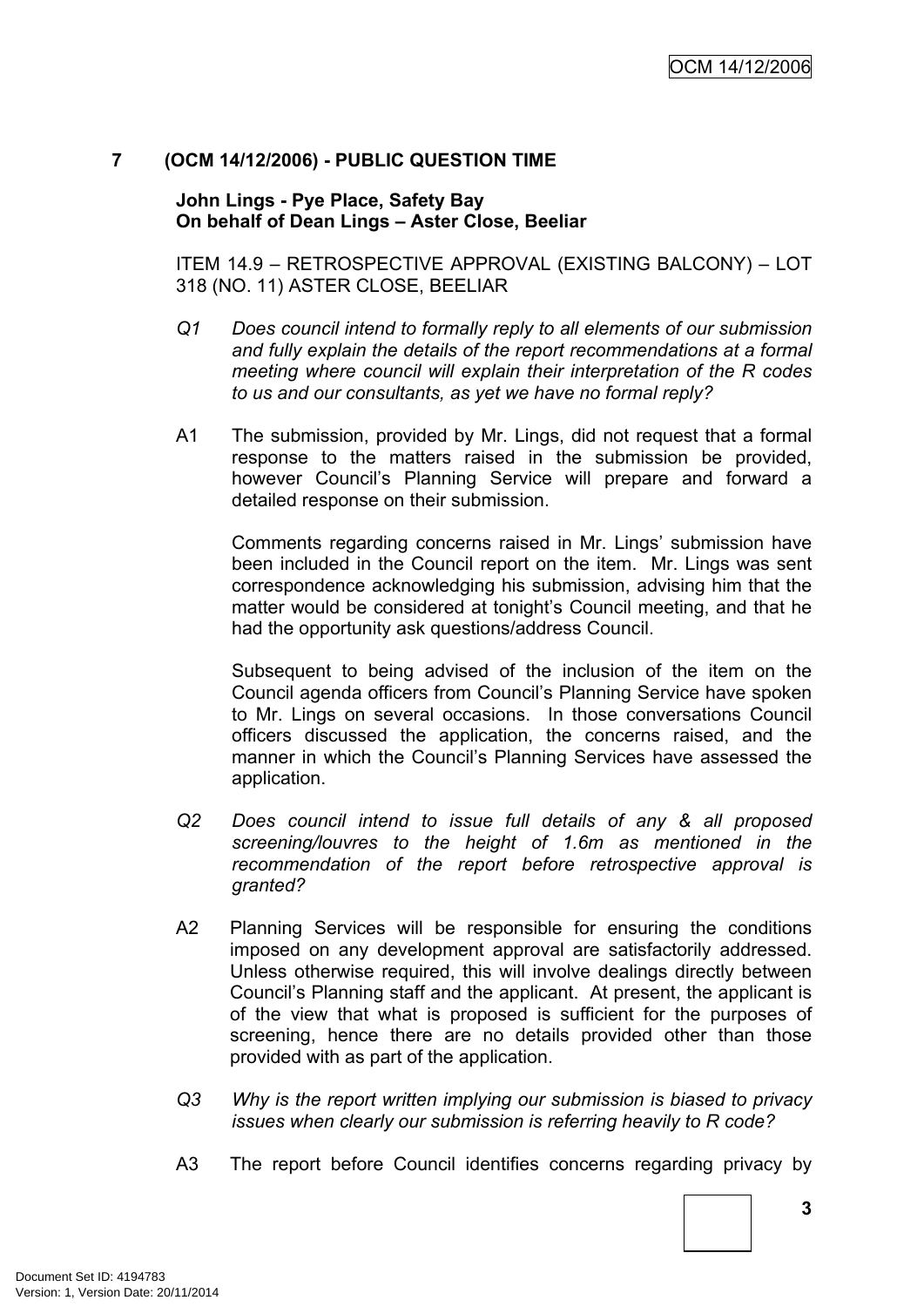### <span id="page-6-0"></span>**7 (OCM 14/12/2006) - PUBLIC QUESTION TIME**

**John Lings - Pye Place, Safety Bay On behalf of Dean Lings – Aster Close, Beeliar**

ITEM 14.9 – RETROSPECTIVE APPROVAL (EXISTING BALCONY) – LOT 318 (NO. 11) ASTER CLOSE, BEELIAR

- *Q1 Does council intend to formally reply to all elements of our submission and fully explain the details of the report recommendations at a formal meeting where council will explain their interpretation of the R codes to us and our consultants, as yet we have no formal reply?*
- A1 The submission, provided by Mr. Lings, did not request that a formal response to the matters raised in the submission be provided, however Council's Planning Service will prepare and forward a detailed response on their submission.

Comments regarding concerns raised in Mr. Lings' submission have been included in the Council report on the item. Mr. Lings was sent correspondence acknowledging his submission, advising him that the matter would be considered at tonight's Council meeting, and that he had the opportunity ask questions/address Council.

Subsequent to being advised of the inclusion of the item on the Council agenda officers from Council's Planning Service have spoken to Mr. Lings on several occasions. In those conversations Council officers discussed the application, the concerns raised, and the manner in which the Council's Planning Services have assessed the application.

- *Q2 Does council intend to issue full details of any & all proposed screening/louvres to the height of 1.6m as mentioned in the recommendation of the report before retrospective approval is granted?*
- A2 Planning Services will be responsible for ensuring the conditions imposed on any development approval are satisfactorily addressed. Unless otherwise required, this will involve dealings directly between Council's Planning staff and the applicant. At present, the applicant is of the view that what is proposed is sufficient for the purposes of screening, hence there are no details provided other than those provided with as part of the application.
- *Q3 Why is the report written implying our submission is biased to privacy issues when clearly our submission is referring heavily to R code?*
- A3 The report before Council identifies concerns regarding privacy by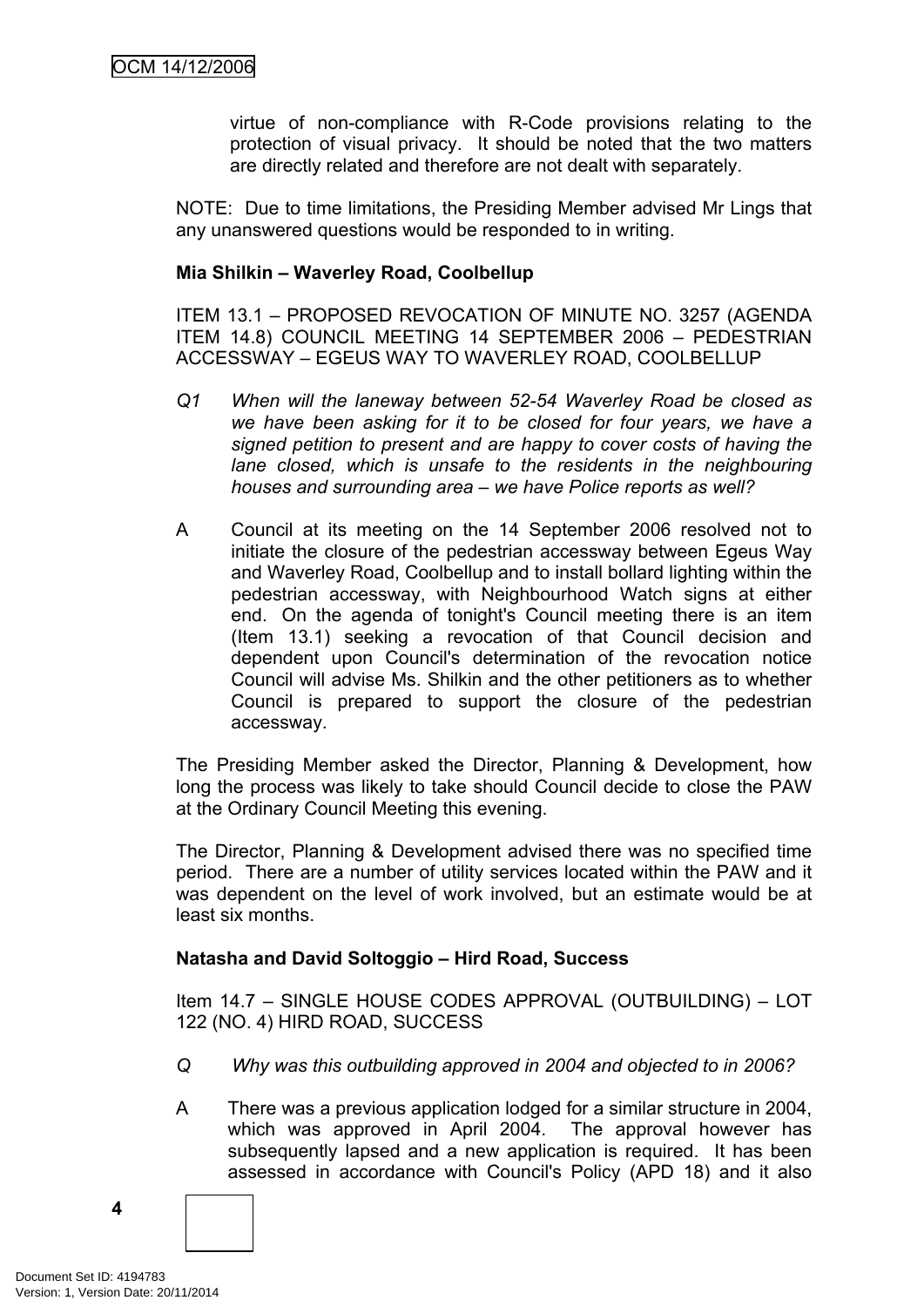virtue of non-compliance with R-Code provisions relating to the protection of visual privacy. It should be noted that the two matters are directly related and therefore are not dealt with separately.

NOTE: Due to time limitations, the Presiding Member advised Mr Lings that any unanswered questions would be responded to in writing.

#### **Mia Shilkin – Waverley Road, Coolbellup**

ITEM 13.1 – PROPOSED REVOCATION OF MINUTE NO. 3257 (AGENDA ITEM 14.8) COUNCIL MEETING 14 SEPTEMBER 2006 – PEDESTRIAN ACCESSWAY – EGEUS WAY TO WAVERLEY ROAD, COOLBELLUP

- *Q1 When will the laneway between 52-54 Waverley Road be closed as we have been asking for it to be closed for four years, we have a signed petition to present and are happy to cover costs of having the lane closed, which is unsafe to the residents in the neighbouring houses and surrounding area – we have Police reports as well?*
- A Council at its meeting on the 14 September 2006 resolved not to initiate the closure of the pedestrian accessway between Egeus Way and Waverley Road, Coolbellup and to install bollard lighting within the pedestrian accessway, with Neighbourhood Watch signs at either end. On the agenda of tonight's Council meeting there is an item (Item 13.1) seeking a revocation of that Council decision and dependent upon Council's determination of the revocation notice Council will advise Ms. Shilkin and the other petitioners as to whether Council is prepared to support the closure of the pedestrian accessway.

The Presiding Member asked the Director, Planning & Development, how long the process was likely to take should Council decide to close the PAW at the Ordinary Council Meeting this evening.

The Director, Planning & Development advised there was no specified time period. There are a number of utility services located within the PAW and it was dependent on the level of work involved, but an estimate would be at least six months.

### **Natasha and David Soltoggio – Hird Road, Success**

Item 14.7 – SINGLE HOUSE CODES APPROVAL (OUTBUILDING) – LOT 122 (NO. 4) HIRD ROAD, SUCCESS

- *Q Why was this outbuilding approved in 2004 and objected to in 2006?*
- A There was a previous application lodged for a similar structure in 2004, which was approved in April 2004. The approval however has subsequently lapsed and a new application is required. It has been assessed in accordance with Council's Policy (APD 18) and it also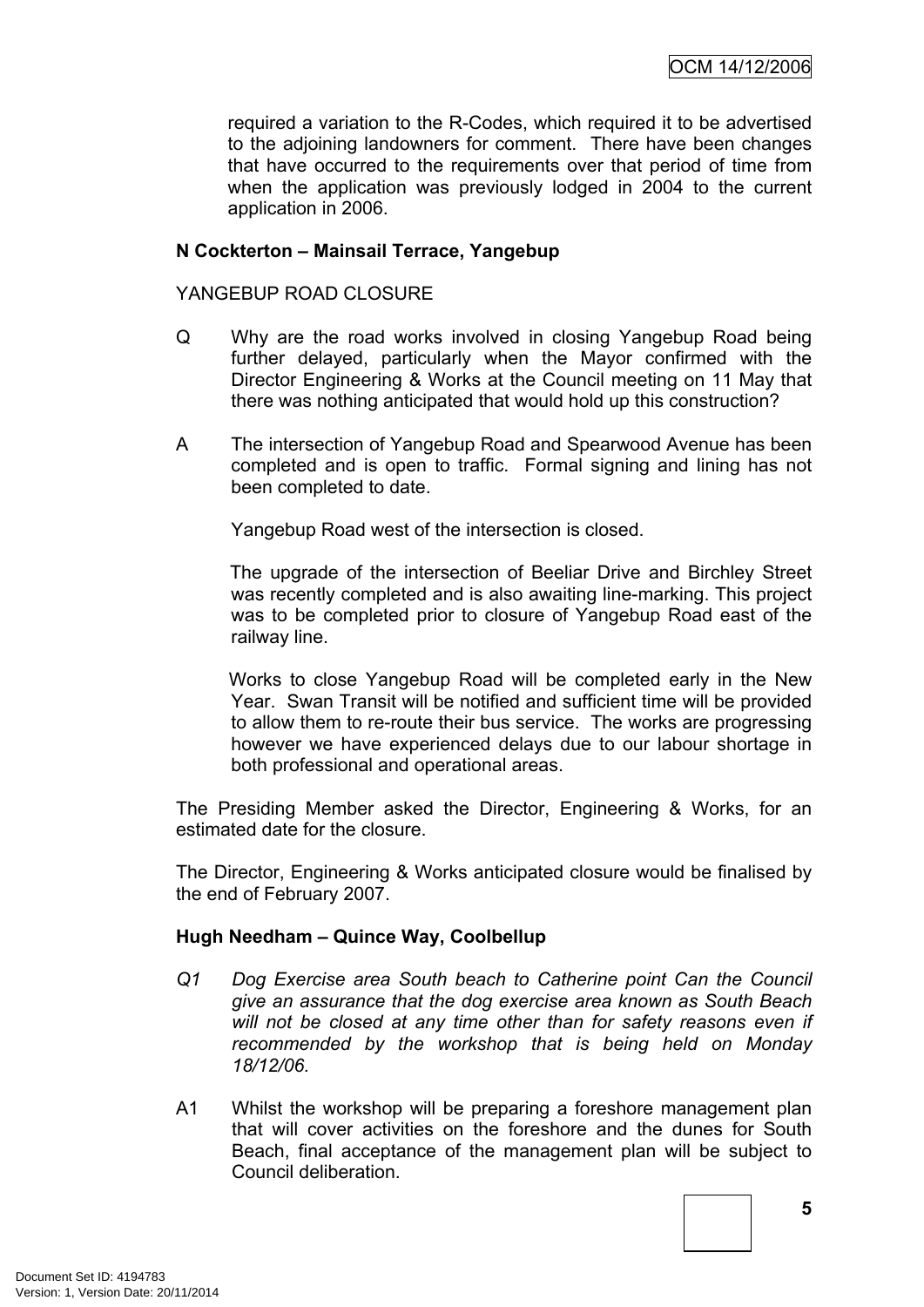required a variation to the R-Codes, which required it to be advertised to the adjoining landowners for comment. There have been changes that have occurred to the requirements over that period of time from when the application was previously lodged in 2004 to the current application in 2006.

### **N Cockterton – Mainsail Terrace, Yangebup**

### YANGEBUP ROAD CLOSURE

- Q Why are the road works involved in closing Yangebup Road being further delayed, particularly when the Mayor confirmed with the Director Engineering & Works at the Council meeting on 11 May that there was nothing anticipated that would hold up this construction?
- A The intersection of Yangebup Road and Spearwood Avenue has been completed and is open to traffic. Formal signing and lining has not been completed to date.

Yangebup Road west of the intersection is closed.

The upgrade of the intersection of Beeliar Drive and Birchley Street was recently completed and is also awaiting line-marking. This project was to be completed prior to closure of Yangebup Road east of the railway line.

Works to close Yangebup Road will be completed early in the New Year. Swan Transit will be notified and sufficient time will be provided to allow them to re-route their bus service. The works are progressing however we have experienced delays due to our labour shortage in both professional and operational areas.

The Presiding Member asked the Director, Engineering & Works, for an estimated date for the closure.

The Director, Engineering & Works anticipated closure would be finalised by the end of February 2007.

### **Hugh Needham – Quince Way, Coolbellup**

- *Q1 Dog Exercise area South beach to Catherine point Can the Council give an assurance that the dog exercise area known as South Beach will not be closed at any time other than for safety reasons even if recommended by the workshop that is being held on Monday 18/12/06.*
- A1 Whilst the workshop will be preparing a foreshore management plan that will cover activities on the foreshore and the dunes for South Beach, final acceptance of the management plan will be subject to Council deliberation.

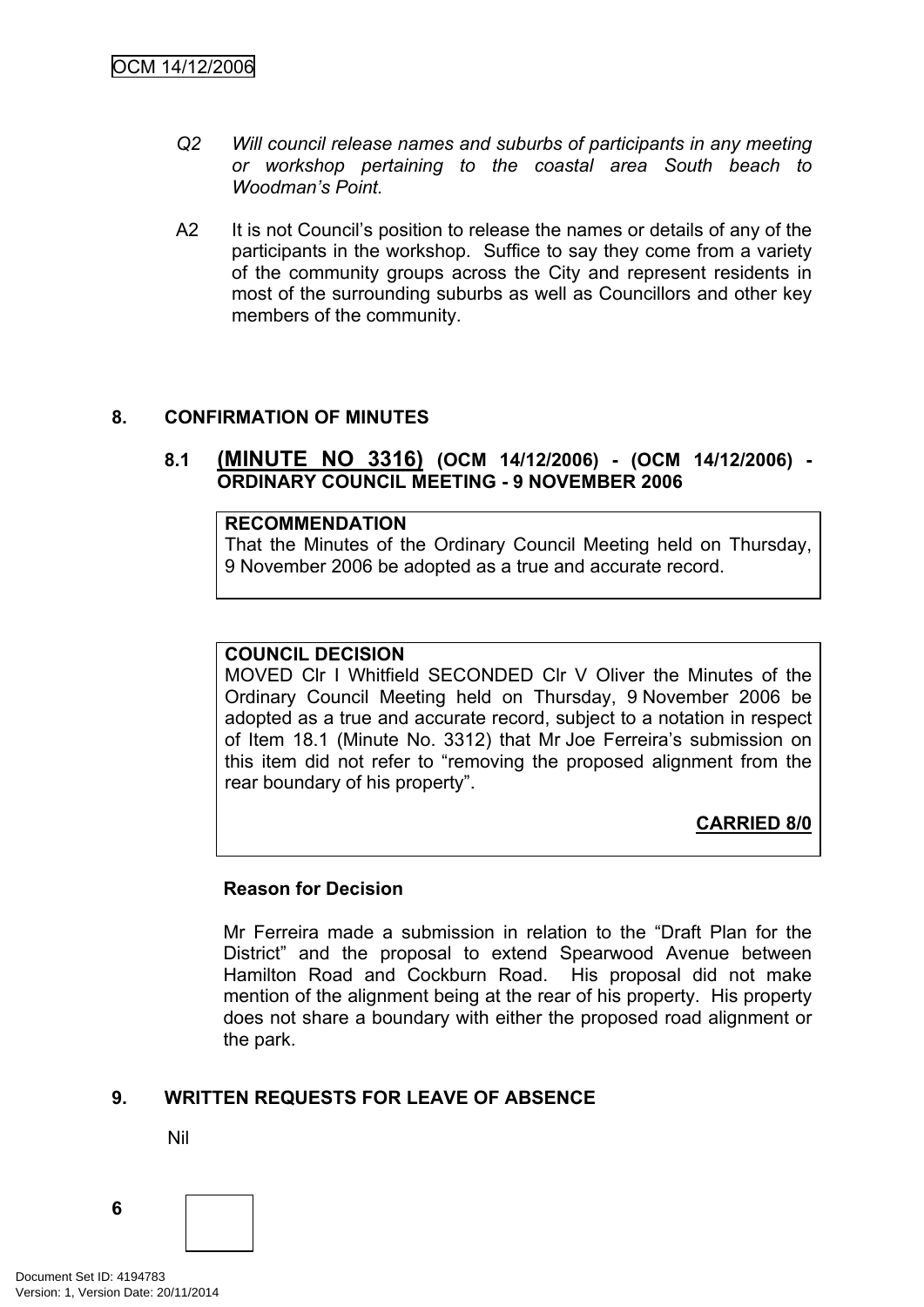- *Q2 Will council release names and suburbs of participants in any meeting or workshop pertaining to the coastal area South beach to Woodman's Point.*
- A2 It is not Council's position to release the names or details of any of the participants in the workshop. Suffice to say they come from a variety of the community groups across the City and represent residents in most of the surrounding suburbs as well as Councillors and other key members of the community.

### <span id="page-9-0"></span>**8. CONFIRMATION OF MINUTES**

### <span id="page-9-1"></span>**8.1 (MINUTE NO 3316) (OCM 14/12/2006) - (OCM 14/12/2006) - ORDINARY COUNCIL MEETING - 9 NOVEMBER 2006**

#### **RECOMMENDATION**

That the Minutes of the Ordinary Council Meeting held on Thursday, 9 November 2006 be adopted as a true and accurate record.

#### **COUNCIL DECISION**

MOVED Clr I Whitfield SECONDED Clr V Oliver the Minutes of the Ordinary Council Meeting held on Thursday, 9 November 2006 be adopted as a true and accurate record, subject to a notation in respect of Item 18.1 (Minute No. 3312) that Mr Joe Ferreira's submission on this item did not refer to "removing the proposed alignment from the rear boundary of his property".

# **CARRIED 8/0**

#### **Reason for Decision**

Mr Ferreira made a submission in relation to the "Draft Plan for the District" and the proposal to extend Spearwood Avenue between Hamilton Road and Cockburn Road. His proposal did not make mention of the alignment being at the rear of his property. His property does not share a boundary with either the proposed road alignment or the park.

### <span id="page-9-2"></span>**9. WRITTEN REQUESTS FOR LEAVE OF ABSENCE**

Nil

Document Set ID: 4194783<br>Version: 1, Version Date: 20/11/2014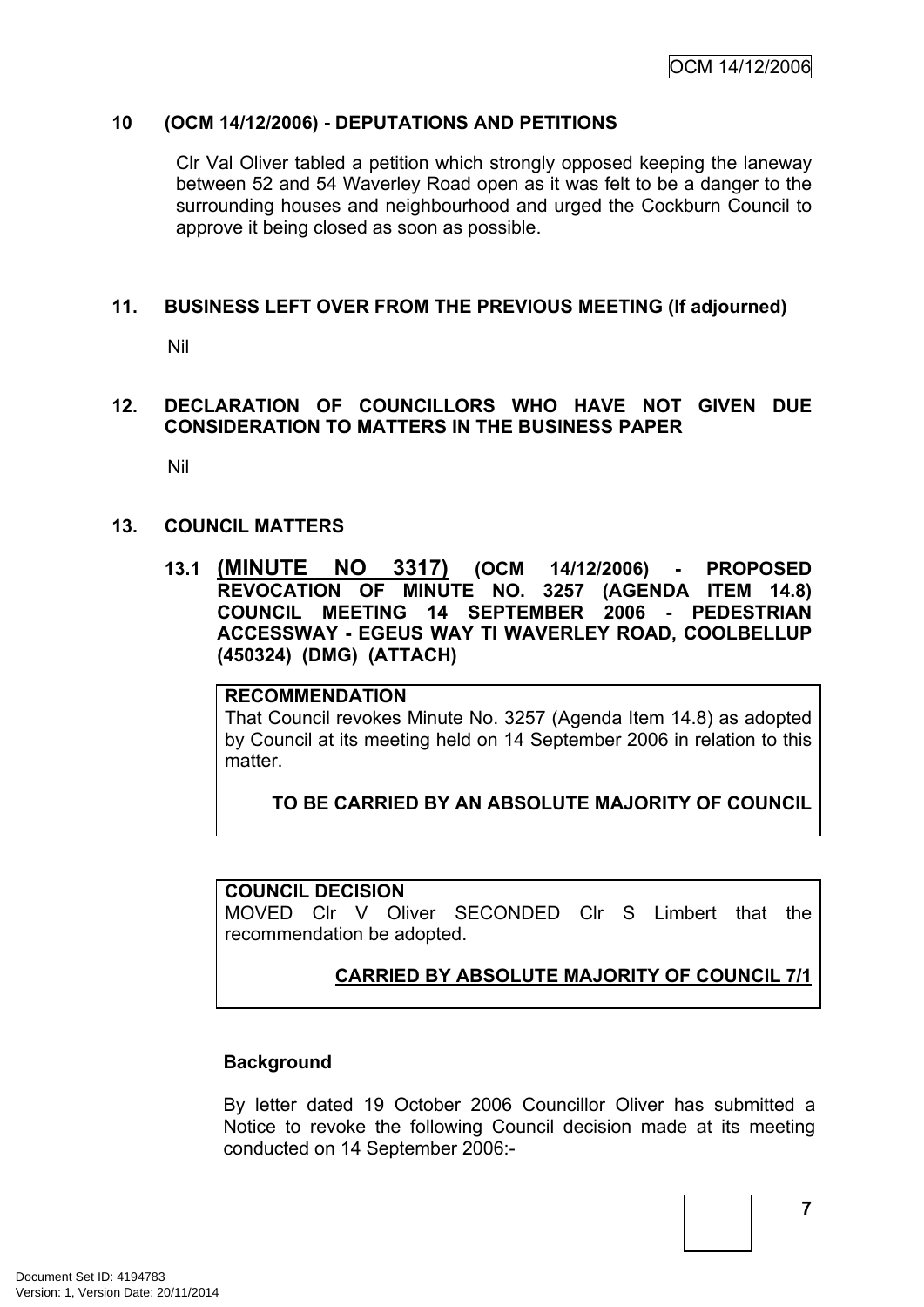### <span id="page-10-0"></span>**10 (OCM 14/12/2006) - DEPUTATIONS AND PETITIONS**

Clr Val Oliver tabled a petition which strongly opposed keeping the laneway between 52 and 54 Waverley Road open as it was felt to be a danger to the surrounding houses and neighbourhood and urged the Cockburn Council to approve it being closed as soon as possible.

### <span id="page-10-1"></span>**11. BUSINESS LEFT OVER FROM THE PREVIOUS MEETING (If adjourned)**

Nil

### <span id="page-10-2"></span>**12. DECLARATION OF COUNCILLORS WHO HAVE NOT GIVEN DUE CONSIDERATION TO MATTERS IN THE BUSINESS PAPER**

Nil

### <span id="page-10-3"></span>**13. COUNCIL MATTERS**

<span id="page-10-4"></span>**13.1 (MINUTE NO 3317) (OCM 14/12/2006) - PROPOSED REVOCATION OF MINUTE NO. 3257 (AGENDA ITEM 14.8) COUNCIL MEETING 14 SEPTEMBER 2006 - PEDESTRIAN ACCESSWAY - EGEUS WAY TI WAVERLEY ROAD, COOLBELLUP (450324) (DMG) (ATTACH)**

#### **RECOMMENDATION**

That Council revokes Minute No. 3257 (Agenda Item 14.8) as adopted by Council at its meeting held on 14 September 2006 in relation to this matter

### **TO BE CARRIED BY AN ABSOLUTE MAJORITY OF COUNCIL**

### **COUNCIL DECISION**

MOVED Clr V Oliver SECONDED Clr S Limbert that the recommendation be adopted.

# **CARRIED BY ABSOLUTE MAJORITY OF COUNCIL 7/1**

### **Background**

By letter dated 19 October 2006 Councillor Oliver has submitted a Notice to revoke the following Council decision made at its meeting conducted on 14 September 2006:-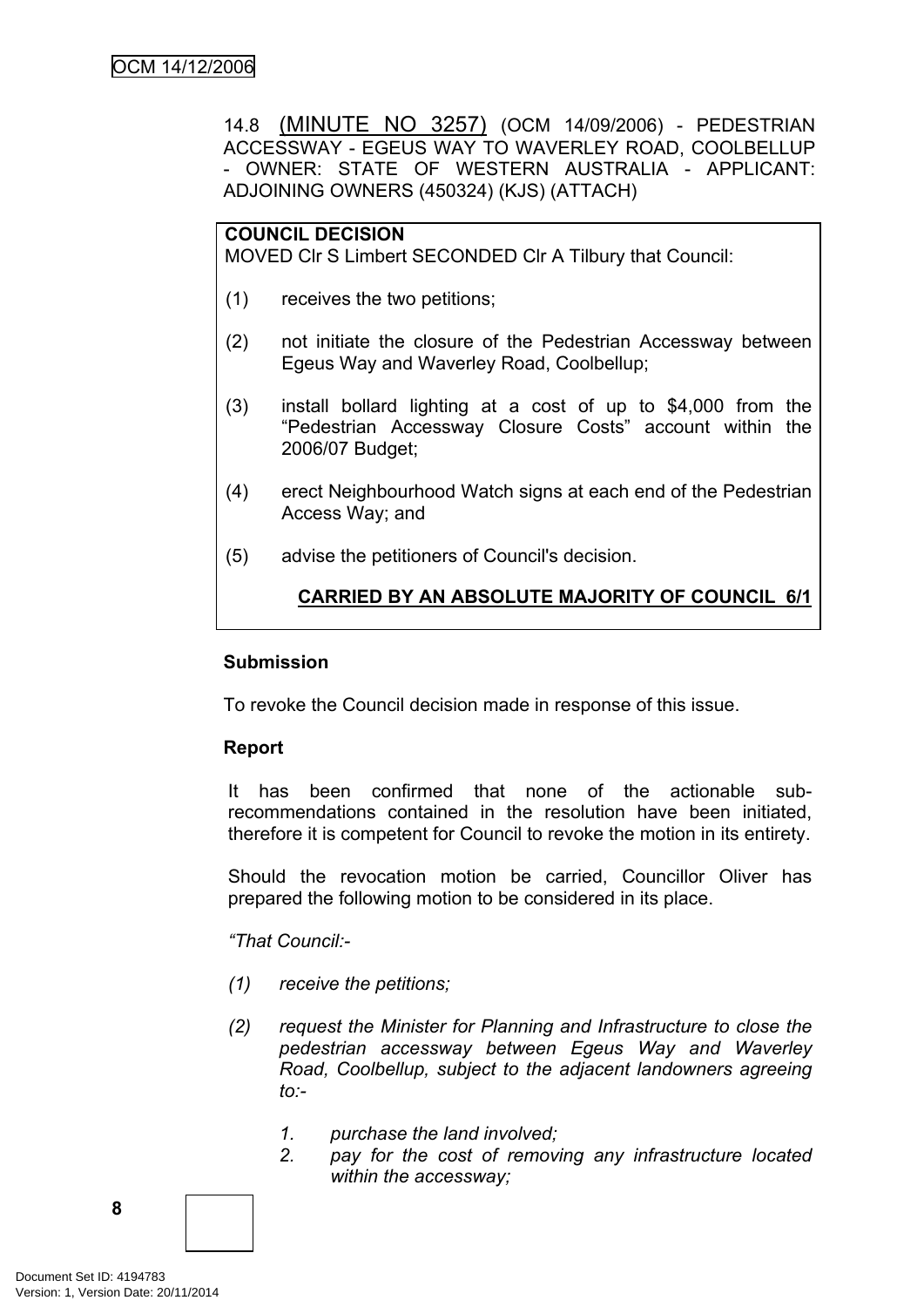14.8 (MINUTE NO 3257) (OCM 14/09/2006) - PEDESTRIAN ACCESSWAY - EGEUS WAY TO WAVERLEY ROAD, COOLBELLUP - OWNER: STATE OF WESTERN AUSTRALIA - APPLICANT: ADJOINING OWNERS (450324) (KJS) (ATTACH)

### **COUNCIL DECISION**

MOVED Clr S Limbert SECONDED Clr A Tilbury that Council:

- (1) receives the two petitions;
- (2) not initiate the closure of the Pedestrian Accessway between Egeus Way and Waverley Road, Coolbellup;
- (3) install bollard lighting at a cost of up to \$4,000 from the "Pedestrian Accessway Closure Costs" account within the 2006/07 Budget;
- (4) erect Neighbourhood Watch signs at each end of the Pedestrian Access Way; and
- (5) advise the petitioners of Council's decision.

# **CARRIED BY AN ABSOLUTE MAJORITY OF COUNCIL 6/1**

#### **Submission**

To revoke the Council decision made in response of this issue.

### **Report**

It has been confirmed that none of the actionable subrecommendations contained in the resolution have been initiated, therefore it is competent for Council to revoke the motion in its entirety.

Should the revocation motion be carried, Councillor Oliver has prepared the following motion to be considered in its place.

*"That Council:-*

- *(1) receive the petitions;*
- *(2) request the Minister for Planning and Infrastructure to close the pedestrian accessway between Egeus Way and Waverley Road, Coolbellup, subject to the adjacent landowners agreeing to:-*
	- *1. purchase the land involved;*
	- *2. pay for the cost of removing any infrastructure located within the accessway;*

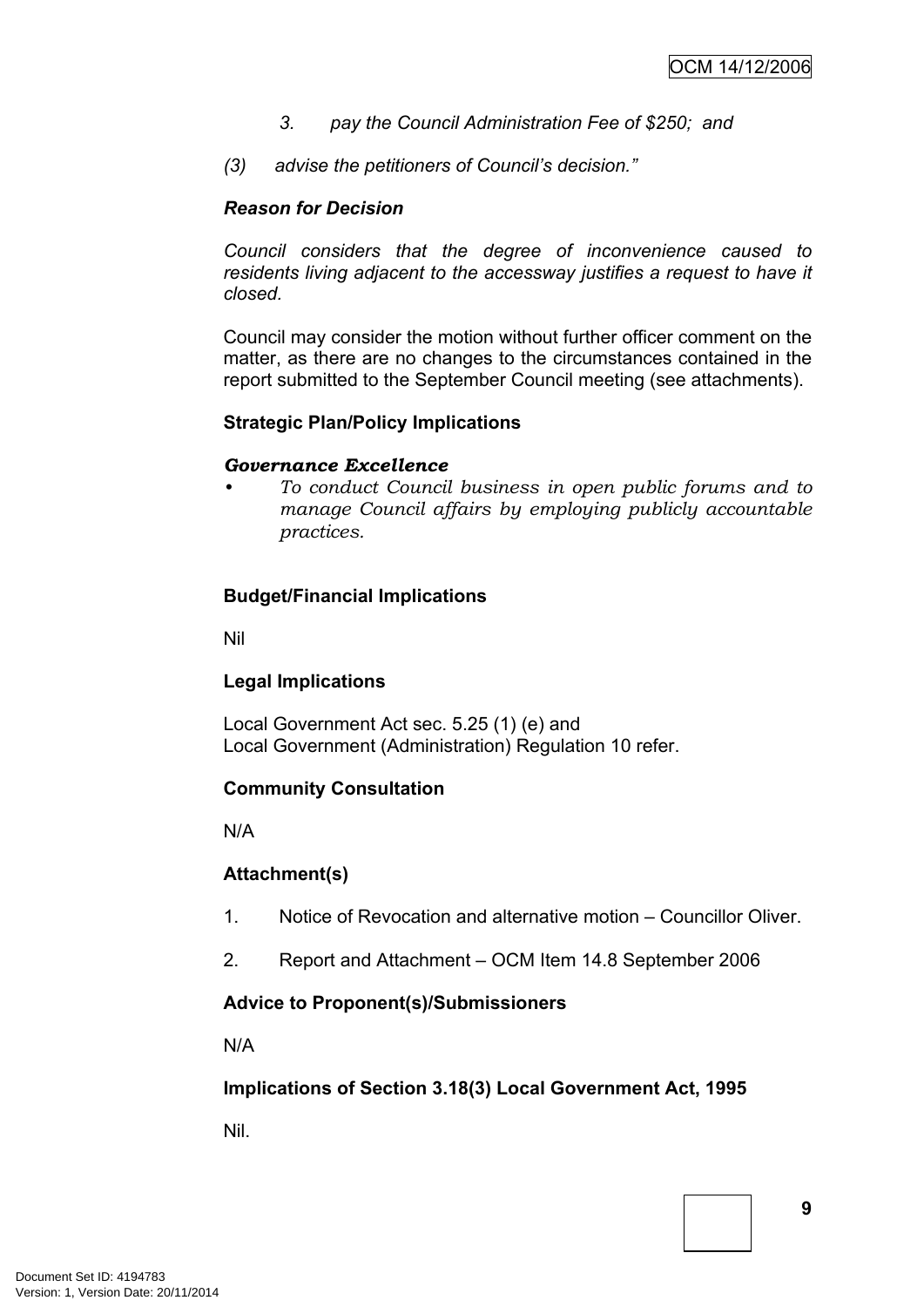- *3. pay the Council Administration Fee of \$250; and*
- *(3) advise the petitioners of Council's decision."*

### *Reason for Decision*

*Council considers that the degree of inconvenience caused to residents living adjacent to the accessway justifies a request to have it closed.*

Council may consider the motion without further officer comment on the matter, as there are no changes to the circumstances contained in the report submitted to the September Council meeting (see attachments).

### **Strategic Plan/Policy Implications**

#### *Governance Excellence*

*• To conduct Council business in open public forums and to manage Council affairs by employing publicly accountable practices.*

### **Budget/Financial Implications**

Nil

### **Legal Implications**

Local Government Act sec. 5.25 (1) (e) and Local Government (Administration) Regulation 10 refer.

### **Community Consultation**

N/A

### **Attachment(s)**

- 1. Notice of Revocation and alternative motion Councillor Oliver.
- 2. Report and Attachment OCM Item 14.8 September 2006

### **Advice to Proponent(s)/Submissioners**

N/A

# **Implications of Section 3.18(3) Local Government Act, 1995**

Nil.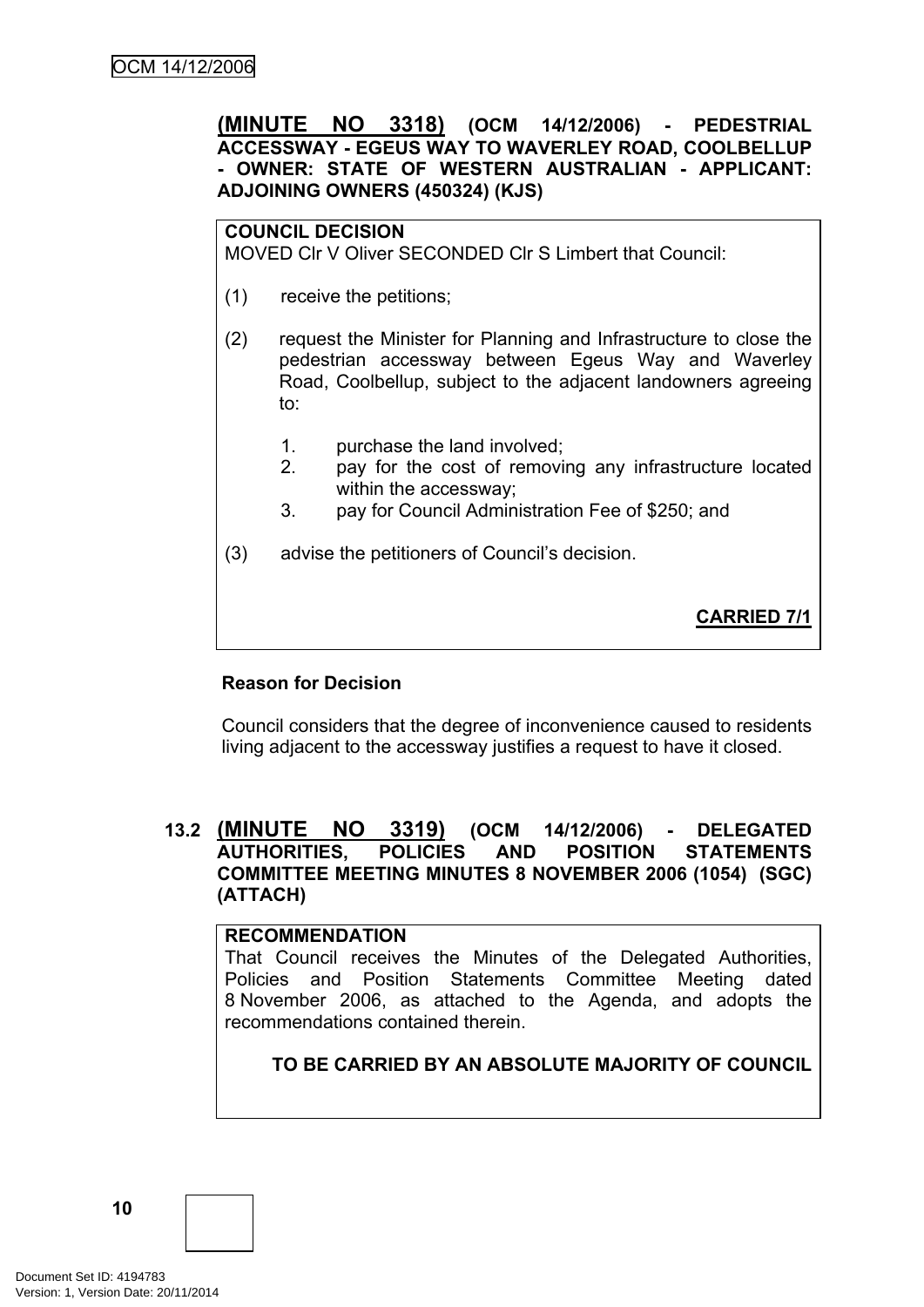### <span id="page-13-0"></span>**(MINUTE NO 3318) (OCM 14/12/2006) - PEDESTRIAL ACCESSWAY - EGEUS WAY TO WAVERLEY ROAD, COOLBELLUP - OWNER: STATE OF WESTERN AUSTRALIAN - APPLICANT: ADJOINING OWNERS (450324) (KJS)**

#### **COUNCIL DECISION**

MOVED Clr V Oliver SECONDED Clr S Limbert that Council:

- (1) receive the petitions;
- (2) request the Minister for Planning and Infrastructure to close the pedestrian accessway between Egeus Way and Waverley Road, Coolbellup, subject to the adjacent landowners agreeing to:
	- 1. purchase the land involved;
	- 2. pay for the cost of removing any infrastructure located within the accessway;
	- 3. pay for Council Administration Fee of \$250; and
- (3) advise the petitioners of Council's decision.

**CARRIED 7/1**

### **Reason for Decision**

Council considers that the degree of inconvenience caused to residents living adjacent to the accessway justifies a request to have it closed.

### <span id="page-13-1"></span>**13.2 (MINUTE NO 3319) (OCM 14/12/2006) - DELEGATED AUTHORITIES, POLICIES AND POSITION STATEMENTS COMMITTEE MEETING MINUTES 8 NOVEMBER 2006 (1054) (SGC) (ATTACH)**

#### **RECOMMENDATION**

That Council receives the Minutes of the Delegated Authorities, Policies and Position Statements Committee Meeting dated 8 November 2006, as attached to the Agenda, and adopts the recommendations contained therein.

### **TO BE CARRIED BY AN ABSOLUTE MAJORITY OF COUNCIL**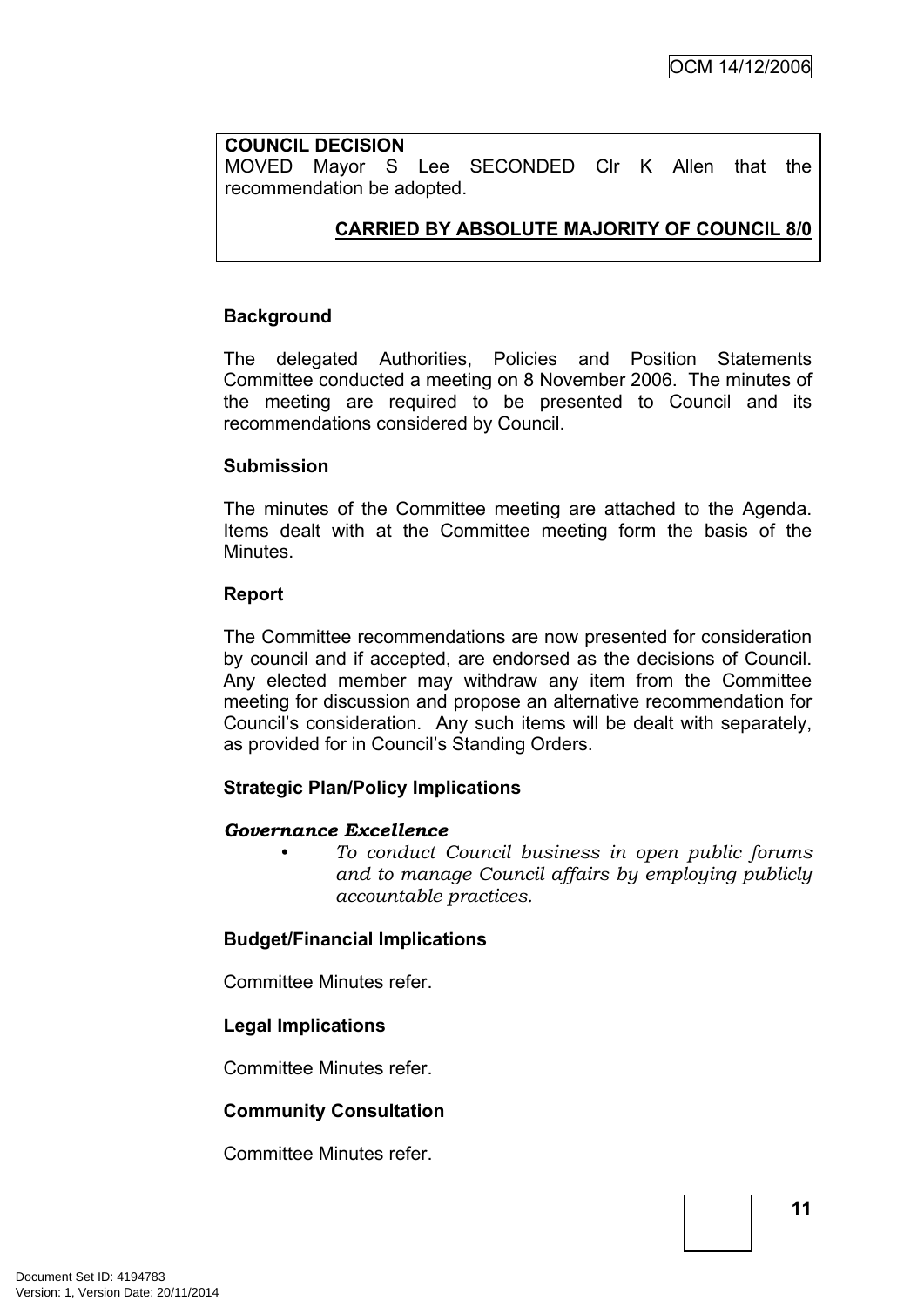### **COUNCIL DECISION**

MOVED Mayor S Lee SECONDED Clr K Allen that the recommendation be adopted.

### **CARRIED BY ABSOLUTE MAJORITY OF COUNCIL 8/0**

#### **Background**

The delegated Authorities, Policies and Position Statements Committee conducted a meeting on 8 November 2006. The minutes of the meeting are required to be presented to Council and its recommendations considered by Council.

#### **Submission**

The minutes of the Committee meeting are attached to the Agenda. Items dealt with at the Committee meeting form the basis of the Minutes.

#### **Report**

The Committee recommendations are now presented for consideration by council and if accepted, are endorsed as the decisions of Council. Any elected member may withdraw any item from the Committee meeting for discussion and propose an alternative recommendation for Council's consideration. Any such items will be dealt with separately, as provided for in Council's Standing Orders.

### **Strategic Plan/Policy Implications**

#### *Governance Excellence*

*• To conduct Council business in open public forums and to manage Council affairs by employing publicly accountable practices.*

#### **Budget/Financial Implications**

Committee Minutes refer.

#### **Legal Implications**

Committee Minutes refer.

### **Community Consultation**

Committee Minutes refer.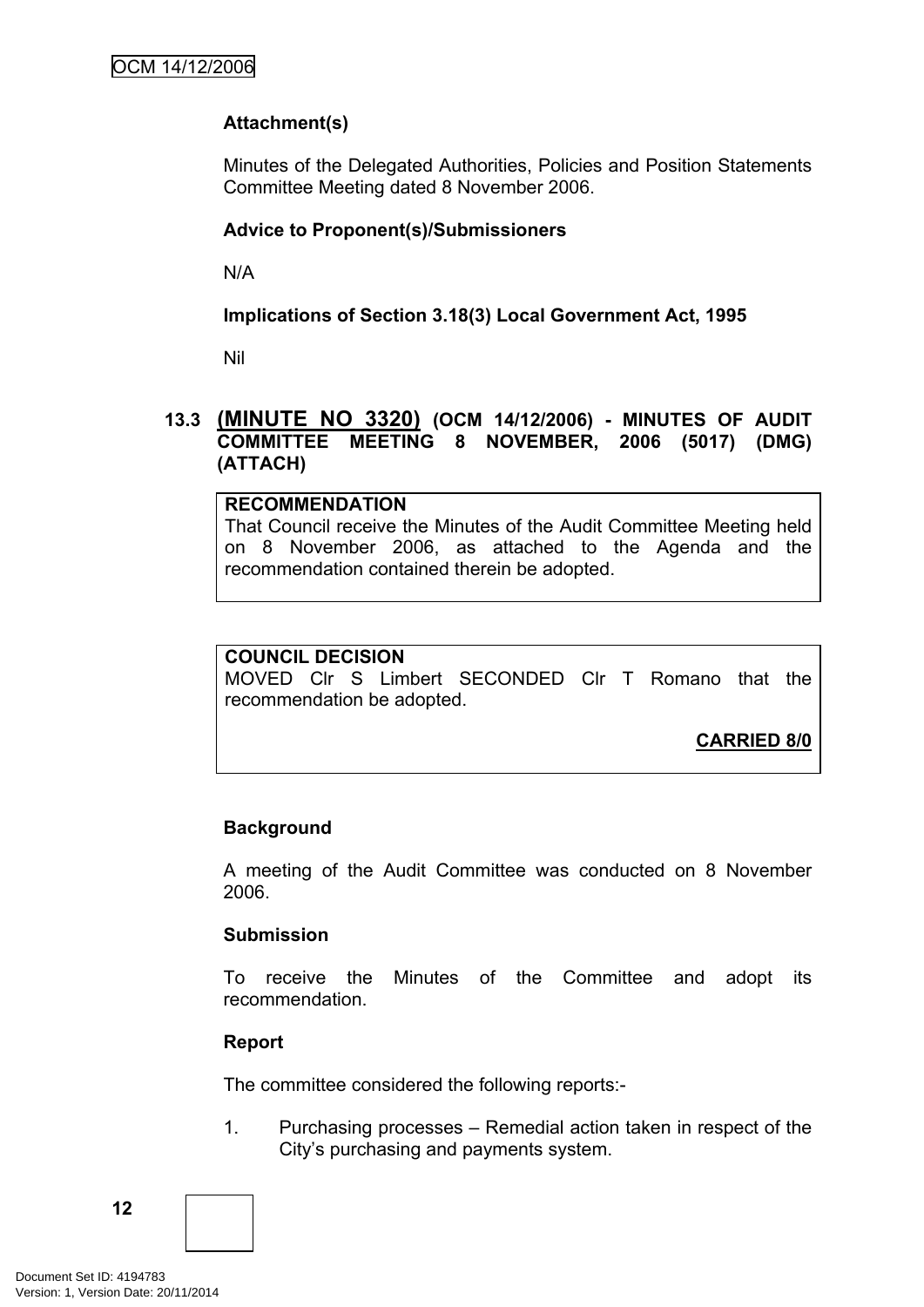# **Attachment(s)**

Minutes of the Delegated Authorities, Policies and Position Statements Committee Meeting dated 8 November 2006.

### **Advice to Proponent(s)/Submissioners**

N/A

**Implications of Section 3.18(3) Local Government Act, 1995**

Nil

### <span id="page-15-0"></span>**13.3 (MINUTE NO 3320) (OCM 14/12/2006) - MINUTES OF AUDIT COMMITTEE MEETING 8 NOVEMBER, 2006 (5017) (DMG) (ATTACH)**

### **RECOMMENDATION**

That Council receive the Minutes of the Audit Committee Meeting held on 8 November 2006, as attached to the Agenda and the recommendation contained therein be adopted.

### **COUNCIL DECISION**

MOVED Clr S Limbert SECONDED Clr T Romano that the recommendation be adopted.

**CARRIED 8/0**

### **Background**

A meeting of the Audit Committee was conducted on 8 November 2006.

### **Submission**

To receive the Minutes of the Committee and adopt its recommendation.

### **Report**

The committee considered the following reports:-

1. Purchasing processes – Remedial action taken in respect of the City's purchasing and payments system.

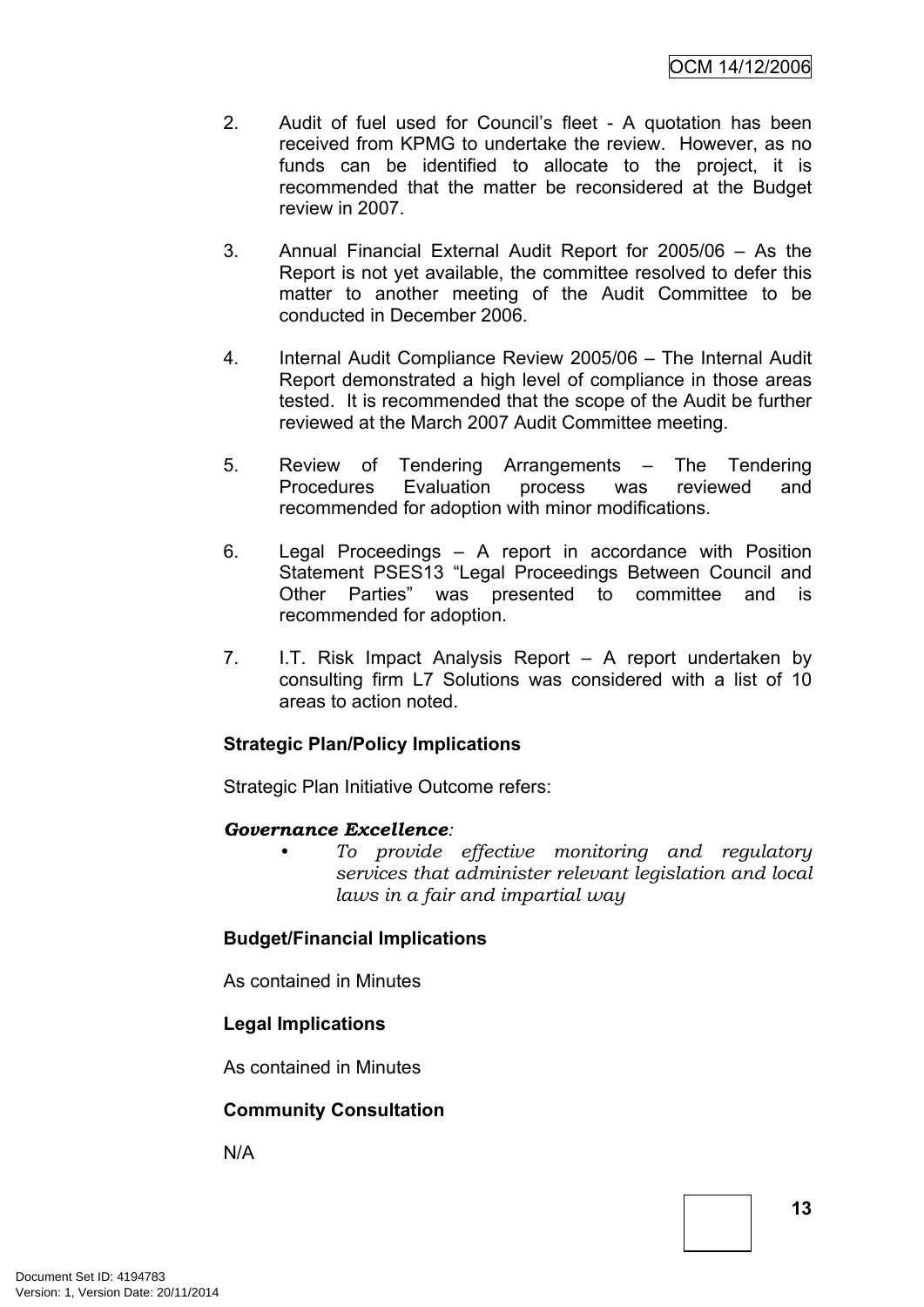- 2. Audit of fuel used for Council's fleet A quotation has been received from KPMG to undertake the review. However, as no funds can be identified to allocate to the project, it is recommended that the matter be reconsidered at the Budget review in 2007.
- 3. Annual Financial External Audit Report for 2005/06 As the Report is not yet available, the committee resolved to defer this matter to another meeting of the Audit Committee to be conducted in December 2006.
- 4. Internal Audit Compliance Review 2005/06 The Internal Audit Report demonstrated a high level of compliance in those areas tested. It is recommended that the scope of the Audit be further reviewed at the March 2007 Audit Committee meeting.
- 5. Review of Tendering Arrangements The Tendering Procedures Evaluation process was reviewed and recommended for adoption with minor modifications.
- 6. Legal Proceedings A report in accordance with Position Statement PSES13 "Legal Proceedings Between Council and Other Parties" was presented to committee and is recommended for adoption.
- 7. I.T. Risk Impact Analysis Report A report undertaken by consulting firm L7 Solutions was considered with a list of 10 areas to action noted.

# **Strategic Plan/Policy Implications**

Strategic Plan Initiative Outcome refers:

### *Governance Excellence:*

*• To provide effective monitoring and regulatory services that administer relevant legislation and local laws in a fair and impartial way*

### **Budget/Financial Implications**

As contained in Minutes

# **Legal Implications**

As contained in Minutes

# **Community Consultation**

N/A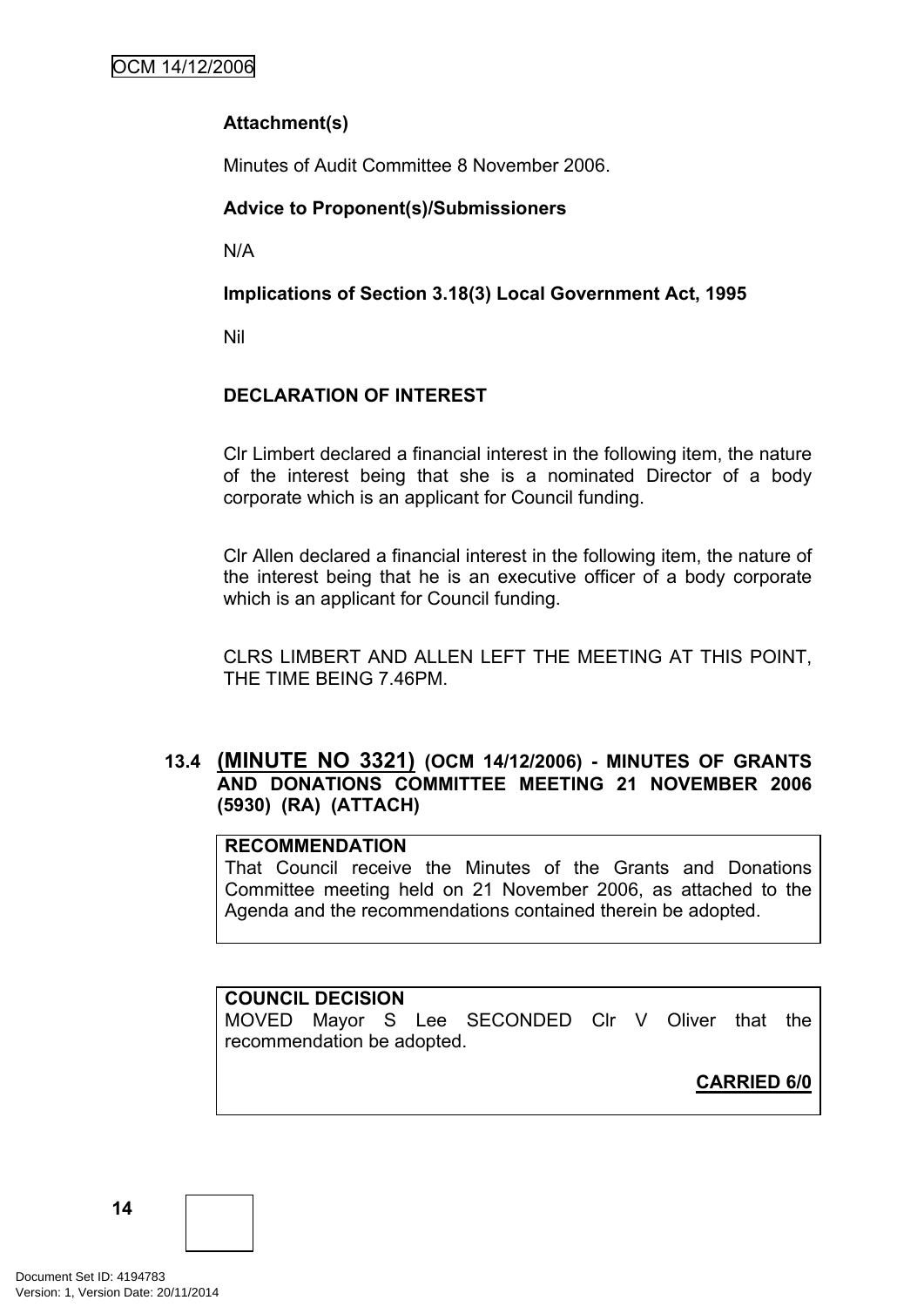# **Attachment(s)**

Minutes of Audit Committee 8 November 2006.

# **Advice to Proponent(s)/Submissioners**

N/A

**Implications of Section 3.18(3) Local Government Act, 1995**

Nil

# **DECLARATION OF INTEREST**

Clr Limbert declared a financial interest in the following item, the nature of the interest being that she is a nominated Director of a body corporate which is an applicant for Council funding.

Clr Allen declared a financial interest in the following item, the nature of the interest being that he is an executive officer of a body corporate which is an applicant for Council funding.

CLRS LIMBERT AND ALLEN LEFT THE MEETING AT THIS POINT, THE TIME BEING 7.46PM.

### <span id="page-17-0"></span>**13.4 (MINUTE NO 3321) (OCM 14/12/2006) - MINUTES OF GRANTS AND DONATIONS COMMITTEE MEETING 21 NOVEMBER 2006 (5930) (RA) (ATTACH)**

### **RECOMMENDATION**

That Council receive the Minutes of the Grants and Donations Committee meeting held on 21 November 2006, as attached to the Agenda and the recommendations contained therein be adopted.

# **COUNCIL DECISION**

MOVED Mayor S Lee SECONDED Clr V Oliver that the recommendation be adopted.

**CARRIED 6/0**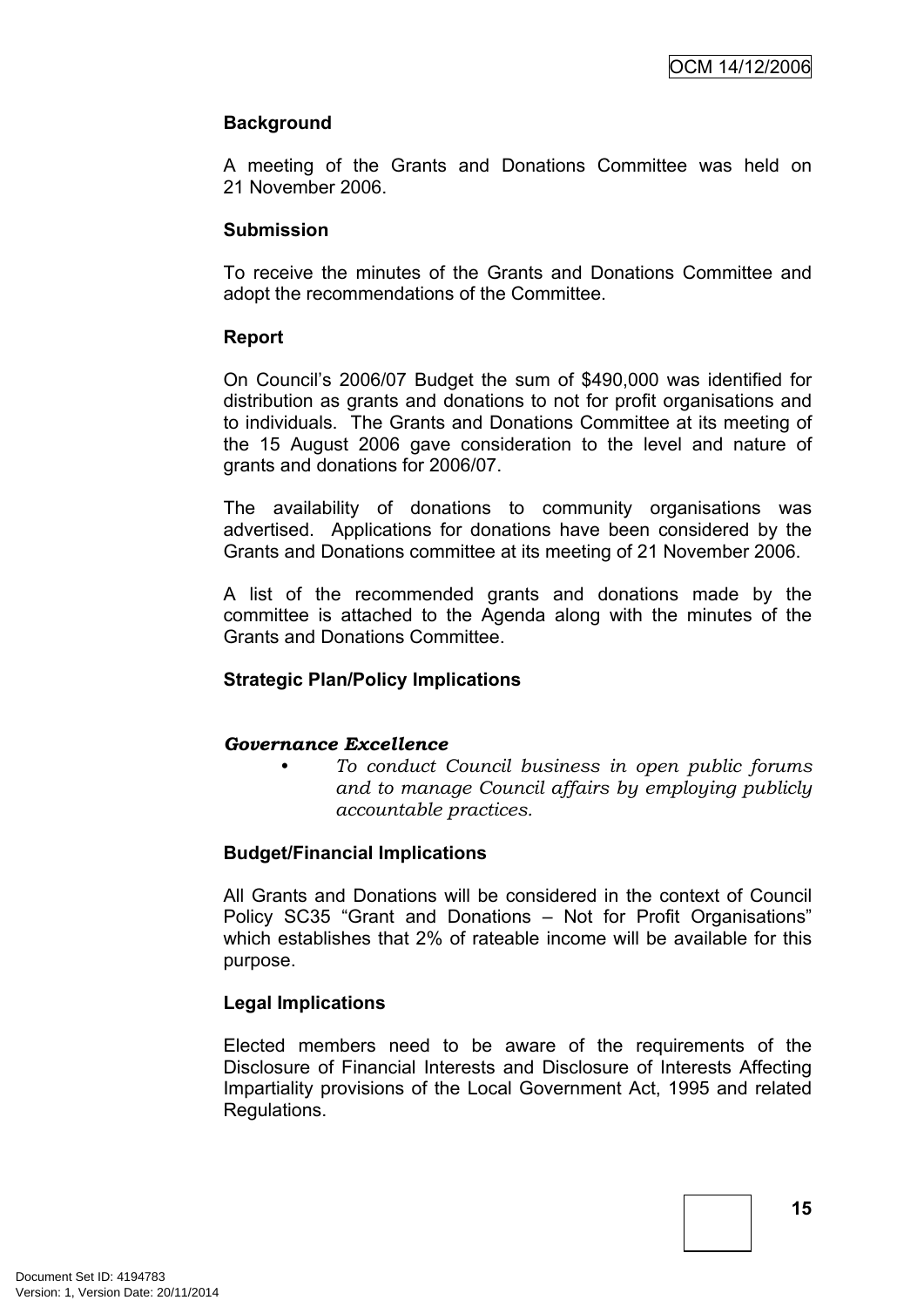### **Background**

A meeting of the Grants and Donations Committee was held on 21 November 2006.

### **Submission**

To receive the minutes of the Grants and Donations Committee and adopt the recommendations of the Committee.

### **Report**

On Council's 2006/07 Budget the sum of \$490,000 was identified for distribution as grants and donations to not for profit organisations and to individuals. The Grants and Donations Committee at its meeting of the 15 August 2006 gave consideration to the level and nature of grants and donations for 2006/07.

The availability of donations to community organisations was advertised. Applications for donations have been considered by the Grants and Donations committee at its meeting of 21 November 2006.

A list of the recommended grants and donations made by the committee is attached to the Agenda along with the minutes of the Grants and Donations Committee.

### **Strategic Plan/Policy Implications**

#### *Governance Excellence*

*• To conduct Council business in open public forums and to manage Council affairs by employing publicly accountable practices.*

### **Budget/Financial Implications**

All Grants and Donations will be considered in the context of Council Policy SC35 "Grant and Donations – Not for Profit Organisations" which establishes that 2% of rateable income will be available for this purpose.

### **Legal Implications**

Elected members need to be aware of the requirements of the Disclosure of Financial Interests and Disclosure of Interests Affecting Impartiality provisions of the Local Government Act, 1995 and related Regulations.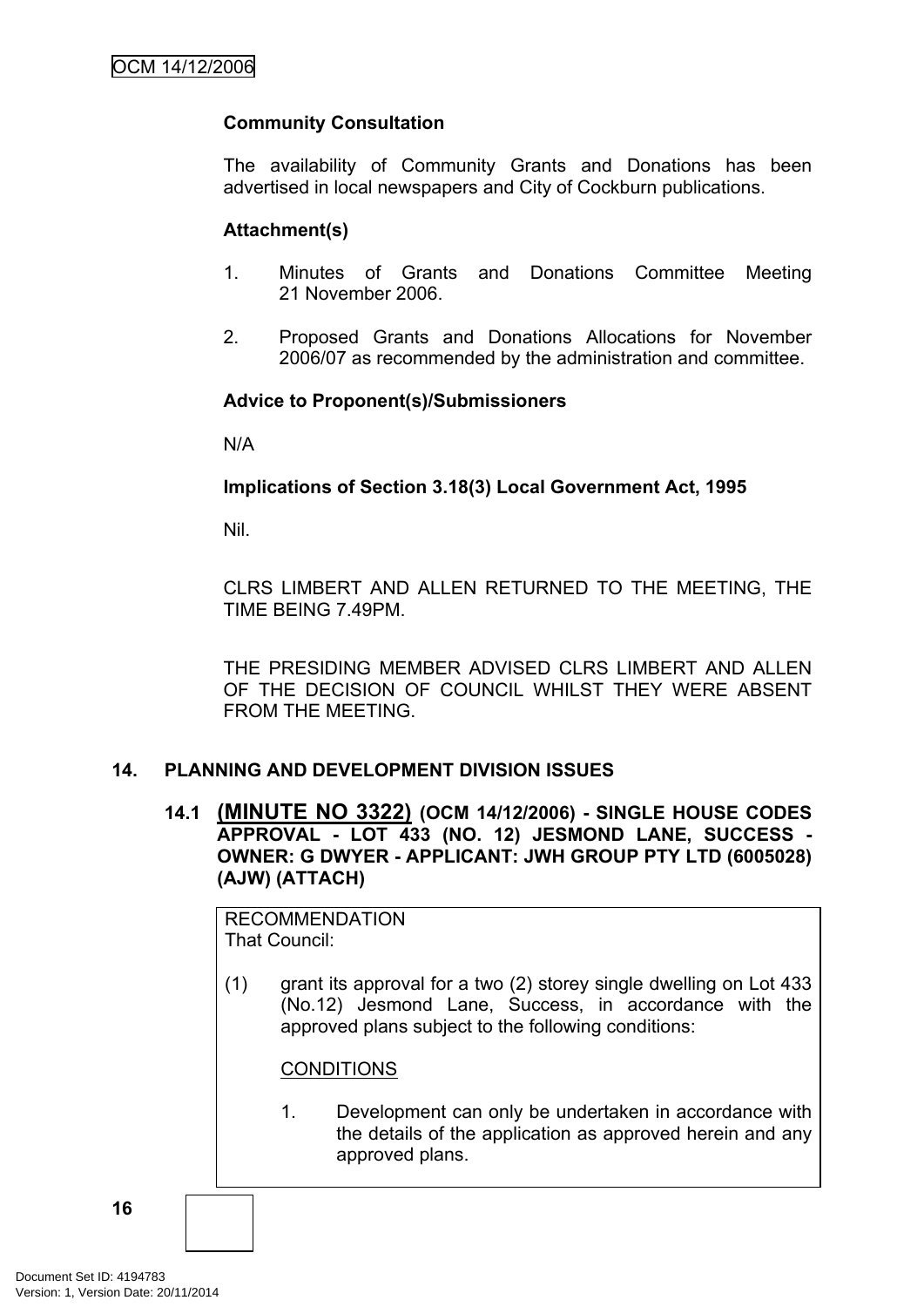### **Community Consultation**

The availability of Community Grants and Donations has been advertised in local newspapers and City of Cockburn publications.

### **Attachment(s)**

- 1. Minutes of Grants and Donations Committee Meeting 21 November 2006.
- 2. Proposed Grants and Donations Allocations for November 2006/07 as recommended by the administration and committee.

### **Advice to Proponent(s)/Submissioners**

N/A

### **Implications of Section 3.18(3) Local Government Act, 1995**

Nil.

CLRS LIMBERT AND ALLEN RETURNED TO THE MEETING, THE TIME BEING 7.49PM.

THE PRESIDING MEMBER ADVISED CLRS LIMBERT AND ALLEN OF THE DECISION OF COUNCIL WHILST THEY WERE ABSENT FROM THE MEETING.

### <span id="page-19-0"></span>**14. PLANNING AND DEVELOPMENT DIVISION ISSUES**

<span id="page-19-1"></span>**14.1 (MINUTE NO 3322) (OCM 14/12/2006) - SINGLE HOUSE CODES APPROVAL - LOT 433 (NO. 12) JESMOND LANE, SUCCESS - OWNER: G DWYER - APPLICANT: JWH GROUP PTY LTD (6005028) (AJW) (ATTACH)**

RECOMMENDATION That Council:

(1) grant its approval for a two (2) storey single dwelling on Lot 433 (No.12) Jesmond Lane, Success, in accordance with the approved plans subject to the following conditions:

#### **CONDITIONS**

1. Development can only be undertaken in accordance with the details of the application as approved herein and any approved plans.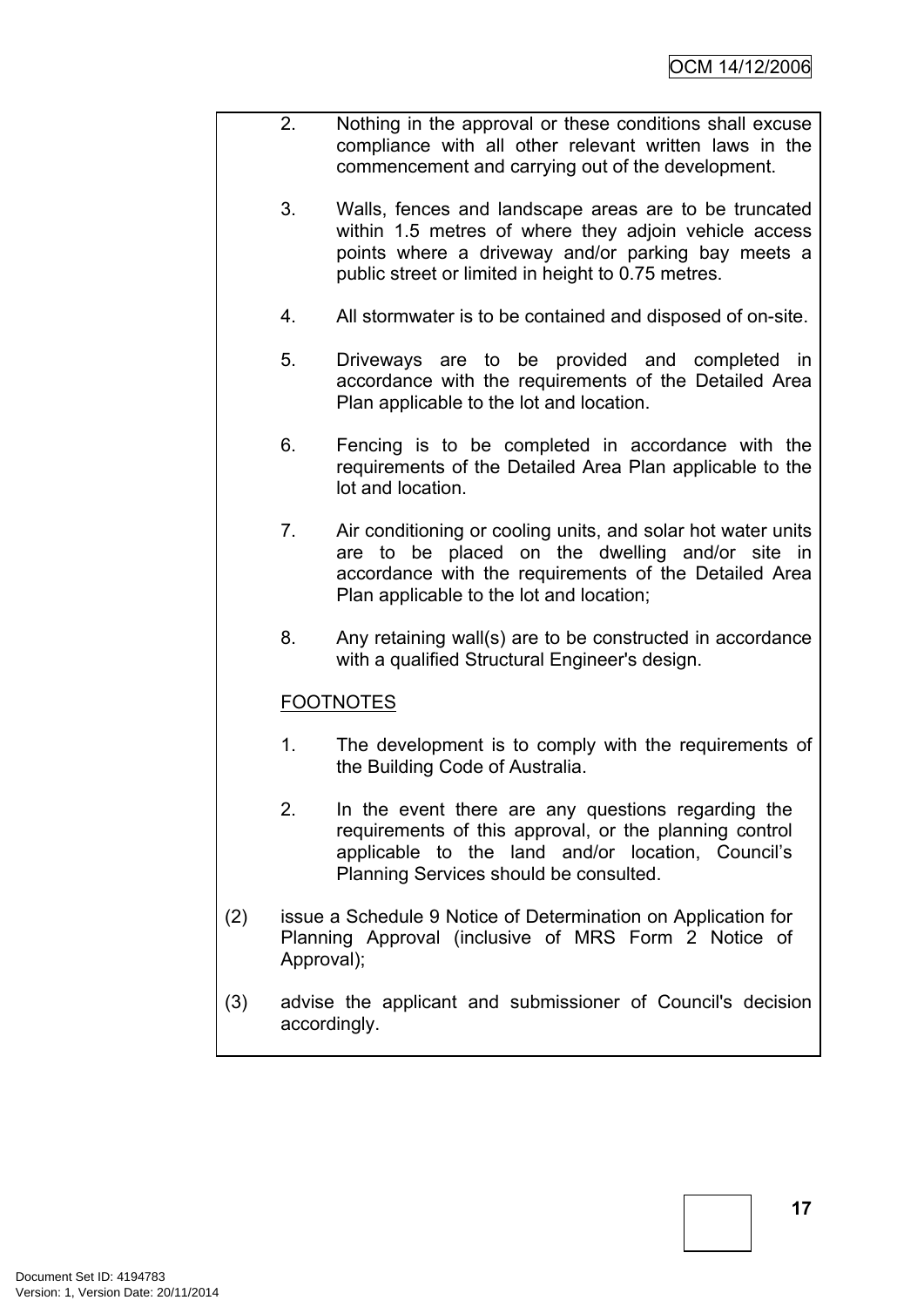- 2. Nothing in the approval or these conditions shall excuse compliance with all other relevant written laws in the commencement and carrying out of the development.
	- 3. Walls, fences and landscape areas are to be truncated within 1.5 metres of where they adjoin vehicle access points where a driveway and/or parking bay meets a public street or limited in height to 0.75 metres.
	- 4. All stormwater is to be contained and disposed of on-site.
	- 5. Driveways are to be provided and completed in accordance with the requirements of the Detailed Area Plan applicable to the lot and location.
	- 6. Fencing is to be completed in accordance with the requirements of the Detailed Area Plan applicable to the lot and location.
	- 7. Air conditioning or cooling units, and solar hot water units are to be placed on the dwelling and/or site in accordance with the requirements of the Detailed Area Plan applicable to the lot and location;
	- 8. Any retaining wall(s) are to be constructed in accordance with a qualified Structural Engineer's design.

# FOOTNOTES

- 1. The development is to comply with the requirements of the Building Code of Australia.
- 2. In the event there are any questions regarding the requirements of this approval, or the planning control applicable to the land and/or location, Council's Planning Services should be consulted.
- (2) issue a Schedule 9 Notice of Determination on Application for Planning Approval (inclusive of MRS Form 2 Notice of Approval);
- (3) advise the applicant and submissioner of Council's decision accordingly.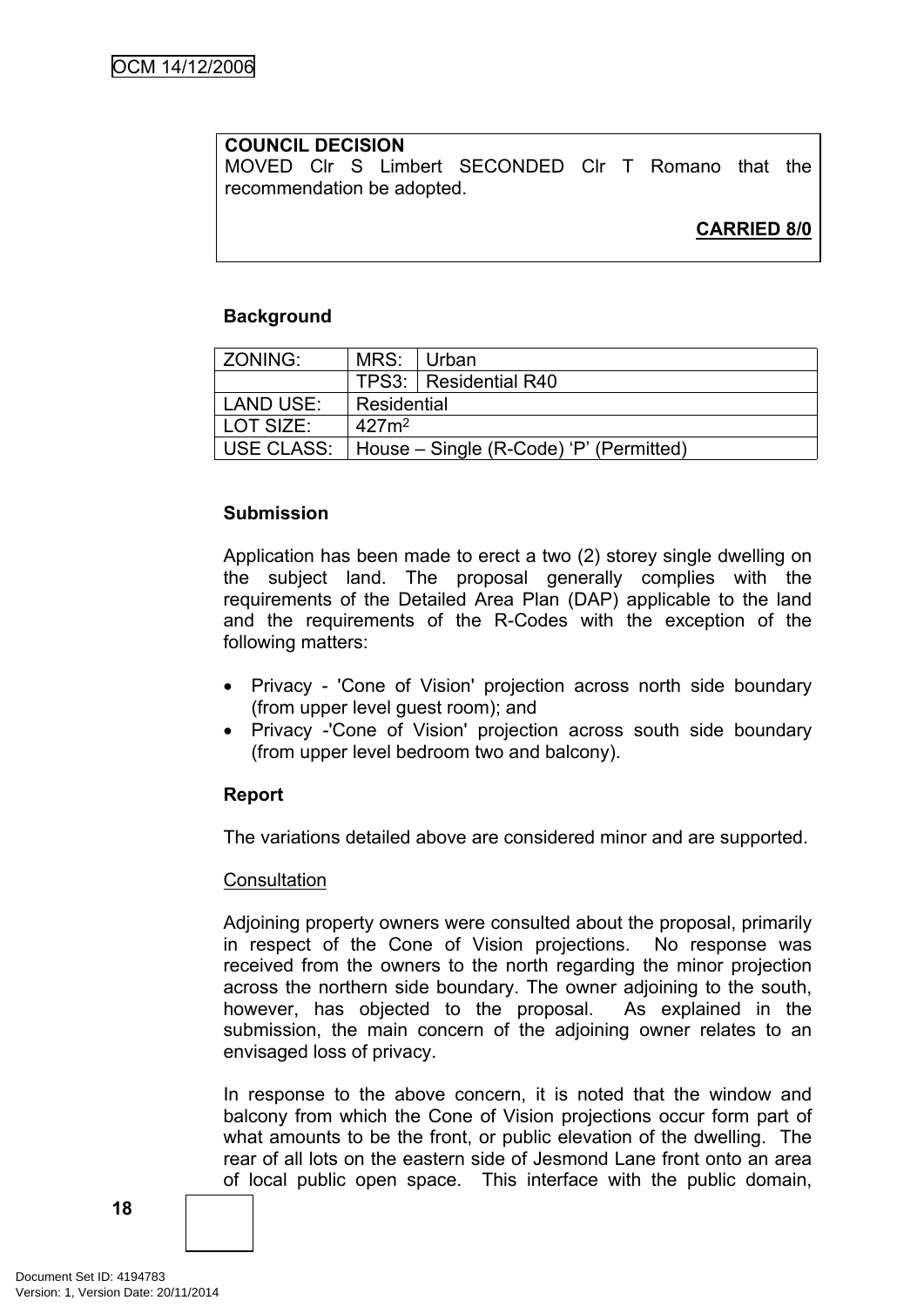### **COUNCIL DECISION**

MOVED Clr S Limbert SECONDED Clr T Romano that the recommendation be adopted.

# **CARRIED 8/0**

### **Background**

| ZONING:    | MRS:              | ∣Urban                                  |
|------------|-------------------|-----------------------------------------|
|            |                   | TPS3:   Residential R40                 |
| LAND USE:  | Residential       |                                         |
| LOT SIZE:  | 427m <sup>2</sup> |                                         |
| USE CLASS: |                   | House – Single (R-Code) 'P' (Permitted) |

### **Submission**

Application has been made to erect a two (2) storey single dwelling on the subject land. The proposal generally complies with the requirements of the Detailed Area Plan (DAP) applicable to the land and the requirements of the R-Codes with the exception of the following matters:

- Privacy 'Cone of Vision' projection across north side boundary (from upper level guest room); and
- Privacy -'Cone of Vision' projection across south side boundary (from upper level bedroom two and balcony).

### **Report**

The variations detailed above are considered minor and are supported.

#### **Consultation**

Adjoining property owners were consulted about the proposal, primarily in respect of the Cone of Vision projections. No response was received from the owners to the north regarding the minor projection across the northern side boundary. The owner adjoining to the south, however, has objected to the proposal. As explained in the submission, the main concern of the adjoining owner relates to an envisaged loss of privacy.

In response to the above concern, it is noted that the window and balcony from which the Cone of Vision projections occur form part of what amounts to be the front, or public elevation of the dwelling. The rear of all lots on the eastern side of Jesmond Lane front onto an area of local public open space. This interface with the public domain,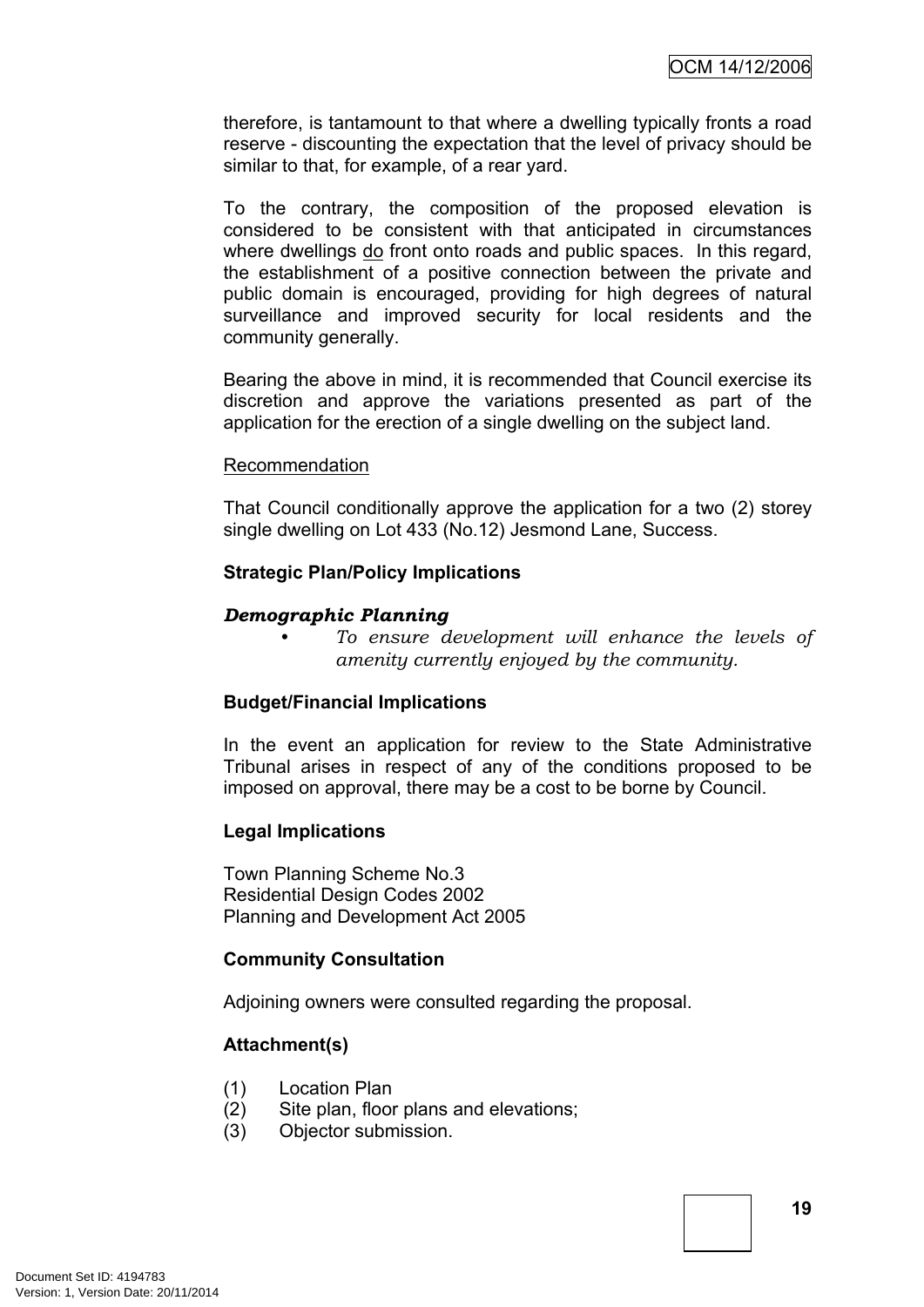therefore, is tantamount to that where a dwelling typically fronts a road reserve - discounting the expectation that the level of privacy should be similar to that, for example, of a rear yard.

To the contrary, the composition of the proposed elevation is considered to be consistent with that anticipated in circumstances where dwellings do front onto roads and public spaces. In this regard, the establishment of a positive connection between the private and public domain is encouraged, providing for high degrees of natural surveillance and improved security for local residents and the community generally.

Bearing the above in mind, it is recommended that Council exercise its discretion and approve the variations presented as part of the application for the erection of a single dwelling on the subject land.

#### Recommendation

That Council conditionally approve the application for a two (2) storey single dwelling on Lot 433 (No.12) Jesmond Lane, Success.

#### **Strategic Plan/Policy Implications**

### *Demographic Planning*

*• To ensure development will enhance the levels of amenity currently enjoyed by the community.*

### **Budget/Financial Implications**

In the event an application for review to the State Administrative Tribunal arises in respect of any of the conditions proposed to be imposed on approval, there may be a cost to be borne by Council.

#### **Legal Implications**

Town Planning Scheme No.3 Residential Design Codes 2002 Planning and Development Act 2005

### **Community Consultation**

Adjoining owners were consulted regarding the proposal.

### **Attachment(s)**

- (1) Location Plan
- (2) Site plan, floor plans and elevations;
- (3) Objector submission.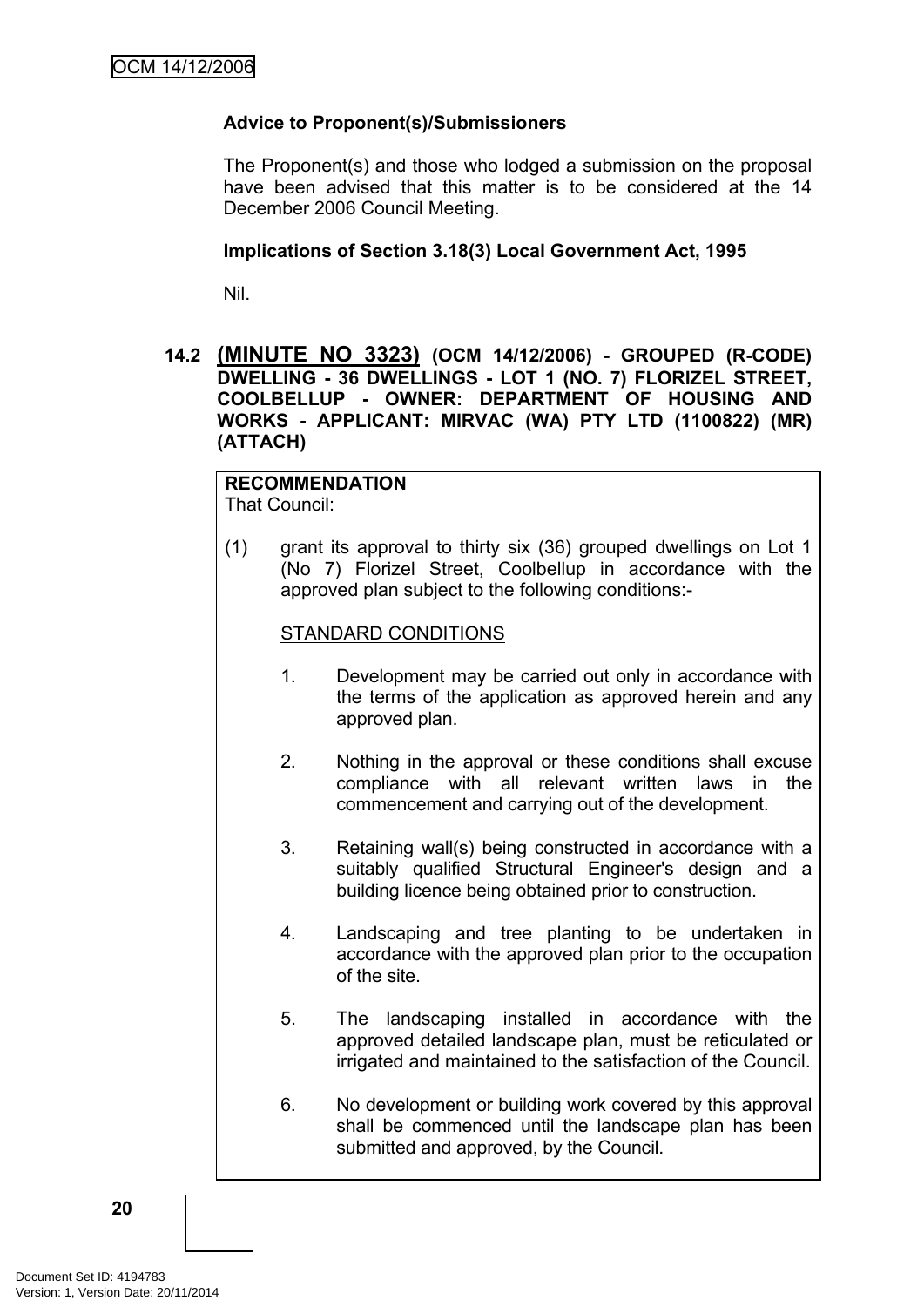# **Advice to Proponent(s)/Submissioners**

The Proponent(s) and those who lodged a submission on the proposal have been advised that this matter is to be considered at the 14 December 2006 Council Meeting.

### **Implications of Section 3.18(3) Local Government Act, 1995**

Nil.

### <span id="page-23-0"></span>**14.2 (MINUTE NO 3323) (OCM 14/12/2006) - GROUPED (R-CODE) DWELLING - 36 DWELLINGS - LOT 1 (NO. 7) FLORIZEL STREET, COOLBELLUP - OWNER: DEPARTMENT OF HOUSING AND WORKS - APPLICANT: MIRVAC (WA) PTY LTD (1100822) (MR) (ATTACH)**

# **RECOMMENDATION**

That Council:

(1) grant its approval to thirty six (36) grouped dwellings on Lot 1 (No 7) Florizel Street, Coolbellup in accordance with the approved plan subject to the following conditions:-

### STANDARD CONDITIONS

- 1. Development may be carried out only in accordance with the terms of the application as approved herein and any approved plan.
- 2. Nothing in the approval or these conditions shall excuse compliance with all relevant written laws in the commencement and carrying out of the development.
- 3. Retaining wall(s) being constructed in accordance with a suitably qualified Structural Engineer's design and a building licence being obtained prior to construction.
- 4. Landscaping and tree planting to be undertaken in accordance with the approved plan prior to the occupation of the site.
- 5. The landscaping installed in accordance with the approved detailed landscape plan, must be reticulated or irrigated and maintained to the satisfaction of the Council.
- 6. No development or building work covered by this approval shall be commenced until the landscape plan has been submitted and approved, by the Council.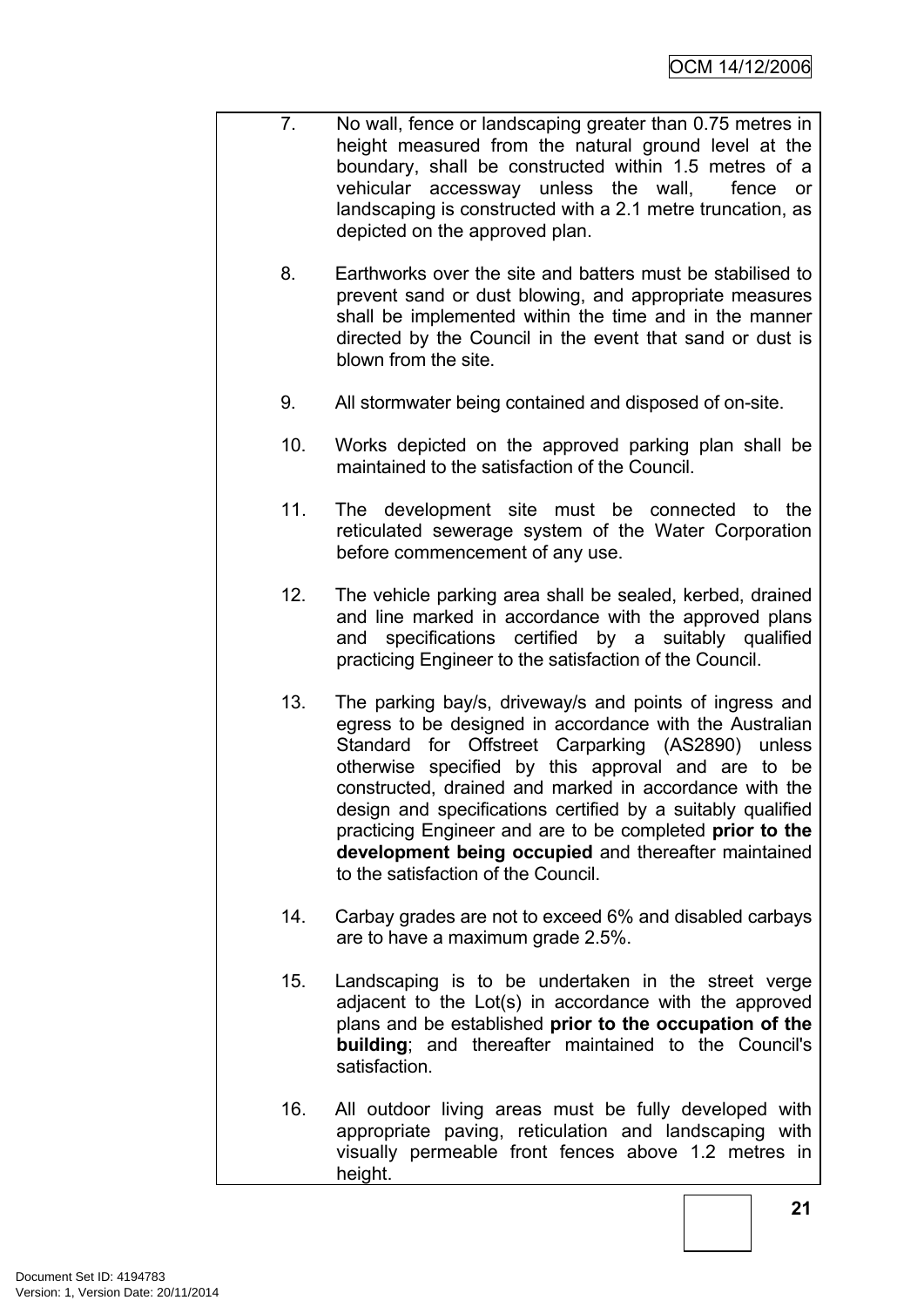- 7. No wall, fence or landscaping greater than 0.75 metres in height measured from the natural ground level at the boundary, shall be constructed within 1.5 metres of a vehicular accessway unless the wall, fence or landscaping is constructed with a 2.1 metre truncation, as depicted on the approved plan.
	- 8. Earthworks over the site and batters must be stabilised to prevent sand or dust blowing, and appropriate measures shall be implemented within the time and in the manner directed by the Council in the event that sand or dust is blown from the site.
	- 9. All stormwater being contained and disposed of on-site.
	- 10. Works depicted on the approved parking plan shall be maintained to the satisfaction of the Council.
	- 11. The development site must be connected to the reticulated sewerage system of the Water Corporation before commencement of any use.
	- 12. The vehicle parking area shall be sealed, kerbed, drained and line marked in accordance with the approved plans and specifications certified by a suitably qualified practicing Engineer to the satisfaction of the Council.
	- 13. The parking bay/s, driveway/s and points of ingress and egress to be designed in accordance with the Australian Standard for Offstreet Carparking (AS2890) unless otherwise specified by this approval and are to be constructed, drained and marked in accordance with the design and specifications certified by a suitably qualified practicing Engineer and are to be completed **prior to the development being occupied** and thereafter maintained to the satisfaction of the Council.
	- 14. Carbay grades are not to exceed 6% and disabled carbays are to have a maximum grade 2.5%.
	- 15. Landscaping is to be undertaken in the street verge adjacent to the Lot(s) in accordance with the approved plans and be established **prior to the occupation of the building**; and thereafter maintained to the Council's satisfaction.
	- 16. All outdoor living areas must be fully developed with appropriate paving, reticulation and landscaping with visually permeable front fences above 1.2 metres in height.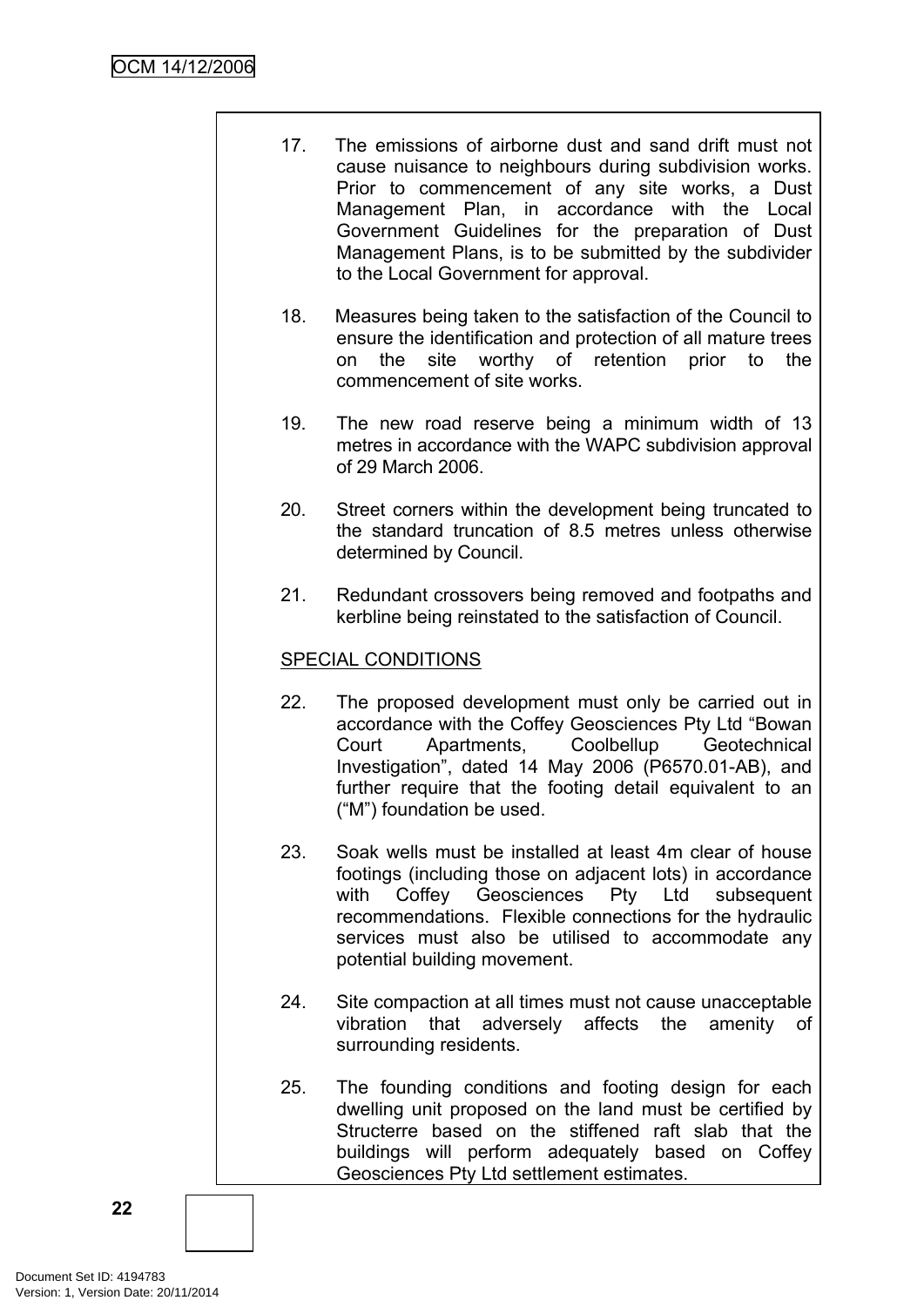- 17. The emissions of airborne dust and sand drift must not cause nuisance to neighbours during subdivision works. Prior to commencement of any site works, a Dust Management Plan, in accordance with the Local Government Guidelines for the preparation of Dust Management Plans, is to be submitted by the subdivider to the Local Government for approval.
- 18. Measures being taken to the satisfaction of the Council to ensure the identification and protection of all mature trees on the site worthy of retention prior to the commencement of site works.
- 19. The new road reserve being a minimum width of 13 metres in accordance with the WAPC subdivision approval of 29 March 2006.
- 20. Street corners within the development being truncated to the standard truncation of 8.5 metres unless otherwise determined by Council.
- 21. Redundant crossovers being removed and footpaths and kerbline being reinstated to the satisfaction of Council.

# SPECIAL CONDITIONS

- 22. The proposed development must only be carried out in accordance with the Coffey Geosciences Pty Ltd "Bowan Court Apartments, Coolbellup Geotechnical Investigation", dated 14 May 2006 (P6570.01-AB), and further require that the footing detail equivalent to an ("M") foundation be used.
- 23. Soak wells must be installed at least 4m clear of house footings (including those on adjacent lots) in accordance with Coffey Geosciences Pty Ltd subsequent recommendations. Flexible connections for the hydraulic services must also be utilised to accommodate any potential building movement.
- 24. Site compaction at all times must not cause unacceptable vibration that adversely affects the amenity of surrounding residents.
- 25. The founding conditions and footing design for each dwelling unit proposed on the land must be certified by Structerre based on the stiffened raft slab that the buildings will perform adequately based on Coffey Geosciences Pty Ltd settlement estimates.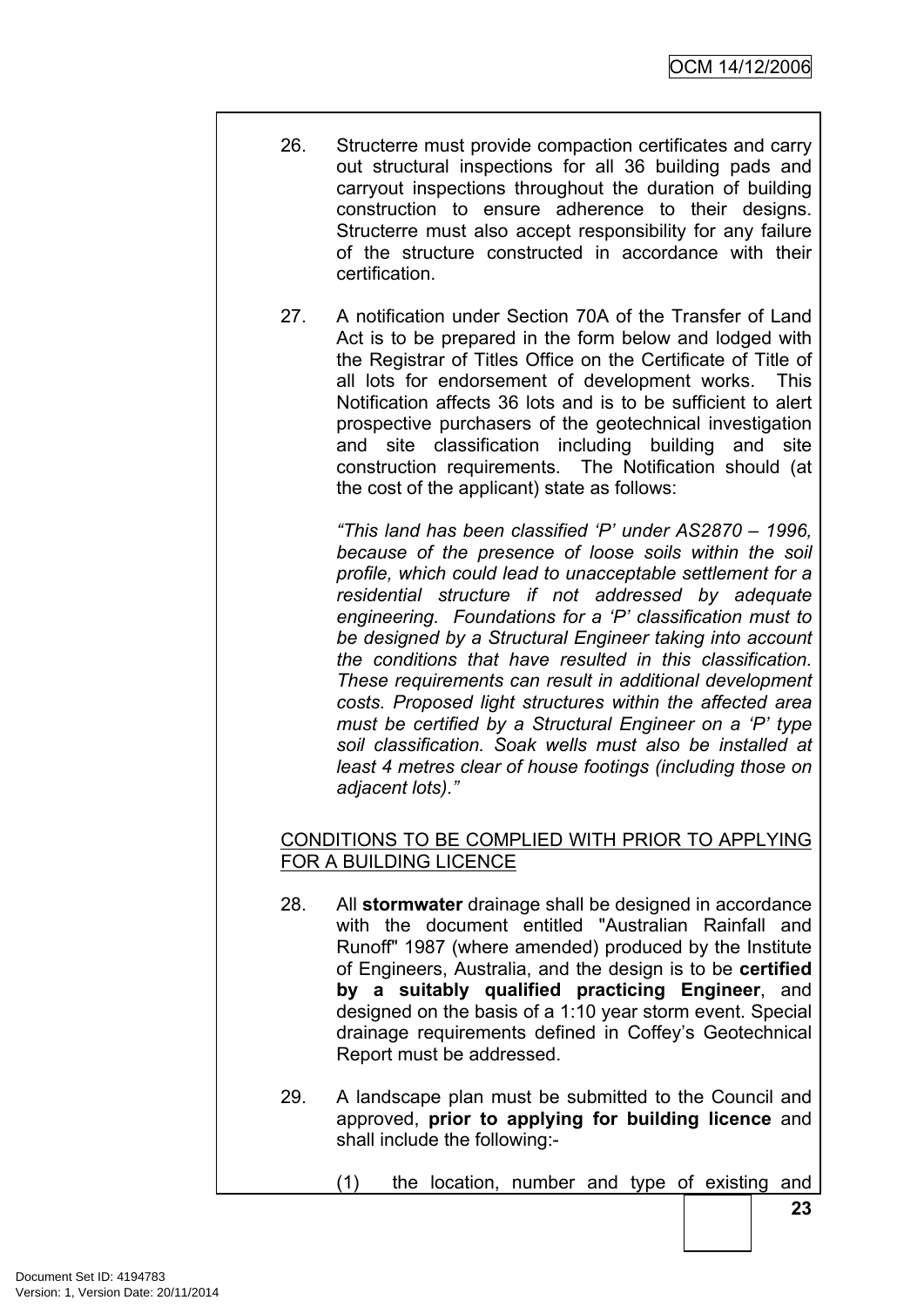- 26. Structerre must provide compaction certificates and carry out structural inspections for all 36 building pads and carryout inspections throughout the duration of building construction to ensure adherence to their designs. Structerre must also accept responsibility for any failure of the structure constructed in accordance with their certification.
	- 27. A notification under Section 70A of the Transfer of Land Act is to be prepared in the form below and lodged with the Registrar of Titles Office on the Certificate of Title of all lots for endorsement of development works. This Notification affects 36 lots and is to be sufficient to alert prospective purchasers of the geotechnical investigation and site classification including building and site construction requirements. The Notification should (at the cost of the applicant) state as follows:

*"This land has been classified 'P' under AS2870 – 1996, because of the presence of loose soils within the soil profile, which could lead to unacceptable settlement for a residential structure if not addressed by adequate engineering. Foundations for a 'P' classification must to be designed by a Structural Engineer taking into account the conditions that have resulted in this classification. These requirements can result in additional development costs. Proposed light structures within the affected area must be certified by a Structural Engineer on a 'P' type soil classification. Soak wells must also be installed at least 4 metres clear of house footings (including those on adjacent lots)."*

# CONDITIONS TO BE COMPLIED WITH PRIOR TO APPLYING FOR A BUILDING LICENCE

- 28. All **stormwater** drainage shall be designed in accordance with the document entitled "Australian Rainfall and Runoff" 1987 (where amended) produced by the Institute of Engineers, Australia, and the design is to be **certified by a suitably qualified practicing Engineer**, and designed on the basis of a 1:10 year storm event. Special drainage requirements defined in Coffey's Geotechnical Report must be addressed.
- 29. A landscape plan must be submitted to the Council and approved, **prior to applying for building licence** and shall include the following:-
	- (1) the location, number and type of existing and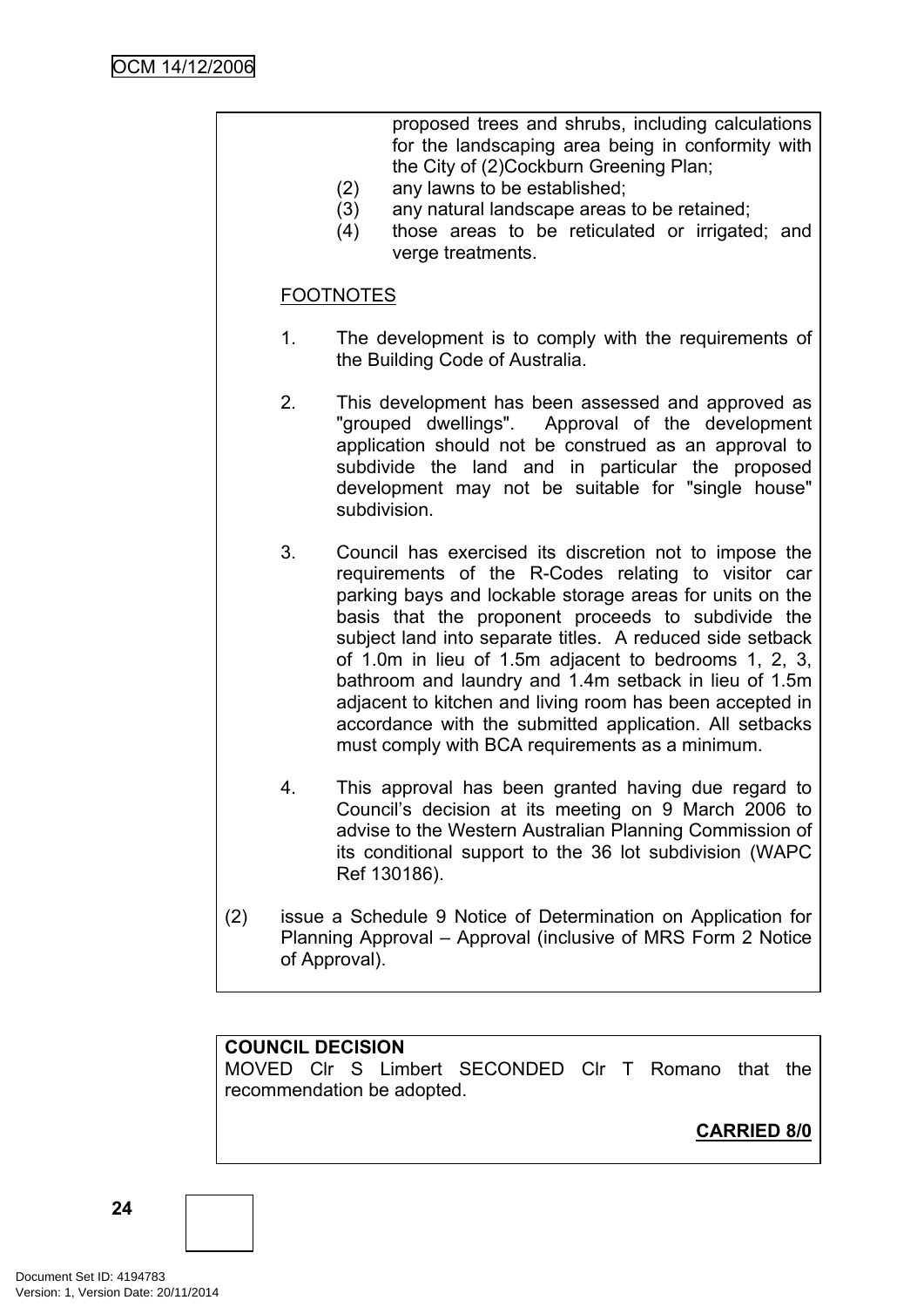proposed trees and shrubs, including calculations for the landscaping area being in conformity with the City of (2)Cockburn Greening Plan;

- (2) any lawns to be established;
- (3) any natural landscape areas to be retained;
- (4) those areas to be reticulated or irrigated; and verge treatments.

### FOOTNOTES

- 1. The development is to comply with the requirements of the Building Code of Australia.
- 2. This development has been assessed and approved as "grouped dwellings". Approval of the development application should not be construed as an approval to subdivide the land and in particular the proposed development may not be suitable for "single house" subdivision.
- 3. Council has exercised its discretion not to impose the requirements of the R-Codes relating to visitor car parking bays and lockable storage areas for units on the basis that the proponent proceeds to subdivide the subject land into separate titles. A reduced side setback of 1.0m in lieu of 1.5m adjacent to bedrooms 1, 2, 3, bathroom and laundry and 1.4m setback in lieu of 1.5m adjacent to kitchen and living room has been accepted in accordance with the submitted application. All setbacks must comply with BCA requirements as a minimum.
- 4. This approval has been granted having due regard to Council's decision at its meeting on 9 March 2006 to advise to the Western Australian Planning Commission of its conditional support to the 36 lot subdivision (WAPC Ref 130186).
- (2) issue a Schedule 9 Notice of Determination on Application for Planning Approval – Approval (inclusive of MRS Form 2 Notice of Approval).

### **COUNCIL DECISION**

MOVED Clr S Limbert SECONDED Clr T Romano that the recommendation be adopted.

**CARRIED 8/0**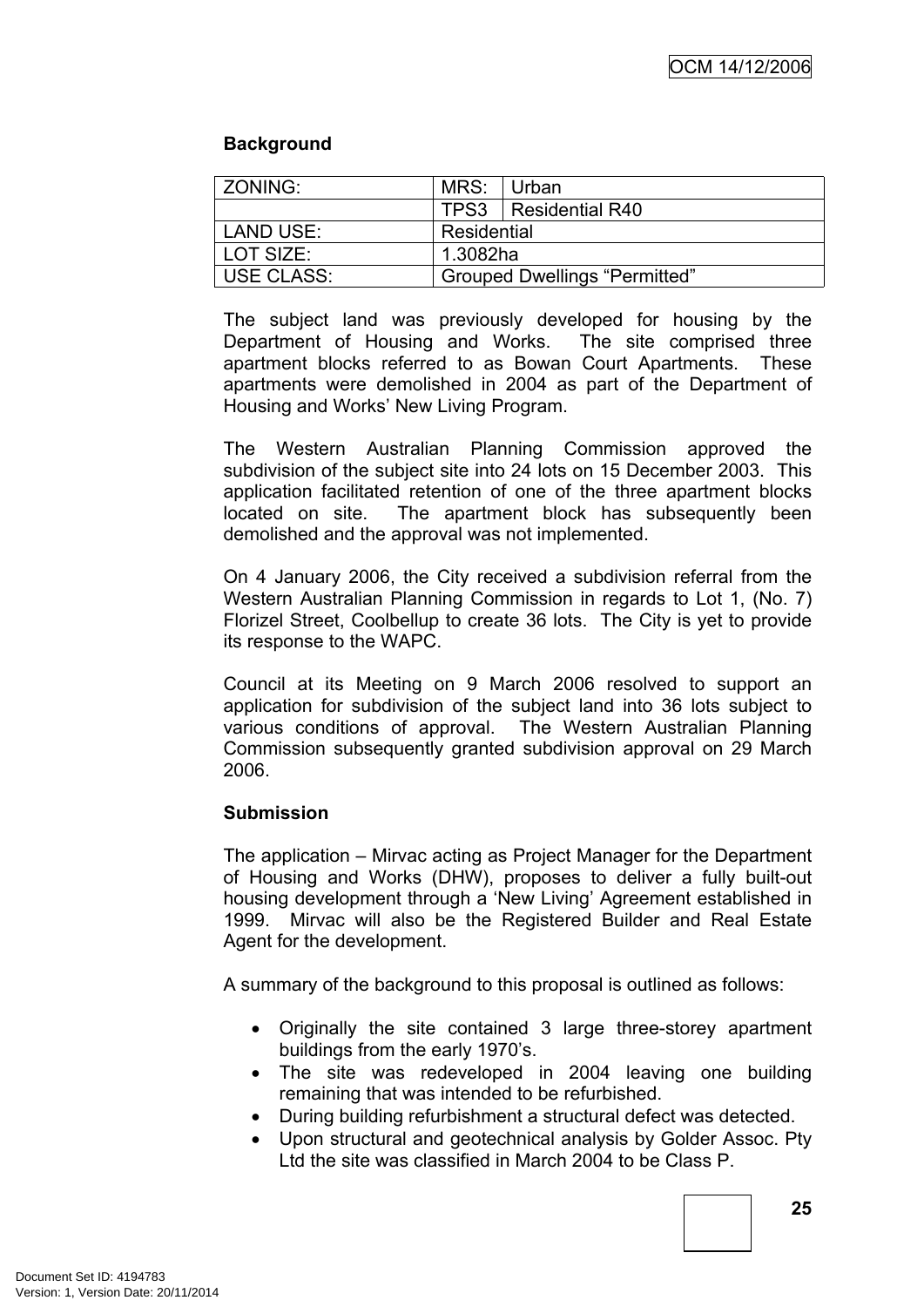### **Background**

| ZONING:    | MRS: Urban  |                                      |
|------------|-------------|--------------------------------------|
|            |             | TPS3   Residential R40               |
| LAND USE:  | Residential |                                      |
| LOT SIZE:  | 1.3082ha    |                                      |
| USE CLASS: |             | <b>Grouped Dwellings "Permitted"</b> |

The subject land was previously developed for housing by the Department of Housing and Works. The site comprised three apartment blocks referred to as Bowan Court Apartments. These apartments were demolished in 2004 as part of the Department of Housing and Works' New Living Program.

The Western Australian Planning Commission approved the subdivision of the subject site into 24 lots on 15 December 2003. This application facilitated retention of one of the three apartment blocks located on site. The apartment block has subsequently been demolished and the approval was not implemented.

On 4 January 2006, the City received a subdivision referral from the Western Australian Planning Commission in regards to Lot 1, (No. 7) Florizel Street, Coolbellup to create 36 lots. The City is yet to provide its response to the WAPC.

Council at its Meeting on 9 March 2006 resolved to support an application for subdivision of the subject land into 36 lots subject to various conditions of approval. The Western Australian Planning Commission subsequently granted subdivision approval on 29 March 2006.

### **Submission**

The application – Mirvac acting as Project Manager for the Department of Housing and Works (DHW), proposes to deliver a fully built-out housing development through a 'New Living' Agreement established in 1999. Mirvac will also be the Registered Builder and Real Estate Agent for the development.

A summary of the background to this proposal is outlined as follows:

- Originally the site contained 3 large three-storey apartment buildings from the early 1970's.
- The site was redeveloped in 2004 leaving one building remaining that was intended to be refurbished.
- During building refurbishment a structural defect was detected.
- Upon structural and geotechnical analysis by Golder Assoc. Pty Ltd the site was classified in March 2004 to be Class P.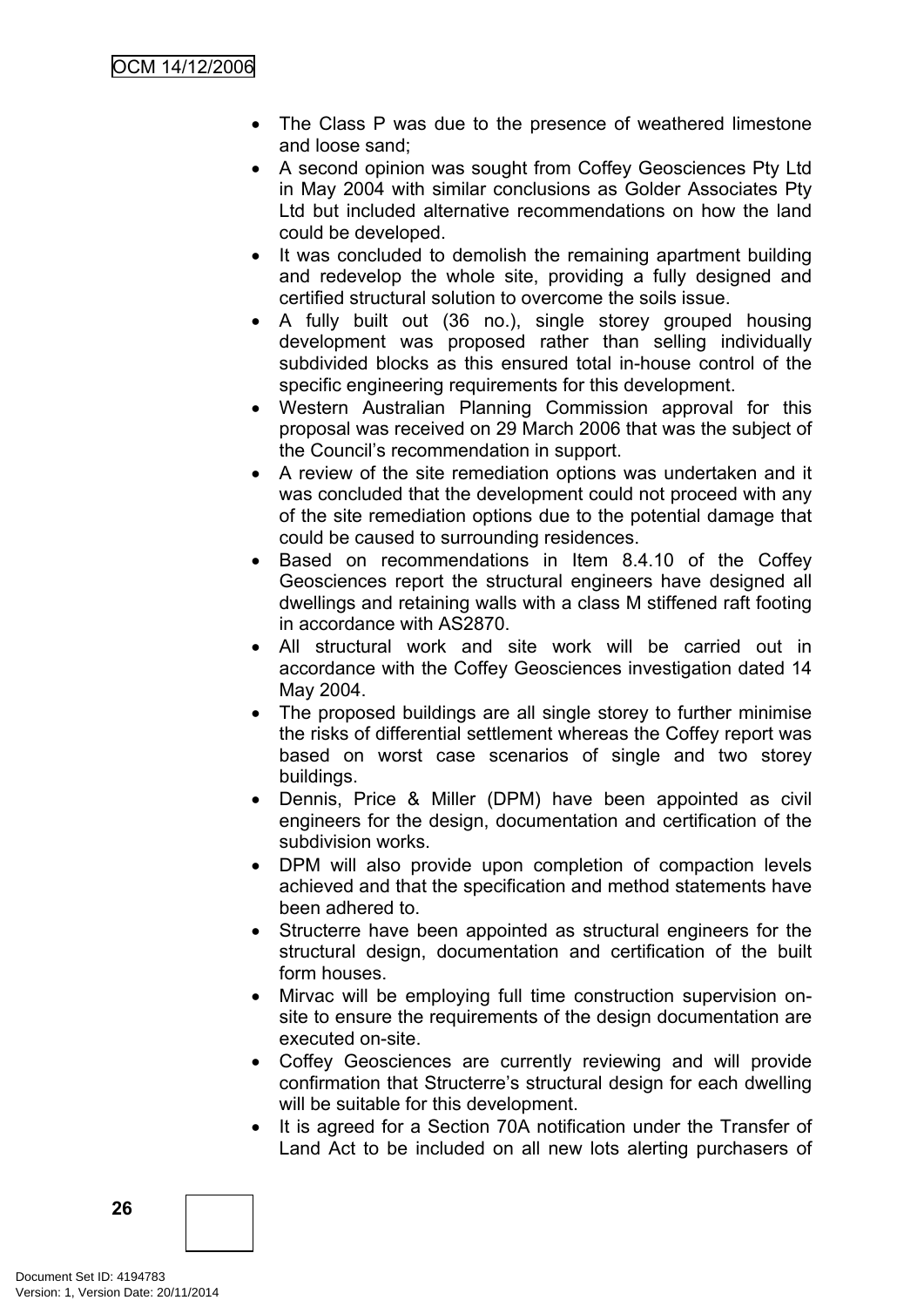- The Class P was due to the presence of weathered limestone and loose sand;
- A second opinion was sought from Coffey Geosciences Pty Ltd in May 2004 with similar conclusions as Golder Associates Pty Ltd but included alternative recommendations on how the land could be developed.
- It was concluded to demolish the remaining apartment building and redevelop the whole site, providing a fully designed and certified structural solution to overcome the soils issue.
- A fully built out (36 no.), single storey grouped housing development was proposed rather than selling individually subdivided blocks as this ensured total in-house control of the specific engineering requirements for this development.
- Western Australian Planning Commission approval for this proposal was received on 29 March 2006 that was the subject of the Council's recommendation in support.
- A review of the site remediation options was undertaken and it was concluded that the development could not proceed with any of the site remediation options due to the potential damage that could be caused to surrounding residences.
- Based on recommendations in Item 8.4.10 of the Coffey Geosciences report the structural engineers have designed all dwellings and retaining walls with a class M stiffened raft footing in accordance with AS2870.
- All structural work and site work will be carried out in accordance with the Coffey Geosciences investigation dated 14 May 2004.
- The proposed buildings are all single storey to further minimise the risks of differential settlement whereas the Coffey report was based on worst case scenarios of single and two storey buildings.
- Dennis, Price & Miller (DPM) have been appointed as civil engineers for the design, documentation and certification of the subdivision works.
- DPM will also provide upon completion of compaction levels achieved and that the specification and method statements have been adhered to.
- Structerre have been appointed as structural engineers for the structural design, documentation and certification of the built form houses.
- Mirvac will be employing full time construction supervision onsite to ensure the requirements of the design documentation are executed on-site.
- Coffey Geosciences are currently reviewing and will provide confirmation that Structerre's structural design for each dwelling will be suitable for this development.
- It is agreed for a Section 70A notification under the Transfer of Land Act to be included on all new lots alerting purchasers of

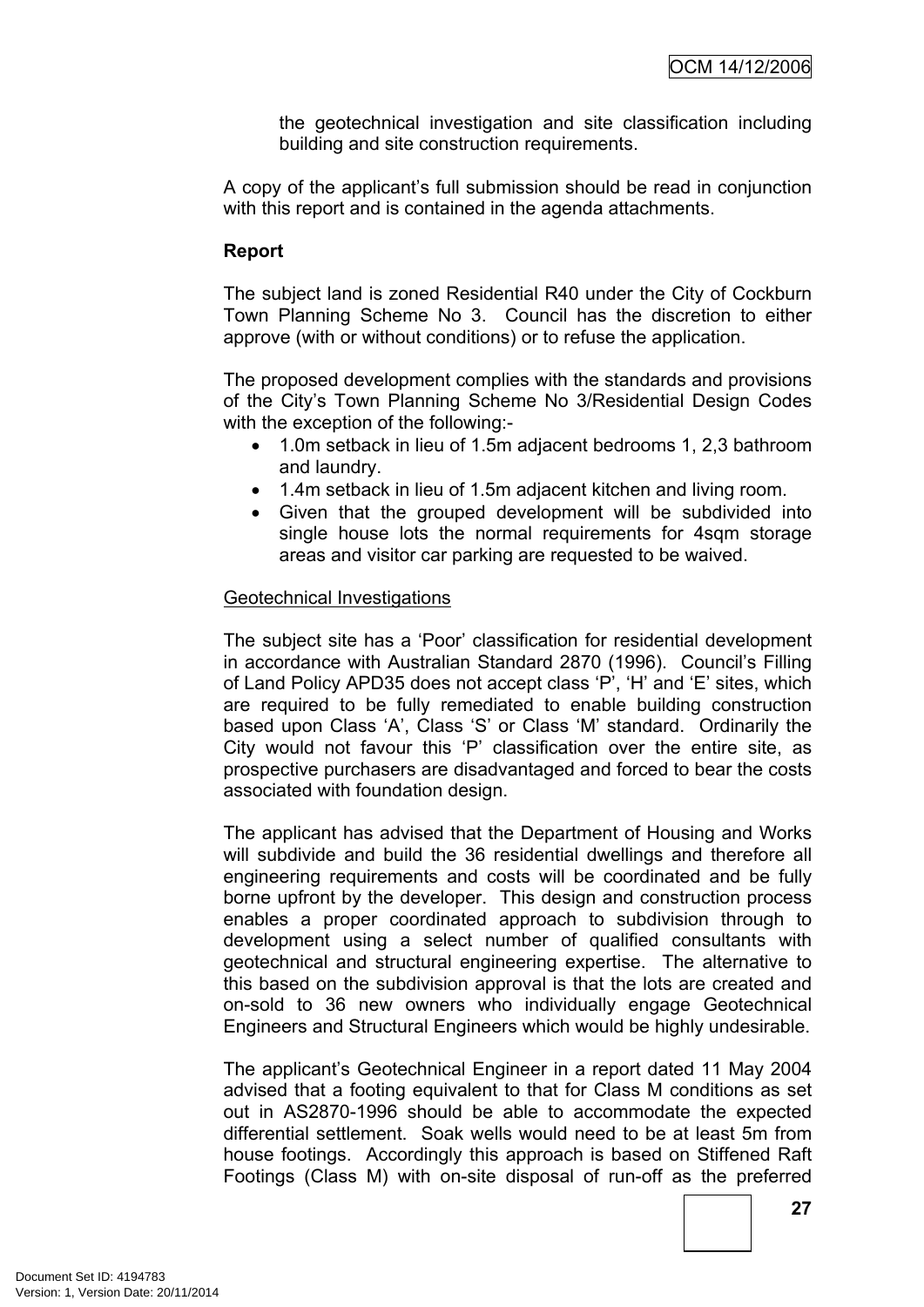the geotechnical investigation and site classification including building and site construction requirements.

A copy of the applicant's full submission should be read in conjunction with this report and is contained in the agenda attachments.

### **Report**

The subject land is zoned Residential R40 under the City of Cockburn Town Planning Scheme No 3. Council has the discretion to either approve (with or without conditions) or to refuse the application.

The proposed development complies with the standards and provisions of the City's Town Planning Scheme No 3/Residential Design Codes with the exception of the following:-

- 1.0m setback in lieu of 1.5m adjacent bedrooms 1, 2,3 bathroom and laundry.
- 1.4m setback in lieu of 1.5m adjacent kitchen and living room.
- Given that the grouped development will be subdivided into single house lots the normal requirements for 4sqm storage areas and visitor car parking are requested to be waived.

### Geotechnical Investigations

The subject site has a 'Poor' classification for residential development in accordance with Australian Standard 2870 (1996). Council's Filling of Land Policy APD35 does not accept class 'P', 'H' and 'E' sites, which are required to be fully remediated to enable building construction based upon Class 'A', Class 'S' or Class 'M' standard. Ordinarily the City would not favour this 'P' classification over the entire site, as prospective purchasers are disadvantaged and forced to bear the costs associated with foundation design.

The applicant has advised that the Department of Housing and Works will subdivide and build the 36 residential dwellings and therefore all engineering requirements and costs will be coordinated and be fully borne upfront by the developer. This design and construction process enables a proper coordinated approach to subdivision through to development using a select number of qualified consultants with geotechnical and structural engineering expertise. The alternative to this based on the subdivision approval is that the lots are created and on-sold to 36 new owners who individually engage Geotechnical Engineers and Structural Engineers which would be highly undesirable.

The applicant's Geotechnical Engineer in a report dated 11 May 2004 advised that a footing equivalent to that for Class M conditions as set out in AS2870-1996 should be able to accommodate the expected differential settlement. Soak wells would need to be at least 5m from house footings. Accordingly this approach is based on Stiffened Raft Footings (Class M) with on-site disposal of run-off as the preferred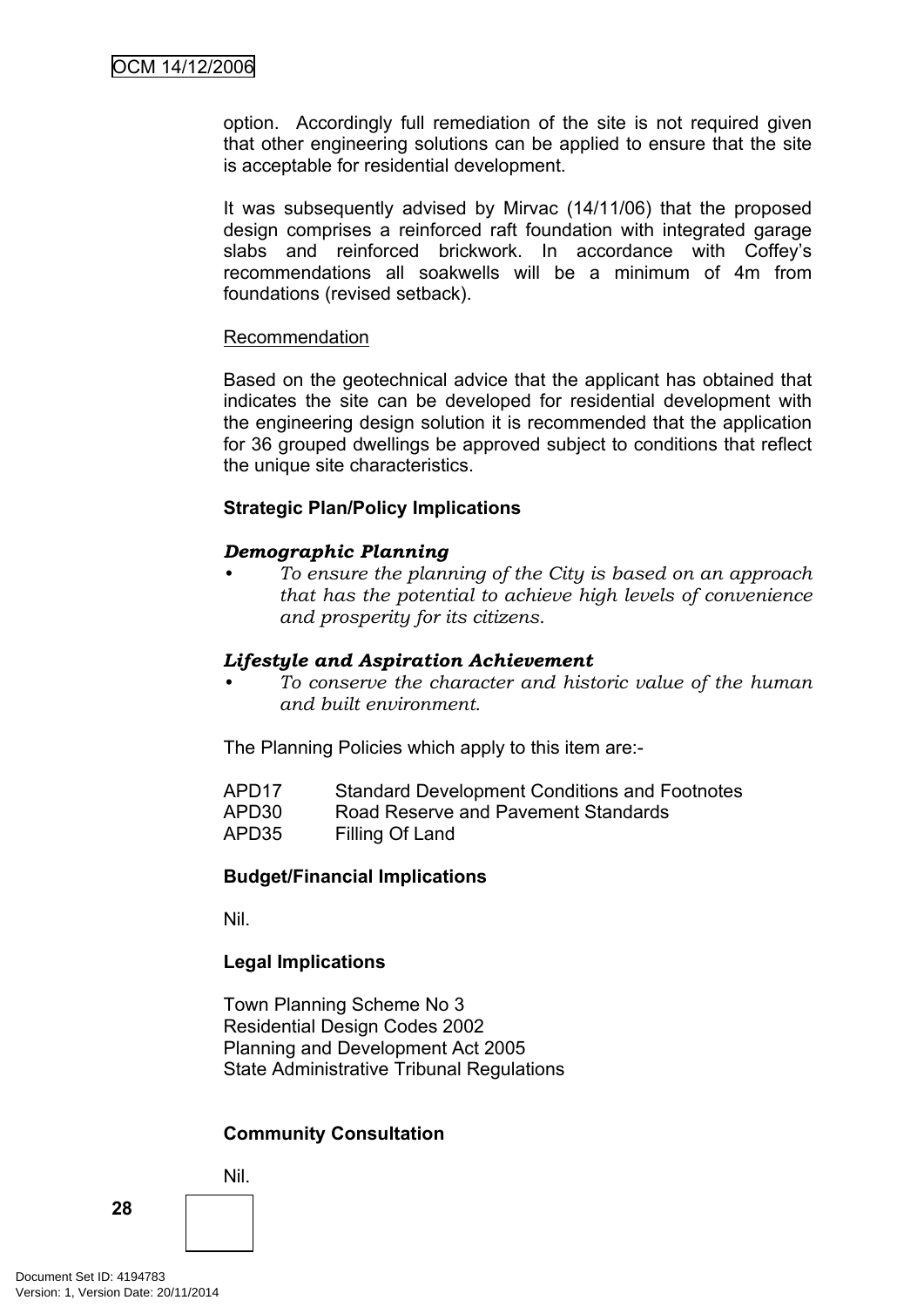option. Accordingly full remediation of the site is not required given that other engineering solutions can be applied to ensure that the site is acceptable for residential development.

It was subsequently advised by Mirvac (14/11/06) that the proposed design comprises a reinforced raft foundation with integrated garage slabs and reinforced brickwork. In accordance with Coffey's recommendations all soakwells will be a minimum of 4m from foundations (revised setback).

### Recommendation

Based on the geotechnical advice that the applicant has obtained that indicates the site can be developed for residential development with the engineering design solution it is recommended that the application for 36 grouped dwellings be approved subject to conditions that reflect the unique site characteristics.

### **Strategic Plan/Policy Implications**

### *Demographic Planning*

*• To ensure the planning of the City is based on an approach that has the potential to achieve high levels of convenience and prosperity for its citizens.*

#### *Lifestyle and Aspiration Achievement*

*• To conserve the character and historic value of the human and built environment.*

The Planning Policies which apply to this item are:-

| APD <sub>17</sub> | <b>Standard Development Conditions and Footnotes</b> |
|-------------------|------------------------------------------------------|
| APD30             | Road Reserve and Pavement Standards                  |
| APD35             | Filling Of Land                                      |

#### **Budget/Financial Implications**

Nil.

### **Legal Implications**

Town Planning Scheme No 3 Residential Design Codes 2002 Planning and Development Act 2005 State Administrative Tribunal Regulations

### **Community Consultation**

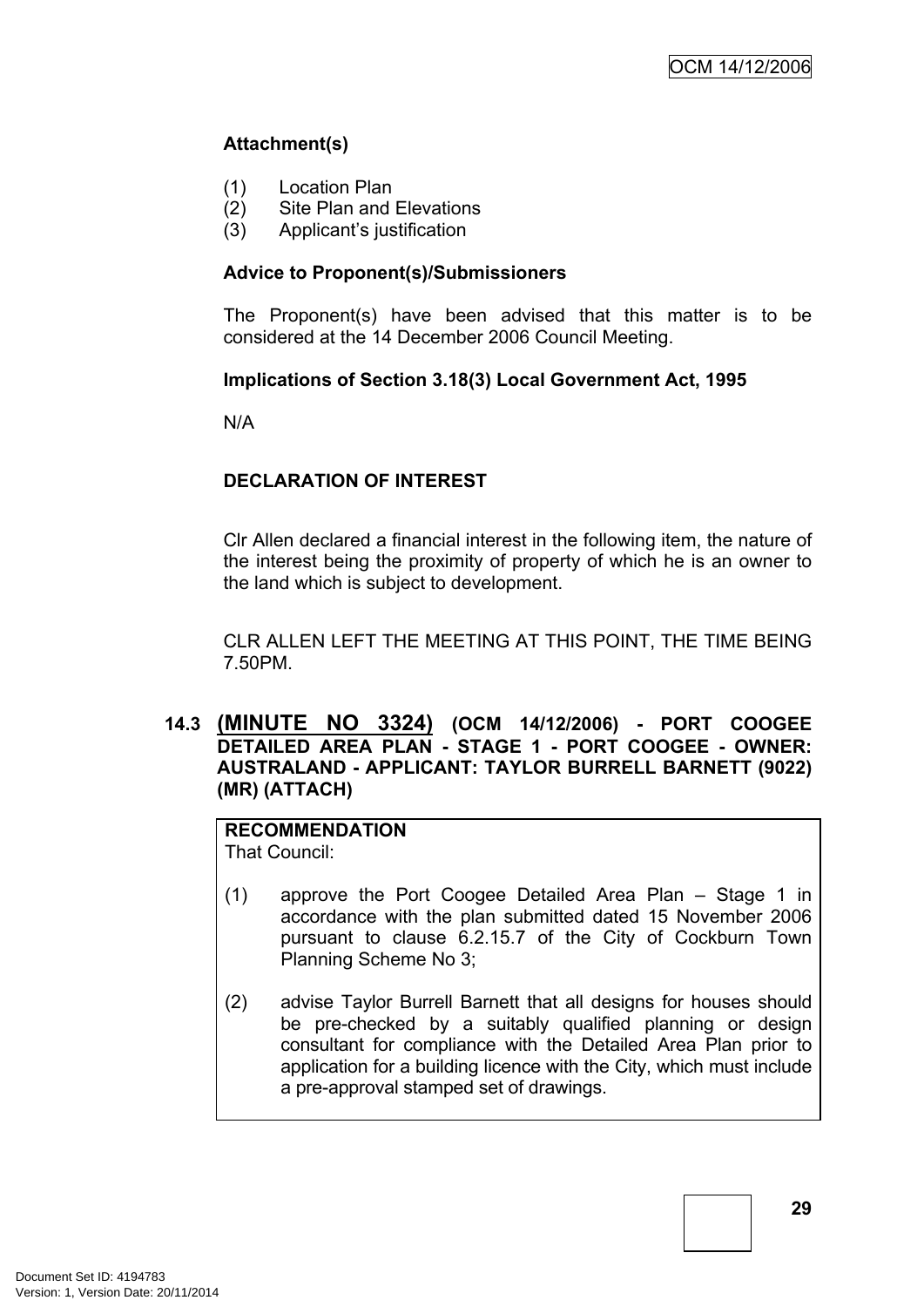# **Attachment(s)**

- (1) Location Plan
- (2) Site Plan and Elevations
- (3) Applicant's justification

### **Advice to Proponent(s)/Submissioners**

The Proponent(s) have been advised that this matter is to be considered at the 14 December 2006 Council Meeting.

### **Implications of Section 3.18(3) Local Government Act, 1995**

N/A

# **DECLARATION OF INTEREST**

Clr Allen declared a financial interest in the following item, the nature of the interest being the proximity of property of which he is an owner to the land which is subject to development.

CLR ALLEN LEFT THE MEETING AT THIS POINT, THE TIME BEING 7.50PM.

### <span id="page-32-0"></span>**14.3 (MINUTE NO 3324) (OCM 14/12/2006) - PORT COOGEE DETAILED AREA PLAN - STAGE 1 - PORT COOGEE - OWNER: AUSTRALAND - APPLICANT: TAYLOR BURRELL BARNETT (9022) (MR) (ATTACH)**

# **RECOMMENDATION**

That Council:

- (1) approve the Port Coogee Detailed Area Plan Stage 1 in accordance with the plan submitted dated 15 November 2006 pursuant to clause 6.2.15.7 of the City of Cockburn Town Planning Scheme No 3;
- (2) advise Taylor Burrell Barnett that all designs for houses should be pre-checked by a suitably qualified planning or design consultant for compliance with the Detailed Area Plan prior to application for a building licence with the City, which must include a pre-approval stamped set of drawings.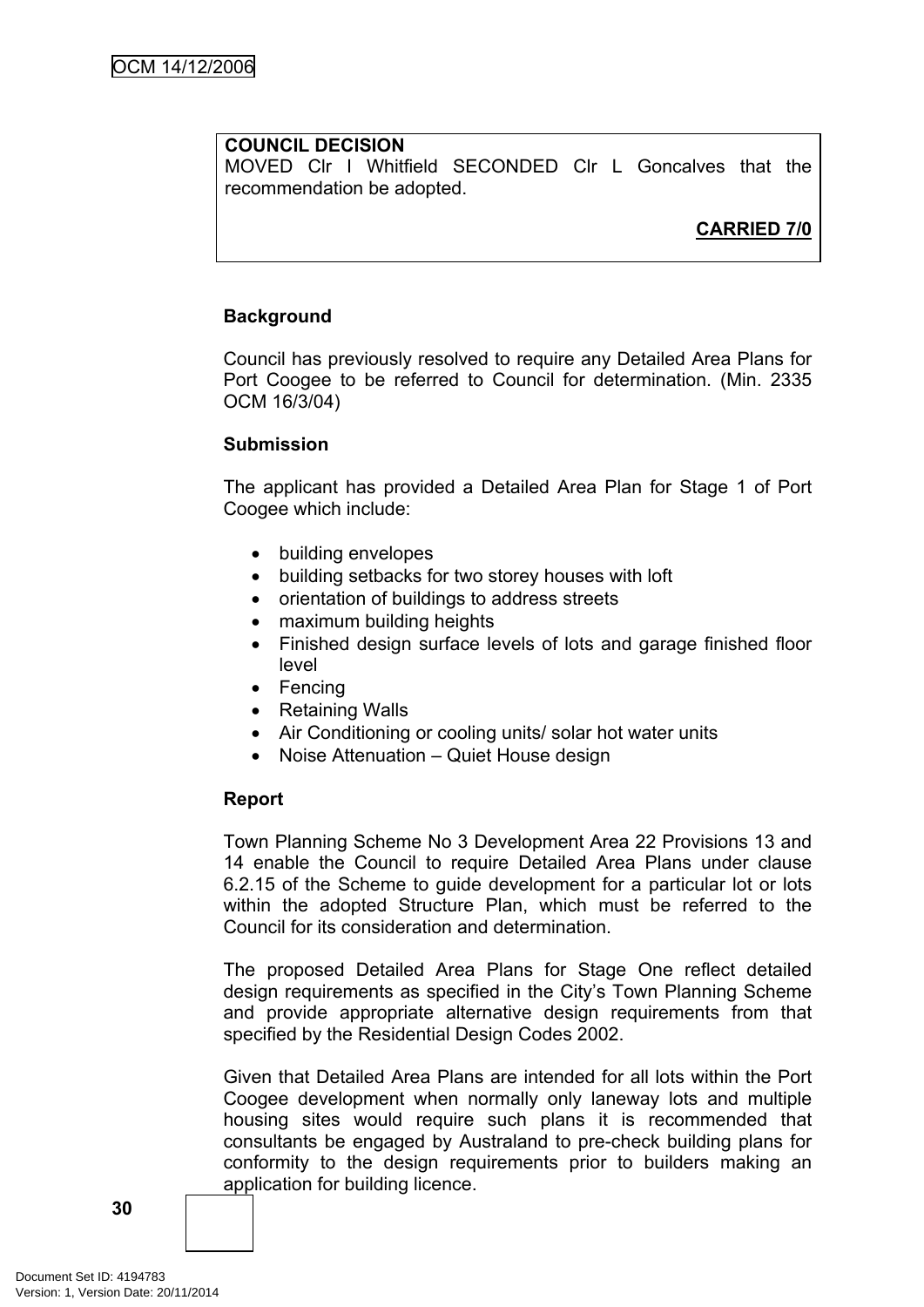# **COUNCIL DECISION**

MOVED Clr I Whitfield SECONDED Clr L Goncalves that the recommendation be adopted.

# **CARRIED 7/0**

### **Background**

Council has previously resolved to require any Detailed Area Plans for Port Coogee to be referred to Council for determination. (Min. 2335 OCM 16/3/04)

#### **Submission**

The applicant has provided a Detailed Area Plan for Stage 1 of Port Coogee which include:

- building envelopes
- building setbacks for two storey houses with loft
- orientation of buildings to address streets
- maximum building heights
- Finished design surface levels of lots and garage finished floor level
- Fencing
- Retaining Walls
- Air Conditioning or cooling units/ solar hot water units
- Noise Attenuation Quiet House design

### **Report**

Town Planning Scheme No 3 Development Area 22 Provisions 13 and 14 enable the Council to require Detailed Area Plans under clause 6.2.15 of the Scheme to guide development for a particular lot or lots within the adopted Structure Plan, which must be referred to the Council for its consideration and determination.

The proposed Detailed Area Plans for Stage One reflect detailed design requirements as specified in the City's Town Planning Scheme and provide appropriate alternative design requirements from that specified by the Residential Design Codes 2002.

Given that Detailed Area Plans are intended for all lots within the Port Coogee development when normally only laneway lots and multiple housing sites would require such plans it is recommended that consultants be engaged by Australand to pre-check building plans for conformity to the design requirements prior to builders making an application for building licence.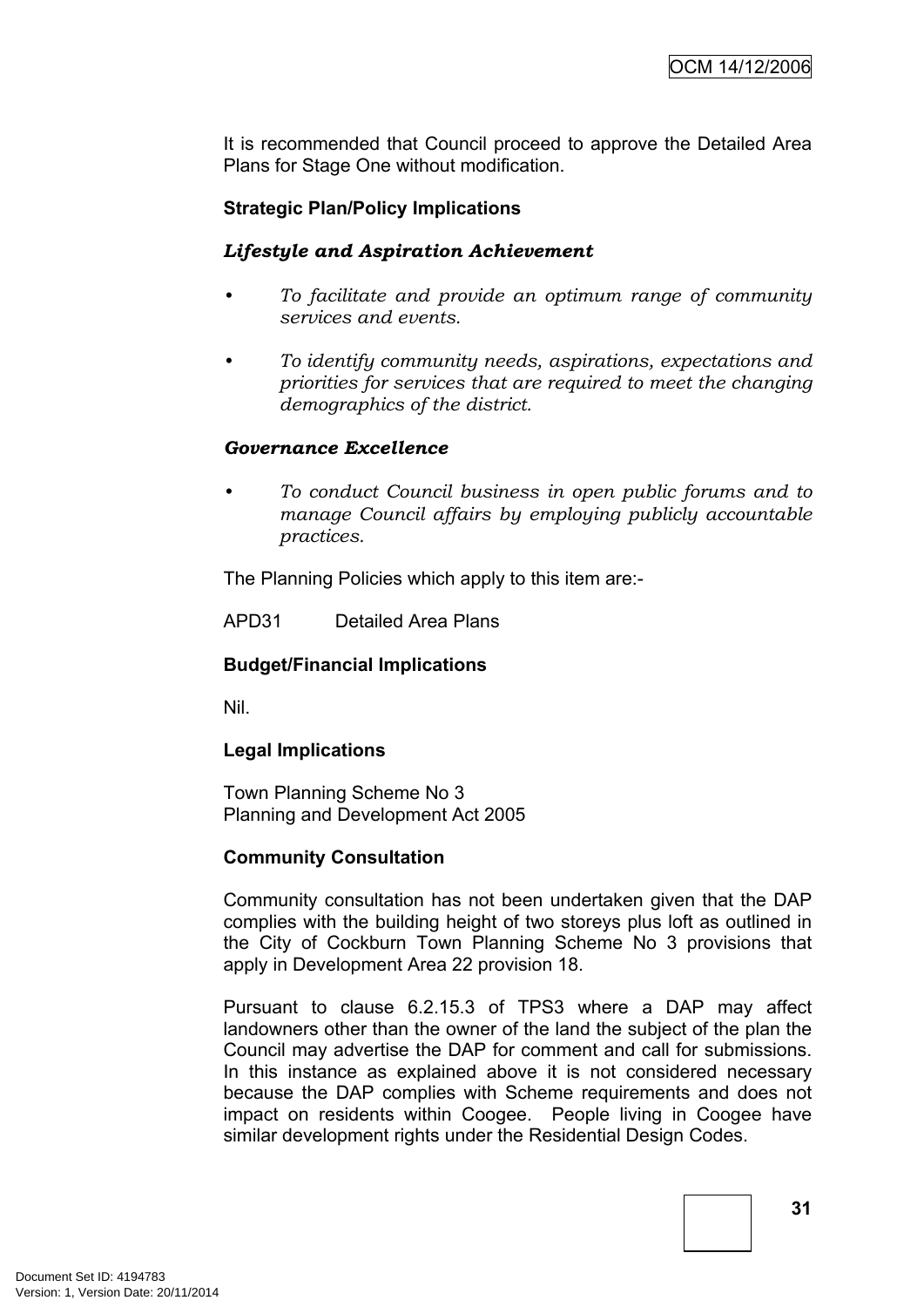It is recommended that Council proceed to approve the Detailed Area Plans for Stage One without modification.

### **Strategic Plan/Policy Implications**

### *Lifestyle and Aspiration Achievement*

- *• To facilitate and provide an optimum range of community services and events.*
- *• To identify community needs, aspirations, expectations and priorities for services that are required to meet the changing demographics of the district.*

#### *Governance Excellence*

*• To conduct Council business in open public forums and to manage Council affairs by employing publicly accountable practices.*

The Planning Policies which apply to this item are:-

APD31 Detailed Area Plans

### **Budget/Financial Implications**

Nil.

### **Legal Implications**

Town Planning Scheme No 3 Planning and Development Act 2005

### **Community Consultation**

Community consultation has not been undertaken given that the DAP complies with the building height of two storeys plus loft as outlined in the City of Cockburn Town Planning Scheme No 3 provisions that apply in Development Area 22 provision 18.

Pursuant to clause 6.2.15.3 of TPS3 where a DAP may affect landowners other than the owner of the land the subject of the plan the Council may advertise the DAP for comment and call for submissions. In this instance as explained above it is not considered necessary because the DAP complies with Scheme requirements and does not impact on residents within Coogee. People living in Coogee have similar development rights under the Residential Design Codes.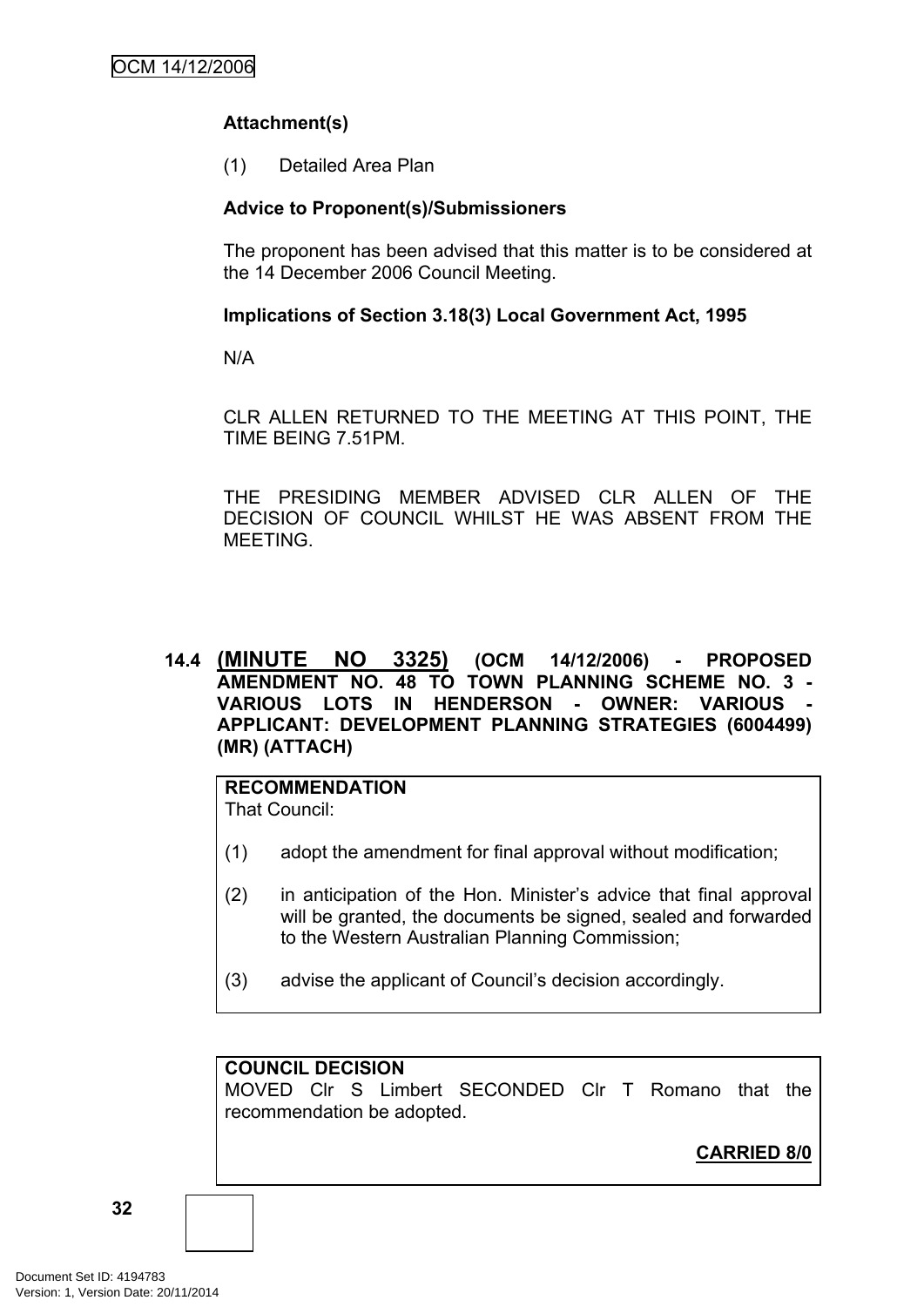# **Attachment(s)**

(1) Detailed Area Plan

# **Advice to Proponent(s)/Submissioners**

The proponent has been advised that this matter is to be considered at the 14 December 2006 Council Meeting.

### **Implications of Section 3.18(3) Local Government Act, 1995**

N/A

CLR ALLEN RETURNED TO THE MEETING AT THIS POINT, THE TIME BEING 7.51PM.

THE PRESIDING MEMBER ADVISED CLR ALLEN OF THE DECISION OF COUNCIL WHILST HE WAS ABSENT FROM THE MEETING.

<span id="page-35-0"></span>**14.4 (MINUTE NO 3325) (OCM 14/12/2006) - PROPOSED AMENDMENT NO. 48 TO TOWN PLANNING SCHEME NO. 3 - VARIOUS LOTS IN HENDERSON - OWNER: VARIOUS - APPLICANT: DEVELOPMENT PLANNING STRATEGIES (6004499) (MR) (ATTACH)**

# **RECOMMENDATION**

That Council:

- (1) adopt the amendment for final approval without modification;
- (2) in anticipation of the Hon. Minister's advice that final approval will be granted, the documents be signed, sealed and forwarded to the Western Australian Planning Commission;
- (3) advise the applicant of Council's decision accordingly.

### **COUNCIL DECISION**

MOVED Clr S Limbert SECONDED Clr T Romano that the recommendation be adopted.

**CARRIED 8/0**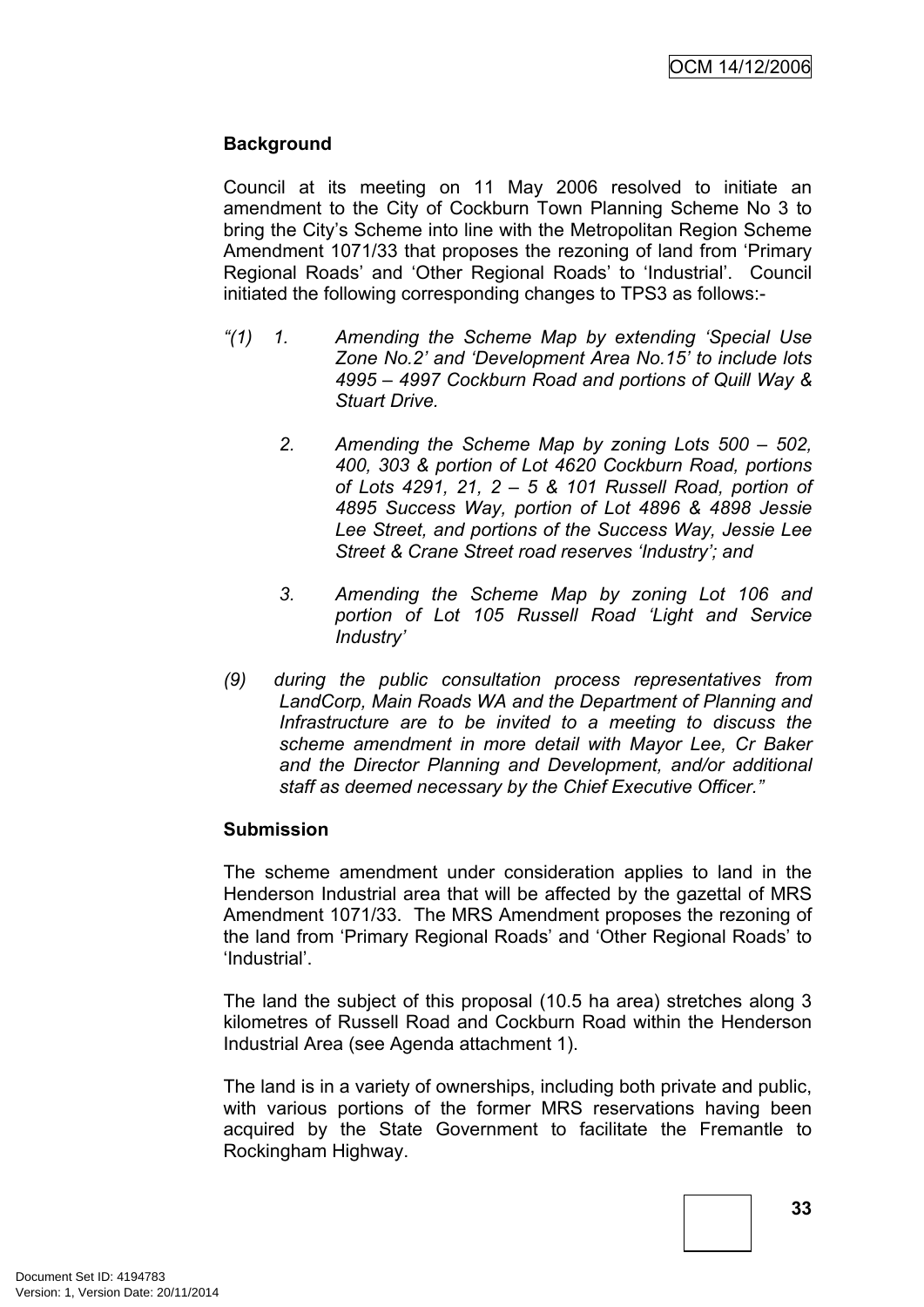#### **Background**

Council at its meeting on 11 May 2006 resolved to initiate an amendment to the City of Cockburn Town Planning Scheme No 3 to bring the City's Scheme into line with the Metropolitan Region Scheme Amendment 1071/33 that proposes the rezoning of land from 'Primary Regional Roads' and 'Other Regional Roads' to 'Industrial'. Council initiated the following corresponding changes to TPS3 as follows:-

- *"(1) 1. Amending the Scheme Map by extending 'Special Use Zone No.2' and 'Development Area No.15' to include lots 4995 – 4997 Cockburn Road and portions of Quill Way & Stuart Drive.*
	- *2. Amending the Scheme Map by zoning Lots 500 – 502, 400, 303 & portion of Lot 4620 Cockburn Road, portions of Lots 4291, 21, 2 – 5 & 101 Russell Road, portion of 4895 Success Way, portion of Lot 4896 & 4898 Jessie Lee Street, and portions of the Success Way, Jessie Lee Street & Crane Street road reserves 'Industry'; and*
	- *3. Amending the Scheme Map by zoning Lot 106 and portion of Lot 105 Russell Road 'Light and Service Industry'*
- *(9) during the public consultation process representatives from LandCorp, Main Roads WA and the Department of Planning and Infrastructure are to be invited to a meeting to discuss the scheme amendment in more detail with Mayor Lee, Cr Baker and the Director Planning and Development, and/or additional staff as deemed necessary by the Chief Executive Officer."*

#### **Submission**

The scheme amendment under consideration applies to land in the Henderson Industrial area that will be affected by the gazettal of MRS Amendment 1071/33. The MRS Amendment proposes the rezoning of the land from 'Primary Regional Roads' and 'Other Regional Roads' to 'Industrial'.

The land the subject of this proposal (10.5 ha area) stretches along 3 kilometres of Russell Road and Cockburn Road within the Henderson Industrial Area (see Agenda attachment 1).

The land is in a variety of ownerships, including both private and public, with various portions of the former MRS reservations having been acquired by the State Government to facilitate the Fremantle to Rockingham Highway.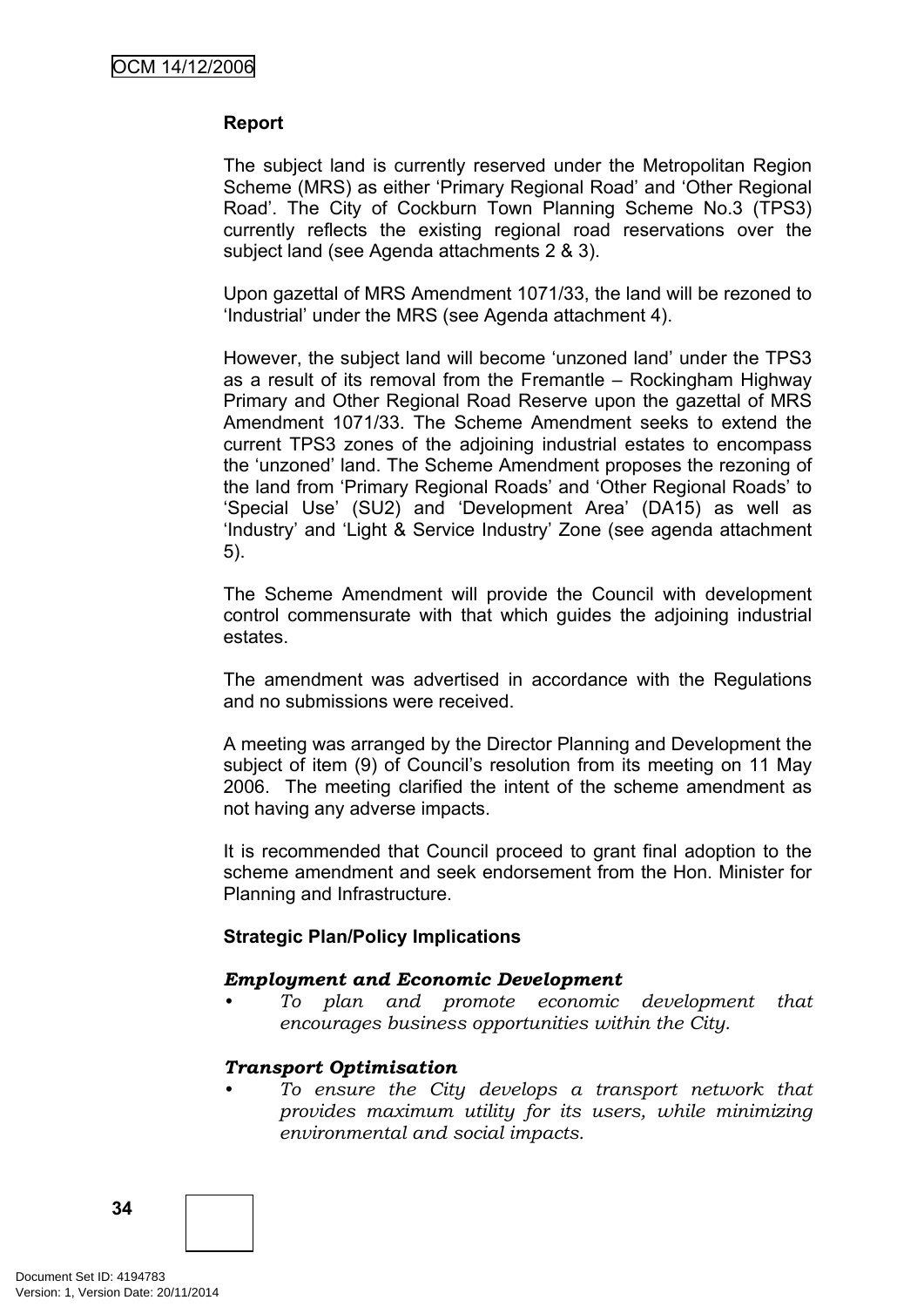#### **Report**

The subject land is currently reserved under the Metropolitan Region Scheme (MRS) as either 'Primary Regional Road' and 'Other Regional Road'. The City of Cockburn Town Planning Scheme No.3 (TPS3) currently reflects the existing regional road reservations over the subject land (see Agenda attachments 2 & 3).

Upon gazettal of MRS Amendment 1071/33, the land will be rezoned to 'Industrial' under the MRS (see Agenda attachment 4).

However, the subject land will become 'unzoned land' under the TPS3 as a result of its removal from the Fremantle – Rockingham Highway Primary and Other Regional Road Reserve upon the gazettal of MRS Amendment 1071/33. The Scheme Amendment seeks to extend the current TPS3 zones of the adjoining industrial estates to encompass the 'unzoned' land. The Scheme Amendment proposes the rezoning of the land from 'Primary Regional Roads' and 'Other Regional Roads' to 'Special Use' (SU2) and 'Development Area' (DA15) as well as 'Industry' and 'Light & Service Industry' Zone (see agenda attachment 5).

The Scheme Amendment will provide the Council with development control commensurate with that which guides the adjoining industrial estates.

The amendment was advertised in accordance with the Regulations and no submissions were received.

A meeting was arranged by the Director Planning and Development the subject of item (9) of Council's resolution from its meeting on 11 May 2006. The meeting clarified the intent of the scheme amendment as not having any adverse impacts.

It is recommended that Council proceed to grant final adoption to the scheme amendment and seek endorsement from the Hon. Minister for Planning and Infrastructure.

#### **Strategic Plan/Policy Implications**

#### *Employment and Economic Development*

*• To plan and promote economic development that encourages business opportunities within the City.*

#### *Transport Optimisation*

*• To ensure the City develops a transport network that provides maximum utility for its users, while minimizing environmental and social impacts.*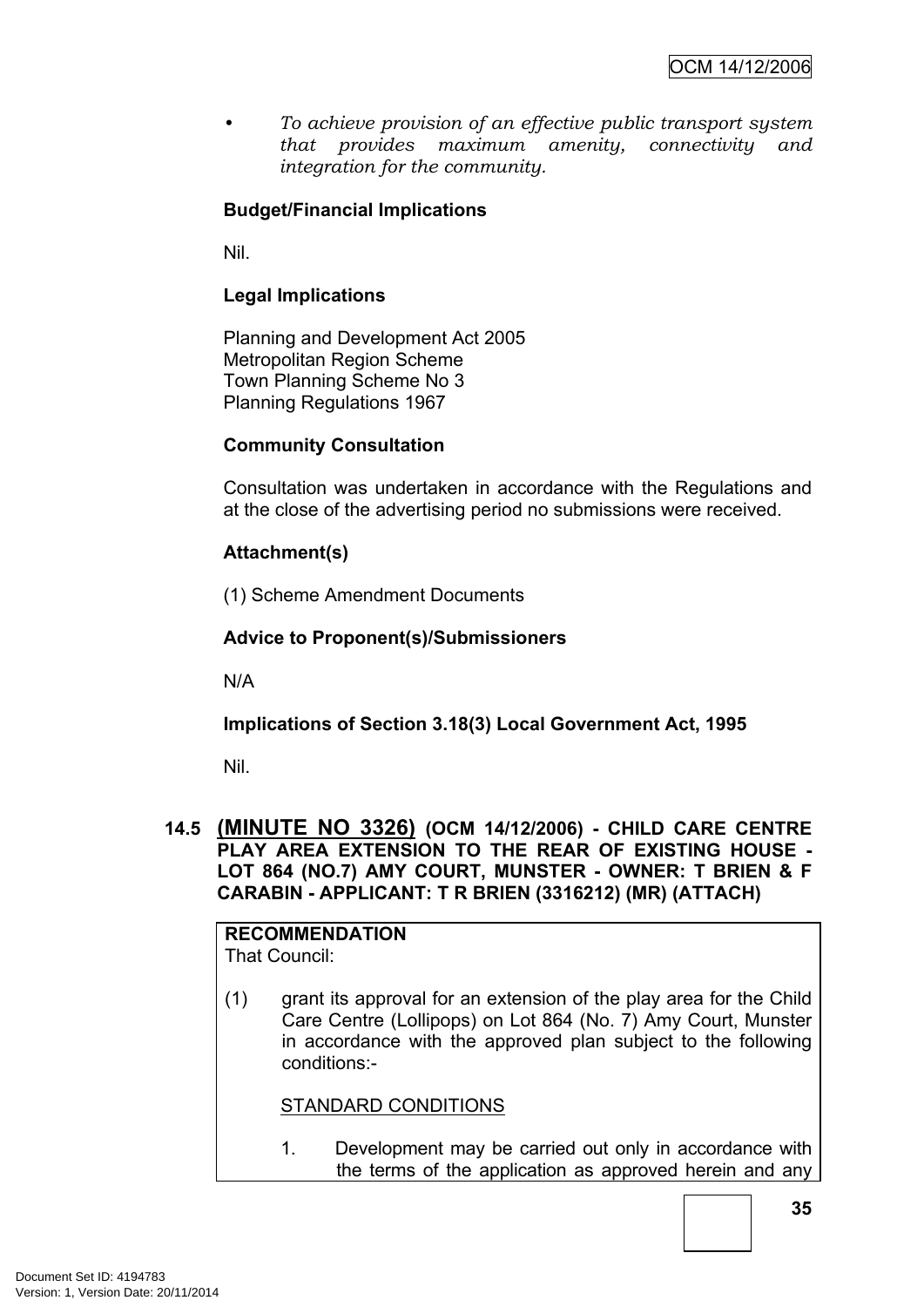*• To achieve provision of an effective public transport system that provides maximum amenity, connectivity and integration for the community.*

## **Budget/Financial Implications**

Nil.

## **Legal Implications**

Planning and Development Act 2005 Metropolitan Region Scheme Town Planning Scheme No 3 Planning Regulations 1967

#### **Community Consultation**

Consultation was undertaken in accordance with the Regulations and at the close of the advertising period no submissions were received.

## **Attachment(s)**

(1) Scheme Amendment Documents

#### **Advice to Proponent(s)/Submissioners**

N/A

## **Implications of Section 3.18(3) Local Government Act, 1995**

Nil.

#### **14.5 (MINUTE NO 3326) (OCM 14/12/2006) - CHILD CARE CENTRE PLAY AREA EXTENSION TO THE REAR OF EXISTING HOUSE - LOT 864 (NO.7) AMY COURT, MUNSTER - OWNER: T BRIEN & F CARABIN - APPLICANT: T R BRIEN (3316212) (MR) (ATTACH)**

**RECOMMENDATION** That Council:

(1) grant its approval for an extension of the play area for the Child Care Centre (Lollipops) on Lot 864 (No. 7) Amy Court, Munster in accordance with the approved plan subject to the following conditions:-

#### STANDARD CONDITIONS

1. Development may be carried out only in accordance with the terms of the application as approved herein and any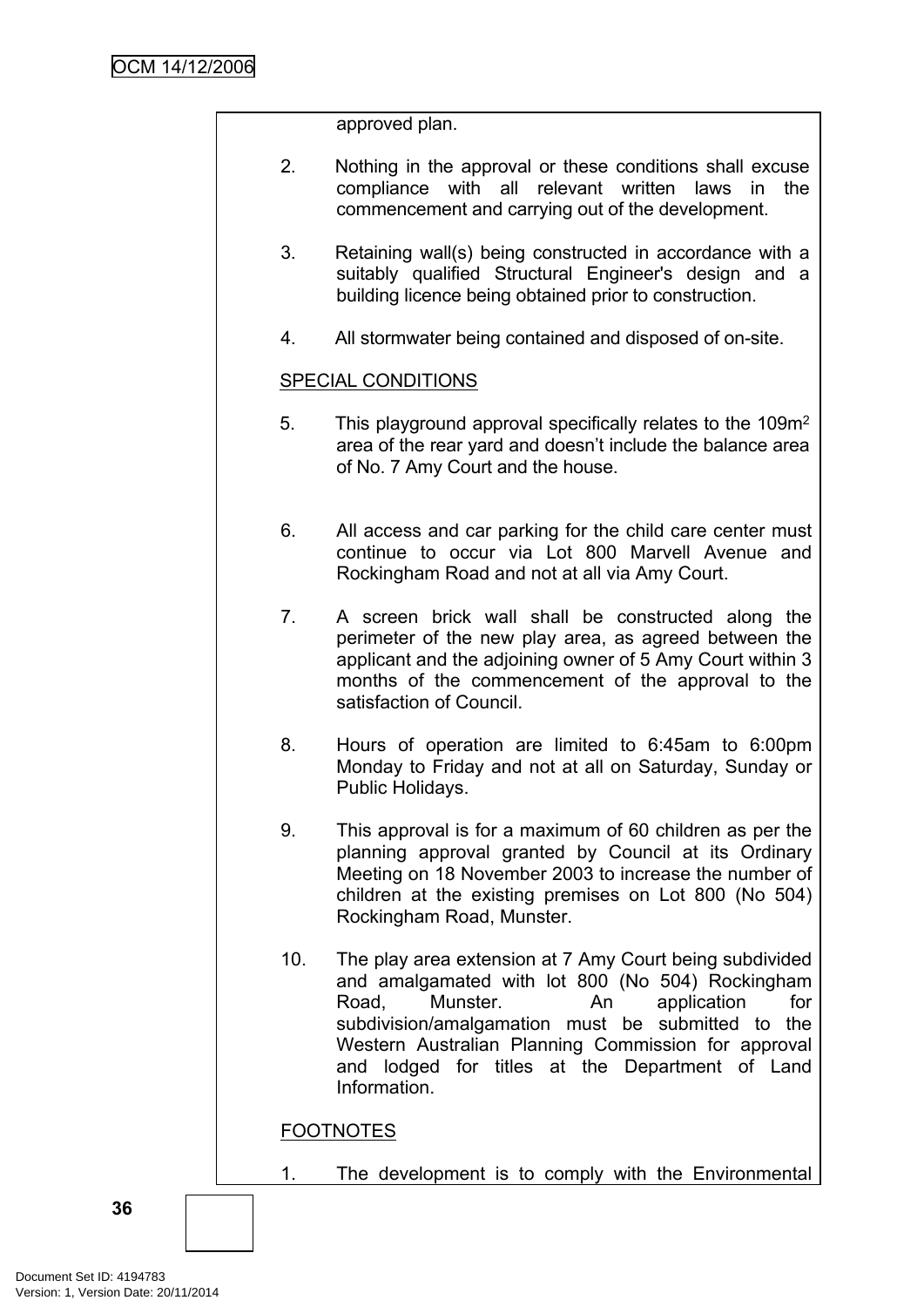approved plan.

- 2. Nothing in the approval or these conditions shall excuse compliance with all relevant written laws in the commencement and carrying out of the development.
- 3. Retaining wall(s) being constructed in accordance with a suitably qualified Structural Engineer's design and a building licence being obtained prior to construction.
- 4. All stormwater being contained and disposed of on-site.

#### SPECIAL CONDITIONS

- 5. This playground approval specifically relates to the 109m<sup>2</sup> area of the rear yard and doesn't include the balance area of No. 7 Amy Court and the house.
- 6. All access and car parking for the child care center must continue to occur via Lot 800 Marvell Avenue and Rockingham Road and not at all via Amy Court.
- 7. A screen brick wall shall be constructed along the perimeter of the new play area, as agreed between the applicant and the adjoining owner of 5 Amy Court within 3 months of the commencement of the approval to the satisfaction of Council.
- 8. Hours of operation are limited to 6:45am to 6:00pm Monday to Friday and not at all on Saturday, Sunday or Public Holidays.
- 9. This approval is for a maximum of 60 children as per the planning approval granted by Council at its Ordinary Meeting on 18 November 2003 to increase the number of children at the existing premises on Lot 800 (No 504) Rockingham Road, Munster.
- 10. The play area extension at 7 Amy Court being subdivided and amalgamated with lot 800 (No 504) Rockingham Road, Munster. An application for subdivision/amalgamation must be submitted to the Western Australian Planning Commission for approval and lodged for titles at the Department of Land Information.

## FOOTNOTES

1. The development is to comply with the Environmental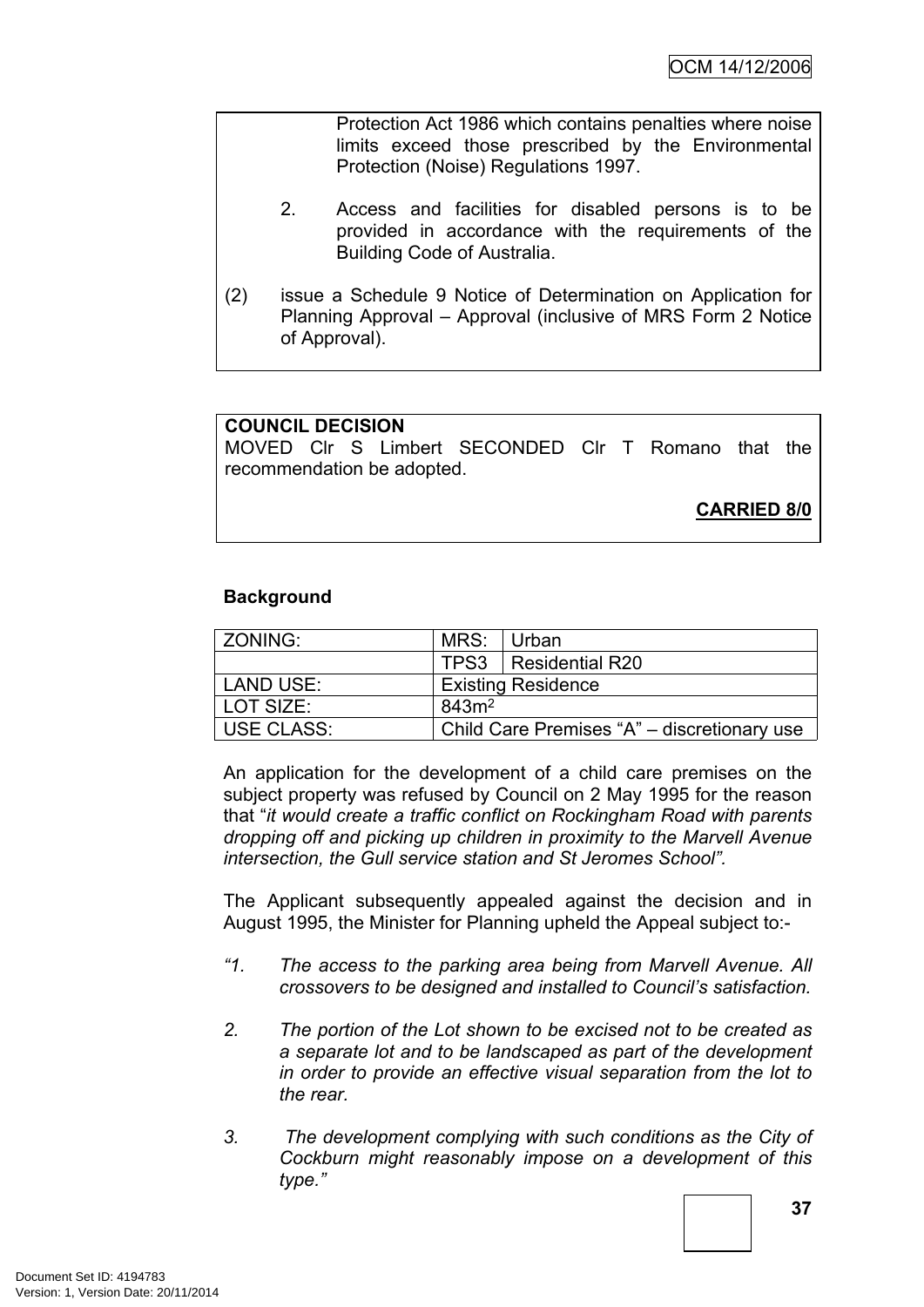Protection Act 1986 which contains penalties where noise limits exceed those prescribed by the Environmental Protection (Noise) Regulations 1997.

- 2. Access and facilities for disabled persons is to be provided in accordance with the requirements of the Building Code of Australia.
- (2) issue a Schedule 9 Notice of Determination on Application for Planning Approval – Approval (inclusive of MRS Form 2 Notice of Approval).

#### **COUNCIL DECISION**

MOVED Clr S Limbert SECONDED Clr T Romano that the recommendation be adopted.

**CARRIED 8/0**

#### **Background**

| ZONING:    | MRS:              | Urban                                       |
|------------|-------------------|---------------------------------------------|
|            |                   | TPS3   Residential R20                      |
| LAND USE:  |                   | <b>Existing Residence</b>                   |
| LOT SIZE:  | 843m <sup>2</sup> |                                             |
| USE CLASS: |                   | Child Care Premises "A" – discretionary use |

An application for the development of a child care premises on the subject property was refused by Council on 2 May 1995 for the reason that "*it would create a traffic conflict on Rockingham Road with parents dropping off and picking up children in proximity to the Marvell Avenue intersection, the Gull service station and St Jeromes School".*

The Applicant subsequently appealed against the decision and in August 1995, the Minister for Planning upheld the Appeal subject to:-

- *"1. The access to the parking area being from Marvell Avenue. All crossovers to be designed and installed to Council's satisfaction.*
- *2. The portion of the Lot shown to be excised not to be created as a separate lot and to be landscaped as part of the development in order to provide an effective visual separation from the lot to the rear.*
- *3. The development complying with such conditions as the City of Cockburn might reasonably impose on a development of this type."*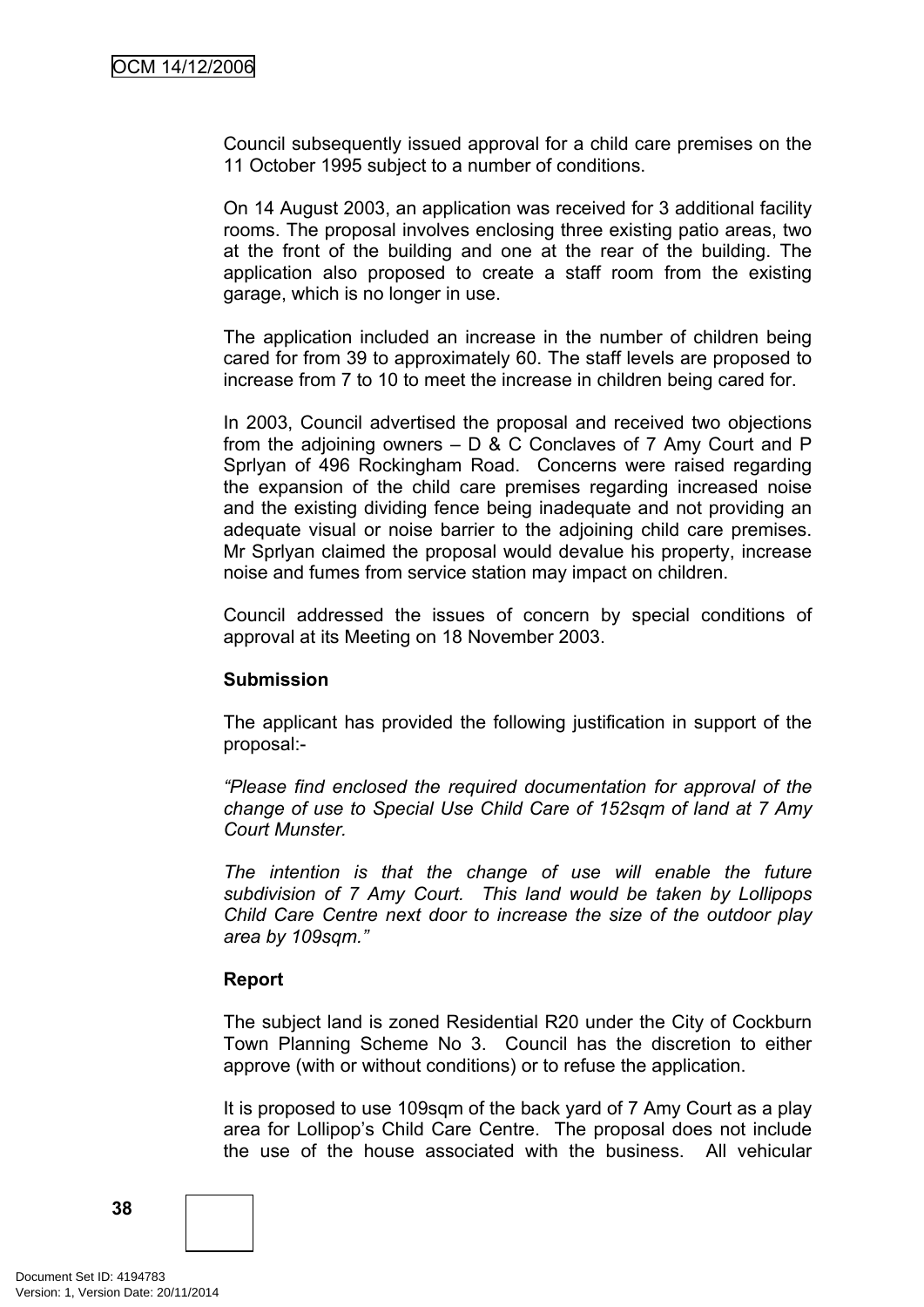Council subsequently issued approval for a child care premises on the 11 October 1995 subject to a number of conditions.

On 14 August 2003, an application was received for 3 additional facility rooms. The proposal involves enclosing three existing patio areas, two at the front of the building and one at the rear of the building. The application also proposed to create a staff room from the existing garage, which is no longer in use.

The application included an increase in the number of children being cared for from 39 to approximately 60. The staff levels are proposed to increase from 7 to 10 to meet the increase in children being cared for.

In 2003, Council advertised the proposal and received two objections from the adjoining owners – D & C Conclaves of 7 Amy Court and P Sprlyan of 496 Rockingham Road. Concerns were raised regarding the expansion of the child care premises regarding increased noise and the existing dividing fence being inadequate and not providing an adequate visual or noise barrier to the adjoining child care premises. Mr Sprlyan claimed the proposal would devalue his property, increase noise and fumes from service station may impact on children.

Council addressed the issues of concern by special conditions of approval at its Meeting on 18 November 2003.

#### **Submission**

The applicant has provided the following justification in support of the proposal:-

*"Please find enclosed the required documentation for approval of the change of use to Special Use Child Care of 152sqm of land at 7 Amy Court Munster.*

*The intention is that the change of use will enable the future subdivision of 7 Amy Court. This land would be taken by Lollipops Child Care Centre next door to increase the size of the outdoor play area by 109sqm."*

#### **Report**

The subject land is zoned Residential R20 under the City of Cockburn Town Planning Scheme No 3. Council has the discretion to either approve (with or without conditions) or to refuse the application.

It is proposed to use 109sqm of the back yard of 7 Amy Court as a play area for Lollipop's Child Care Centre. The proposal does not include the use of the house associated with the business. All vehicular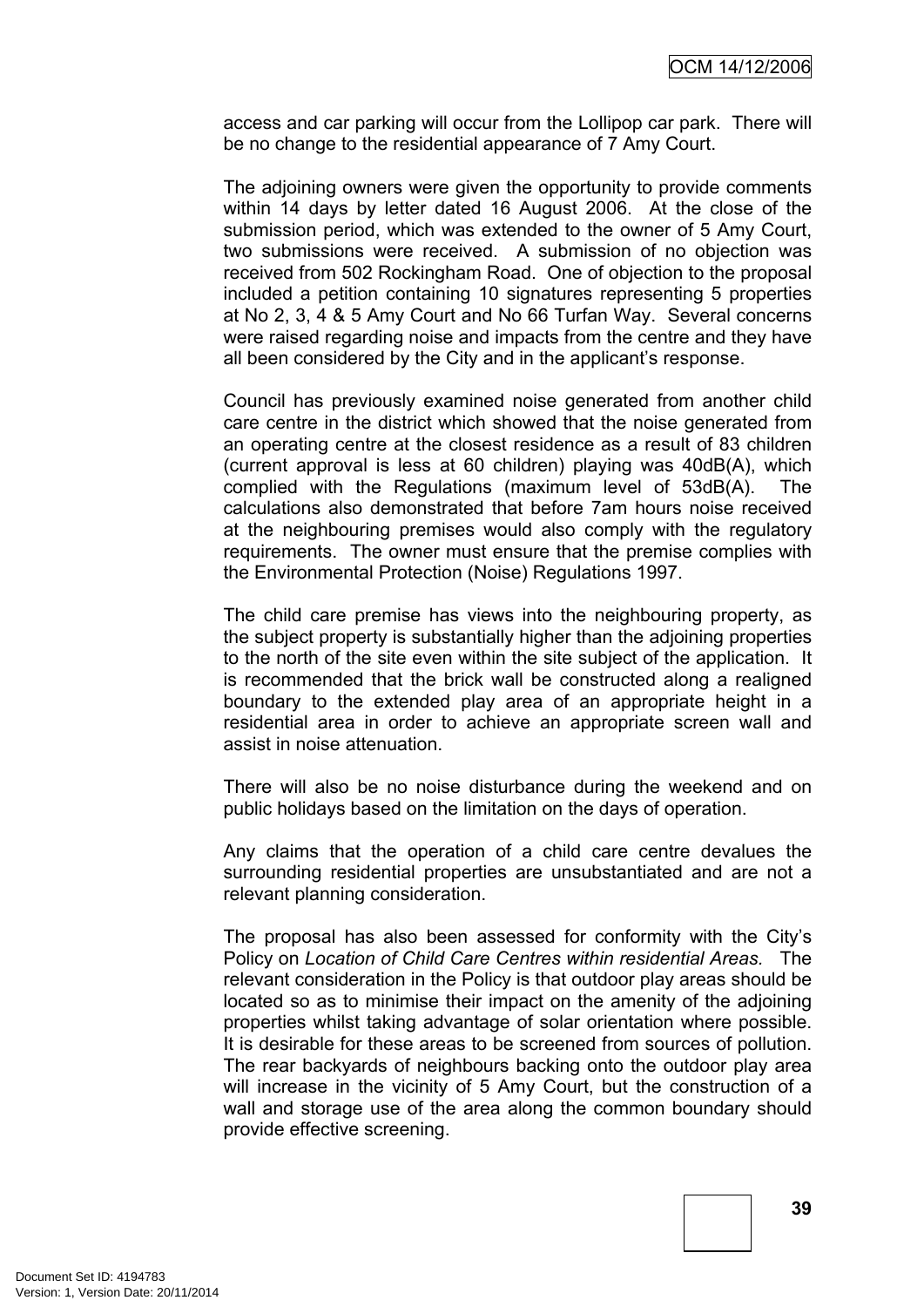access and car parking will occur from the Lollipop car park. There will be no change to the residential appearance of 7 Amy Court.

The adjoining owners were given the opportunity to provide comments within 14 days by letter dated 16 August 2006. At the close of the submission period, which was extended to the owner of 5 Amy Court, two submissions were received. A submission of no objection was received from 502 Rockingham Road. One of objection to the proposal included a petition containing 10 signatures representing 5 properties at No 2, 3, 4 & 5 Amy Court and No 66 Turfan Way. Several concerns were raised regarding noise and impacts from the centre and they have all been considered by the City and in the applicant's response.

Council has previously examined noise generated from another child care centre in the district which showed that the noise generated from an operating centre at the closest residence as a result of 83 children (current approval is less at 60 children) playing was 40dB(A), which complied with the Regulations (maximum level of 53dB(A). The calculations also demonstrated that before 7am hours noise received at the neighbouring premises would also comply with the regulatory requirements. The owner must ensure that the premise complies with the Environmental Protection (Noise) Regulations 1997.

The child care premise has views into the neighbouring property, as the subject property is substantially higher than the adjoining properties to the north of the site even within the site subject of the application. It is recommended that the brick wall be constructed along a realigned boundary to the extended play area of an appropriate height in a residential area in order to achieve an appropriate screen wall and assist in noise attenuation.

There will also be no noise disturbance during the weekend and on public holidays based on the limitation on the days of operation.

Any claims that the operation of a child care centre devalues the surrounding residential properties are unsubstantiated and are not a relevant planning consideration.

The proposal has also been assessed for conformity with the City's Policy on *Location of Child Care Centres within residential Areas.* The relevant consideration in the Policy is that outdoor play areas should be located so as to minimise their impact on the amenity of the adjoining properties whilst taking advantage of solar orientation where possible. It is desirable for these areas to be screened from sources of pollution. The rear backyards of neighbours backing onto the outdoor play area will increase in the vicinity of 5 Amy Court, but the construction of a wall and storage use of the area along the common boundary should provide effective screening.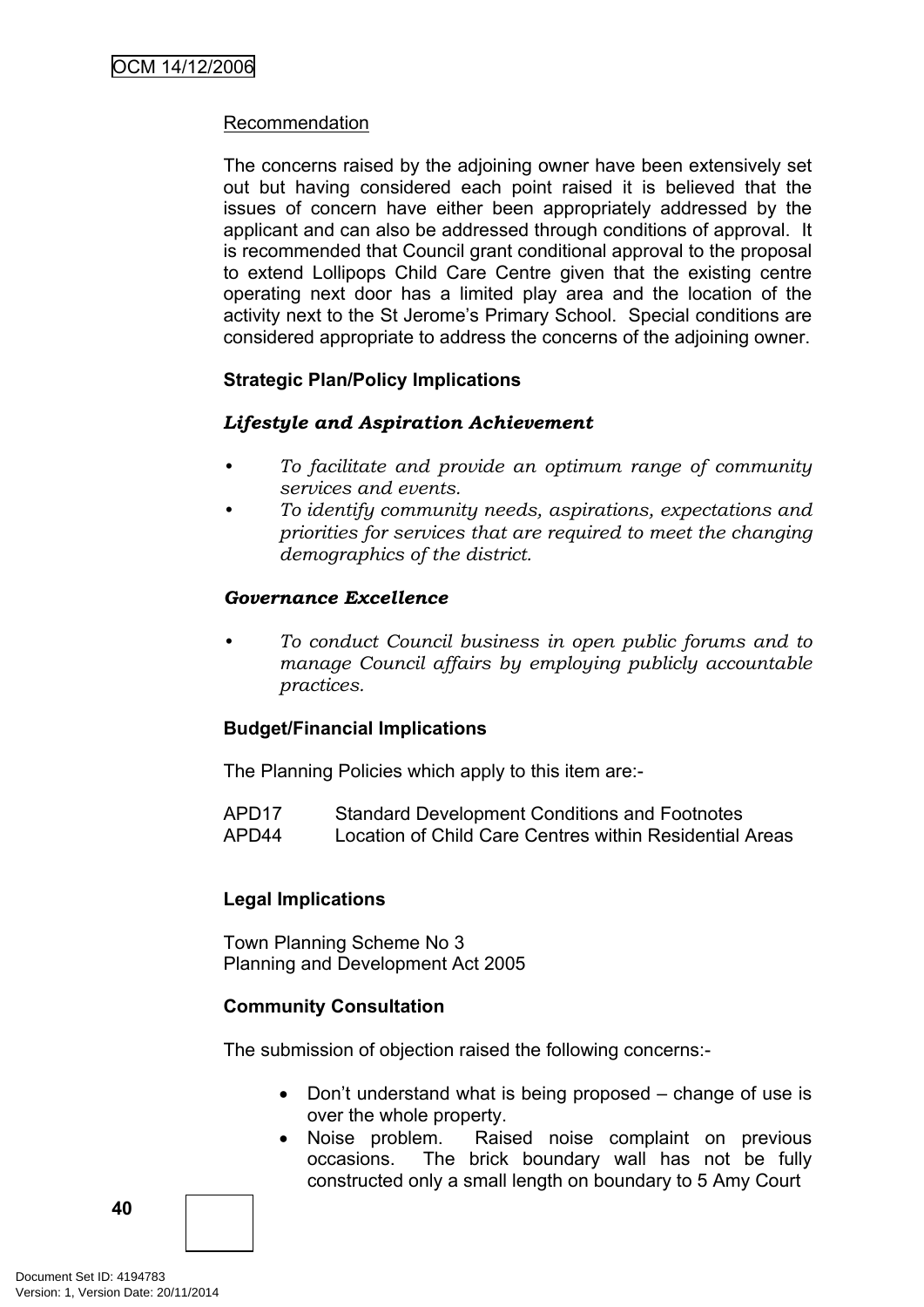#### Recommendation

The concerns raised by the adjoining owner have been extensively set out but having considered each point raised it is believed that the issues of concern have either been appropriately addressed by the applicant and can also be addressed through conditions of approval. It is recommended that Council grant conditional approval to the proposal to extend Lollipops Child Care Centre given that the existing centre operating next door has a limited play area and the location of the activity next to the St Jerome's Primary School. Special conditions are considered appropriate to address the concerns of the adjoining owner.

#### **Strategic Plan/Policy Implications**

#### *Lifestyle and Aspiration Achievement*

- *• To facilitate and provide an optimum range of community services and events.*
- *• To identify community needs, aspirations, expectations and priorities for services that are required to meet the changing demographics of the district.*

#### *Governance Excellence*

*• To conduct Council business in open public forums and to manage Council affairs by employing publicly accountable practices.*

#### **Budget/Financial Implications**

The Planning Policies which apply to this item are:-

APD17 Standard Development Conditions and Footnotes APD44 Location of Child Care Centres within Residential Areas

## **Legal Implications**

Town Planning Scheme No 3 Planning and Development Act 2005

#### **Community Consultation**

The submission of objection raised the following concerns:-

- Don't understand what is being proposed change of use is over the whole property.
- Noise problem. Raised noise complaint on previous occasions. The brick boundary wall has not be fully constructed only a small length on boundary to 5 Amy Court

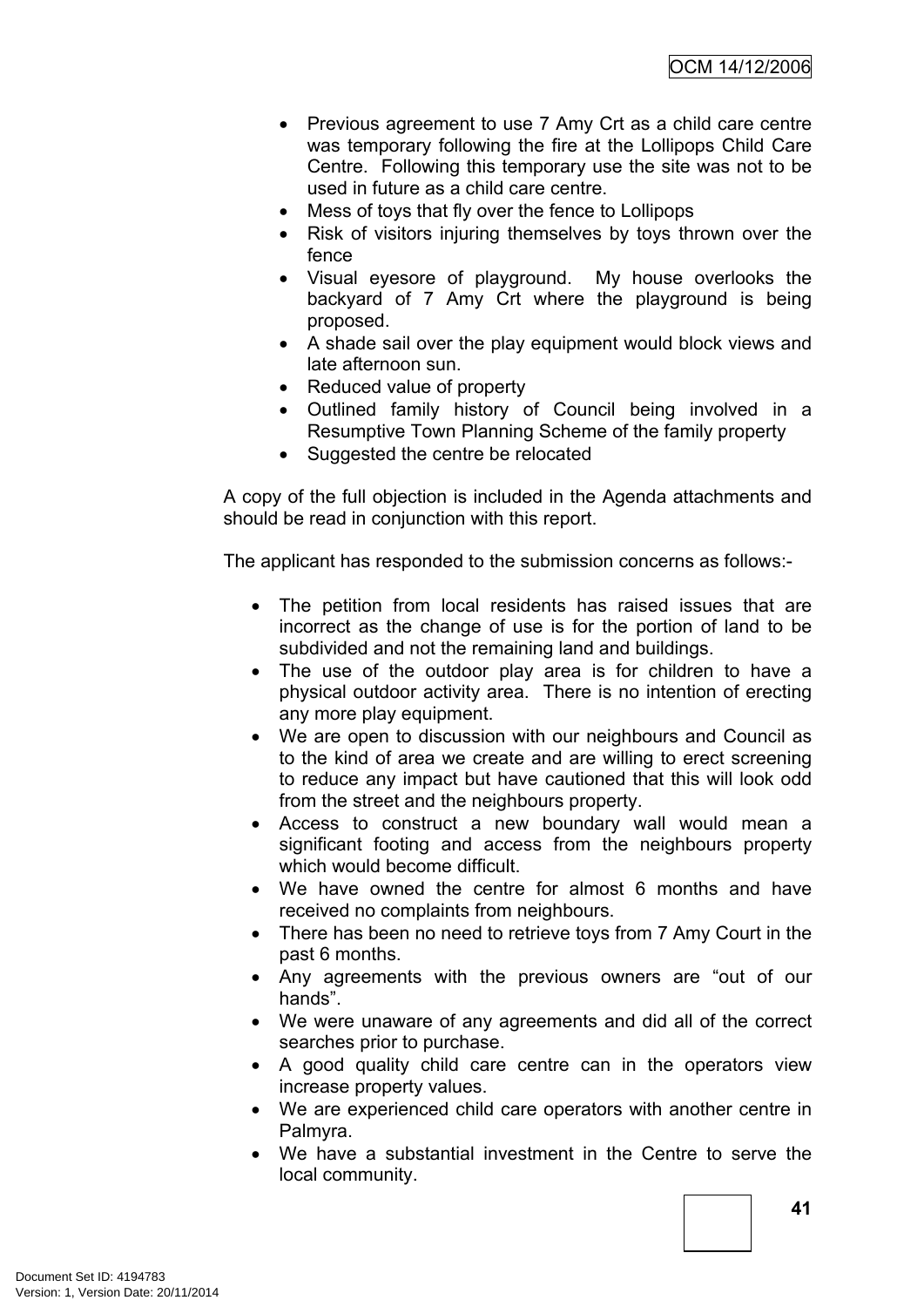- Previous agreement to use 7 Amy Crt as a child care centre was temporary following the fire at the Lollipops Child Care Centre. Following this temporary use the site was not to be used in future as a child care centre.
- Mess of toys that fly over the fence to Lollipops
- Risk of visitors injuring themselves by toys thrown over the fence
- Visual eyesore of playground. My house overlooks the backyard of 7 Amy Crt where the playground is being proposed.
- A shade sail over the play equipment would block views and late afternoon sun.
- Reduced value of property
- Outlined family history of Council being involved in a Resumptive Town Planning Scheme of the family property
- Suggested the centre be relocated

A copy of the full objection is included in the Agenda attachments and should be read in conjunction with this report.

The applicant has responded to the submission concerns as follows:-

- The petition from local residents has raised issues that are incorrect as the change of use is for the portion of land to be subdivided and not the remaining land and buildings.
- The use of the outdoor play area is for children to have a physical outdoor activity area. There is no intention of erecting any more play equipment.
- We are open to discussion with our neighbours and Council as to the kind of area we create and are willing to erect screening to reduce any impact but have cautioned that this will look odd from the street and the neighbours property.
- Access to construct a new boundary wall would mean a significant footing and access from the neighbours property which would become difficult.
- We have owned the centre for almost 6 months and have received no complaints from neighbours.
- There has been no need to retrieve toys from 7 Amy Court in the past 6 months.
- Any agreements with the previous owners are "out of our hands".
- We were unaware of any agreements and did all of the correct searches prior to purchase.
- A good quality child care centre can in the operators view increase property values.
- We are experienced child care operators with another centre in Palmyra.
- We have a substantial investment in the Centre to serve the local community.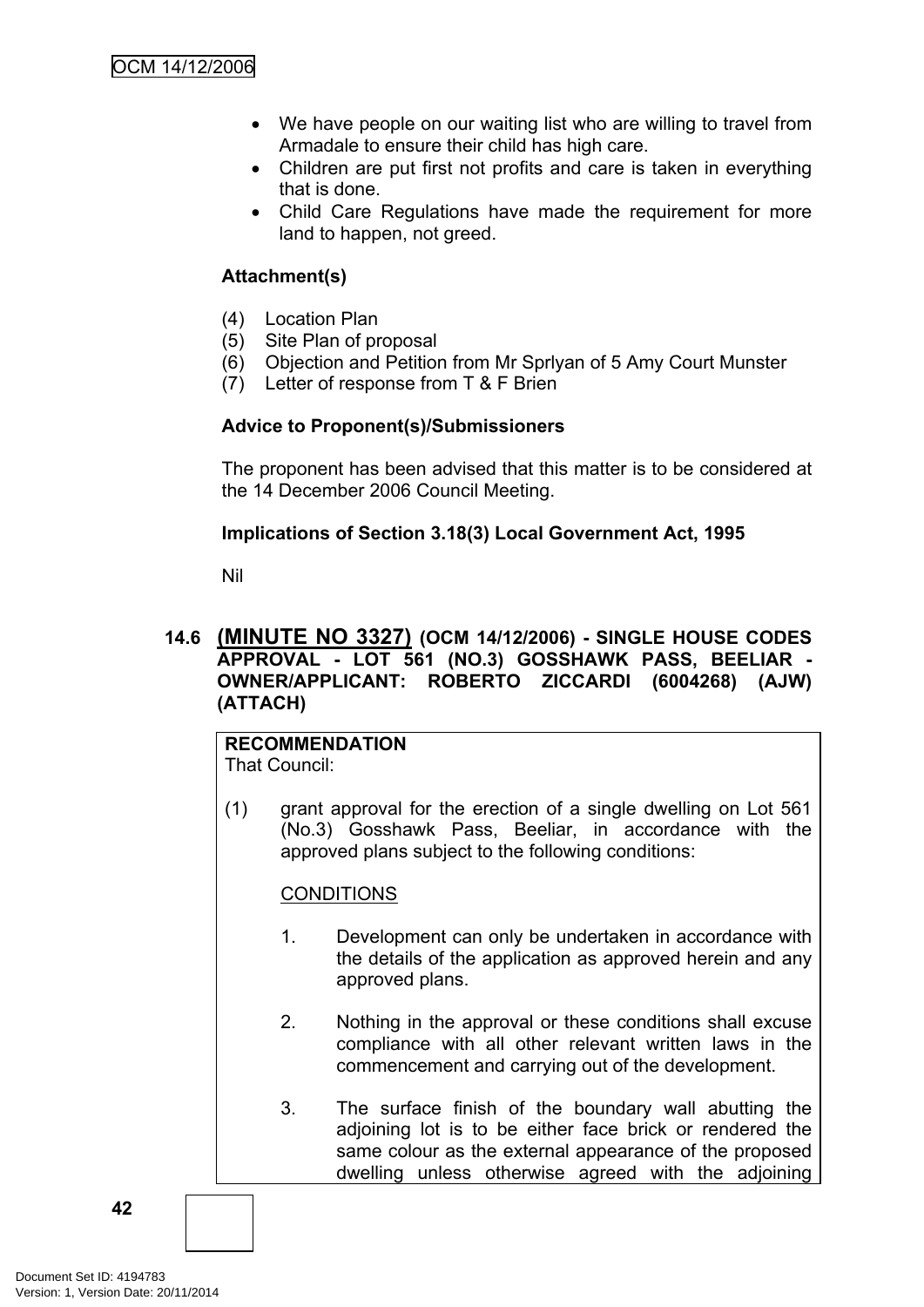- We have people on our waiting list who are willing to travel from Armadale to ensure their child has high care.
- Children are put first not profits and care is taken in everything that is done.
- Child Care Regulations have made the requirement for more land to happen, not greed.

#### **Attachment(s)**

- (4) Location Plan
- (5) Site Plan of proposal
- (6) Objection and Petition from Mr Sprlyan of 5 Amy Court Munster
- (7) Letter of response from T & F Brien

#### **Advice to Proponent(s)/Submissioners**

The proponent has been advised that this matter is to be considered at the 14 December 2006 Council Meeting.

#### **Implications of Section 3.18(3) Local Government Act, 1995**

Nil

#### **14.6 (MINUTE NO 3327) (OCM 14/12/2006) - SINGLE HOUSE CODES APPROVAL - LOT 561 (NO.3) GOSSHAWK PASS, BEELIAR - OWNER/APPLICANT: ROBERTO ZICCARDI (6004268) (AJW) (ATTACH)**

## **RECOMMENDATION**

That Council:

(1) grant approval for the erection of a single dwelling on Lot 561 (No.3) Gosshawk Pass, Beeliar, in accordance with the approved plans subject to the following conditions:

## **CONDITIONS**

- 1. Development can only be undertaken in accordance with the details of the application as approved herein and any approved plans.
- 2. Nothing in the approval or these conditions shall excuse compliance with all other relevant written laws in the commencement and carrying out of the development.
- 3. The surface finish of the boundary wall abutting the adjoining lot is to be either face brick or rendered the same colour as the external appearance of the proposed dwelling unless otherwise agreed with the adjoining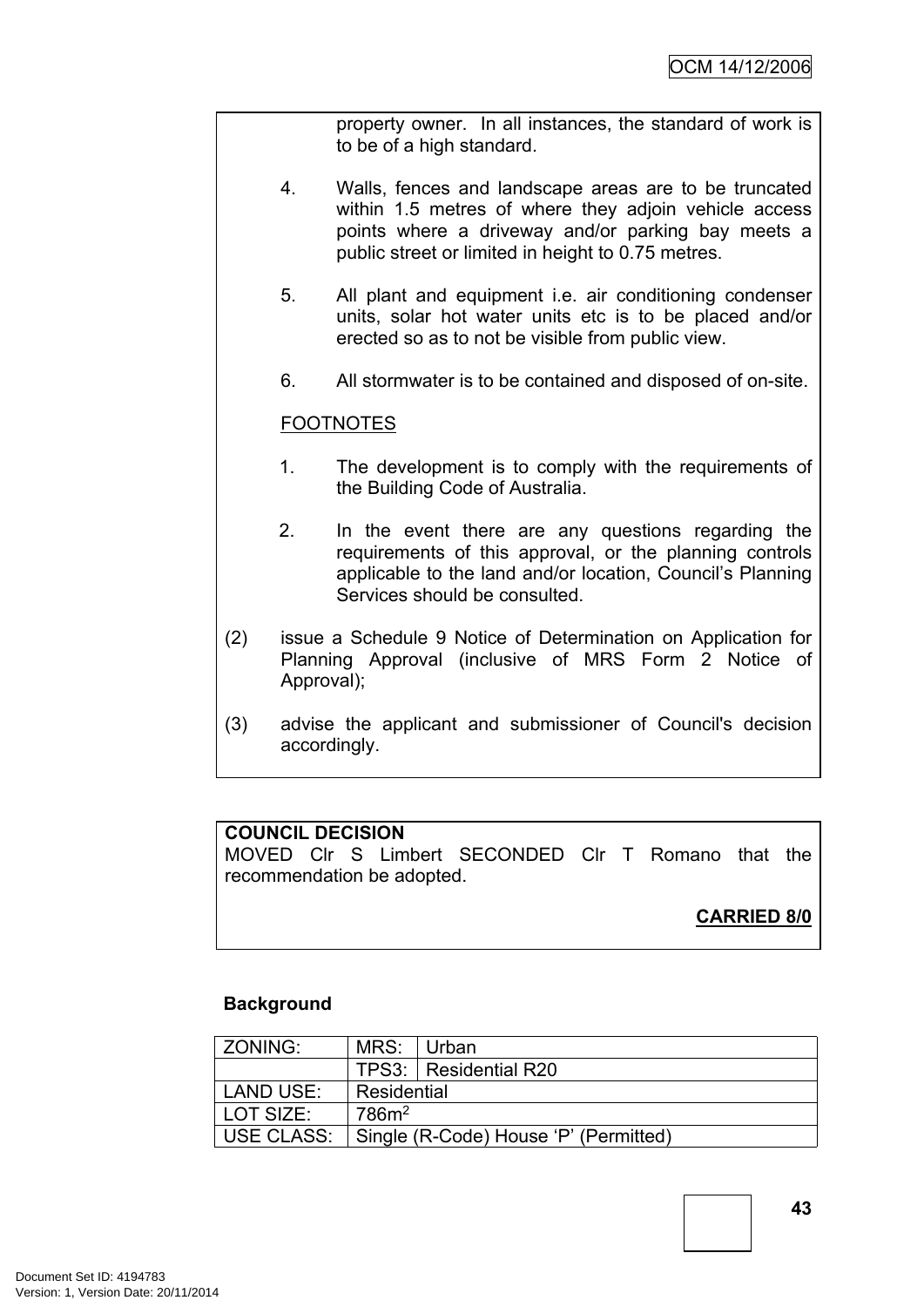property owner. In all instances, the standard of work is to be of a high standard.

- 4. Walls, fences and landscape areas are to be truncated within 1.5 metres of where they adjoin vehicle access points where a driveway and/or parking bay meets a public street or limited in height to 0.75 metres.
- 5. All plant and equipment i.e. air conditioning condenser units, solar hot water units etc is to be placed and/or erected so as to not be visible from public view.
- 6. All stormwater is to be contained and disposed of on-site.

#### FOOTNOTES

- 1. The development is to comply with the requirements of the Building Code of Australia.
- 2. In the event there are any questions regarding the requirements of this approval, or the planning controls applicable to the land and/or location, Council's Planning Services should be consulted.
- (2) issue a Schedule 9 Notice of Determination on Application for Planning Approval (inclusive of MRS Form 2 Notice of Approval);
- (3) advise the applicant and submissioner of Council's decision accordingly.

#### **COUNCIL DECISION**

MOVED Clr S Limbert SECONDED Clr T Romano that the recommendation be adopted.

## **CARRIED 8/0**

#### **Background**

| ZONING:           | MRS:              | ∣Urban                                |  |
|-------------------|-------------------|---------------------------------------|--|
|                   |                   | TPS3: Residential R20                 |  |
| LAND USE:         | Residential       |                                       |  |
| LOT SIZE:         | 786m <sup>2</sup> |                                       |  |
| <b>USE CLASS:</b> |                   | Single (R-Code) House 'P' (Permitted) |  |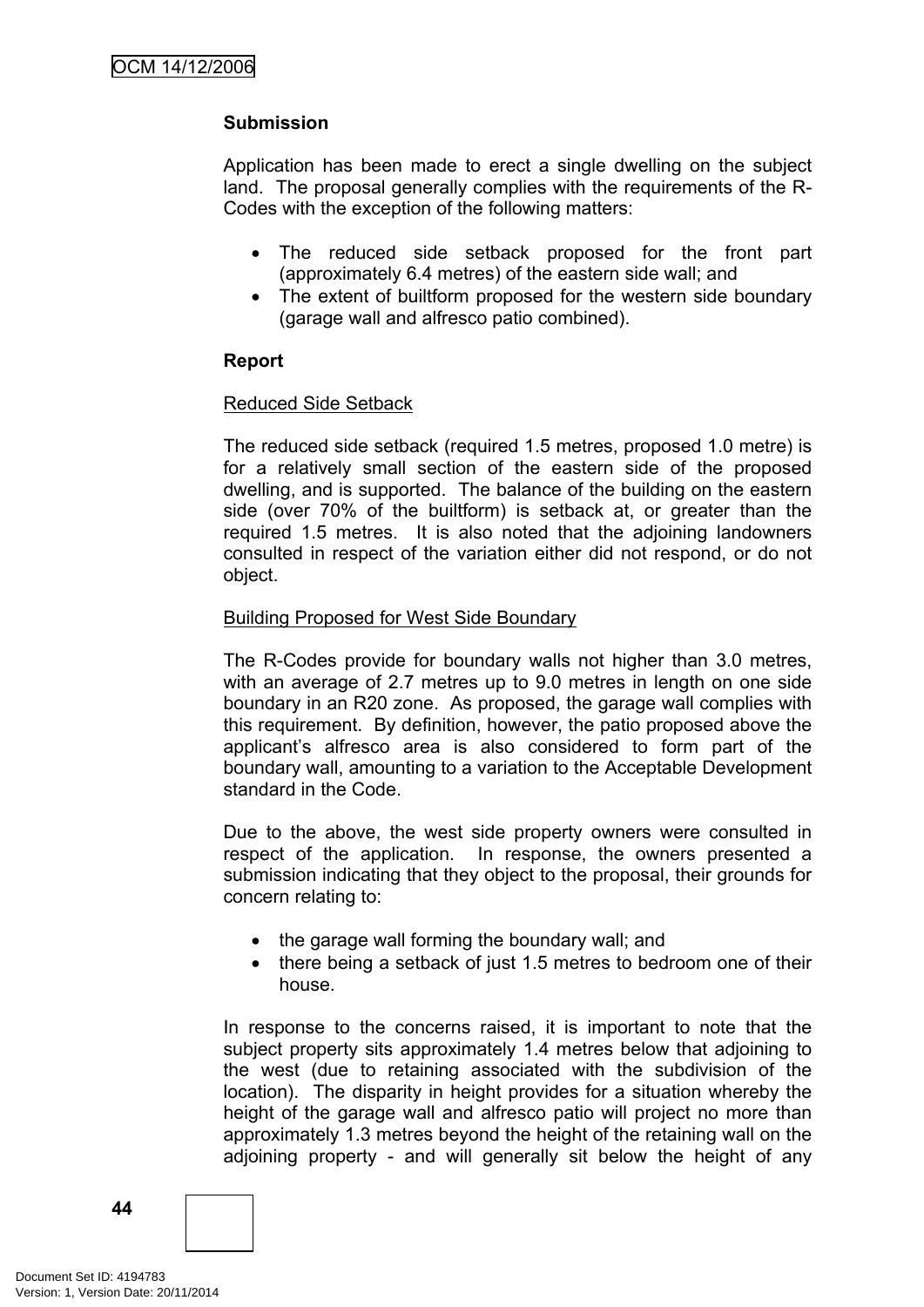## **Submission**

Application has been made to erect a single dwelling on the subject land. The proposal generally complies with the requirements of the R-Codes with the exception of the following matters:

- The reduced side setback proposed for the front part (approximately 6.4 metres) of the eastern side wall; and
- The extent of builtform proposed for the western side boundary (garage wall and alfresco patio combined).

#### **Report**

#### Reduced Side Setback

The reduced side setback (required 1.5 metres, proposed 1.0 metre) is for a relatively small section of the eastern side of the proposed dwelling, and is supported. The balance of the building on the eastern side (over 70% of the builtform) is setback at, or greater than the required 1.5 metres. It is also noted that the adjoining landowners consulted in respect of the variation either did not respond, or do not object.

#### Building Proposed for West Side Boundary

The R-Codes provide for boundary walls not higher than 3.0 metres, with an average of 2.7 metres up to 9.0 metres in length on one side boundary in an R20 zone. As proposed, the garage wall complies with this requirement. By definition, however, the patio proposed above the applicant's alfresco area is also considered to form part of the boundary wall, amounting to a variation to the Acceptable Development standard in the Code.

Due to the above, the west side property owners were consulted in respect of the application. In response, the owners presented a submission indicating that they object to the proposal, their grounds for concern relating to:

- the garage wall forming the boundary wall; and
- there being a setback of just 1.5 metres to bedroom one of their house.

In response to the concerns raised, it is important to note that the subject property sits approximately 1.4 metres below that adjoining to the west (due to retaining associated with the subdivision of the location). The disparity in height provides for a situation whereby the height of the garage wall and alfresco patio will project no more than approximately 1.3 metres beyond the height of the retaining wall on the adjoining property - and will generally sit below the height of any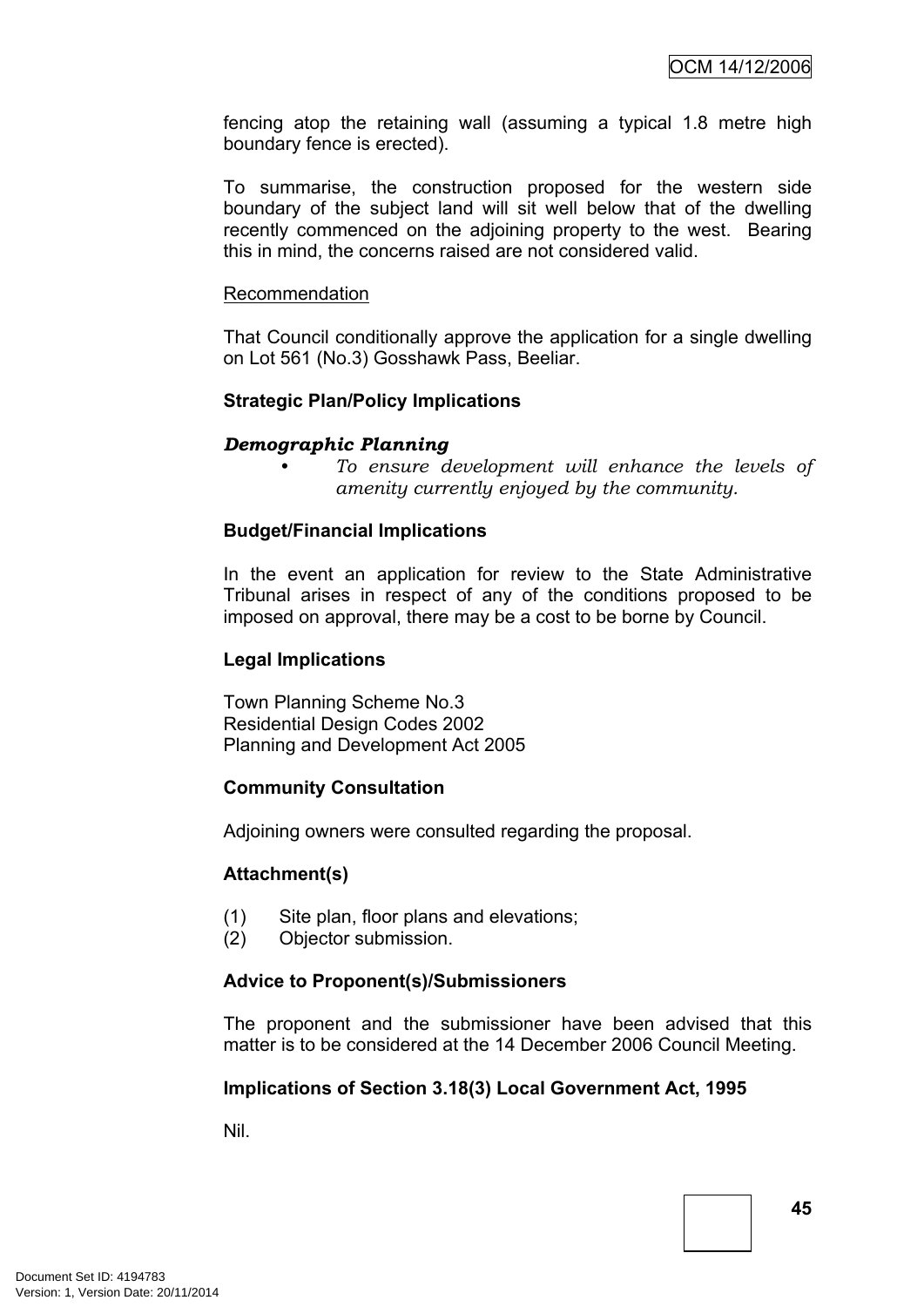fencing atop the retaining wall (assuming a typical 1.8 metre high boundary fence is erected).

To summarise, the construction proposed for the western side boundary of the subject land will sit well below that of the dwelling recently commenced on the adjoining property to the west. Bearing this in mind, the concerns raised are not considered valid.

#### Recommendation

That Council conditionally approve the application for a single dwelling on Lot 561 (No.3) Gosshawk Pass, Beeliar.

#### **Strategic Plan/Policy Implications**

#### *Demographic Planning*

*• To ensure development will enhance the levels of amenity currently enjoyed by the community.*

#### **Budget/Financial Implications**

In the event an application for review to the State Administrative Tribunal arises in respect of any of the conditions proposed to be imposed on approval, there may be a cost to be borne by Council.

#### **Legal Implications**

Town Planning Scheme No.3 Residential Design Codes 2002 Planning and Development Act 2005

#### **Community Consultation**

Adjoining owners were consulted regarding the proposal.

#### **Attachment(s)**

- (1) Site plan, floor plans and elevations;
- (2) Objector submission.

#### **Advice to Proponent(s)/Submissioners**

The proponent and the submissioner have been advised that this matter is to be considered at the 14 December 2006 Council Meeting.

#### **Implications of Section 3.18(3) Local Government Act, 1995**

Nil.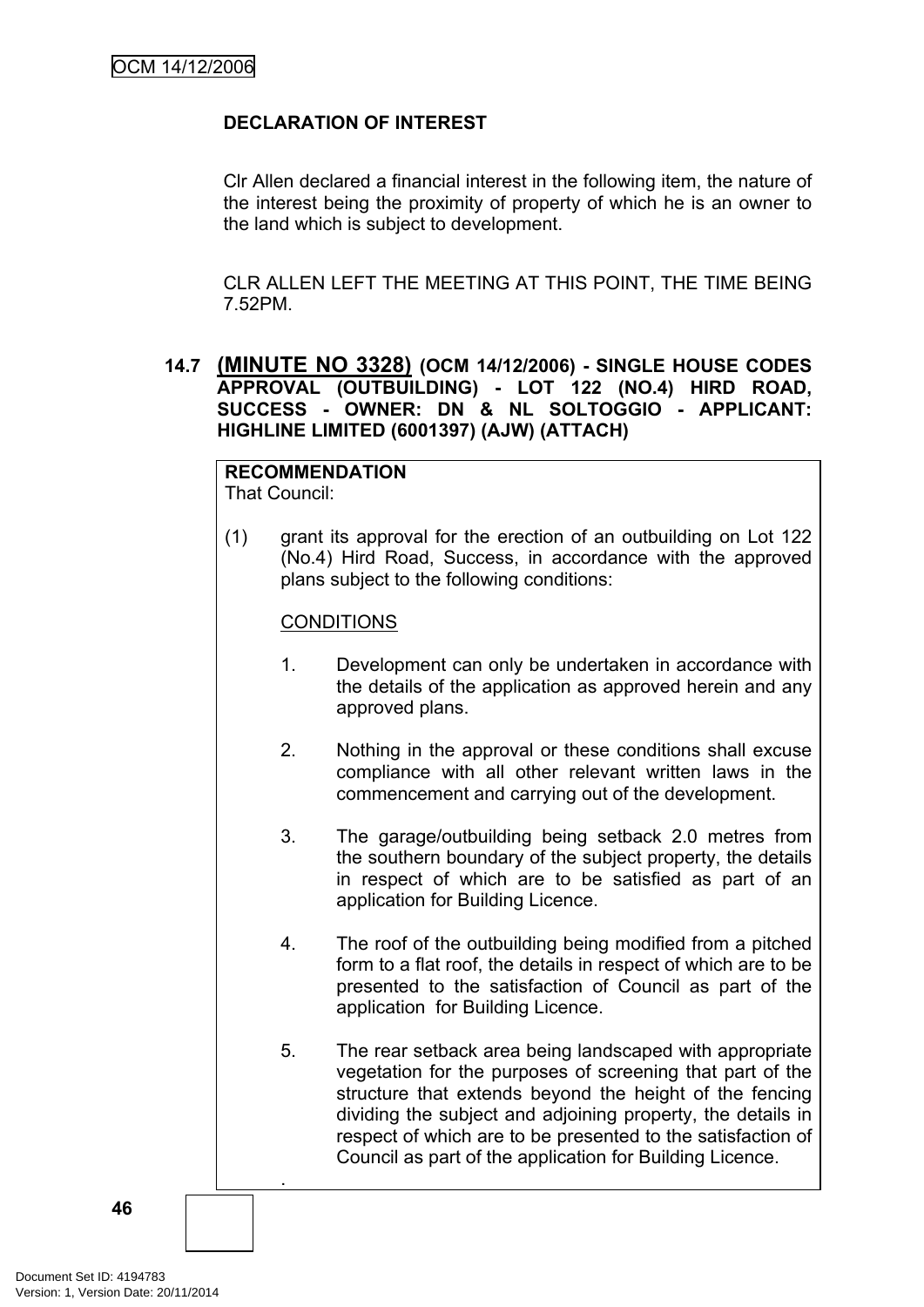## **DECLARATION OF INTEREST**

Clr Allen declared a financial interest in the following item, the nature of the interest being the proximity of property of which he is an owner to the land which is subject to development.

CLR ALLEN LEFT THE MEETING AT THIS POINT, THE TIME BEING 7.52PM.

#### **14.7 (MINUTE NO 3328) (OCM 14/12/2006) - SINGLE HOUSE CODES APPROVAL (OUTBUILDING) - LOT 122 (NO.4) HIRD ROAD, SUCCESS - OWNER: DN & NL SOLTOGGIO - APPLICANT: HIGHLINE LIMITED (6001397) (AJW) (ATTACH)**

# **RECOMMENDATION**

That Council:

.

(1) grant its approval for the erection of an outbuilding on Lot 122 (No.4) Hird Road, Success, in accordance with the approved plans subject to the following conditions:

## **CONDITIONS**

- 1. Development can only be undertaken in accordance with the details of the application as approved herein and any approved plans.
- 2. Nothing in the approval or these conditions shall excuse compliance with all other relevant written laws in the commencement and carrying out of the development.
- 3. The garage/outbuilding being setback 2.0 metres from the southern boundary of the subject property, the details in respect of which are to be satisfied as part of an application for Building Licence.
- 4. The roof of the outbuilding being modified from a pitched form to a flat roof, the details in respect of which are to be presented to the satisfaction of Council as part of the application for Building Licence.
- 5. The rear setback area being landscaped with appropriate vegetation for the purposes of screening that part of the structure that extends beyond the height of the fencing dividing the subject and adjoining property, the details in respect of which are to be presented to the satisfaction of Council as part of the application for Building Licence.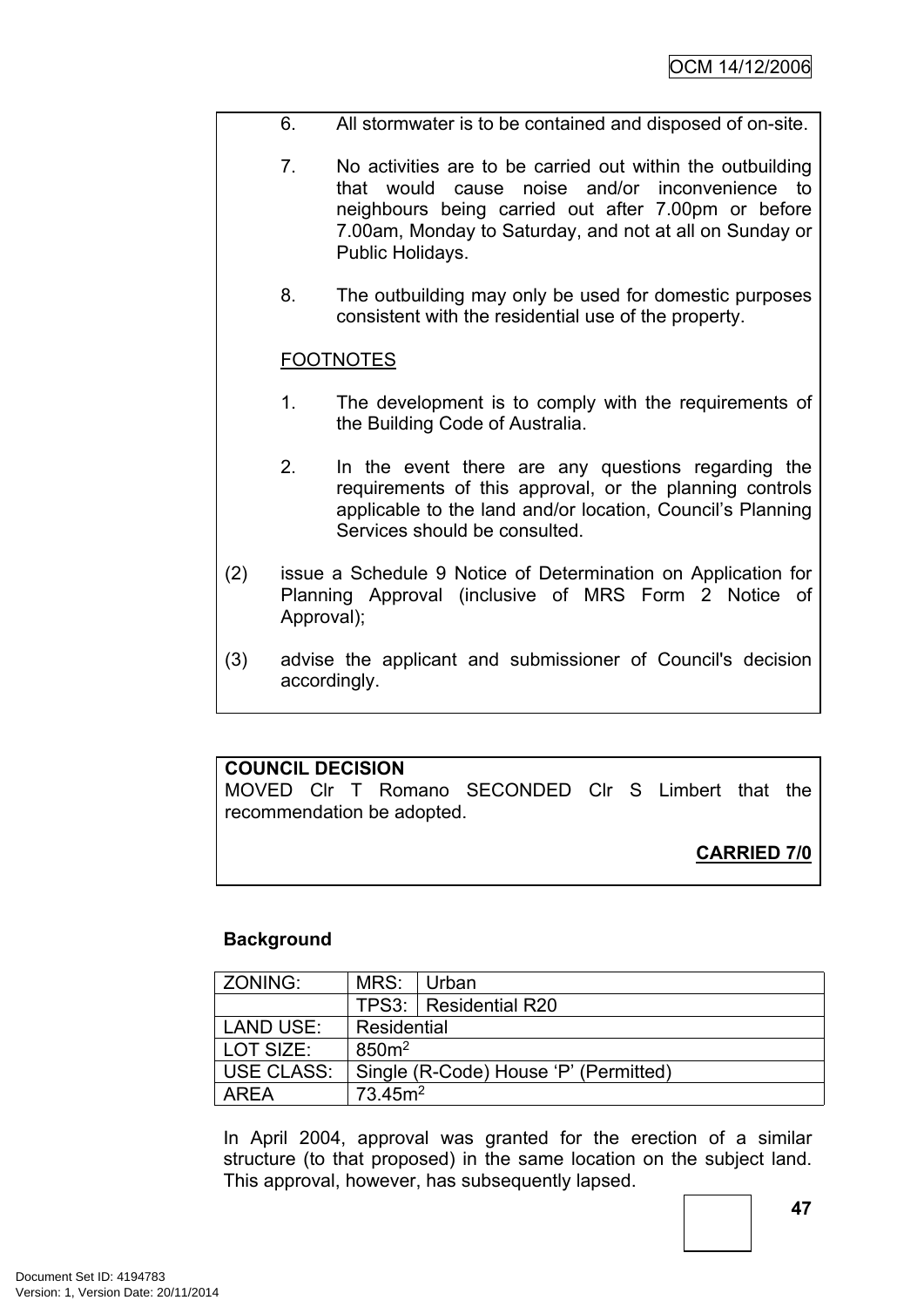- 6. All stormwater is to be contained and disposed of on-site.
- 7. No activities are to be carried out within the outbuilding that would cause noise and/or inconvenience to neighbours being carried out after 7.00pm or before 7.00am, Monday to Saturday, and not at all on Sunday or Public Holidays.
- 8. The outbuilding may only be used for domestic purposes consistent with the residential use of the property.

#### **FOOTNOTES**

- 1. The development is to comply with the requirements of the Building Code of Australia.
- 2. In the event there are any questions regarding the requirements of this approval, or the planning controls applicable to the land and/or location, Council's Planning Services should be consulted.
- (2) issue a Schedule 9 Notice of Determination on Application for Planning Approval (inclusive of MRS Form 2 Notice of Approval);
- (3) advise the applicant and submissioner of Council's decision accordingly.

## **COUNCIL DECISION**

MOVED Clr T Romano SECONDED Clr S Limbert that the recommendation be adopted.

## **CARRIED 7/0**

#### **Background**

| ZONING:           | MRS:                                  | Urban                   |  |
|-------------------|---------------------------------------|-------------------------|--|
|                   |                                       | TPS3:   Residential R20 |  |
| <b>LAND USE:</b>  | Residential                           |                         |  |
| LOT SIZE:         | 850 <sup>m²</sup>                     |                         |  |
| <b>USE CLASS:</b> | Single (R-Code) House 'P' (Permitted) |                         |  |
| ARFA              | 73.45m <sup>2</sup>                   |                         |  |

In April 2004, approval was granted for the erection of a similar structure (to that proposed) in the same location on the subject land. This approval, however, has subsequently lapsed.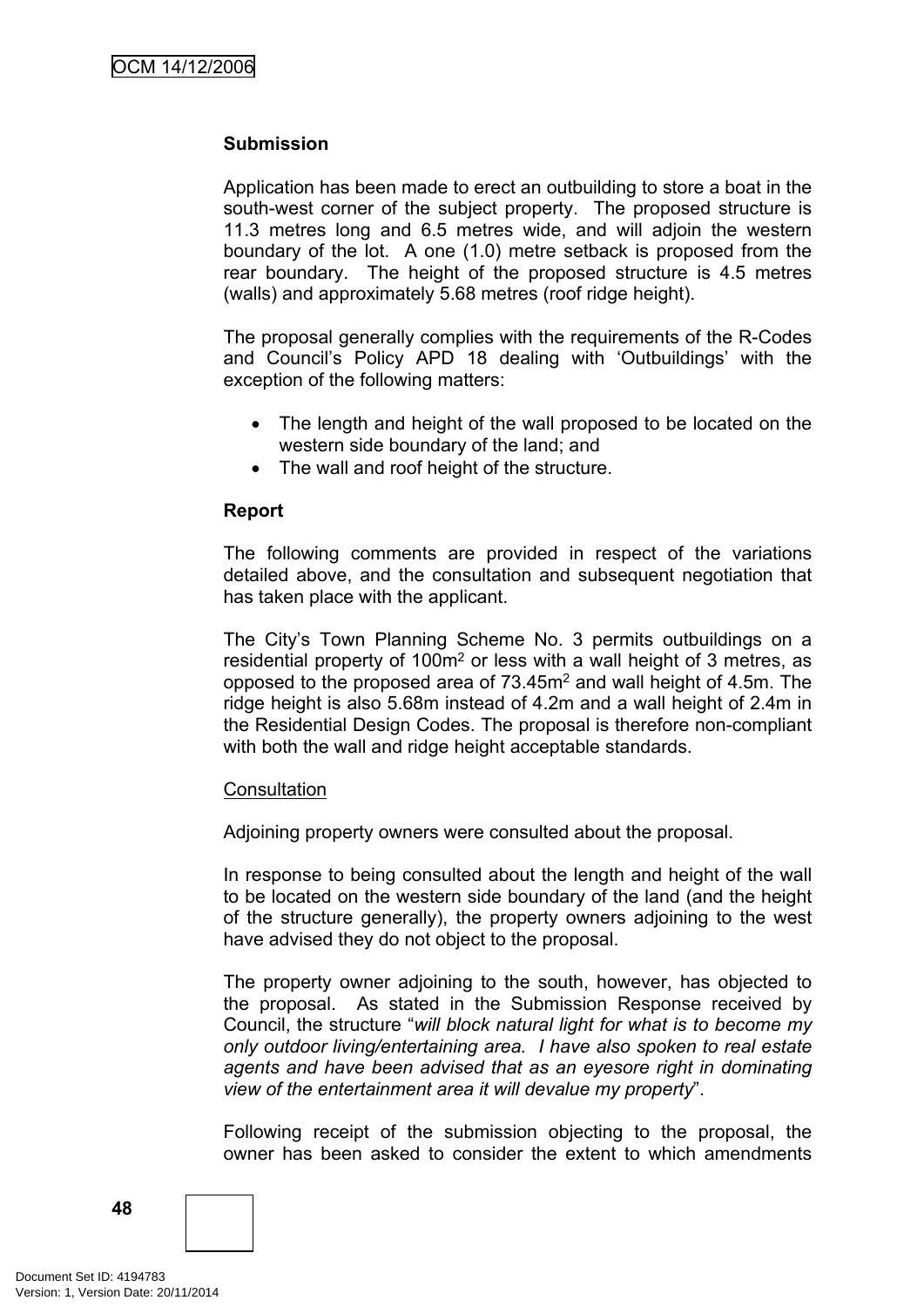#### **Submission**

Application has been made to erect an outbuilding to store a boat in the south-west corner of the subject property. The proposed structure is 11.3 metres long and 6.5 metres wide, and will adjoin the western boundary of the lot. A one (1.0) metre setback is proposed from the rear boundary. The height of the proposed structure is 4.5 metres (walls) and approximately 5.68 metres (roof ridge height).

The proposal generally complies with the requirements of the R-Codes and Council's Policy APD 18 dealing with 'Outbuildings' with the exception of the following matters:

- The length and height of the wall proposed to be located on the western side boundary of the land; and
- The wall and roof height of the structure.

#### **Report**

The following comments are provided in respect of the variations detailed above, and the consultation and subsequent negotiation that has taken place with the applicant.

The City's Town Planning Scheme No. 3 permits outbuildings on a residential property of 100m<sup>2</sup> or less with a wall height of 3 metres, as opposed to the proposed area of 73.45m<sup>2</sup> and wall height of 4.5m. The ridge height is also 5.68m instead of 4.2m and a wall height of 2.4m in the Residential Design Codes. The proposal is therefore non-compliant with both the wall and ridge height acceptable standards.

#### **Consultation**

Adjoining property owners were consulted about the proposal.

In response to being consulted about the length and height of the wall to be located on the western side boundary of the land (and the height of the structure generally), the property owners adjoining to the west have advised they do not object to the proposal.

The property owner adjoining to the south, however, has objected to the proposal. As stated in the Submission Response received by Council, the structure "*will block natural light for what is to become my only outdoor living/entertaining area. I have also spoken to real estate agents and have been advised that as an eyesore right in dominating view of the entertainment area it will devalue my property*".

Following receipt of the submission objecting to the proposal, the owner has been asked to consider the extent to which amendments

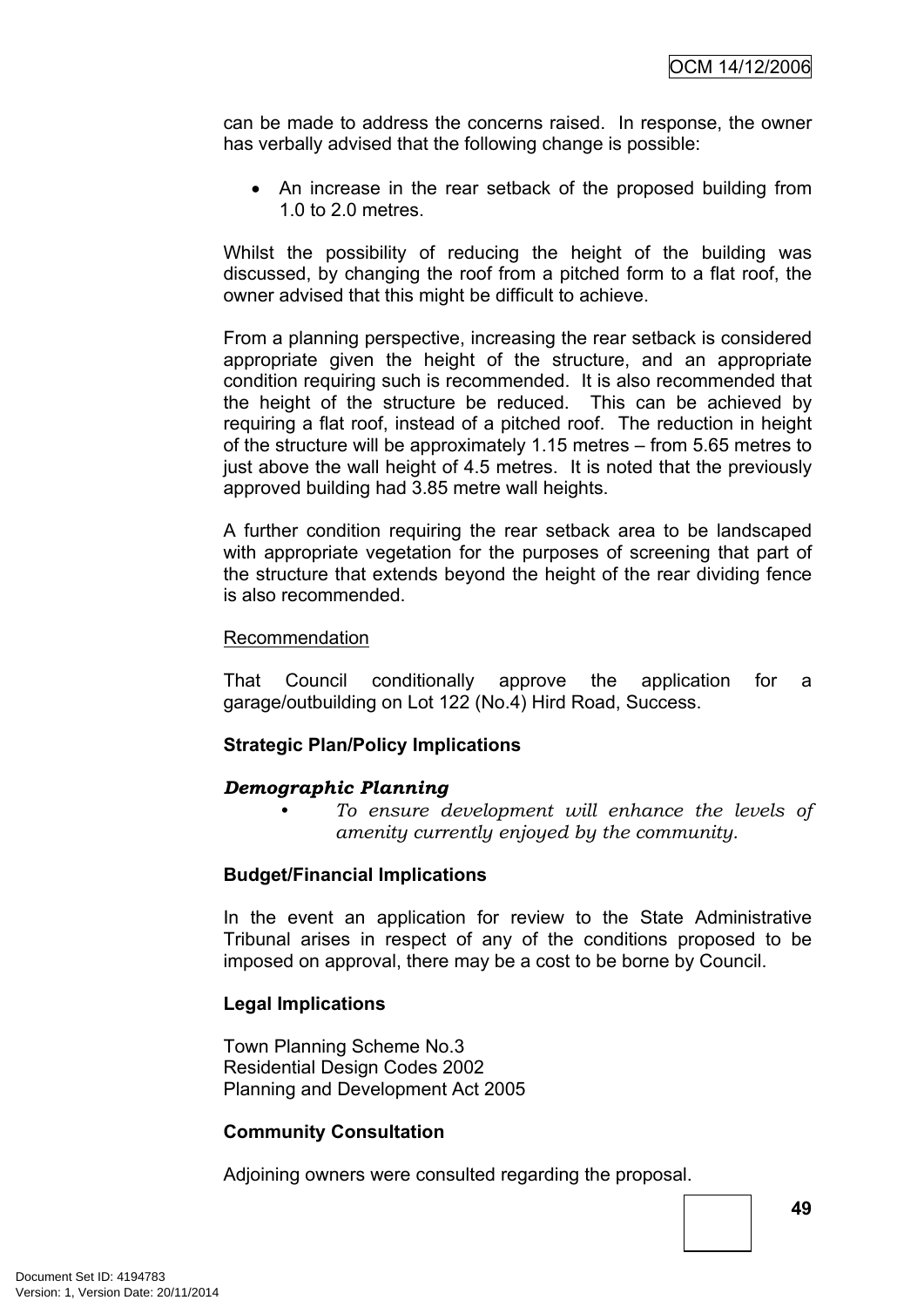can be made to address the concerns raised. In response, the owner has verbally advised that the following change is possible:

• An increase in the rear setback of the proposed building from 1.0 to 2.0 metres.

Whilst the possibility of reducing the height of the building was discussed, by changing the roof from a pitched form to a flat roof, the owner advised that this might be difficult to achieve.

From a planning perspective, increasing the rear setback is considered appropriate given the height of the structure, and an appropriate condition requiring such is recommended. It is also recommended that the height of the structure be reduced. This can be achieved by requiring a flat roof, instead of a pitched roof. The reduction in height of the structure will be approximately 1.15 metres – from 5.65 metres to just above the wall height of 4.5 metres. It is noted that the previously approved building had 3.85 metre wall heights.

A further condition requiring the rear setback area to be landscaped with appropriate vegetation for the purposes of screening that part of the structure that extends beyond the height of the rear dividing fence is also recommended.

#### Recommendation

That Council conditionally approve the application for a garage/outbuilding on Lot 122 (No.4) Hird Road, Success.

#### **Strategic Plan/Policy Implications**

#### *Demographic Planning*

*• To ensure development will enhance the levels of amenity currently enjoyed by the community.*

#### **Budget/Financial Implications**

In the event an application for review to the State Administrative Tribunal arises in respect of any of the conditions proposed to be imposed on approval, there may be a cost to be borne by Council.

#### **Legal Implications**

Town Planning Scheme No.3 Residential Design Codes 2002 Planning and Development Act 2005

#### **Community Consultation**

Adjoining owners were consulted regarding the proposal.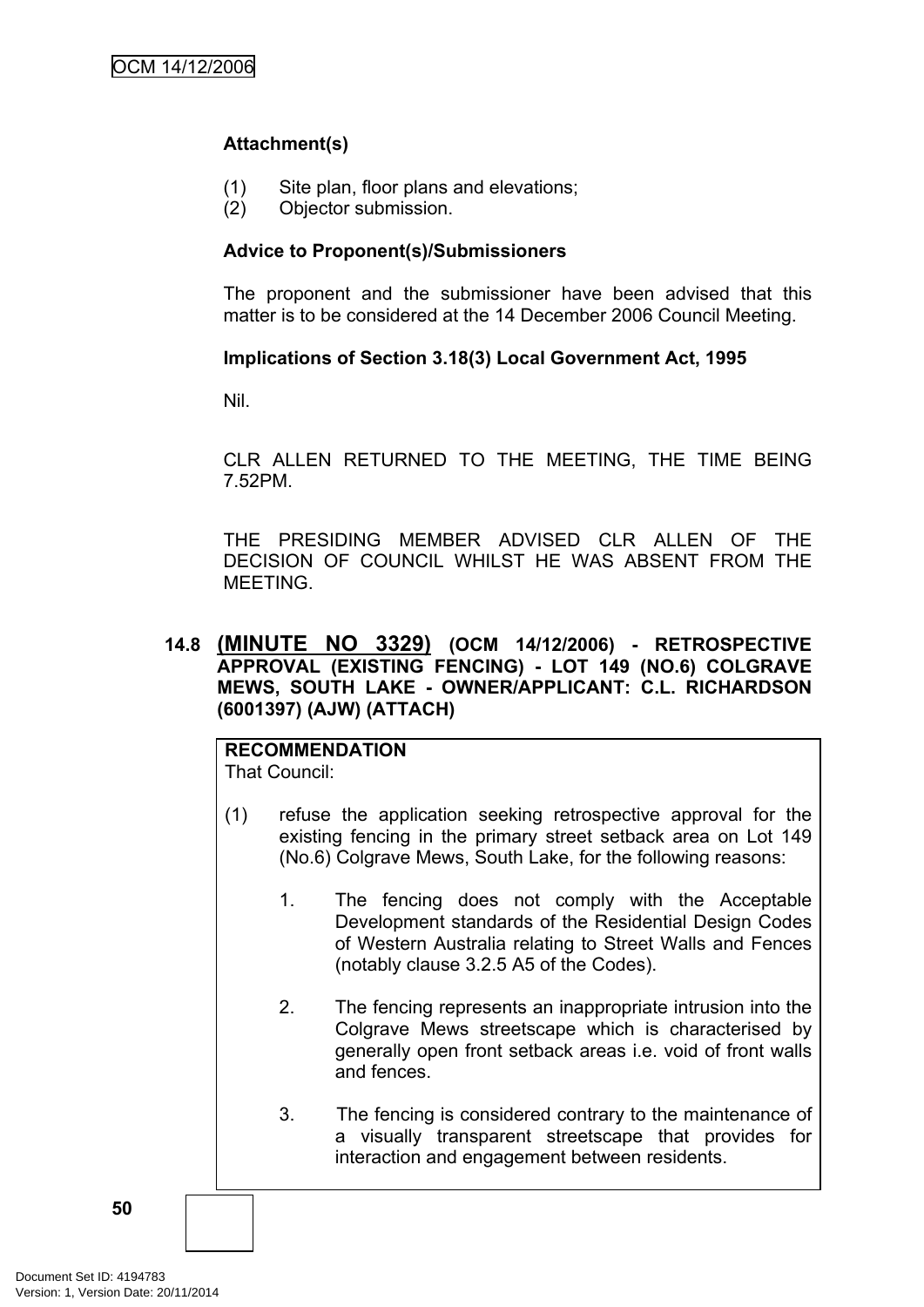## **Attachment(s)**

- (1) Site plan, floor plans and elevations;
- (2) Objector submission.

#### **Advice to Proponent(s)/Submissioners**

The proponent and the submissioner have been advised that this matter is to be considered at the 14 December 2006 Council Meeting.

#### **Implications of Section 3.18(3) Local Government Act, 1995**

Nil.

CLR ALLEN RETURNED TO THE MEETING, THE TIME BEING 7.52PM.

THE PRESIDING MEMBER ADVISED CLR ALLEN OF THE DECISION OF COUNCIL WHILST HE WAS ABSENT FROM THE MEETING.

#### **14.8 (MINUTE NO 3329) (OCM 14/12/2006) - RETROSPECTIVE APPROVAL (EXISTING FENCING) - LOT 149 (NO.6) COLGRAVE MEWS, SOUTH LAKE - OWNER/APPLICANT: C.L. RICHARDSON (6001397) (AJW) (ATTACH)**

**RECOMMENDATION** That Council:

- (1) refuse the application seeking retrospective approval for the existing fencing in the primary street setback area on Lot 149 (No.6) Colgrave Mews, South Lake, for the following reasons:
	- 1. The fencing does not comply with the Acceptable Development standards of the Residential Design Codes of Western Australia relating to Street Walls and Fences (notably clause 3.2.5 A5 of the Codes).
	- 2. The fencing represents an inappropriate intrusion into the Colgrave Mews streetscape which is characterised by generally open front setback areas i.e. void of front walls and fences.
	- 3. The fencing is considered contrary to the maintenance of a visually transparent streetscape that provides for interaction and engagement between residents.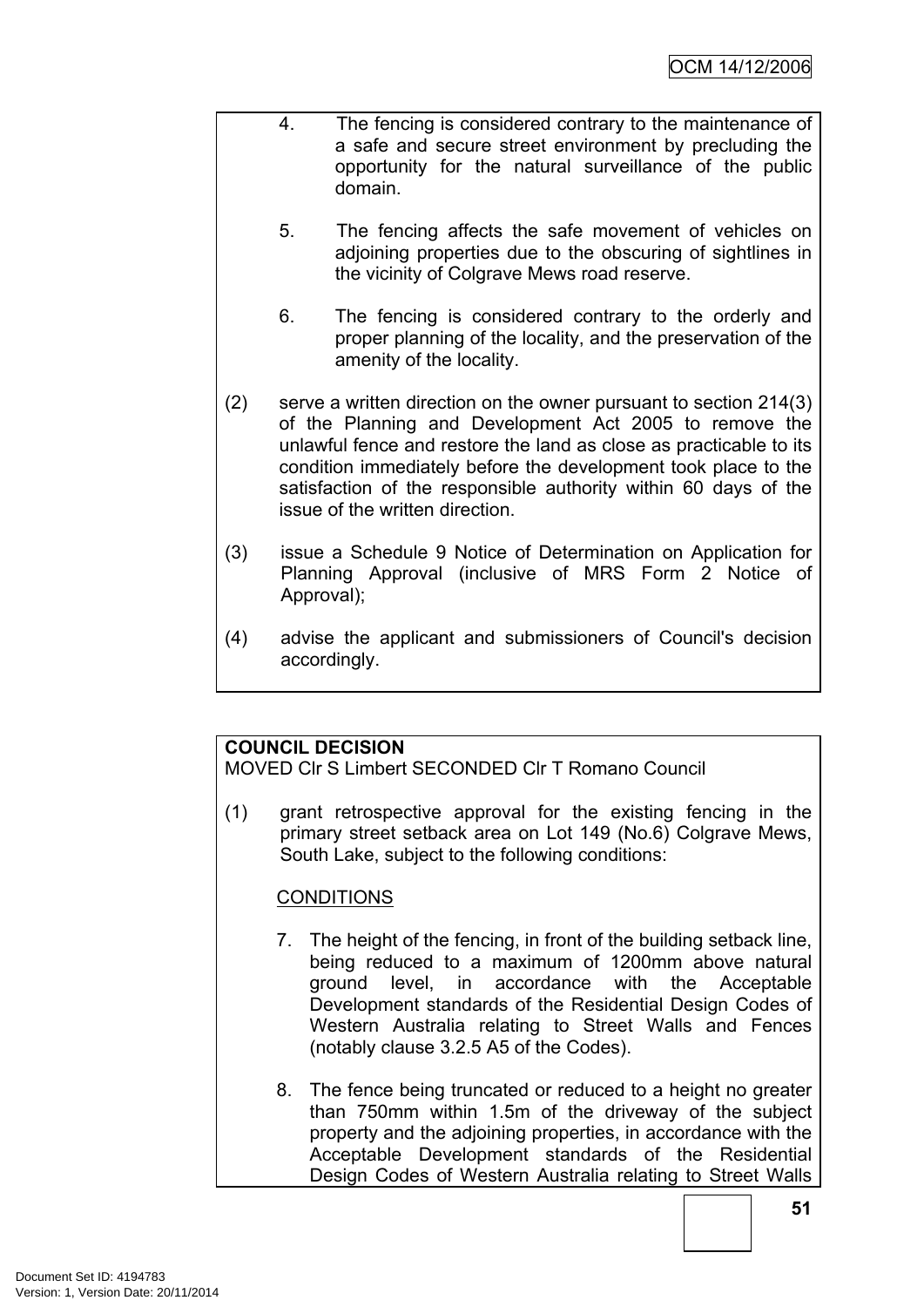- 4. The fencing is considered contrary to the maintenance of a safe and secure street environment by precluding the opportunity for the natural surveillance of the public domain.
	- 5. The fencing affects the safe movement of vehicles on adioining properties due to the obscuring of sightlines in the vicinity of Colgrave Mews road reserve.
	- 6. The fencing is considered contrary to the orderly and proper planning of the locality, and the preservation of the amenity of the locality.
- (2) serve a written direction on the owner pursuant to section 214(3) of the Planning and Development Act 2005 to remove the unlawful fence and restore the land as close as practicable to its condition immediately before the development took place to the satisfaction of the responsible authority within 60 days of the issue of the written direction.
- (3) issue a Schedule 9 Notice of Determination on Application for Planning Approval (inclusive of MRS Form 2 Notice of Approval);
- (4) advise the applicant and submissioners of Council's decision accordingly.

## **COUNCIL DECISION**

MOVED Clr S Limbert SECONDED Clr T Romano Council

(1) grant retrospective approval for the existing fencing in the primary street setback area on Lot 149 (No.6) Colgrave Mews, South Lake, subject to the following conditions:

## **CONDITIONS**

- 7. The height of the fencing, in front of the building setback line, being reduced to a maximum of 1200mm above natural ground level, in accordance with the Acceptable Development standards of the Residential Design Codes of Western Australia relating to Street Walls and Fences (notably clause 3.2.5 A5 of the Codes).
- 8. The fence being truncated or reduced to a height no greater than 750mm within 1.5m of the driveway of the subject property and the adjoining properties, in accordance with the Acceptable Development standards of the Residential Design Codes of Western Australia relating to Street Walls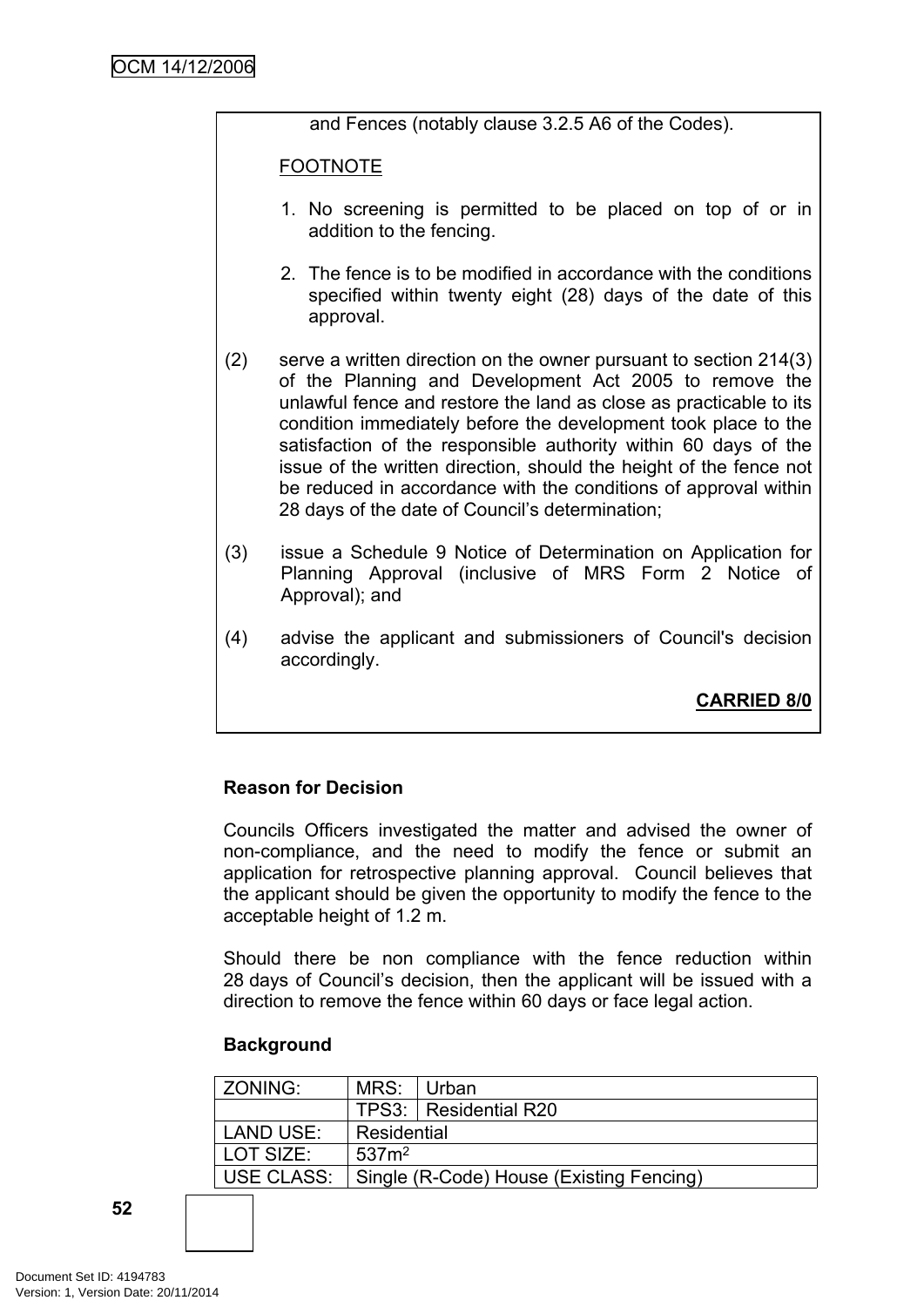and Fences (notably clause 3.2.5 A6 of the Codes).

FOOTNOTE

- 1. No screening is permitted to be placed on top of or in addition to the fencing.
- 2. The fence is to be modified in accordance with the conditions specified within twenty eight (28) days of the date of this approval.
- (2) serve a written direction on the owner pursuant to section 214(3) of the Planning and Development Act 2005 to remove the unlawful fence and restore the land as close as practicable to its condition immediately before the development took place to the satisfaction of the responsible authority within 60 days of the issue of the written direction, should the height of the fence not be reduced in accordance with the conditions of approval within 28 days of the date of Council's determination;
- (3) issue a Schedule 9 Notice of Determination on Application for Planning Approval (inclusive of MRS Form 2 Notice of Approval); and
- (4) advise the applicant and submissioners of Council's decision accordingly.

**CARRIED 8/0**

## **Reason for Decision**

Councils Officers investigated the matter and advised the owner of non-compliance, and the need to modify the fence or submit an application for retrospective planning approval. Council believes that the applicant should be given the opportunity to modify the fence to the acceptable height of 1.2 m.

Should there be non compliance with the fence reduction within 28 days of Council's decision, then the applicant will be issued with a direction to remove the fence within 60 days or face legal action.

#### **Background**

| <b>ZONING:</b> | MRS:              | ∣ Urban                                  |
|----------------|-------------------|------------------------------------------|
|                |                   | TPS3:   Residential R20                  |
| LAND USE:      | Residential       |                                          |
| LOT SIZE:      | 537 <sub>m²</sub> |                                          |
| USE CLASS:     |                   | Single (R-Code) House (Existing Fencing) |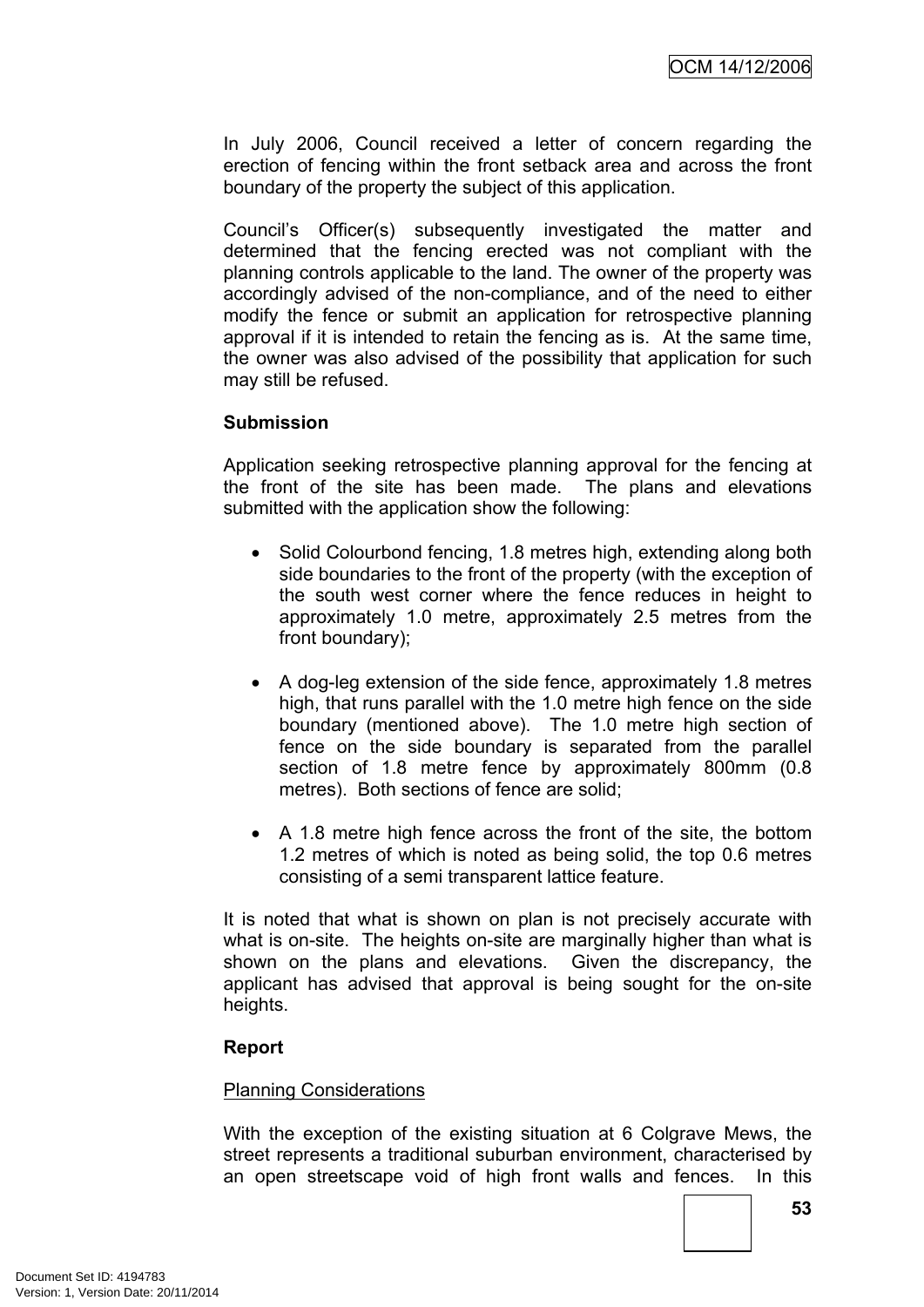In July 2006, Council received a letter of concern regarding the erection of fencing within the front setback area and across the front boundary of the property the subject of this application.

Council's Officer(s) subsequently investigated the matter and determined that the fencing erected was not compliant with the planning controls applicable to the land. The owner of the property was accordingly advised of the non-compliance, and of the need to either modify the fence or submit an application for retrospective planning approval if it is intended to retain the fencing as is. At the same time, the owner was also advised of the possibility that application for such may still be refused.

#### **Submission**

Application seeking retrospective planning approval for the fencing at the front of the site has been made. The plans and elevations submitted with the application show the following:

- Solid Colourbond fencing, 1.8 metres high, extending along both side boundaries to the front of the property (with the exception of the south west corner where the fence reduces in height to approximately 1.0 metre, approximately 2.5 metres from the front boundary);
- A dog-leg extension of the side fence, approximately 1.8 metres high, that runs parallel with the 1.0 metre high fence on the side boundary (mentioned above). The 1.0 metre high section of fence on the side boundary is separated from the parallel section of 1.8 metre fence by approximately 800mm (0.8 metres). Both sections of fence are solid;
- A 1.8 metre high fence across the front of the site, the bottom 1.2 metres of which is noted as being solid, the top 0.6 metres consisting of a semi transparent lattice feature.

It is noted that what is shown on plan is not precisely accurate with what is on-site. The heights on-site are marginally higher than what is shown on the plans and elevations. Given the discrepancy, the applicant has advised that approval is being sought for the on-site heights.

## **Report**

#### Planning Considerations

With the exception of the existing situation at 6 Colgrave Mews, the street represents a traditional suburban environment, characterised by an open streetscape void of high front walls and fences. In this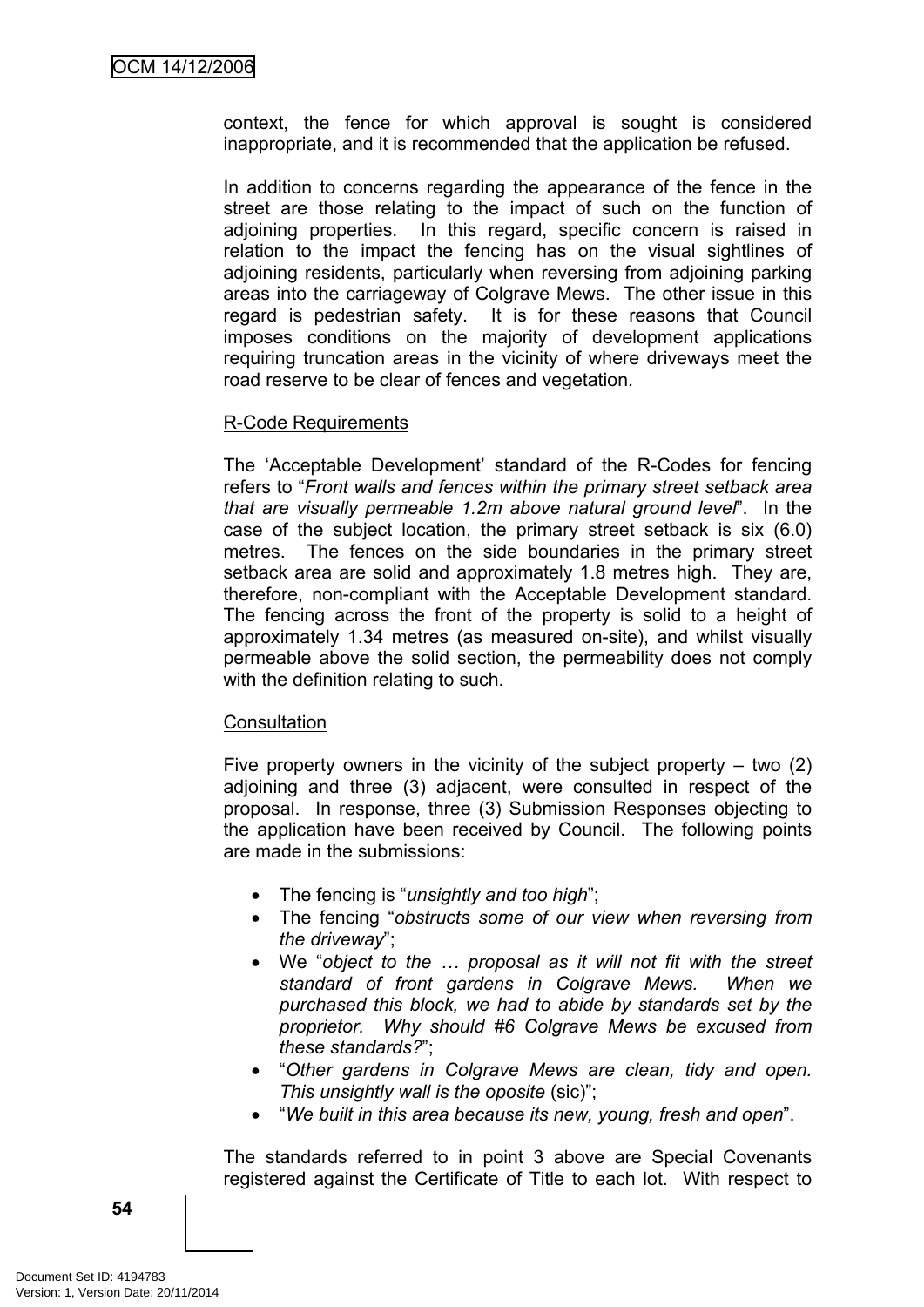context, the fence for which approval is sought is considered inappropriate, and it is recommended that the application be refused.

In addition to concerns regarding the appearance of the fence in the street are those relating to the impact of such on the function of adjoining properties. In this regard, specific concern is raised in relation to the impact the fencing has on the visual sightlines of adjoining residents, particularly when reversing from adjoining parking areas into the carriageway of Colgrave Mews. The other issue in this regard is pedestrian safety. It is for these reasons that Council imposes conditions on the majority of development applications requiring truncation areas in the vicinity of where driveways meet the road reserve to be clear of fences and vegetation.

#### R-Code Requirements

The 'Acceptable Development' standard of the R-Codes for fencing refers to "*Front walls and fences within the primary street setback area that are visually permeable 1.2m above natural ground level*". In the case of the subject location, the primary street setback is six (6.0) metres. The fences on the side boundaries in the primary street setback area are solid and approximately 1.8 metres high. They are, therefore, non-compliant with the Acceptable Development standard. The fencing across the front of the property is solid to a height of approximately 1.34 metres (as measured on-site), and whilst visually permeable above the solid section, the permeability does not comply with the definition relating to such.

#### **Consultation**

Five property owners in the vicinity of the subject property  $-$  two  $(2)$ adjoining and three (3) adjacent, were consulted in respect of the proposal. In response, three (3) Submission Responses objecting to the application have been received by Council. The following points are made in the submissions:

- The fencing is "*unsightly and too high*";
- The fencing "*obstructs some of our view when reversing from the driveway*";
- We "*object to the … proposal as it will not fit with the street standard of front gardens in Colgrave Mews. When we purchased this block, we had to abide by standards set by the proprietor. Why should #6 Colgrave Mews be excused from these standards?*";
- "*Other gardens in Colgrave Mews are clean, tidy and open. This unsightly wall is the oposite* (sic)";
- "*We built in this area because its new, young, fresh and open*".

The standards referred to in point 3 above are Special Covenants registered against the Certificate of Title to each lot. With respect to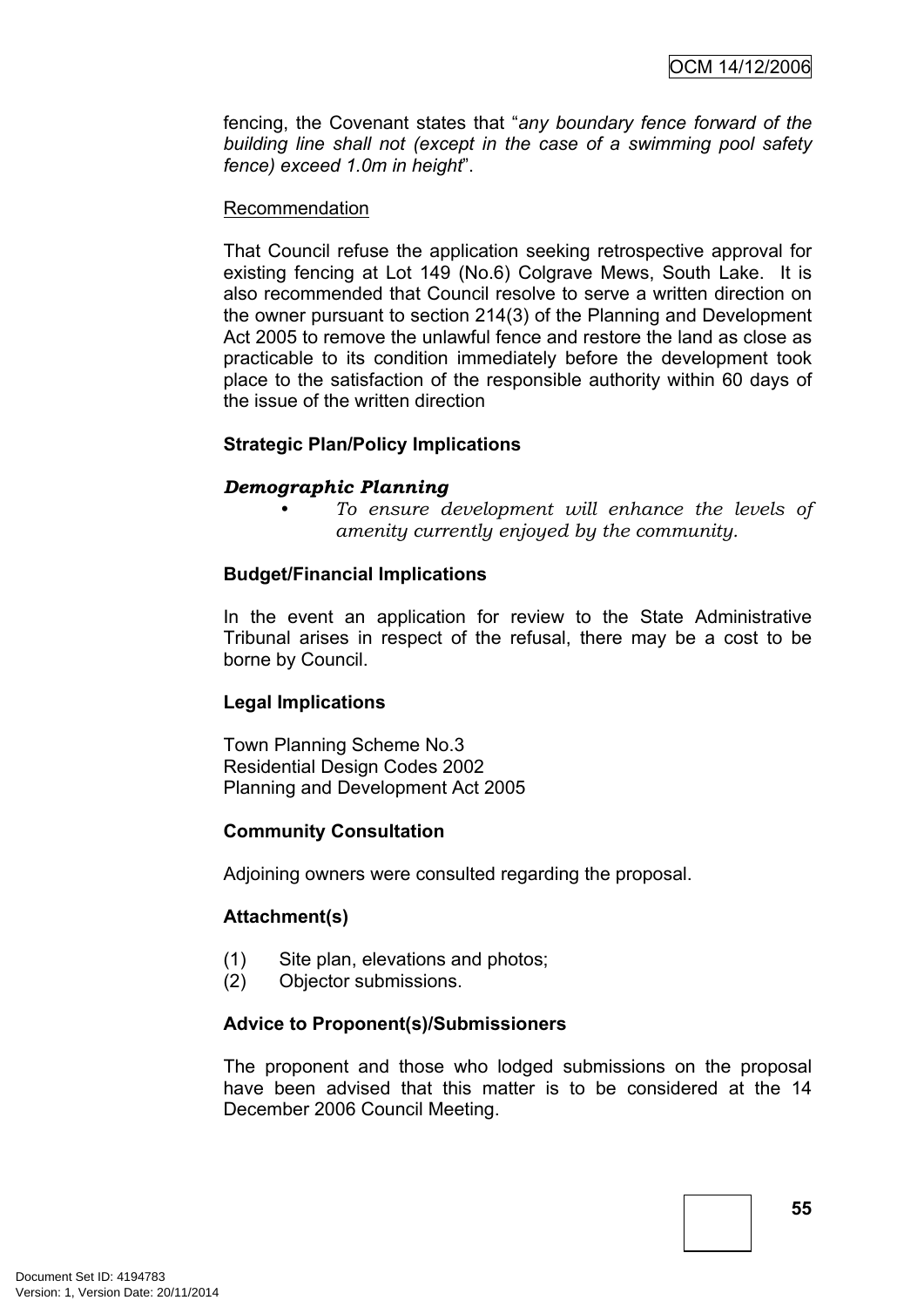fencing, the Covenant states that "*any boundary fence forward of the building line shall not (except in the case of a swimming pool safety fence) exceed 1.0m in height*".

#### Recommendation

That Council refuse the application seeking retrospective approval for existing fencing at Lot 149 (No.6) Colgrave Mews, South Lake. It is also recommended that Council resolve to serve a written direction on the owner pursuant to section 214(3) of the Planning and Development Act 2005 to remove the unlawful fence and restore the land as close as practicable to its condition immediately before the development took place to the satisfaction of the responsible authority within 60 days of the issue of the written direction

#### **Strategic Plan/Policy Implications**

#### *Demographic Planning*

*• To ensure development will enhance the levels of amenity currently enjoyed by the community.*

#### **Budget/Financial Implications**

In the event an application for review to the State Administrative Tribunal arises in respect of the refusal, there may be a cost to be borne by Council.

## **Legal Implications**

Town Planning Scheme No.3 Residential Design Codes 2002 Planning and Development Act 2005

#### **Community Consultation**

Adjoining owners were consulted regarding the proposal.

#### **Attachment(s)**

- (1) Site plan, elevations and photos;
- (2) Objector submissions.

#### **Advice to Proponent(s)/Submissioners**

The proponent and those who lodged submissions on the proposal have been advised that this matter is to be considered at the 14 December 2006 Council Meeting.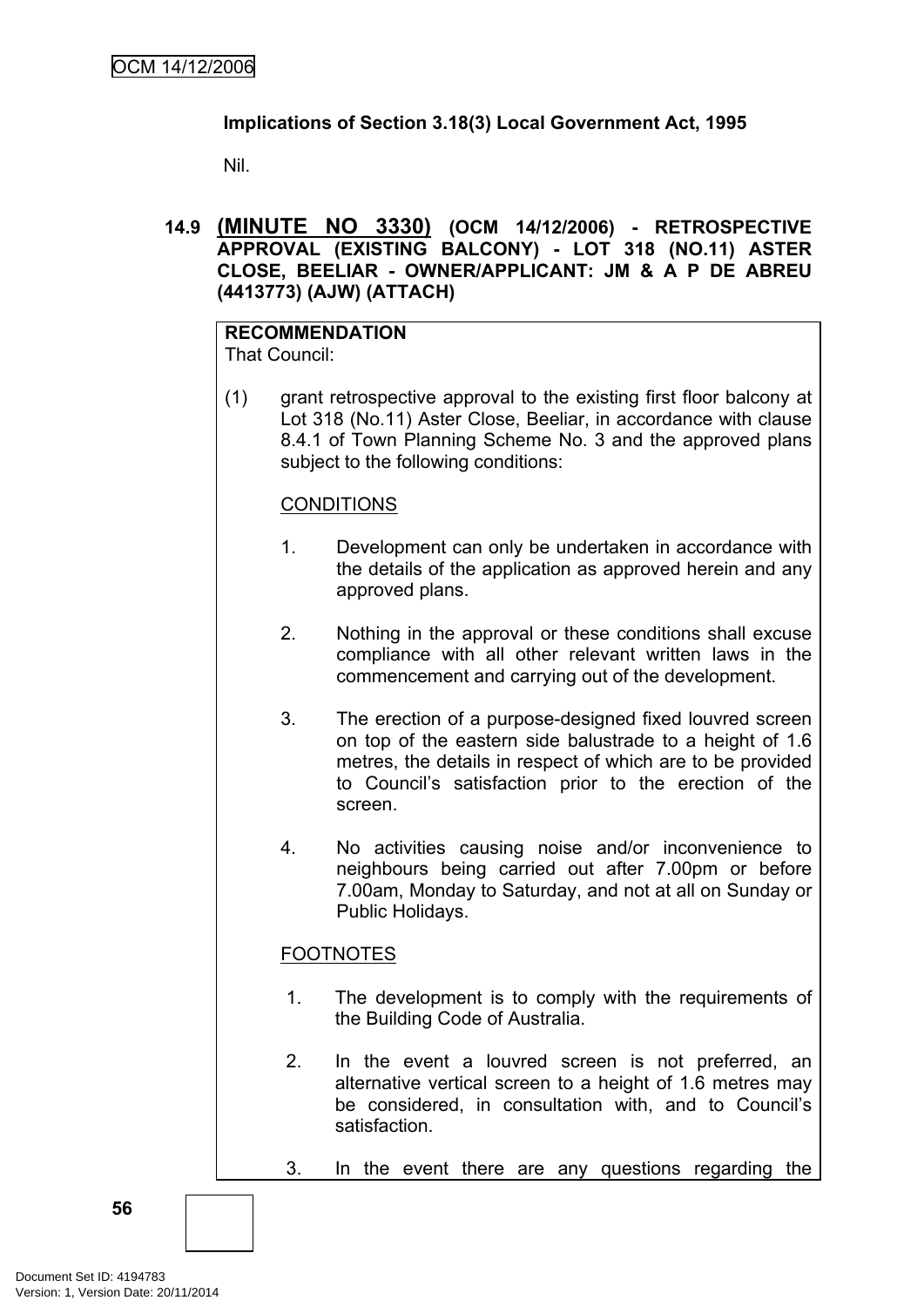## **Implications of Section 3.18(3) Local Government Act, 1995**

Nil.

**14.9 (MINUTE NO 3330) (OCM 14/12/2006) - RETROSPECTIVE APPROVAL (EXISTING BALCONY) - LOT 318 (NO.11) ASTER CLOSE, BEELIAR - OWNER/APPLICANT: JM & A P DE ABREU (4413773) (AJW) (ATTACH)**

#### **RECOMMENDATION** That Council:

(1) grant retrospective approval to the existing first floor balcony at Lot 318 (No.11) Aster Close, Beeliar, in accordance with clause 8.4.1 of Town Planning Scheme No. 3 and the approved plans subject to the following conditions:

#### **CONDITIONS**

- 1. Development can only be undertaken in accordance with the details of the application as approved herein and any approved plans.
- 2. Nothing in the approval or these conditions shall excuse compliance with all other relevant written laws in the commencement and carrying out of the development.
- 3. The erection of a purpose-designed fixed louvred screen on top of the eastern side balustrade to a height of 1.6 metres, the details in respect of which are to be provided to Council's satisfaction prior to the erection of the screen.
- 4. No activities causing noise and/or inconvenience to neighbours being carried out after 7.00pm or before 7.00am, Monday to Saturday, and not at all on Sunday or Public Holidays.

## FOOTNOTES

- 1. The development is to comply with the requirements of the Building Code of Australia.
- 2. In the event a louvred screen is not preferred, an alternative vertical screen to a height of 1.6 metres may be considered, in consultation with, and to Council's satisfaction.
- 3. In the event there are any questions regarding the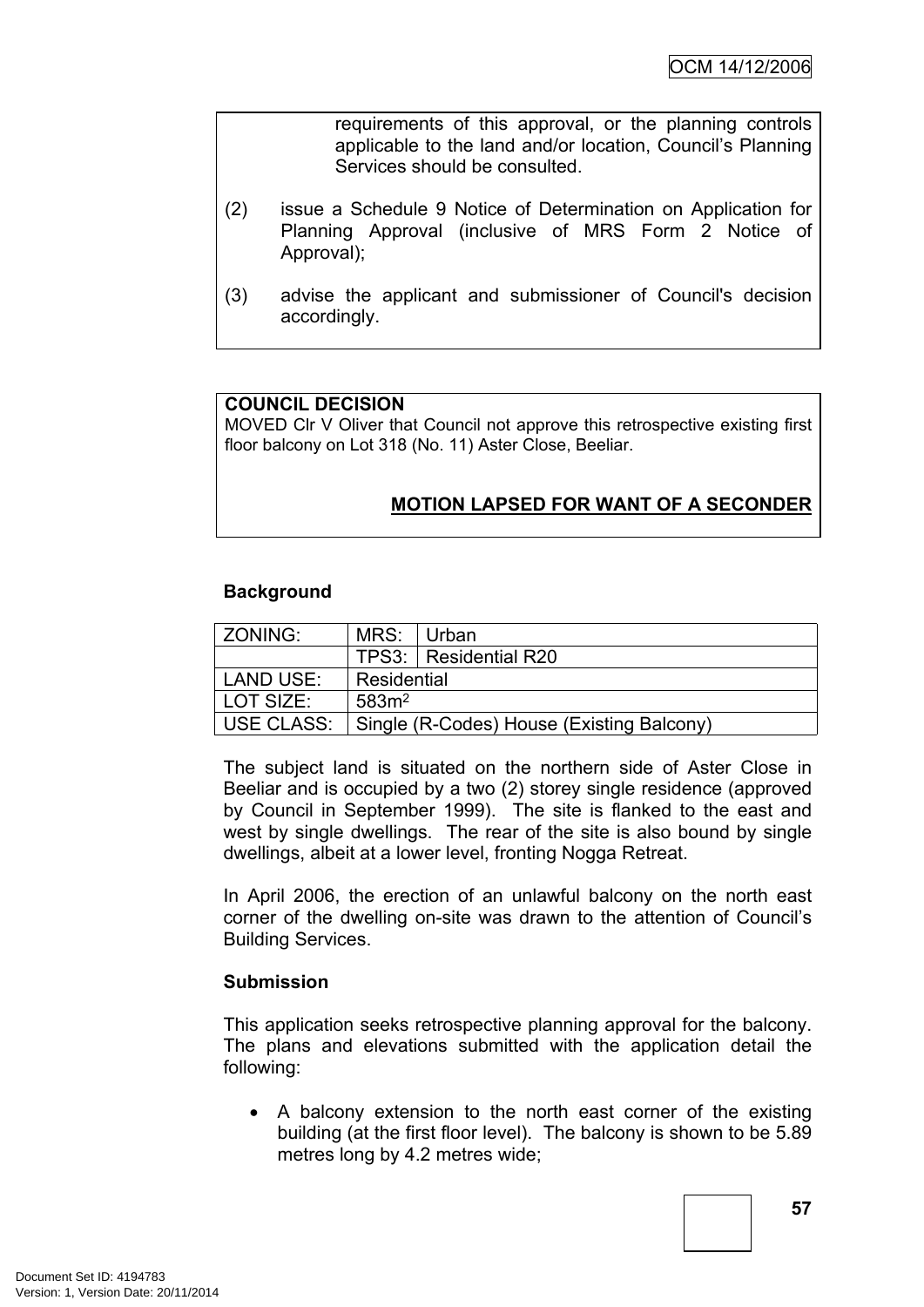requirements of this approval, or the planning controls applicable to the land and/or location, Council's Planning Services should be consulted.

- (2) issue a Schedule 9 Notice of Determination on Application for Planning Approval (inclusive of MRS Form 2 Notice of Approval);
- (3) advise the applicant and submissioner of Council's decision accordingly.

#### **COUNCIL DECISION**

MOVED Clr V Oliver that Council not approve this retrospective existing first floor balcony on Lot 318 (No. 11) Aster Close, Beeliar.

## **MOTION LAPSED FOR WANT OF A SECONDER**

#### **Background**

| <b>ZONING:</b> | MRS: Urban        |                                           |
|----------------|-------------------|-------------------------------------------|
|                |                   | TPS3:   Residential R20                   |
| LAND USE:      | Residential       |                                           |
| LOT SIZE:      | 583m <sup>2</sup> |                                           |
| USE CLASS:     |                   | Single (R-Codes) House (Existing Balcony) |

The subject land is situated on the northern side of Aster Close in Beeliar and is occupied by a two (2) storey single residence (approved by Council in September 1999). The site is flanked to the east and west by single dwellings. The rear of the site is also bound by single dwellings, albeit at a lower level, fronting Nogga Retreat.

In April 2006, the erection of an unlawful balcony on the north east corner of the dwelling on-site was drawn to the attention of Council's Building Services.

#### **Submission**

This application seeks retrospective planning approval for the balcony. The plans and elevations submitted with the application detail the following:

• A balcony extension to the north east corner of the existing building (at the first floor level). The balcony is shown to be 5.89 metres long by 4.2 metres wide;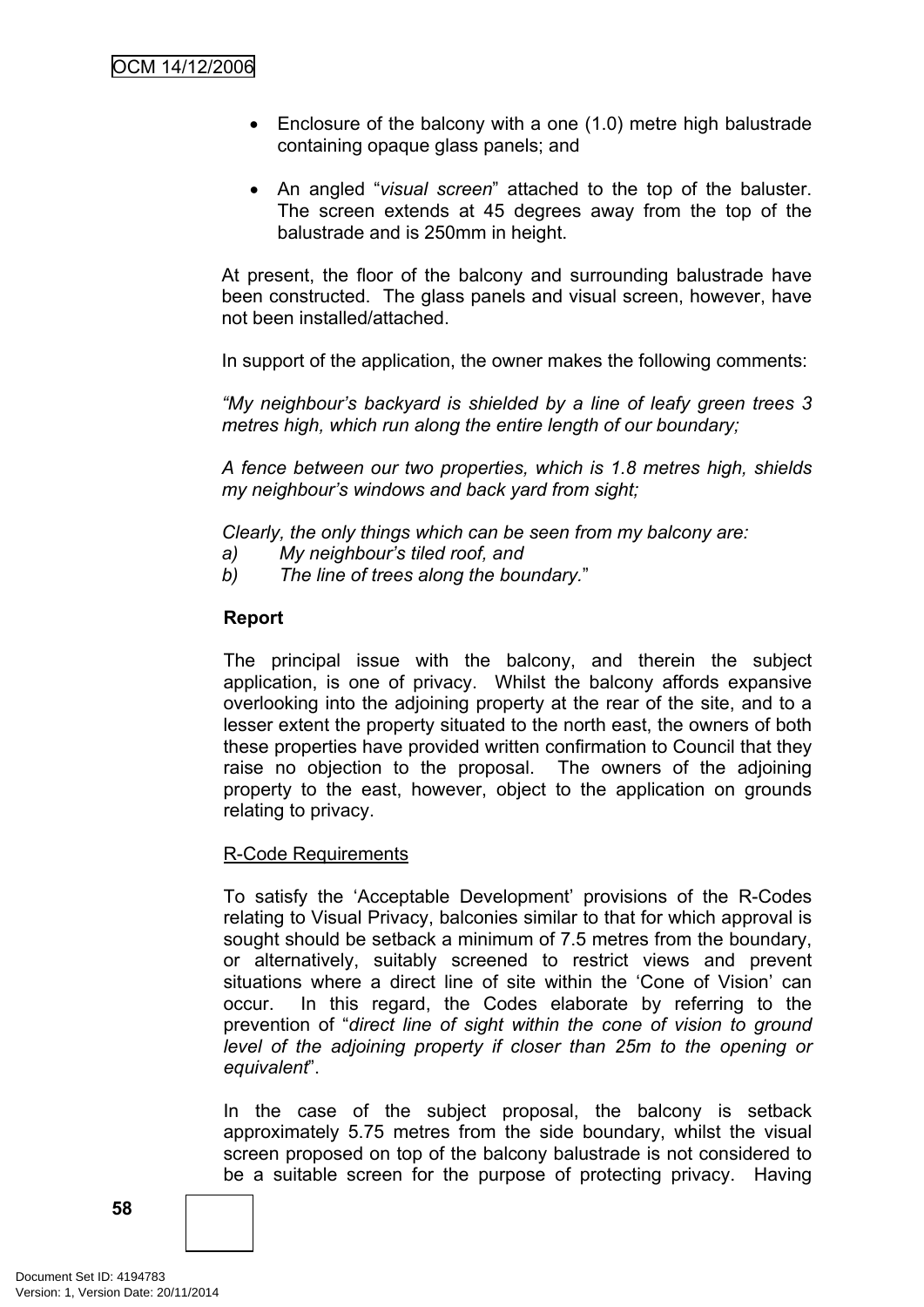- Enclosure of the balcony with a one (1.0) metre high balustrade containing opaque glass panels; and
- An angled "*visual screen*" attached to the top of the baluster. The screen extends at 45 degrees away from the top of the balustrade and is 250mm in height.

At present, the floor of the balcony and surrounding balustrade have been constructed. The glass panels and visual screen, however, have not been installed/attached.

In support of the application, the owner makes the following comments:

*"My neighbour's backyard is shielded by a line of leafy green trees 3 metres high, which run along the entire length of our boundary;*

*A fence between our two properties, which is 1.8 metres high, shields my neighbour's windows and back yard from sight;*

*Clearly, the only things which can be seen from my balcony are:*

- *a) My neighbour's tiled roof, and*
- *b) The line of trees along the boundary.*"

#### **Report**

The principal issue with the balcony, and therein the subject application, is one of privacy. Whilst the balcony affords expansive overlooking into the adjoining property at the rear of the site, and to a lesser extent the property situated to the north east, the owners of both these properties have provided written confirmation to Council that they raise no objection to the proposal. The owners of the adjoining property to the east, however, object to the application on grounds relating to privacy.

#### R-Code Requirements

To satisfy the 'Acceptable Development' provisions of the R-Codes relating to Visual Privacy, balconies similar to that for which approval is sought should be setback a minimum of 7.5 metres from the boundary, or alternatively, suitably screened to restrict views and prevent situations where a direct line of site within the 'Cone of Vision' can occur. In this regard, the Codes elaborate by referring to the prevention of "*direct line of sight within the cone of vision to ground level of the adjoining property if closer than 25m to the opening or equivalent*".

In the case of the subject proposal, the balcony is setback approximately 5.75 metres from the side boundary, whilst the visual screen proposed on top of the balcony balustrade is not considered to be a suitable screen for the purpose of protecting privacy. Having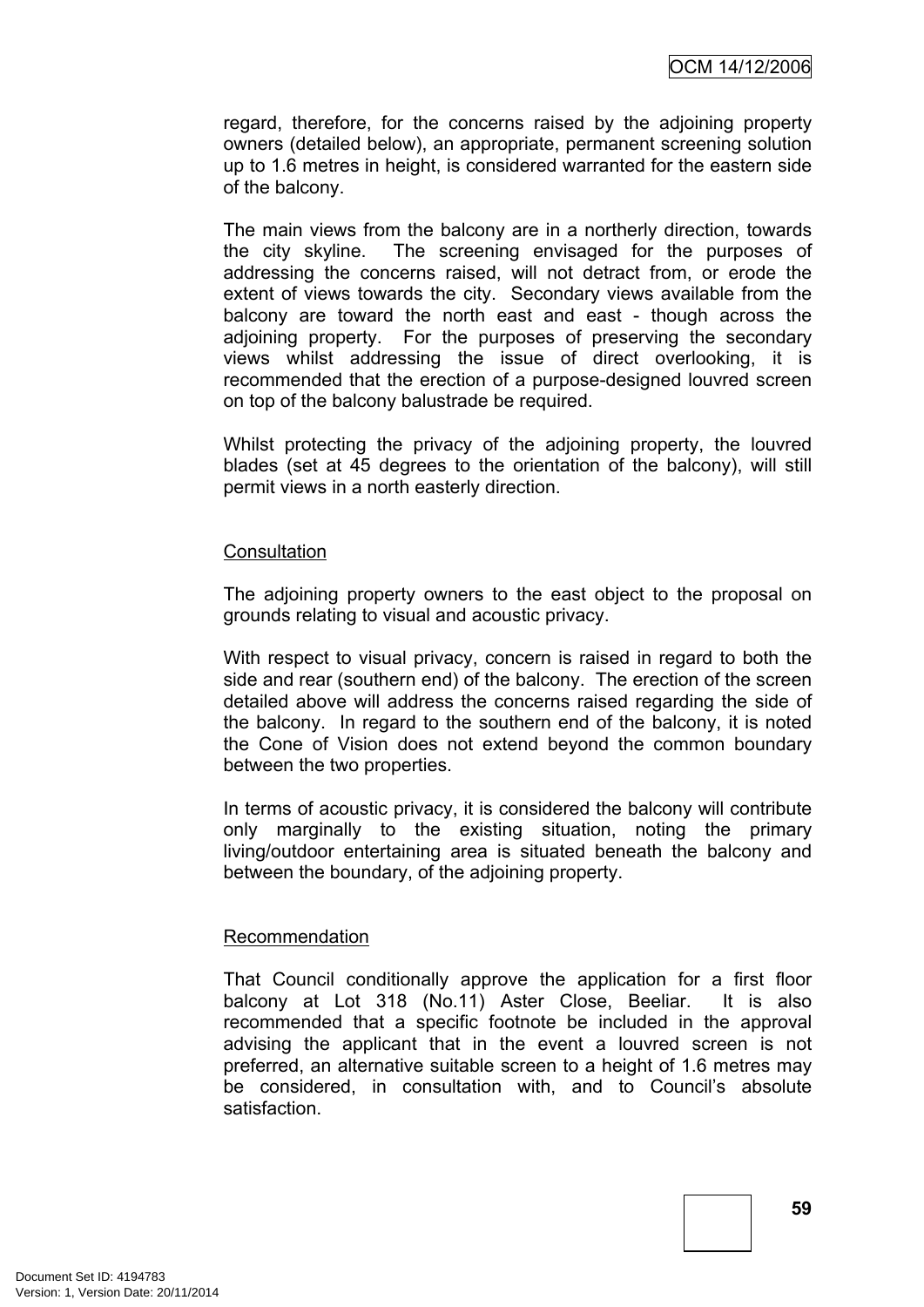regard, therefore, for the concerns raised by the adjoining property owners (detailed below), an appropriate, permanent screening solution up to 1.6 metres in height, is considered warranted for the eastern side of the balcony.

The main views from the balcony are in a northerly direction, towards the city skyline. The screening envisaged for the purposes of addressing the concerns raised, will not detract from, or erode the extent of views towards the city. Secondary views available from the balcony are toward the north east and east - though across the adjoining property. For the purposes of preserving the secondary views whilst addressing the issue of direct overlooking, it is recommended that the erection of a purpose-designed louvred screen on top of the balcony balustrade be required.

Whilst protecting the privacy of the adjoining property, the louvred blades (set at 45 degrees to the orientation of the balcony), will still permit views in a north easterly direction.

#### **Consultation**

The adjoining property owners to the east object to the proposal on grounds relating to visual and acoustic privacy.

With respect to visual privacy, concern is raised in regard to both the side and rear (southern end) of the balcony. The erection of the screen detailed above will address the concerns raised regarding the side of the balcony. In regard to the southern end of the balcony, it is noted the Cone of Vision does not extend beyond the common boundary between the two properties.

In terms of acoustic privacy, it is considered the balcony will contribute only marginally to the existing situation, noting the primary living/outdoor entertaining area is situated beneath the balcony and between the boundary, of the adjoining property.

#### Recommendation

That Council conditionally approve the application for a first floor balcony at Lot 318 (No.11) Aster Close, Beeliar. It is also recommended that a specific footnote be included in the approval advising the applicant that in the event a louvred screen is not preferred, an alternative suitable screen to a height of 1.6 metres may be considered, in consultation with, and to Council's absolute satisfaction.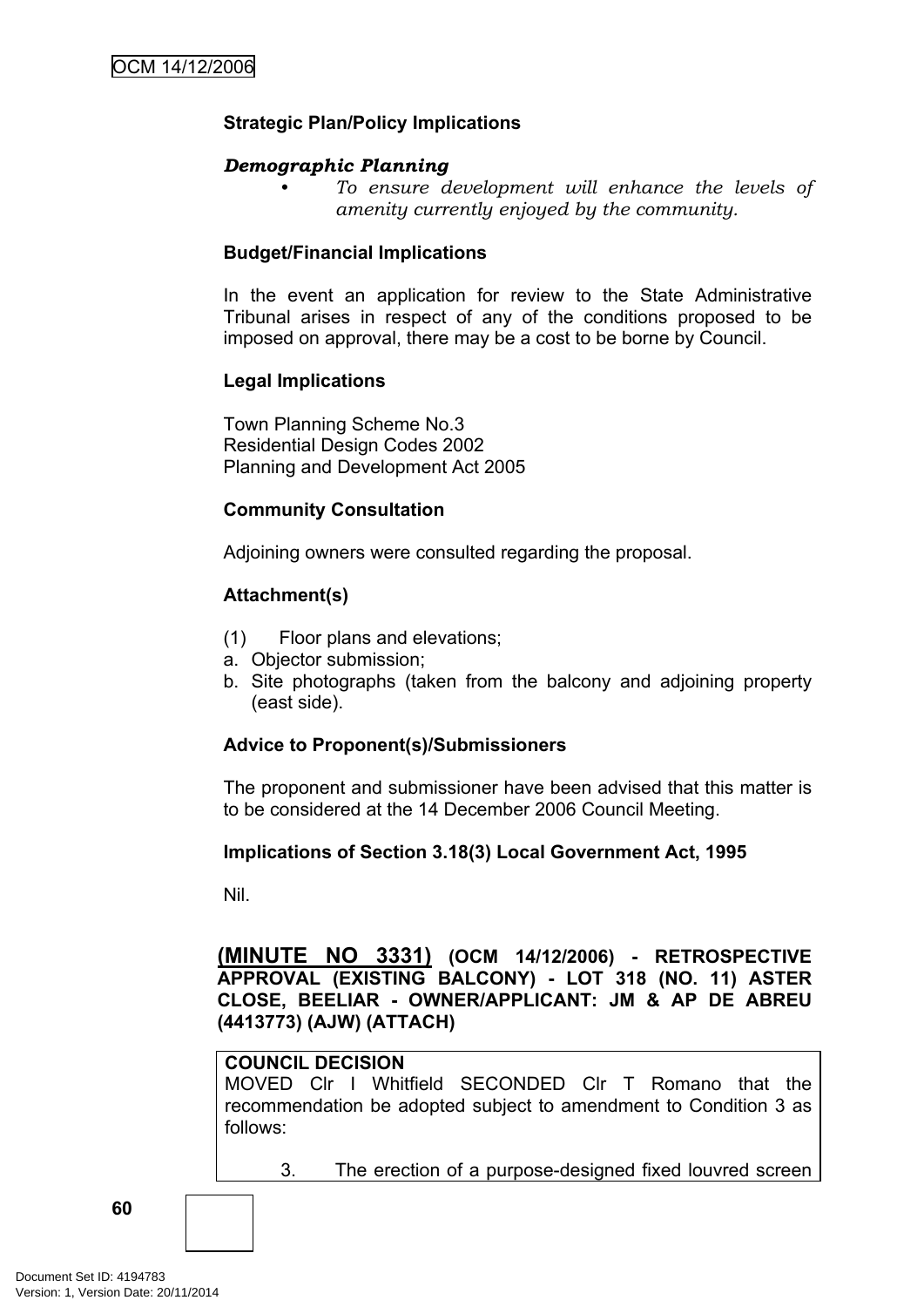#### **Strategic Plan/Policy Implications**

#### *Demographic Planning*

*• To ensure development will enhance the levels of amenity currently enjoyed by the community.*

#### **Budget/Financial Implications**

In the event an application for review to the State Administrative Tribunal arises in respect of any of the conditions proposed to be imposed on approval, there may be a cost to be borne by Council.

#### **Legal Implications**

Town Planning Scheme No.3 Residential Design Codes 2002 Planning and Development Act 2005

#### **Community Consultation**

Adjoining owners were consulted regarding the proposal.

#### **Attachment(s)**

- (1) Floor plans and elevations;
- a. Objector submission;
- b. Site photographs (taken from the balcony and adjoining property (east side).

#### **Advice to Proponent(s)/Submissioners**

The proponent and submissioner have been advised that this matter is to be considered at the 14 December 2006 Council Meeting.

#### **Implications of Section 3.18(3) Local Government Act, 1995**

Nil.

**(MINUTE NO 3331) (OCM 14/12/2006) - RETROSPECTIVE APPROVAL (EXISTING BALCONY) - LOT 318 (NO. 11) ASTER CLOSE, BEELIAR - OWNER/APPLICANT: JM & AP DE ABREU (4413773) (AJW) (ATTACH)**

#### **COUNCIL DECISION**

MOVED Clr I Whitfield SECONDED Clr T Romano that the recommendation be adopted subject to amendment to Condition 3 as follows:

```
3. The erection of a purpose-designed fixed louvred screen
```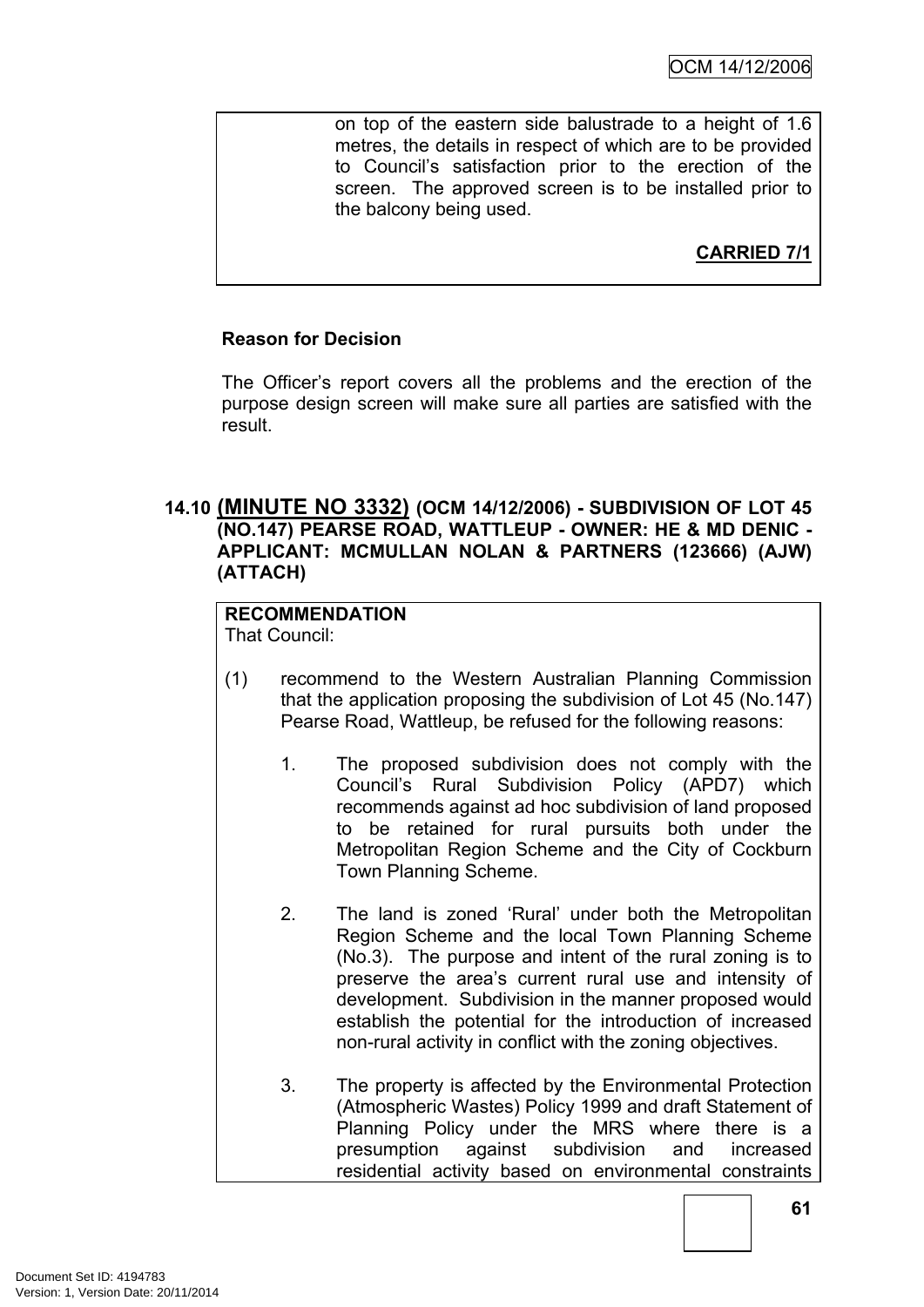on top of the eastern side balustrade to a height of 1.6 metres, the details in respect of which are to be provided to Council's satisfaction prior to the erection of the screen. The approved screen is to be installed prior to the balcony being used.

**CARRIED 7/1**

#### **Reason for Decision**

The Officer's report covers all the problems and the erection of the purpose design screen will make sure all parties are satisfied with the result.

#### **14.10 (MINUTE NO 3332) (OCM 14/12/2006) - SUBDIVISION OF LOT 45 (NO.147) PEARSE ROAD, WATTLEUP - OWNER: HE & MD DENIC - APPLICANT: MCMULLAN NOLAN & PARTNERS (123666) (AJW) (ATTACH)**

## **RECOMMENDATION**

That Council:

- (1) recommend to the Western Australian Planning Commission that the application proposing the subdivision of Lot 45 (No.147) Pearse Road, Wattleup, be refused for the following reasons:
	- 1. The proposed subdivision does not comply with the Council's Rural Subdivision Policy (APD7) which recommends against ad hoc subdivision of land proposed to be retained for rural pursuits both under the Metropolitan Region Scheme and the City of Cockburn Town Planning Scheme.
	- 2. The land is zoned 'Rural' under both the Metropolitan Region Scheme and the local Town Planning Scheme (No.3). The purpose and intent of the rural zoning is to preserve the area's current rural use and intensity of development. Subdivision in the manner proposed would establish the potential for the introduction of increased non-rural activity in conflict with the zoning objectives.
	- 3. The property is affected by the Environmental Protection (Atmospheric Wastes) Policy 1999 and draft Statement of Planning Policy under the MRS where there is a presumption against subdivision and increased residential activity based on environmental constraints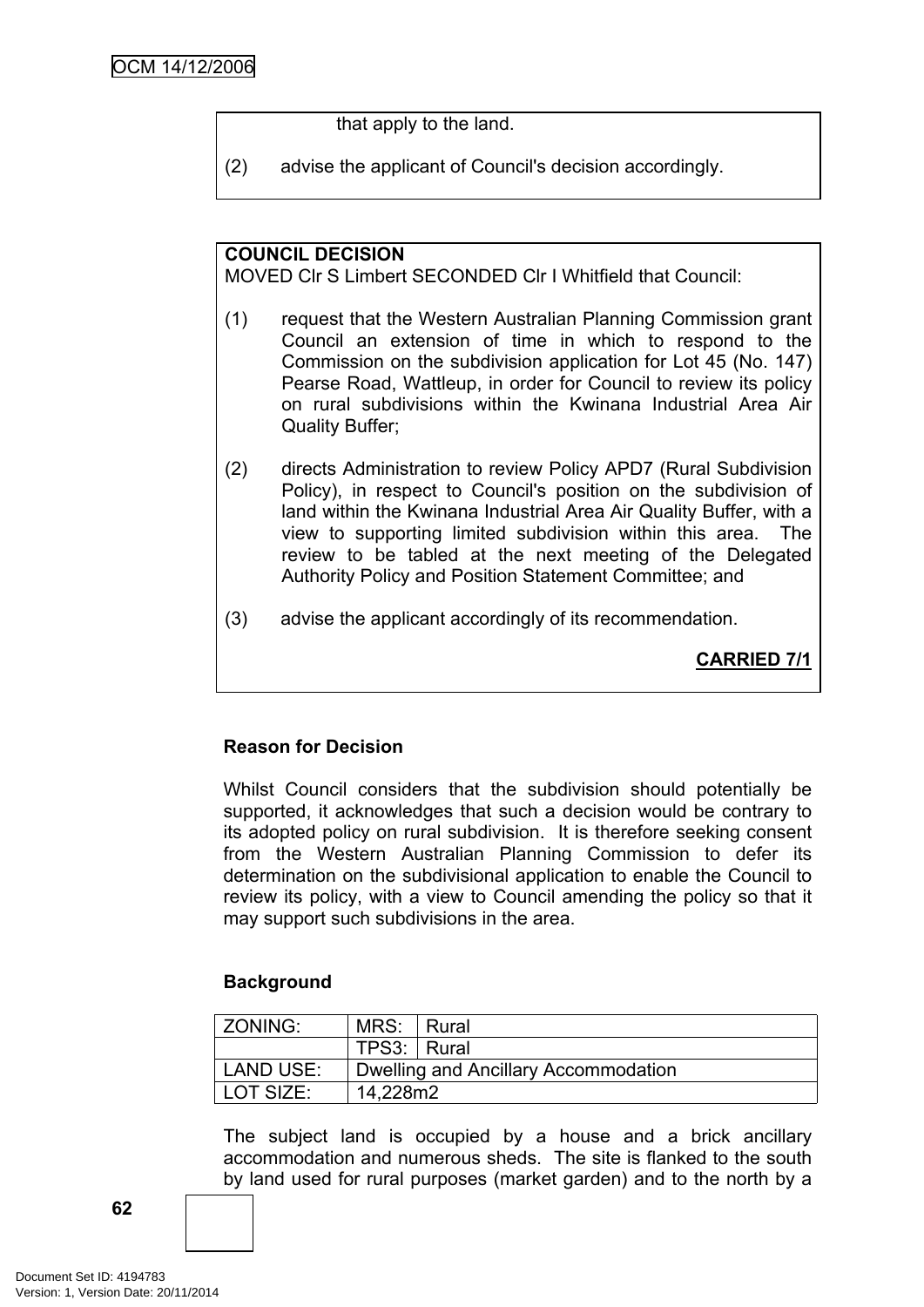that apply to the land.

(2) advise the applicant of Council's decision accordingly.

## **COUNCIL DECISION**

MOVED Clr S Limbert SECONDED Clr I Whitfield that Council:

- (1) request that the Western Australian Planning Commission grant Council an extension of time in which to respond to the Commission on the subdivision application for Lot 45 (No. 147) Pearse Road, Wattleup, in order for Council to review its policy on rural subdivisions within the Kwinana Industrial Area Air Quality Buffer;
- (2) directs Administration to review Policy APD7 (Rural Subdivision Policy), in respect to Council's position on the subdivision of land within the Kwinana Industrial Area Air Quality Buffer, with a view to supporting limited subdivision within this area. The review to be tabled at the next meeting of the Delegated Authority Policy and Position Statement Committee; and
- (3) advise the applicant accordingly of its recommendation.

**CARRIED 7/1**

## **Reason for Decision**

Whilst Council considers that the subdivision should potentially be supported, it acknowledges that such a decision would be contrary to its adopted policy on rural subdivision. It is therefore seeking consent from the Western Australian Planning Commission to defer its determination on the subdivisional application to enable the Council to review its policy, with a view to Council amending the policy so that it may support such subdivisions in the area.

## **Background**

| ZONING:   | MRS:  Rural                          |  |  |
|-----------|--------------------------------------|--|--|
|           | TPS3: Rural                          |  |  |
| LAND USE: | Dwelling and Ancillary Accommodation |  |  |
| LOT SIZE: | 14.228m2                             |  |  |

The subject land is occupied by a house and a brick ancillary accommodation and numerous sheds. The site is flanked to the south by land used for rural purposes (market garden) and to the north by a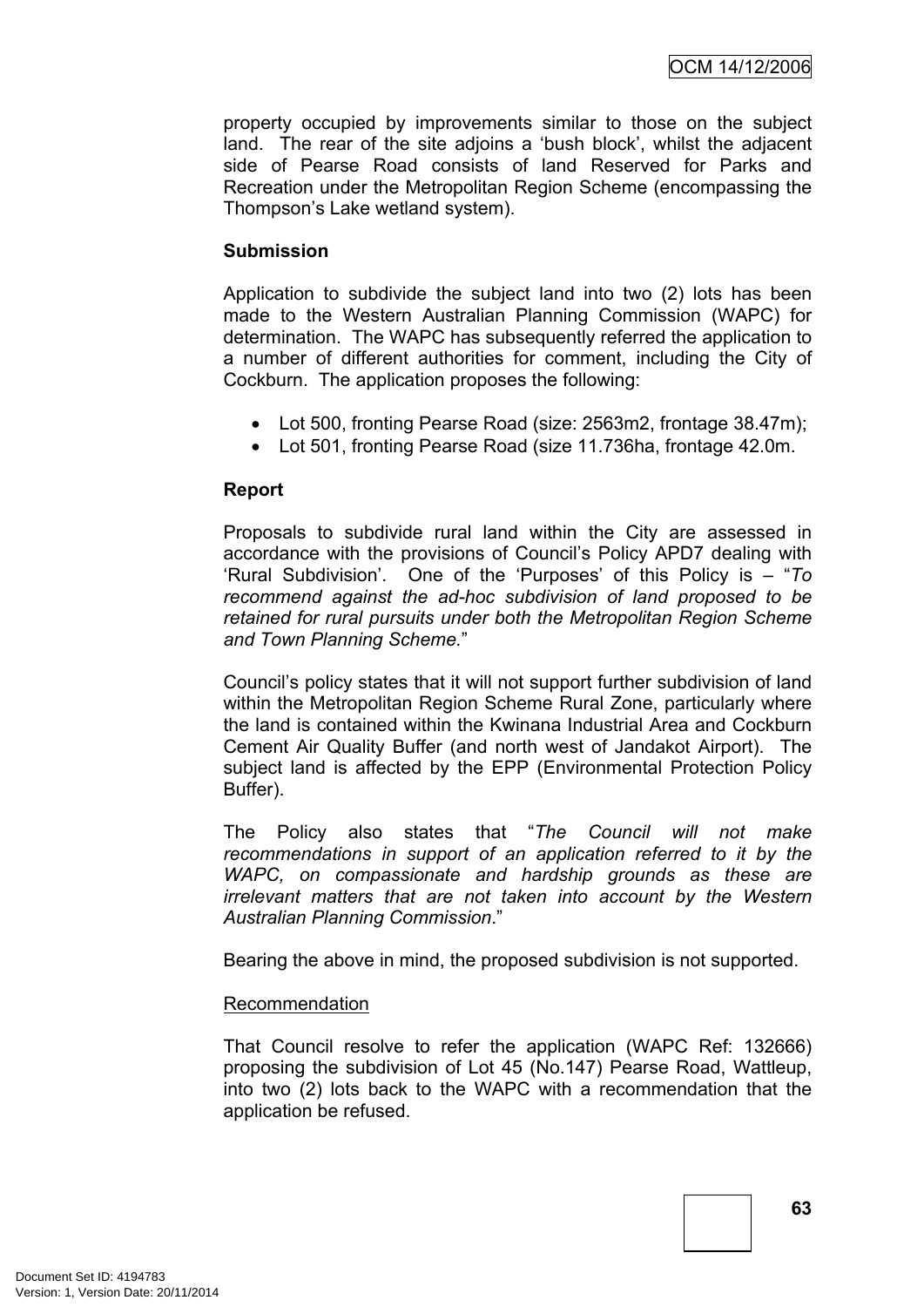property occupied by improvements similar to those on the subject land. The rear of the site adjoins a 'bush block', whilst the adjacent side of Pearse Road consists of land Reserved for Parks and Recreation under the Metropolitan Region Scheme (encompassing the Thompson's Lake wetland system).

#### **Submission**

Application to subdivide the subject land into two (2) lots has been made to the Western Australian Planning Commission (WAPC) for determination. The WAPC has subsequently referred the application to a number of different authorities for comment, including the City of Cockburn. The application proposes the following:

- Lot 500, fronting Pearse Road (size: 2563m2, frontage 38.47m);
- Lot 501, fronting Pearse Road (size 11.736ha, frontage 42.0m.

#### **Report**

Proposals to subdivide rural land within the City are assessed in accordance with the provisions of Council's Policy APD7 dealing with 'Rural Subdivision'. One of the 'Purposes' of this Policy is – "*To recommend against the ad-hoc subdivision of land proposed to be retained for rural pursuits under both the Metropolitan Region Scheme and Town Planning Scheme.*"

Council's policy states that it will not support further subdivision of land within the Metropolitan Region Scheme Rural Zone, particularly where the land is contained within the Kwinana Industrial Area and Cockburn Cement Air Quality Buffer (and north west of Jandakot Airport). The subject land is affected by the EPP (Environmental Protection Policy Buffer).

The Policy also states that "*The Council will not make recommendations in support of an application referred to it by the WAPC, on compassionate and hardship grounds as these are irrelevant matters that are not taken into account by the Western Australian Planning Commission*."

Bearing the above in mind, the proposed subdivision is not supported.

#### Recommendation

That Council resolve to refer the application (WAPC Ref: 132666) proposing the subdivision of Lot 45 (No.147) Pearse Road, Wattleup, into two (2) lots back to the WAPC with a recommendation that the application be refused.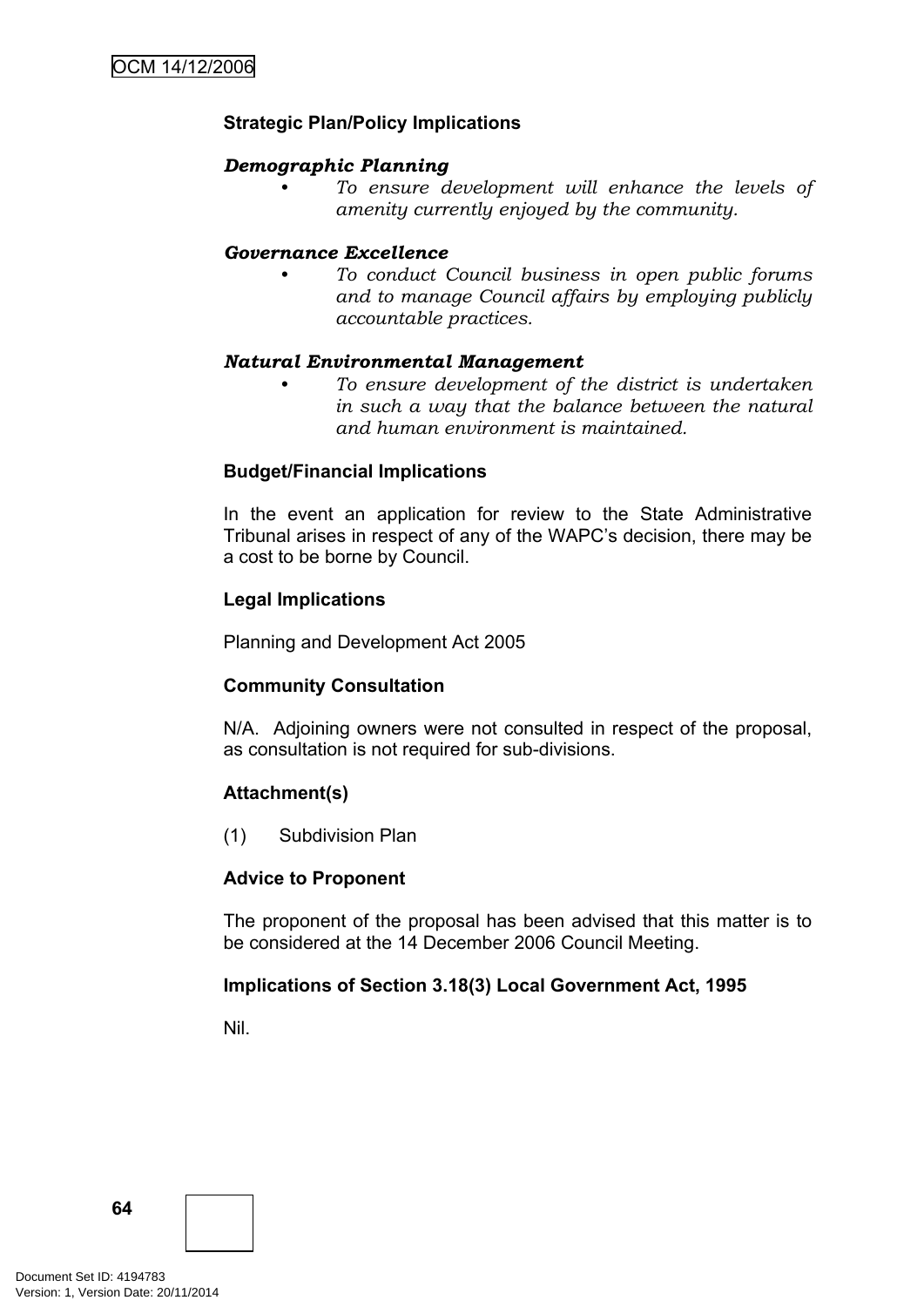## **Strategic Plan/Policy Implications**

#### *Demographic Planning*

*• To ensure development will enhance the levels of amenity currently enjoyed by the community.*

#### *Governance Excellence*

*• To conduct Council business in open public forums and to manage Council affairs by employing publicly accountable practices.*

#### *Natural Environmental Management*

*• To ensure development of the district is undertaken in such a way that the balance between the natural and human environment is maintained.*

#### **Budget/Financial Implications**

In the event an application for review to the State Administrative Tribunal arises in respect of any of the WAPC's decision, there may be a cost to be borne by Council.

#### **Legal Implications**

Planning and Development Act 2005

#### **Community Consultation**

N/A. Adjoining owners were not consulted in respect of the proposal, as consultation is not required for sub-divisions.

#### **Attachment(s)**

(1) Subdivision Plan

#### **Advice to Proponent**

The proponent of the proposal has been advised that this matter is to be considered at the 14 December 2006 Council Meeting.

#### **Implications of Section 3.18(3) Local Government Act, 1995**

Nil.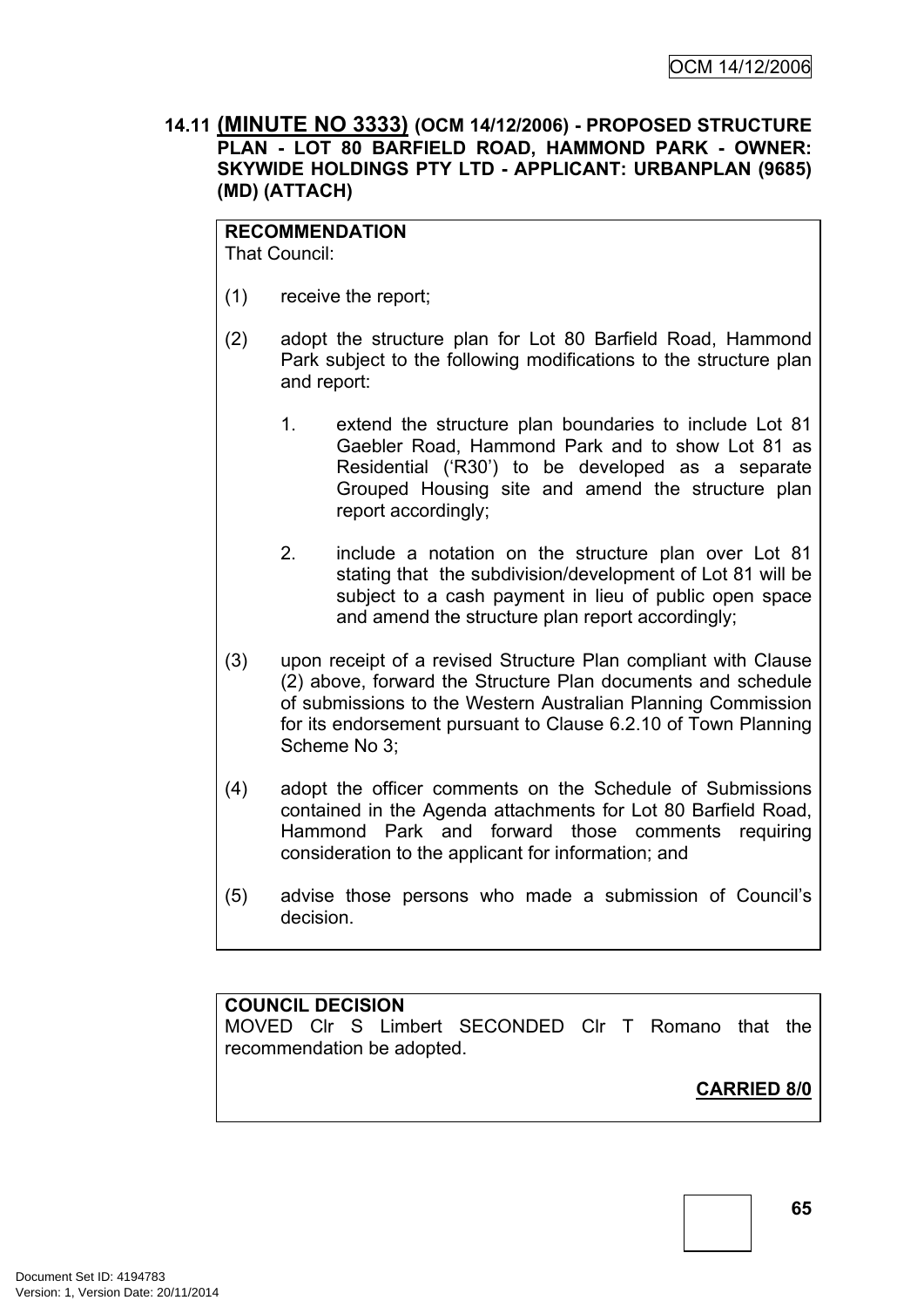#### **14.11 (MINUTE NO 3333) (OCM 14/12/2006) - PROPOSED STRUCTURE PLAN - LOT 80 BARFIELD ROAD, HAMMOND PARK - OWNER: SKYWIDE HOLDINGS PTY LTD - APPLICANT: URBANPLAN (9685) (MD) (ATTACH)**

#### **RECOMMENDATION**

That Council:

- (1) receive the report;
- (2) adopt the structure plan for Lot 80 Barfield Road, Hammond Park subject to the following modifications to the structure plan and report:
	- 1. extend the structure plan boundaries to include Lot 81 Gaebler Road, Hammond Park and to show Lot 81 as Residential ('R30') to be developed as a separate Grouped Housing site and amend the structure plan report accordingly;
	- 2. include a notation on the structure plan over Lot 81 stating that the subdivision/development of Lot 81 will be subject to a cash payment in lieu of public open space and amend the structure plan report accordingly;
- (3) upon receipt of a revised Structure Plan compliant with Clause (2) above, forward the Structure Plan documents and schedule of submissions to the Western Australian Planning Commission for its endorsement pursuant to Clause 6.2.10 of Town Planning Scheme No 3;
- (4) adopt the officer comments on the Schedule of Submissions contained in the Agenda attachments for Lot 80 Barfield Road, Hammond Park and forward those comments requiring consideration to the applicant for information; and
- (5) advise those persons who made a submission of Council's decision.

#### **COUNCIL DECISION**

MOVED Clr S Limbert SECONDED Clr T Romano that the recommendation be adopted.

**CARRIED 8/0**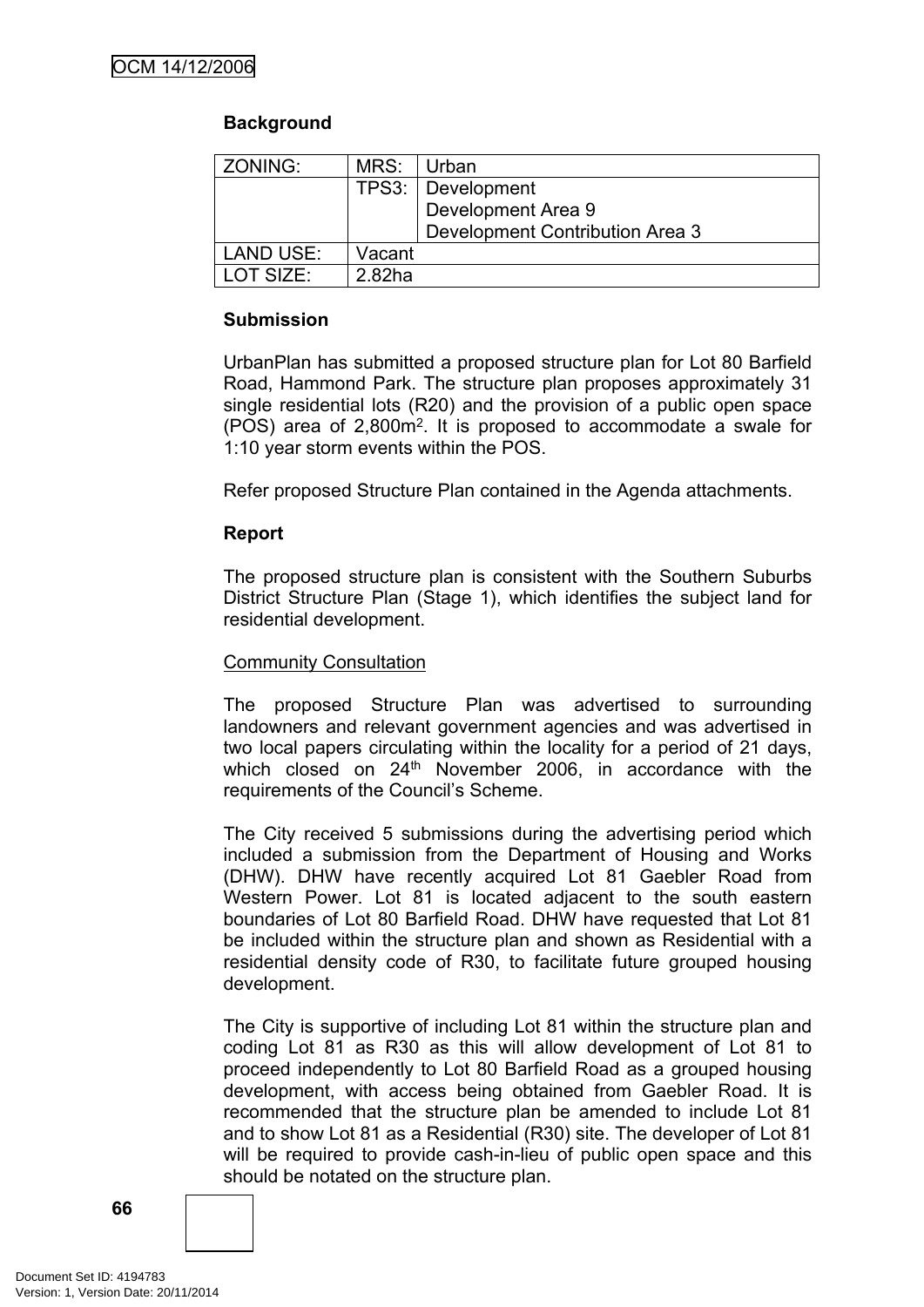## **Background**

| ZONING:           | MRS:               | <b>Urban</b>                    |
|-------------------|--------------------|---------------------------------|
|                   |                    | TPS3:   Development             |
|                   |                    | Development Area 9              |
|                   |                    | Development Contribution Area 3 |
| LAND USE:         | Vacant             |                                 |
| <b>I OT SIZE:</b> | 2.82 <sub>ha</sub> |                                 |

#### **Submission**

UrbanPlan has submitted a proposed structure plan for Lot 80 Barfield Road, Hammond Park. The structure plan proposes approximately 31 single residential lots (R20) and the provision of a public open space (POS) area of 2,800m<sup>2</sup> . It is proposed to accommodate a swale for 1:10 year storm events within the POS.

Refer proposed Structure Plan contained in the Agenda attachments.

#### **Report**

The proposed structure plan is consistent with the Southern Suburbs District Structure Plan (Stage 1), which identifies the subject land for residential development.

#### Community Consultation

The proposed Structure Plan was advertised to surrounding landowners and relevant government agencies and was advertised in two local papers circulating within the locality for a period of 21 days, which closed on 24<sup>th</sup> November 2006, in accordance with the requirements of the Council's Scheme.

The City received 5 submissions during the advertising period which included a submission from the Department of Housing and Works (DHW). DHW have recently acquired Lot 81 Gaebler Road from Western Power. Lot 81 is located adjacent to the south eastern boundaries of Lot 80 Barfield Road. DHW have requested that Lot 81 be included within the structure plan and shown as Residential with a residential density code of R30, to facilitate future grouped housing development.

The City is supportive of including Lot 81 within the structure plan and coding Lot 81 as R30 as this will allow development of Lot 81 to proceed independently to Lot 80 Barfield Road as a grouped housing development, with access being obtained from Gaebler Road. It is recommended that the structure plan be amended to include Lot 81 and to show Lot 81 as a Residential (R30) site. The developer of Lot 81 will be required to provide cash-in-lieu of public open space and this should be notated on the structure plan.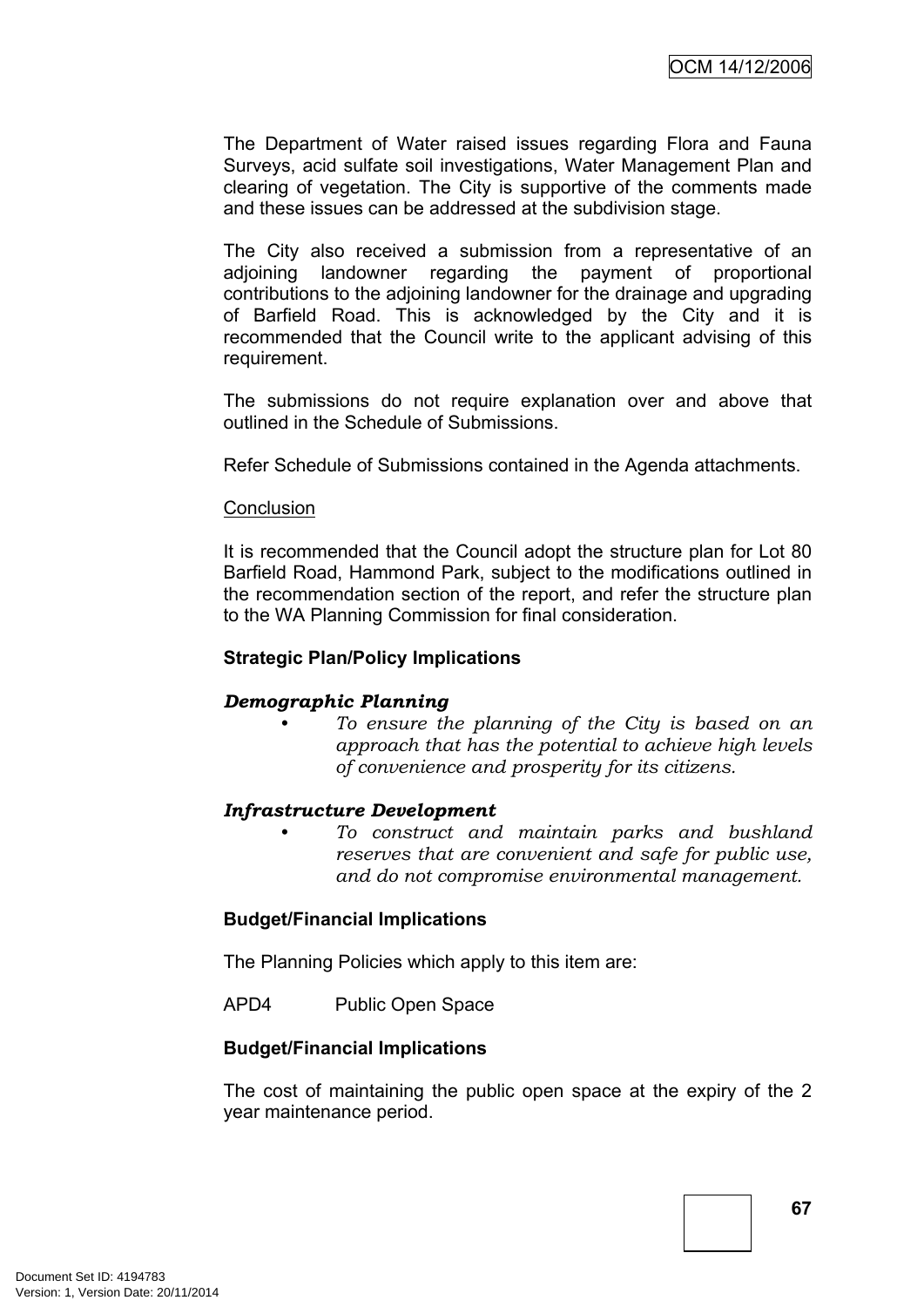The Department of Water raised issues regarding Flora and Fauna Surveys, acid sulfate soil investigations, Water Management Plan and clearing of vegetation. The City is supportive of the comments made and these issues can be addressed at the subdivision stage.

The City also received a submission from a representative of an adjoining landowner regarding the payment of proportional contributions to the adjoining landowner for the drainage and upgrading of Barfield Road. This is acknowledged by the City and it is recommended that the Council write to the applicant advising of this requirement.

The submissions do not require explanation over and above that outlined in the Schedule of Submissions.

Refer Schedule of Submissions contained in the Agenda attachments.

#### **Conclusion**

It is recommended that the Council adopt the structure plan for Lot 80 Barfield Road, Hammond Park, subject to the modifications outlined in the recommendation section of the report, and refer the structure plan to the WA Planning Commission for final consideration.

#### **Strategic Plan/Policy Implications**

#### *Demographic Planning*

*• To ensure the planning of the City is based on an approach that has the potential to achieve high levels of convenience and prosperity for its citizens.*

#### *Infrastructure Development*

*• To construct and maintain parks and bushland reserves that are convenient and safe for public use, and do not compromise environmental management.*

#### **Budget/Financial Implications**

The Planning Policies which apply to this item are:

APD4 Public Open Space

#### **Budget/Financial Implications**

The cost of maintaining the public open space at the expiry of the 2 year maintenance period.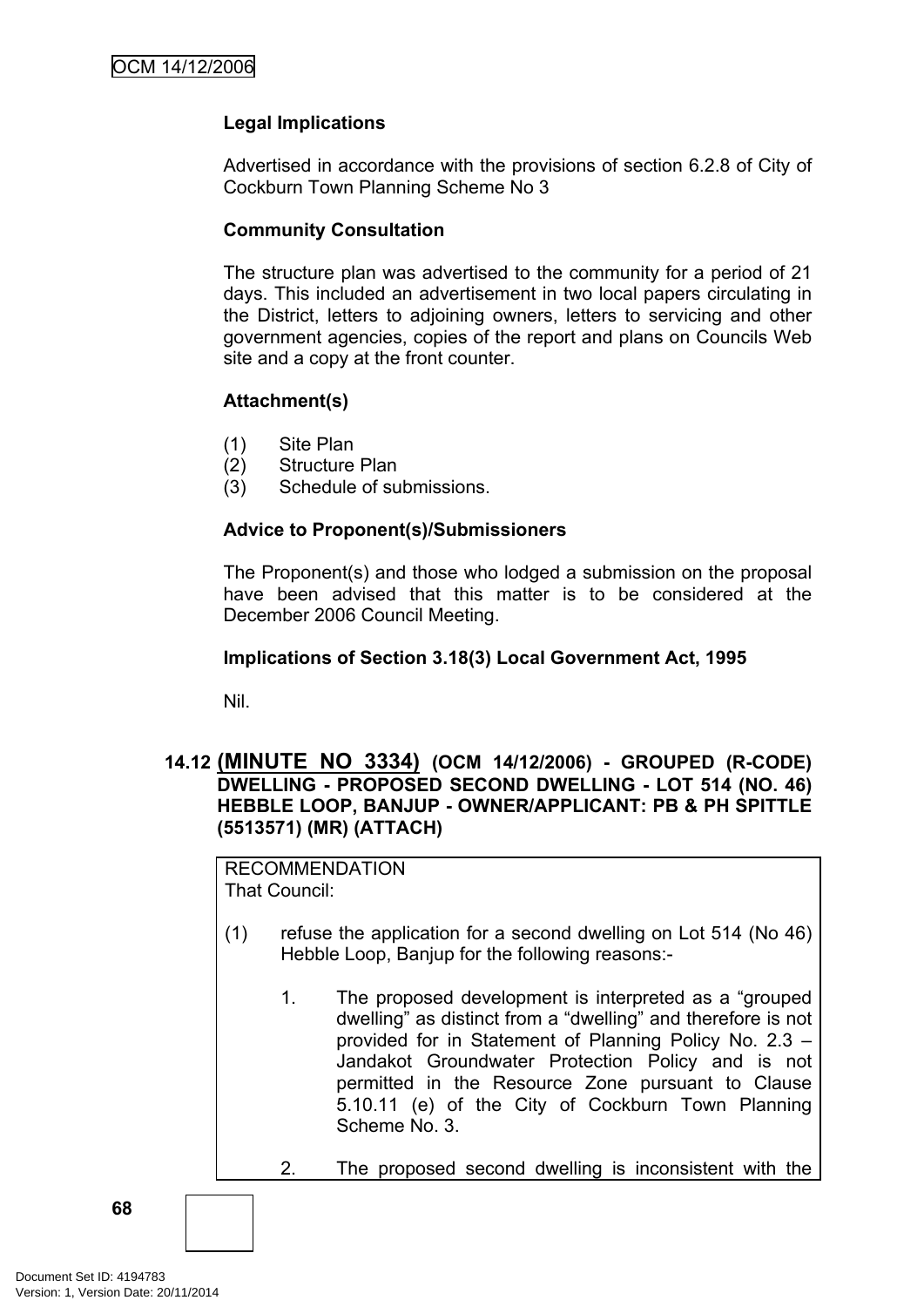## **Legal Implications**

Advertised in accordance with the provisions of section 6.2.8 of City of Cockburn Town Planning Scheme No 3

#### **Community Consultation**

The structure plan was advertised to the community for a period of 21 days. This included an advertisement in two local papers circulating in the District, letters to adjoining owners, letters to servicing and other government agencies, copies of the report and plans on Councils Web site and a copy at the front counter.

#### **Attachment(s)**

- (1) Site Plan
- (2) Structure Plan
- (3) Schedule of submissions.

#### **Advice to Proponent(s)/Submissioners**

The Proponent(s) and those who lodged a submission on the proposal have been advised that this matter is to be considered at the December 2006 Council Meeting.

#### **Implications of Section 3.18(3) Local Government Act, 1995**

Nil.

#### **14.12 (MINUTE NO 3334) (OCM 14/12/2006) - GROUPED (R-CODE) DWELLING - PROPOSED SECOND DWELLING - LOT 514 (NO. 46) HEBBLE LOOP, BANJUP - OWNER/APPLICANT: PB & PH SPITTLE (5513571) (MR) (ATTACH)**

RECOMMENDATION That Council:

- (1) refuse the application for a second dwelling on Lot 514 (No 46) Hebble Loop, Banjup for the following reasons:-
	- 1. The proposed development is interpreted as a "grouped dwelling" as distinct from a "dwelling" and therefore is not provided for in Statement of Planning Policy No. 2.3 – Jandakot Groundwater Protection Policy and is not permitted in the Resource Zone pursuant to Clause 5.10.11 (e) of the City of Cockburn Town Planning Scheme No. 3.
	- 2. The proposed second dwelling is inconsistent with the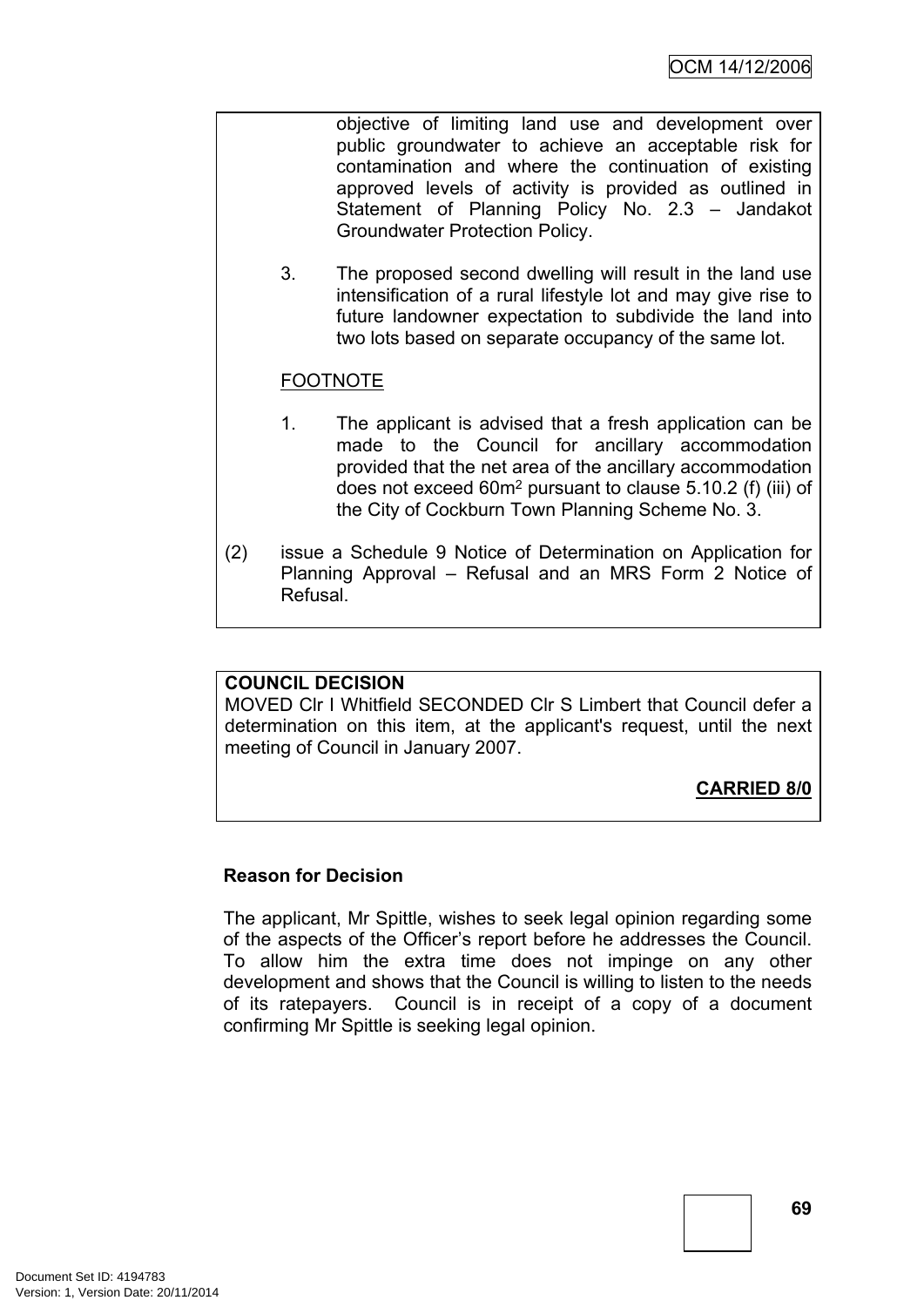objective of limiting land use and development over public groundwater to achieve an acceptable risk for contamination and where the continuation of existing approved levels of activity is provided as outlined in Statement of Planning Policy No. 2.3 – Jandakot Groundwater Protection Policy.

3. The proposed second dwelling will result in the land use intensification of a rural lifestyle lot and may give rise to future landowner expectation to subdivide the land into two lots based on separate occupancy of the same lot.

# FOOTNOTE

- 1. The applicant is advised that a fresh application can be made to the Council for ancillary accommodation provided that the net area of the ancillary accommodation does not exceed 60m<sup>2</sup> pursuant to clause 5.10.2 (f) (iii) of the City of Cockburn Town Planning Scheme No. 3.
- (2) issue a Schedule 9 Notice of Determination on Application for Planning Approval – Refusal and an MRS Form 2 Notice of Refusal.

# **COUNCIL DECISION**

MOVED Clr I Whitfield SECONDED Clr S Limbert that Council defer a determination on this item, at the applicant's request, until the next meeting of Council in January 2007.

# **CARRIED 8/0**

# **Reason for Decision**

The applicant, Mr Spittle, wishes to seek legal opinion regarding some of the aspects of the Officer's report before he addresses the Council. To allow him the extra time does not impinge on any other development and shows that the Council is willing to listen to the needs of its ratepayers. Council is in receipt of a copy of a document confirming Mr Spittle is seeking legal opinion.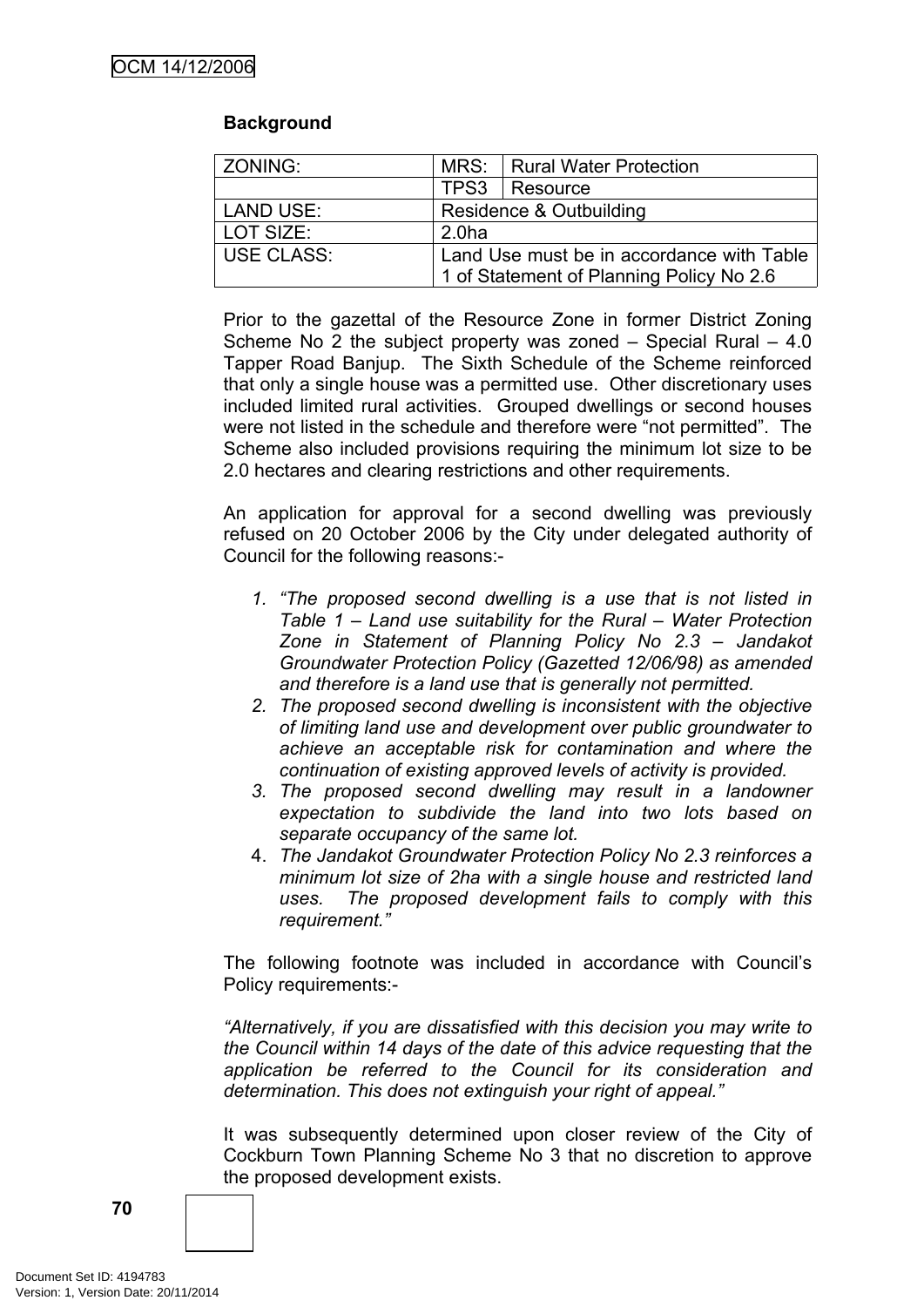# **Background**

| ZONING:          | MRS: Rural Water Protection               |                 |  |
|------------------|-------------------------------------------|-----------------|--|
|                  |                                           | TPS3   Resource |  |
| <b>LAND USE:</b> | Residence & Outbuilding                   |                 |  |
| LOT SIZE:        | 2.0 <sub>ha</sub>                         |                 |  |
| USE CLASS:       | Land Use must be in accordance with Table |                 |  |
|                  | 1 of Statement of Planning Policy No 2.6  |                 |  |

Prior to the gazettal of the Resource Zone in former District Zoning Scheme No 2 the subject property was zoned – Special Rural – 4.0 Tapper Road Banjup. The Sixth Schedule of the Scheme reinforced that only a single house was a permitted use. Other discretionary uses included limited rural activities. Grouped dwellings or second houses were not listed in the schedule and therefore were "not permitted". The Scheme also included provisions requiring the minimum lot size to be 2.0 hectares and clearing restrictions and other requirements.

An application for approval for a second dwelling was previously refused on 20 October 2006 by the City under delegated authority of Council for the following reasons:-

- *1. "The proposed second dwelling is a use that is not listed in Table 1 – Land use suitability for the Rural – Water Protection Zone in Statement of Planning Policy No 2.3 – Jandakot Groundwater Protection Policy (Gazetted 12/06/98) as amended and therefore is a land use that is generally not permitted.*
- *2. The proposed second dwelling is inconsistent with the objective of limiting land use and development over public groundwater to achieve an acceptable risk for contamination and where the continuation of existing approved levels of activity is provided.*
- *3. The proposed second dwelling may result in a landowner expectation to subdivide the land into two lots based on separate occupancy of the same lot.*
- 4. *The Jandakot Groundwater Protection Policy No 2.3 reinforces a minimum lot size of 2ha with a single house and restricted land uses. The proposed development fails to comply with this requirement."*

The following footnote was included in accordance with Council's Policy requirements:-

*"Alternatively, if you are dissatisfied with this decision you may write to the Council within 14 days of the date of this advice requesting that the application be referred to the Council for its consideration and determination. This does not extinguish your right of appeal."*

It was subsequently determined upon closer review of the City of Cockburn Town Planning Scheme No 3 that no discretion to approve the proposed development exists.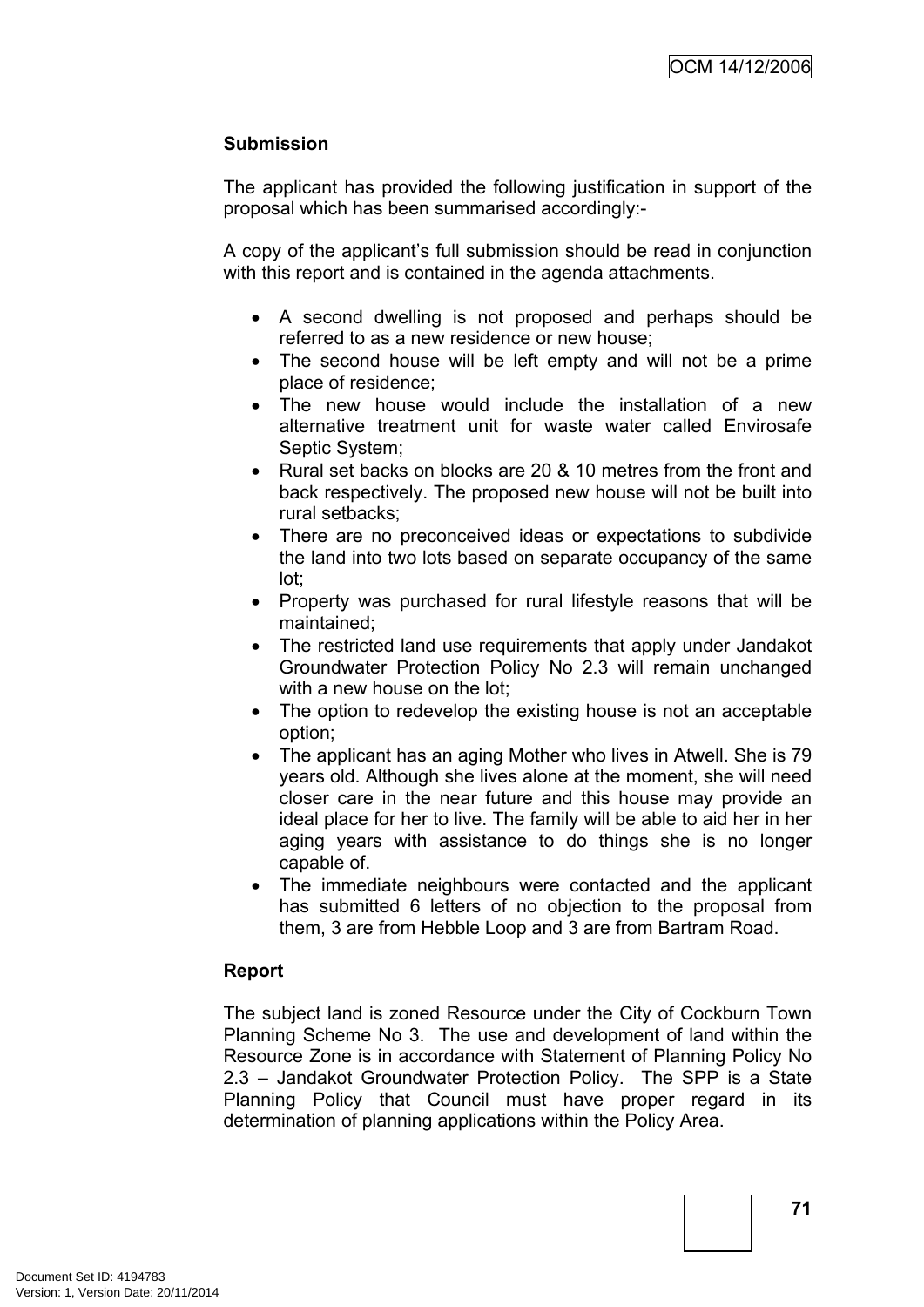# **Submission**

The applicant has provided the following justification in support of the proposal which has been summarised accordingly:-

A copy of the applicant's full submission should be read in conjunction with this report and is contained in the agenda attachments.

- A second dwelling is not proposed and perhaps should be referred to as a new residence or new house;
- The second house will be left empty and will not be a prime place of residence;
- The new house would include the installation of a new alternative treatment unit for waste water called Envirosafe Septic System;
- Rural set backs on blocks are 20 & 10 metres from the front and back respectively. The proposed new house will not be built into rural setbacks;
- There are no preconceived ideas or expectations to subdivide the land into two lots based on separate occupancy of the same lot;
- Property was purchased for rural lifestyle reasons that will be maintained;
- The restricted land use requirements that apply under Jandakot Groundwater Protection Policy No 2.3 will remain unchanged with a new house on the lot:
- The option to redevelop the existing house is not an acceptable option;
- The applicant has an aging Mother who lives in Atwell. She is 79 years old. Although she lives alone at the moment, she will need closer care in the near future and this house may provide an ideal place for her to live. The family will be able to aid her in her aging years with assistance to do things she is no longer capable of.
- The immediate neighbours were contacted and the applicant has submitted 6 letters of no objection to the proposal from them, 3 are from Hebble Loop and 3 are from Bartram Road.

# **Report**

The subject land is zoned Resource under the City of Cockburn Town Planning Scheme No 3. The use and development of land within the Resource Zone is in accordance with Statement of Planning Policy No 2.3 – Jandakot Groundwater Protection Policy. The SPP is a State Planning Policy that Council must have proper regard in its determination of planning applications within the Policy Area.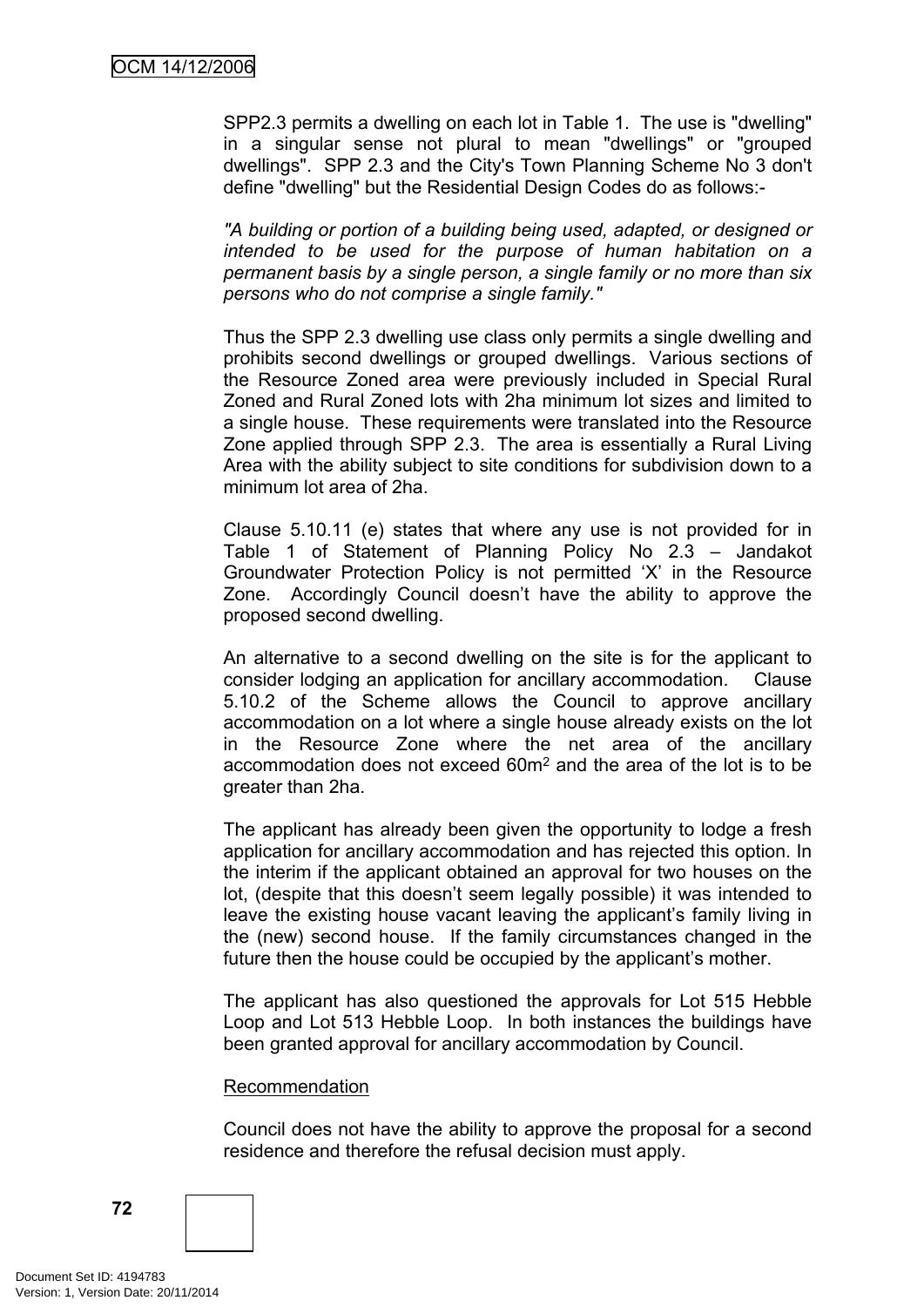SPP2.3 permits a dwelling on each lot in Table 1. The use is "dwelling" in a singular sense not plural to mean "dwellings" or "grouped dwellings". SPP 2.3 and the City's Town Planning Scheme No 3 don't define "dwelling" but the Residential Design Codes do as follows:-

*"A building or portion of a building being used, adapted, or designed or intended to be used for the purpose of human habitation on a permanent basis by a single person, a single family or no more than six persons who do not comprise a single family."*

Thus the SPP 2.3 dwelling use class only permits a single dwelling and prohibits second dwellings or grouped dwellings. Various sections of the Resource Zoned area were previously included in Special Rural Zoned and Rural Zoned lots with 2ha minimum lot sizes and limited to a single house. These requirements were translated into the Resource Zone applied through SPP 2.3. The area is essentially a Rural Living Area with the ability subject to site conditions for subdivision down to a minimum lot area of 2ha.

Clause 5.10.11 (e) states that where any use is not provided for in Table 1 of Statement of Planning Policy No 2.3 – Jandakot Groundwater Protection Policy is not permitted 'X' in the Resource Zone. Accordingly Council doesn't have the ability to approve the proposed second dwelling.

An alternative to a second dwelling on the site is for the applicant to consider lodging an application for ancillary accommodation. Clause 5.10.2 of the Scheme allows the Council to approve ancillary accommodation on a lot where a single house already exists on the lot in the Resource Zone where the net area of the ancillary accommodation does not exceed 60m<sup>2</sup> and the area of the lot is to be greater than 2ha.

The applicant has already been given the opportunity to lodge a fresh application for ancillary accommodation and has rejected this option. In the interim if the applicant obtained an approval for two houses on the lot, (despite that this doesn't seem legally possible) it was intended to leave the existing house vacant leaving the applicant's family living in the (new) second house. If the family circumstances changed in the future then the house could be occupied by the applicant's mother.

The applicant has also questioned the approvals for Lot 515 Hebble Loop and Lot 513 Hebble Loop. In both instances the buildings have been granted approval for ancillary accommodation by Council.

#### Recommendation

Council does not have the ability to approve the proposal for a second residence and therefore the refusal decision must apply.

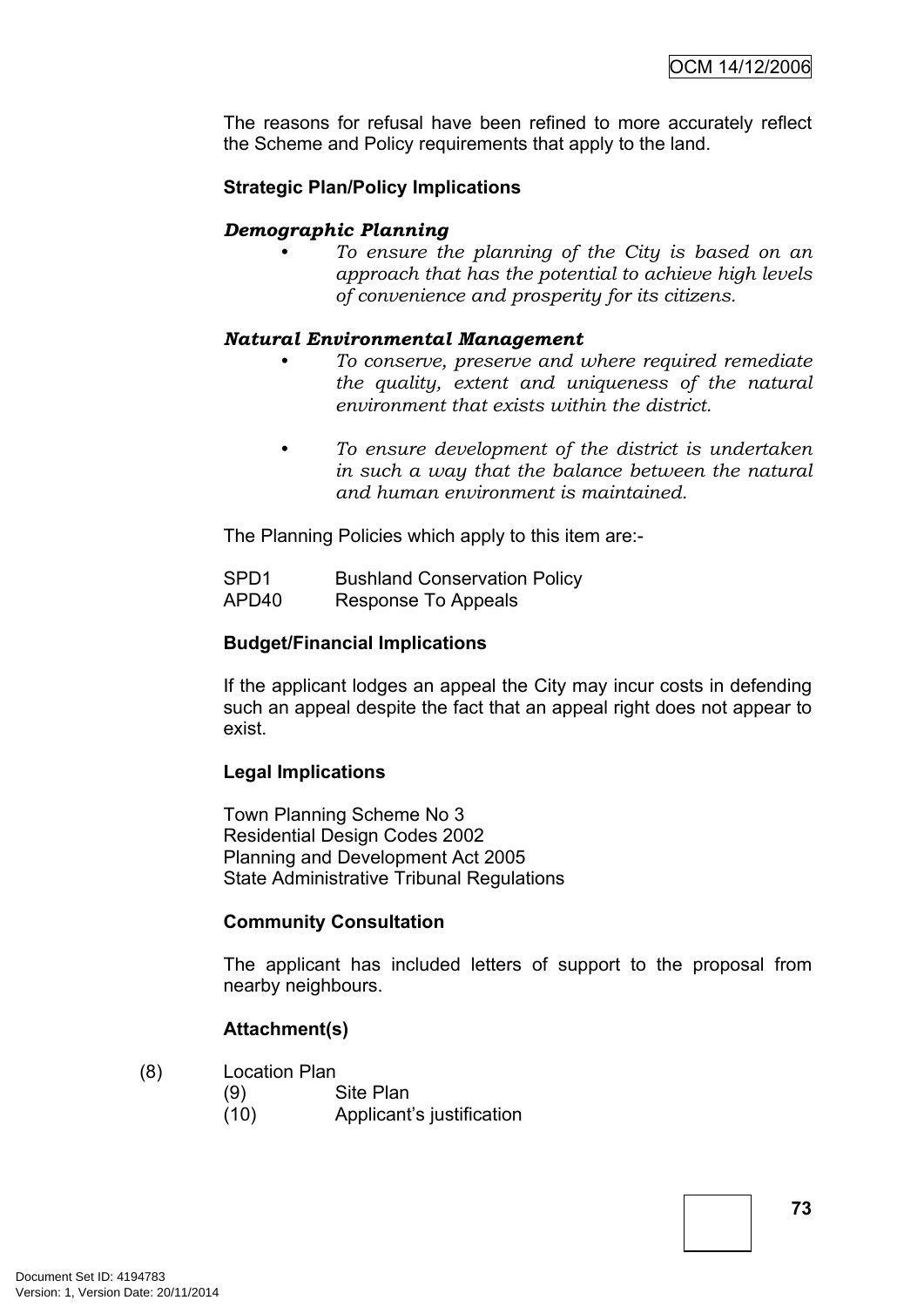The reasons for refusal have been refined to more accurately reflect the Scheme and Policy requirements that apply to the land.

# **Strategic Plan/Policy Implications**

# *Demographic Planning*

*• To ensure the planning of the City is based on an approach that has the potential to achieve high levels of convenience and prosperity for its citizens.*

#### *Natural Environmental Management*

- *• To conserve, preserve and where required remediate the quality, extent and uniqueness of the natural environment that exists within the district.*
- *• To ensure development of the district is undertaken in such a way that the balance between the natural and human environment is maintained.*

The Planning Policies which apply to this item are:-

SPD1 Bushland Conservation Policy APD40 Response To Appeals

#### **Budget/Financial Implications**

If the applicant lodges an appeal the City may incur costs in defending such an appeal despite the fact that an appeal right does not appear to exist.

# **Legal Implications**

Town Planning Scheme No 3 Residential Design Codes 2002 Planning and Development Act 2005 State Administrative Tribunal Regulations

# **Community Consultation**

The applicant has included letters of support to the proposal from nearby neighbours.

# **Attachment(s)**

- (8) Location Plan
	- (9) Site Plan (10) Applicant's justification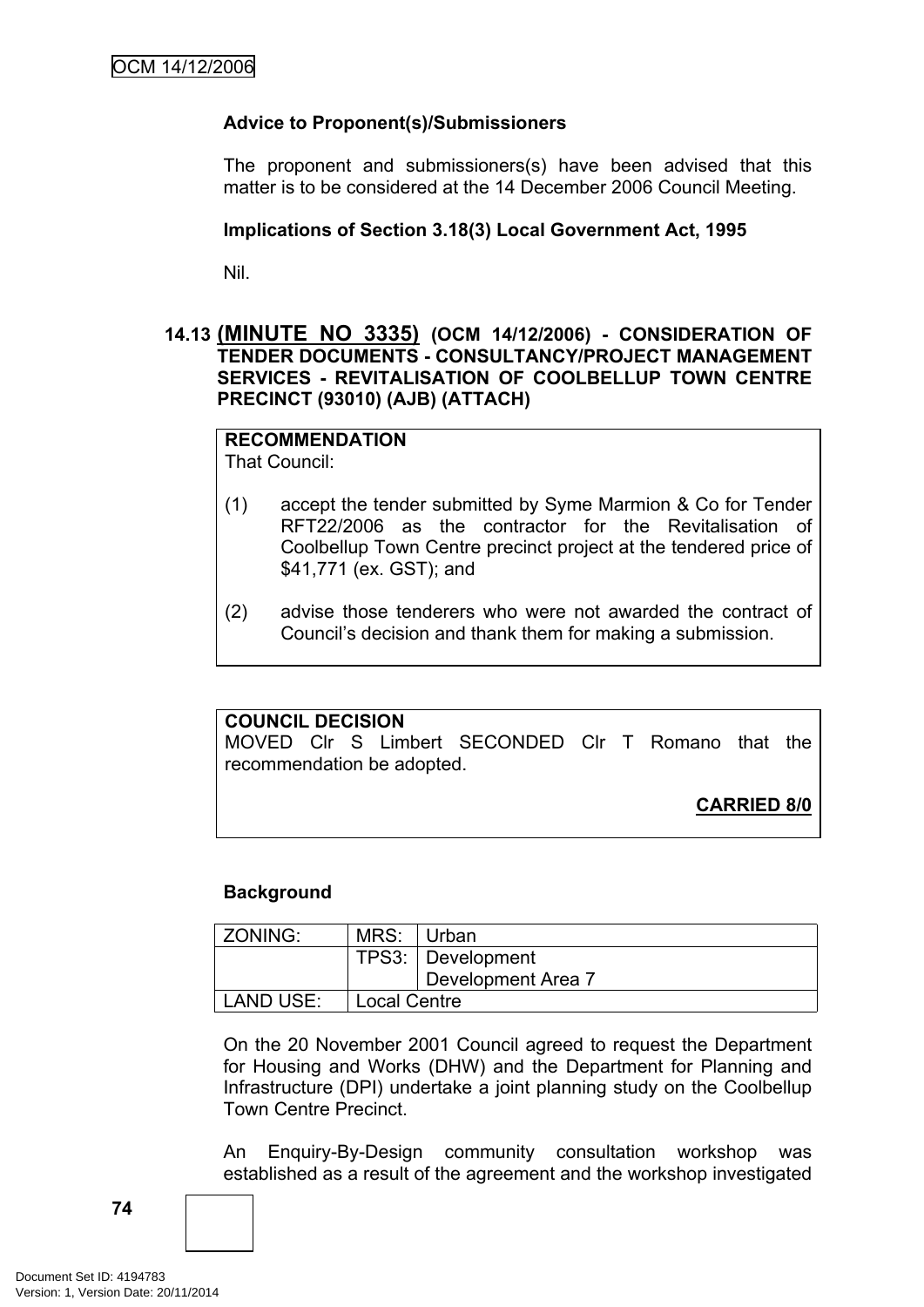# **Advice to Proponent(s)/Submissioners**

The proponent and submissioners(s) have been advised that this matter is to be considered at the 14 December 2006 Council Meeting.

### **Implications of Section 3.18(3) Local Government Act, 1995**

Nil.

# **14.13 (MINUTE NO 3335) (OCM 14/12/2006) - CONSIDERATION OF TENDER DOCUMENTS - CONSULTANCY/PROJECT MANAGEMENT SERVICES - REVITALISATION OF COOLBELLUP TOWN CENTRE PRECINCT (93010) (AJB) (ATTACH)**

# **RECOMMENDATION**

That Council:

- (1) accept the tender submitted by Syme Marmion & Co for Tender RFT22/2006 as the contractor for the Revitalisation of Coolbellup Town Centre precinct project at the tendered price of \$41,771 (ex. GST); and
- (2) advise those tenderers who were not awarded the contract of Council's decision and thank them for making a submission.

# **COUNCIL DECISION**

MOVED Clr S Limbert SECONDED Clr T Romano that the recommendation be adopted.

**CARRIED 8/0**

# **Background**

| ZONING:   | MRS:                | ∣ Urban            |
|-----------|---------------------|--------------------|
|           |                     | TPS3: Development  |
|           |                     | Development Area 7 |
| LAND USE: | <b>Local Centre</b> |                    |

On the 20 November 2001 Council agreed to request the Department for Housing and Works (DHW) and the Department for Planning and Infrastructure (DPI) undertake a joint planning study on the Coolbellup Town Centre Precinct.

An Enquiry-By-Design community consultation workshop was established as a result of the agreement and the workshop investigated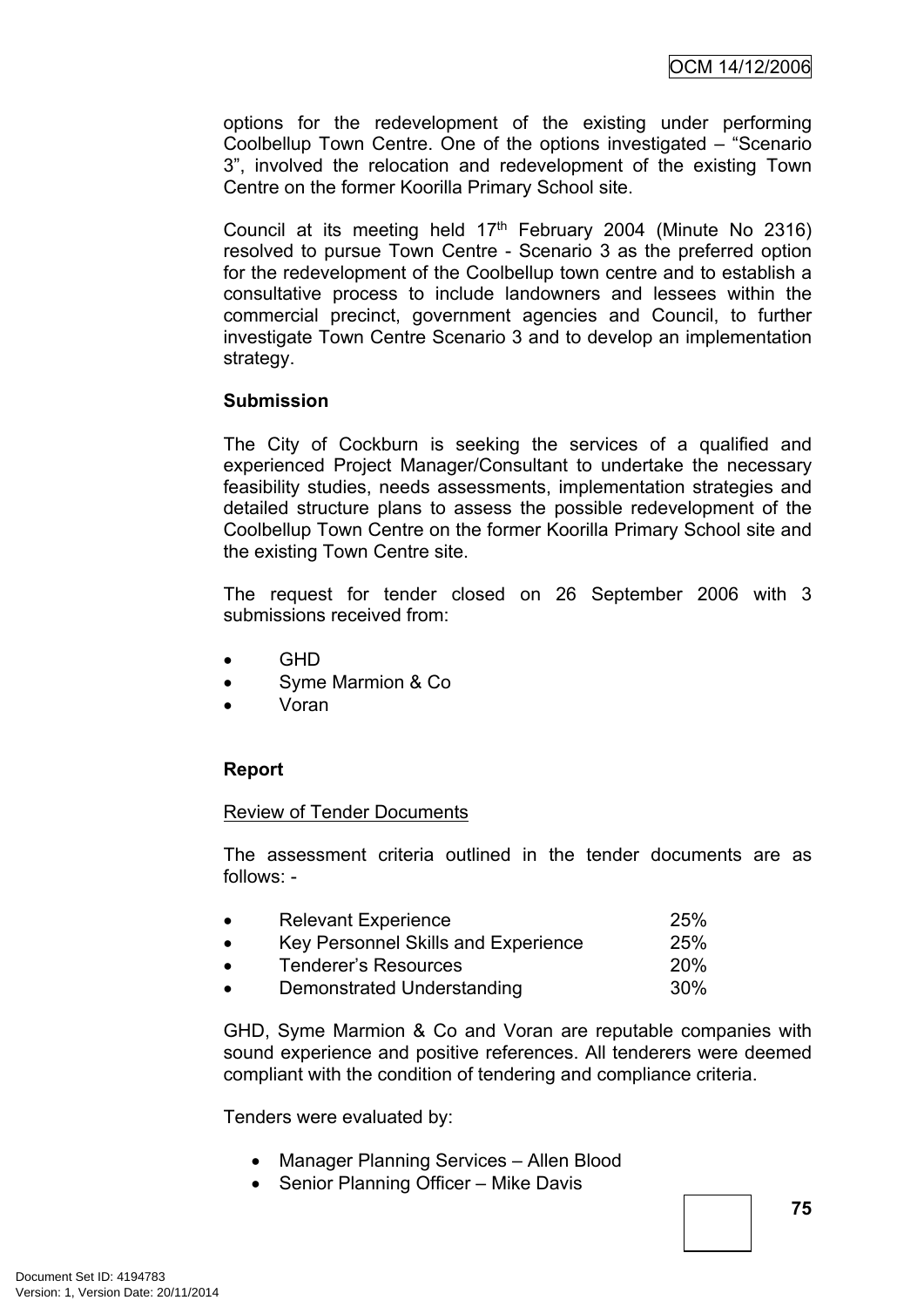options for the redevelopment of the existing under performing Coolbellup Town Centre. One of the options investigated – "Scenario 3", involved the relocation and redevelopment of the existing Town Centre on the former Koorilla Primary School site.

Council at its meeting held  $17<sup>th</sup>$  February 2004 (Minute No 2316) resolved to pursue Town Centre - Scenario 3 as the preferred option for the redevelopment of the Coolbellup town centre and to establish a consultative process to include landowners and lessees within the commercial precinct, government agencies and Council, to further investigate Town Centre Scenario 3 and to develop an implementation strategy.

#### **Submission**

The City of Cockburn is seeking the services of a qualified and experienced Project Manager/Consultant to undertake the necessary feasibility studies, needs assessments, implementation strategies and detailed structure plans to assess the possible redevelopment of the Coolbellup Town Centre on the former Koorilla Primary School site and the existing Town Centre site.

The request for tender closed on 26 September 2006 with 3 submissions received from:

- $\bullet$  GHD
- Syme Marmion & Co
- Voran

# **Report**

#### Review of Tender Documents

The assessment criteria outlined in the tender documents are as follows: -

| $\bullet$ | <b>Relevant Experience</b>          | <b>25%</b> |
|-----------|-------------------------------------|------------|
| $\bullet$ | Key Personnel Skills and Experience | <b>25%</b> |
| $\bullet$ | <b>Tenderer's Resources</b>         | <b>20%</b> |
| $\bullet$ | Demonstrated Understanding          | $30\%$     |

GHD, Syme Marmion & Co and Voran are reputable companies with sound experience and positive references. All tenderers were deemed compliant with the condition of tendering and compliance criteria.

Tenders were evaluated by:

- Manager Planning Services Allen Blood
- Senior Planning Officer Mike Davis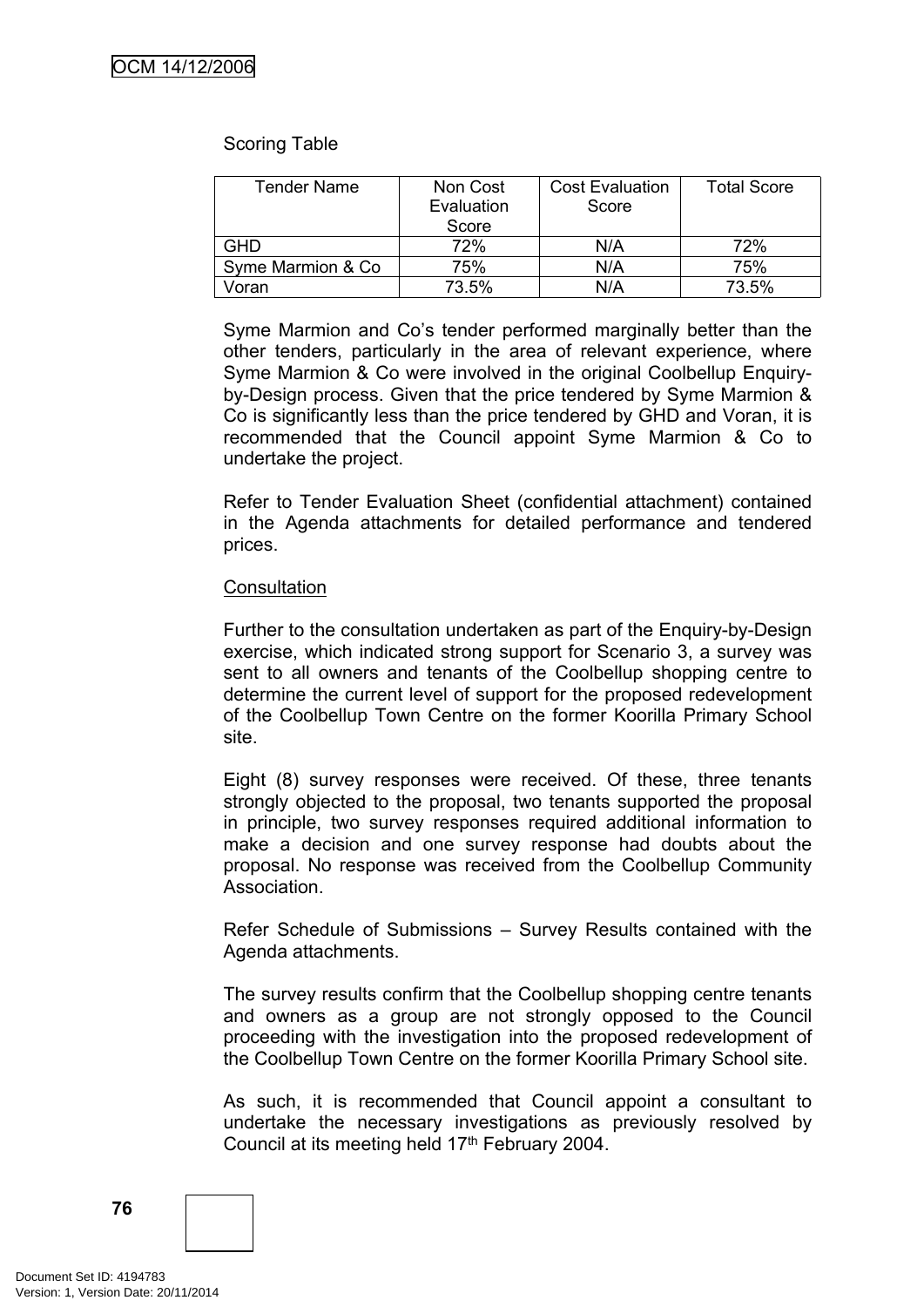#### Scoring Table

| <b>Tender Name</b> | Non Cost<br>Evaluation<br>Score | <b>Cost Evaluation</b><br>Score | <b>Total Score</b> |
|--------------------|---------------------------------|---------------------------------|--------------------|
| <b>GHD</b>         | 72%                             | N/A                             | 72%                |
| Syme Marmion & Co  | 75%                             | N/A                             | 75%                |
| Voran              | 73.5%                           | N/A                             | 73.5%              |

Syme Marmion and Co's tender performed marginally better than the other tenders, particularly in the area of relevant experience, where Syme Marmion & Co were involved in the original Coolbellup Enquiryby-Design process. Given that the price tendered by Syme Marmion & Co is significantly less than the price tendered by GHD and Voran, it is recommended that the Council appoint Syme Marmion & Co to undertake the project.

Refer to Tender Evaluation Sheet (confidential attachment) contained in the Agenda attachments for detailed performance and tendered prices.

#### **Consultation**

Further to the consultation undertaken as part of the Enquiry-by-Design exercise, which indicated strong support for Scenario 3, a survey was sent to all owners and tenants of the Coolbellup shopping centre to determine the current level of support for the proposed redevelopment of the Coolbellup Town Centre on the former Koorilla Primary School site.

Eight (8) survey responses were received. Of these, three tenants strongly objected to the proposal, two tenants supported the proposal in principle, two survey responses required additional information to make a decision and one survey response had doubts about the proposal. No response was received from the Coolbellup Community Association.

Refer Schedule of Submissions – Survey Results contained with the Agenda attachments.

The survey results confirm that the Coolbellup shopping centre tenants and owners as a group are not strongly opposed to the Council proceeding with the investigation into the proposed redevelopment of the Coolbellup Town Centre on the former Koorilla Primary School site.

As such, it is recommended that Council appoint a consultant to undertake the necessary investigations as previously resolved by Council at its meeting held 17<sup>th</sup> February 2004.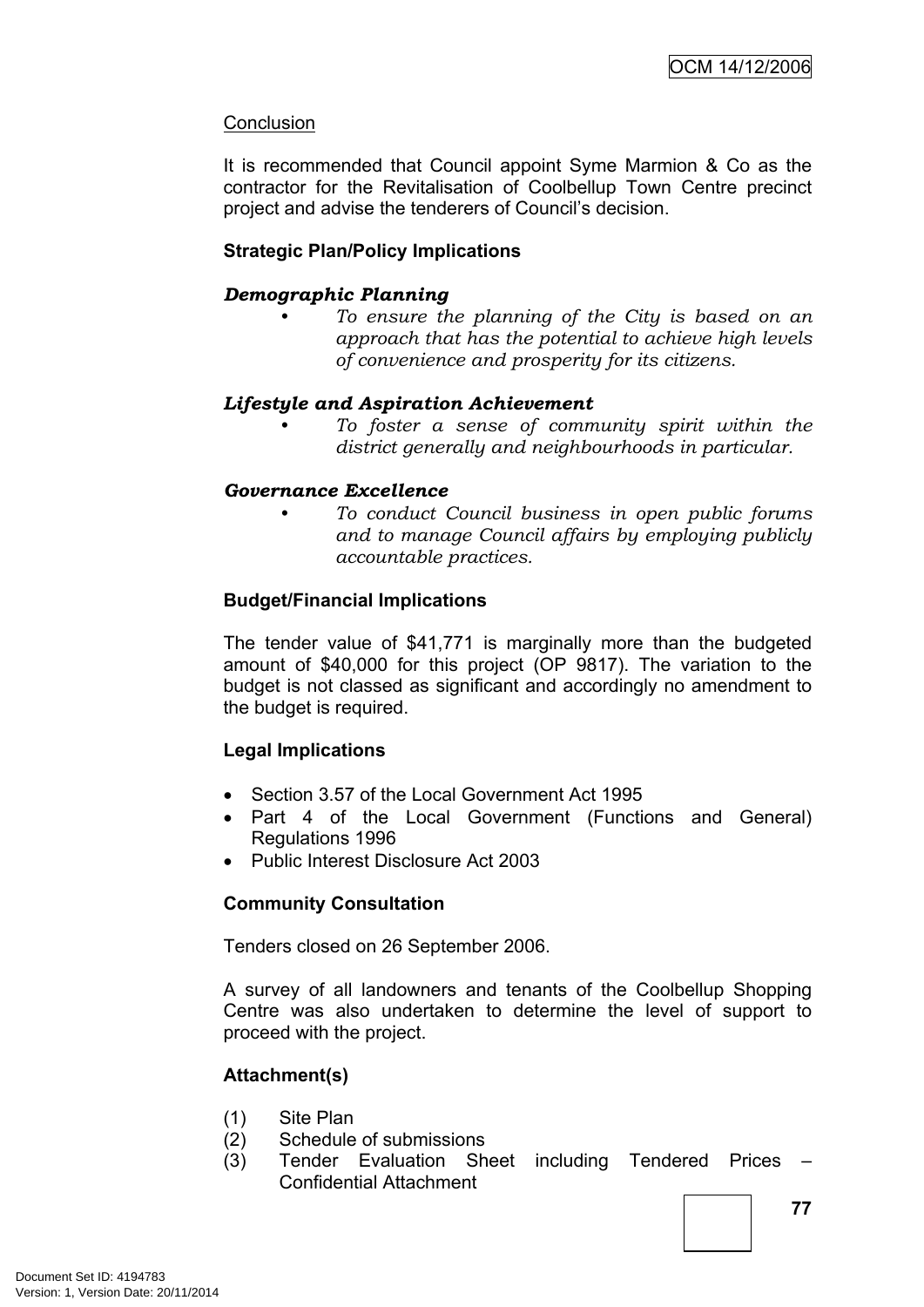# **Conclusion**

It is recommended that Council appoint Syme Marmion & Co as the contractor for the Revitalisation of Coolbellup Town Centre precinct project and advise the tenderers of Council's decision.

# **Strategic Plan/Policy Implications**

# *Demographic Planning*

*• To ensure the planning of the City is based on an approach that has the potential to achieve high levels of convenience and prosperity for its citizens.*

# *Lifestyle and Aspiration Achievement*

*• To foster a sense of community spirit within the district generally and neighbourhoods in particular.*

# *Governance Excellence*

*• To conduct Council business in open public forums and to manage Council affairs by employing publicly accountable practices.*

# **Budget/Financial Implications**

The tender value of \$41,771 is marginally more than the budgeted amount of \$40,000 for this project (OP 9817). The variation to the budget is not classed as significant and accordingly no amendment to the budget is required.

# **Legal Implications**

- Section 3.57 of the Local Government Act 1995
- Part 4 of the Local Government (Functions and General) Regulations 1996
- Public Interest Disclosure Act 2003

# **Community Consultation**

Tenders closed on 26 September 2006.

A survey of all landowners and tenants of the Coolbellup Shopping Centre was also undertaken to determine the level of support to proceed with the project.

# **Attachment(s)**

- (1) Site Plan
- (2) Schedule of submissions
- (3) Tender Evaluation Sheet including Tendered Prices Confidential Attachment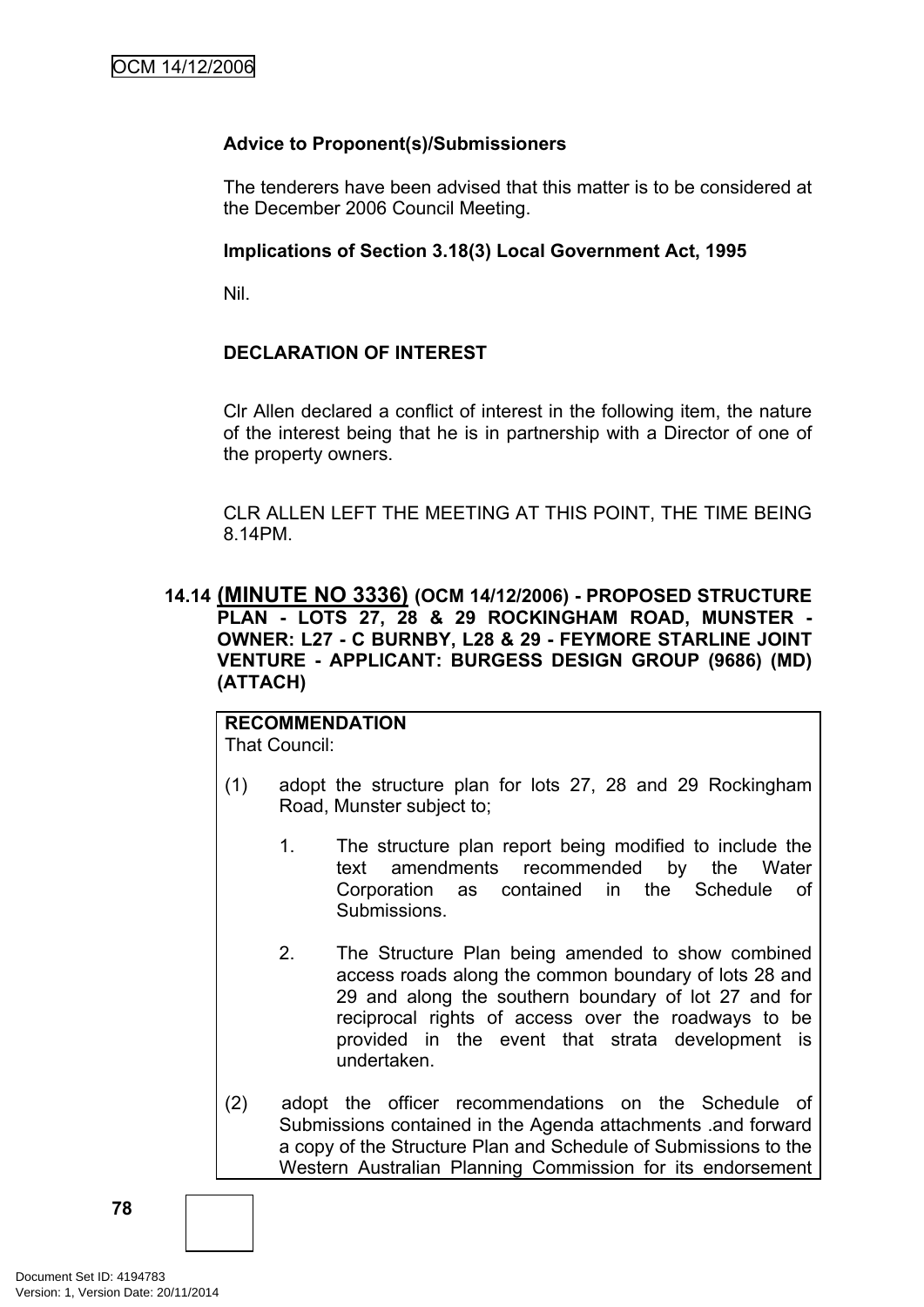# **Advice to Proponent(s)/Submissioners**

The tenderers have been advised that this matter is to be considered at the December 2006 Council Meeting.

# **Implications of Section 3.18(3) Local Government Act, 1995**

Nil.

# **DECLARATION OF INTEREST**

Clr Allen declared a conflict of interest in the following item, the nature of the interest being that he is in partnership with a Director of one of the property owners.

CLR ALLEN LEFT THE MEETING AT THIS POINT, THE TIME BEING 8.14PM.

# **14.14 (MINUTE NO 3336) (OCM 14/12/2006) - PROPOSED STRUCTURE PLAN - LOTS 27, 28 & 29 ROCKINGHAM ROAD, MUNSTER - OWNER: L27 - C BURNBY, L28 & 29 - FEYMORE STARLINE JOINT VENTURE - APPLICANT: BURGESS DESIGN GROUP (9686) (MD) (ATTACH)**

# **RECOMMENDATION** That Council:

- (1) adopt the structure plan for lots 27, 28 and 29 Rockingham Road, Munster subject to;
	- 1. The structure plan report being modified to include the text amendments recommended by the Water Corporation as contained in the Schedule of **Submissions.**
	- 2. The Structure Plan being amended to show combined access roads along the common boundary of lots 28 and 29 and along the southern boundary of lot 27 and for reciprocal rights of access over the roadways to be provided in the event that strata development is undertaken.
- (2) adopt the officer recommendations on the Schedule of Submissions contained in the Agenda attachments .and forward a copy of the Structure Plan and Schedule of Submissions to the Western Australian Planning Commission for its endorsement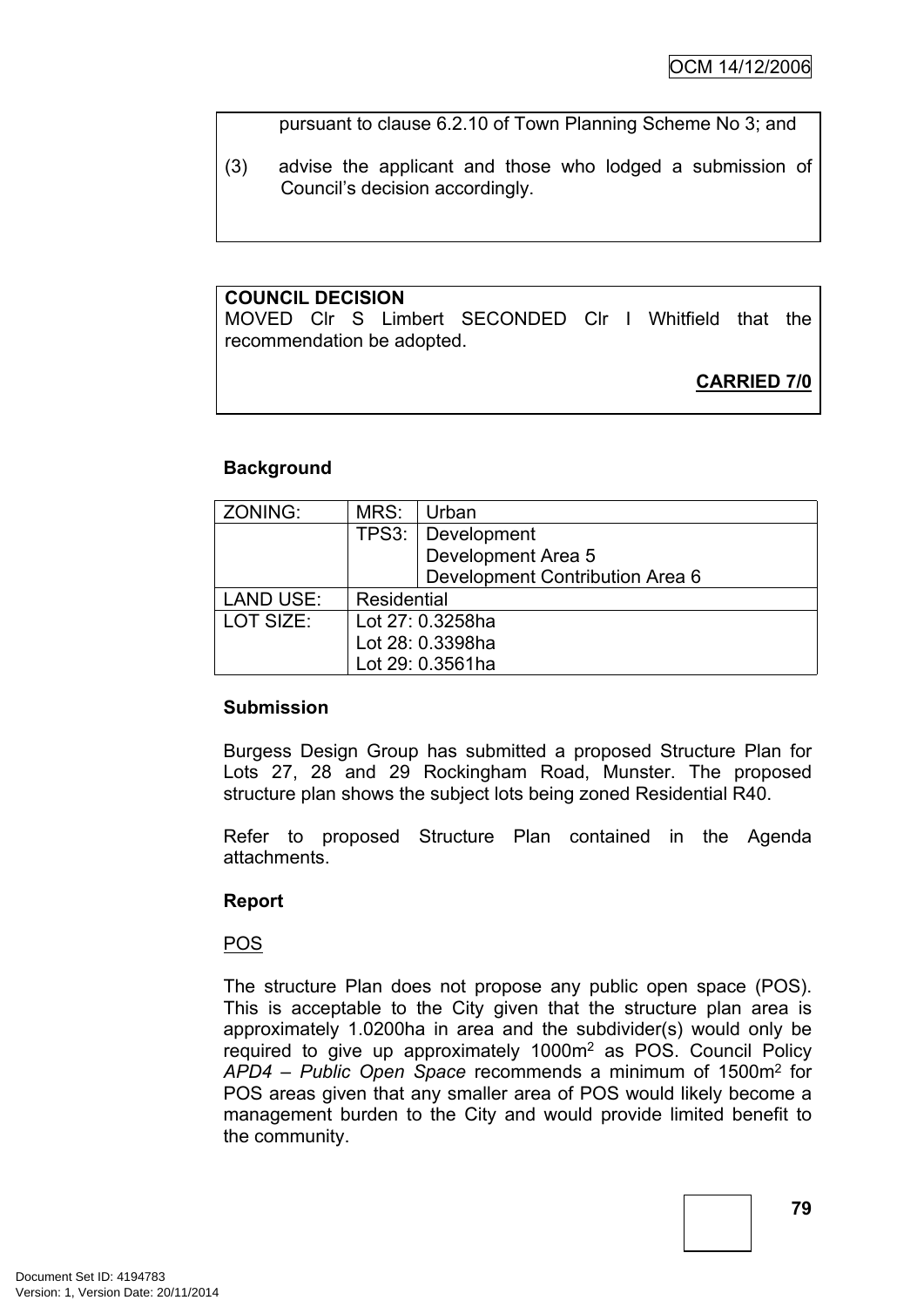pursuant to clause 6.2.10 of Town Planning Scheme No 3; and

(3) advise the applicant and those who lodged a submission of Council's decision accordingly.

# **COUNCIL DECISION**

MOVED Clr S Limbert SECONDED Clr I Whitfield that the recommendation be adopted.

**CARRIED 7/0**

# **Background**

| ZONING:          | MRS:             | Urban                           |  |
|------------------|------------------|---------------------------------|--|
|                  |                  | TPS3: Development               |  |
|                  |                  | Development Area 5              |  |
|                  |                  | Development Contribution Area 6 |  |
| <b>LAND USE:</b> | Residential      |                                 |  |
| LOT SIZE:        | Lot 27: 0.3258ha |                                 |  |
|                  |                  | Lot 28: 0.3398ha                |  |
|                  |                  | Lot 29: 0.3561ha                |  |

# **Submission**

Burgess Design Group has submitted a proposed Structure Plan for Lots 27, 28 and 29 Rockingham Road, Munster. The proposed structure plan shows the subject lots being zoned Residential R40.

Refer to proposed Structure Plan contained in the Agenda attachments.

# **Report**

POS

The structure Plan does not propose any public open space (POS). This is acceptable to the City given that the structure plan area is approximately 1.0200ha in area and the subdivider(s) would only be required to give up approximately 1000m<sup>2</sup> as POS. Council Policy *APD4 – Public Open Space* recommends a minimum of 1500m<sup>2</sup> for POS areas given that any smaller area of POS would likely become a management burden to the City and would provide limited benefit to the community.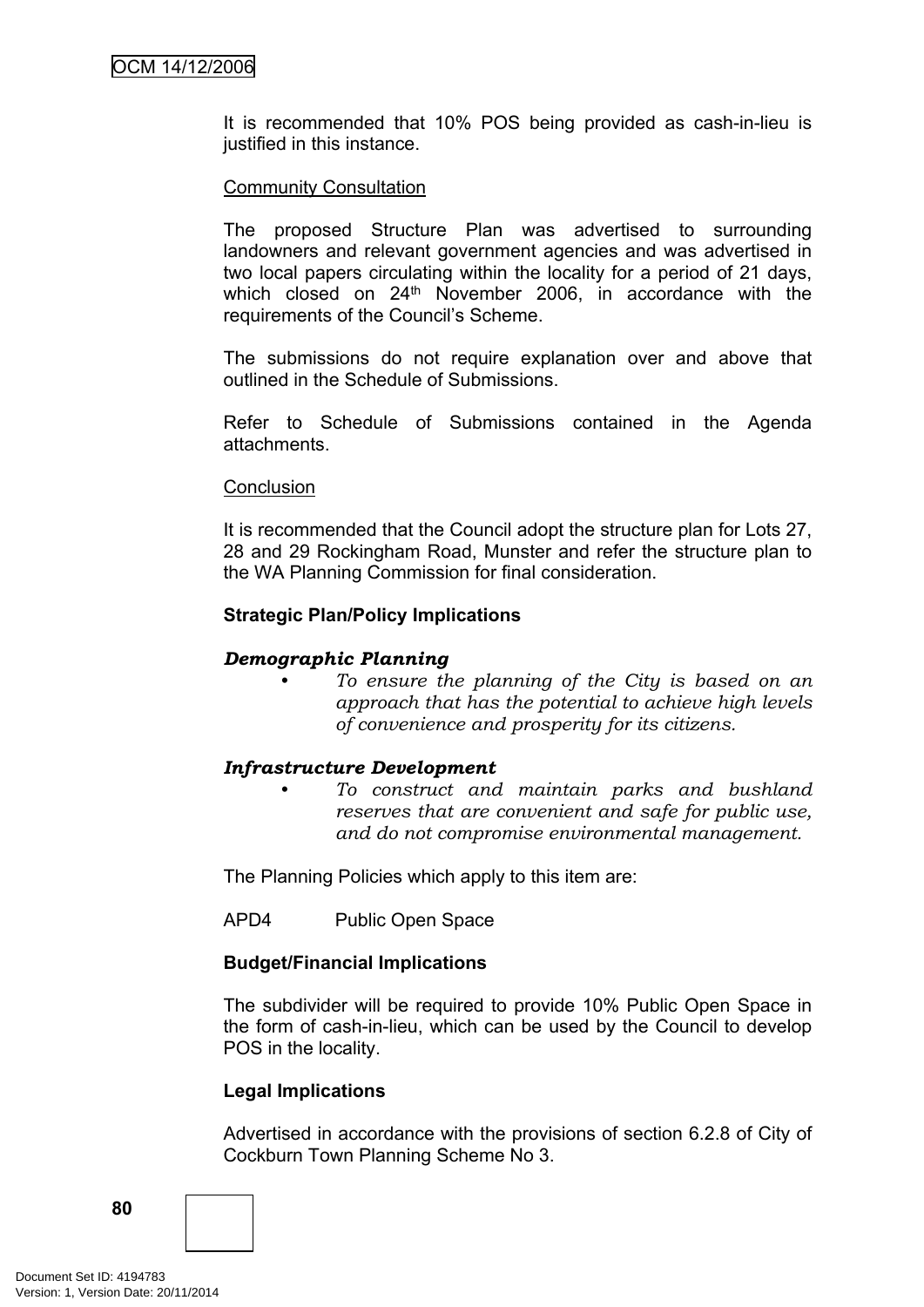It is recommended that 10% POS being provided as cash-in-lieu is justified in this instance.

# Community Consultation

The proposed Structure Plan was advertised to surrounding landowners and relevant government agencies and was advertised in two local papers circulating within the locality for a period of 21 days, which closed on 24<sup>th</sup> November 2006, in accordance with the requirements of the Council's Scheme.

The submissions do not require explanation over and above that outlined in the Schedule of Submissions.

Refer to Schedule of Submissions contained in the Agenda attachments.

#### **Conclusion**

It is recommended that the Council adopt the structure plan for Lots 27, 28 and 29 Rockingham Road, Munster and refer the structure plan to the WA Planning Commission for final consideration.

#### **Strategic Plan/Policy Implications**

# *Demographic Planning*

*• To ensure the planning of the City is based on an approach that has the potential to achieve high levels of convenience and prosperity for its citizens.*

# *Infrastructure Development*

*• To construct and maintain parks and bushland reserves that are convenient and safe for public use, and do not compromise environmental management.*

The Planning Policies which apply to this item are:

APD4 Public Open Space

# **Budget/Financial Implications**

The subdivider will be required to provide 10% Public Open Space in the form of cash-in-lieu, which can be used by the Council to develop POS in the locality.

# **Legal Implications**

Advertised in accordance with the provisions of section 6.2.8 of City of Cockburn Town Planning Scheme No 3.

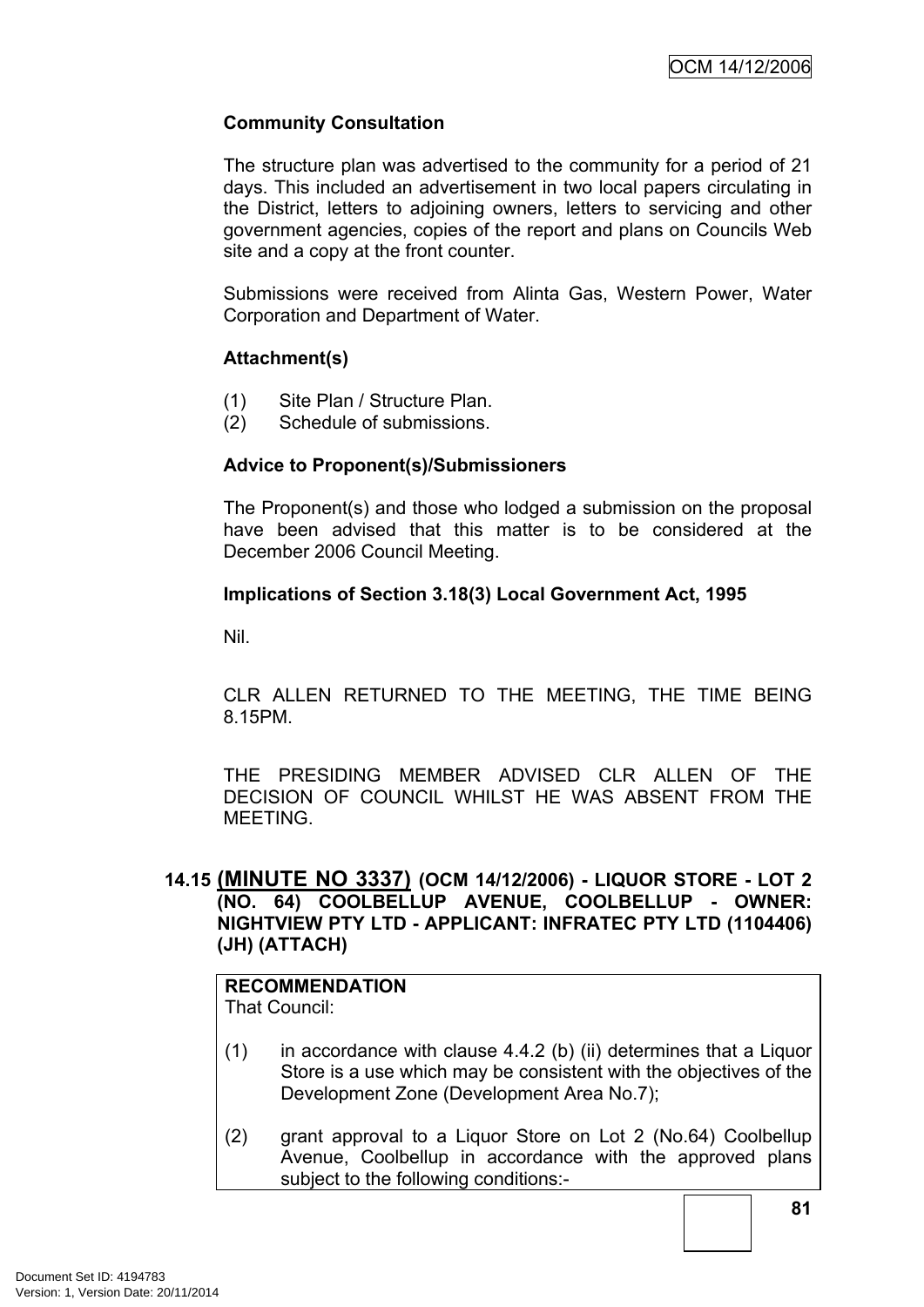# **Community Consultation**

The structure plan was advertised to the community for a period of 21 days. This included an advertisement in two local papers circulating in the District, letters to adjoining owners, letters to servicing and other government agencies, copies of the report and plans on Councils Web site and a copy at the front counter.

Submissions were received from Alinta Gas, Western Power, Water Corporation and Department of Water.

# **Attachment(s)**

- (1) Site Plan / Structure Plan.
- (2) Schedule of submissions.

# **Advice to Proponent(s)/Submissioners**

The Proponent(s) and those who lodged a submission on the proposal have been advised that this matter is to be considered at the December 2006 Council Meeting.

# **Implications of Section 3.18(3) Local Government Act, 1995**

Nil.

CLR ALLEN RETURNED TO THE MEETING, THE TIME BEING 8.15PM.

THE PRESIDING MEMBER ADVISED CLR ALLEN OF THE DECISION OF COUNCIL WHILST HE WAS ABSENT FROM THE MEETING.

# **14.15 (MINUTE NO 3337) (OCM 14/12/2006) - LIQUOR STORE - LOT 2 (NO. 64) COOLBELLUP AVENUE, COOLBELLUP - OWNER: NIGHTVIEW PTY LTD - APPLICANT: INFRATEC PTY LTD (1104406) (JH) (ATTACH)**

# **RECOMMENDATION**

That Council:

- (1) in accordance with clause 4.4.2 (b) (ii) determines that a Liquor Store is a use which may be consistent with the objectives of the Development Zone (Development Area No.7);
- (2) grant approval to a Liquor Store on Lot 2 (No.64) Coolbellup Avenue, Coolbellup in accordance with the approved plans subject to the following conditions:-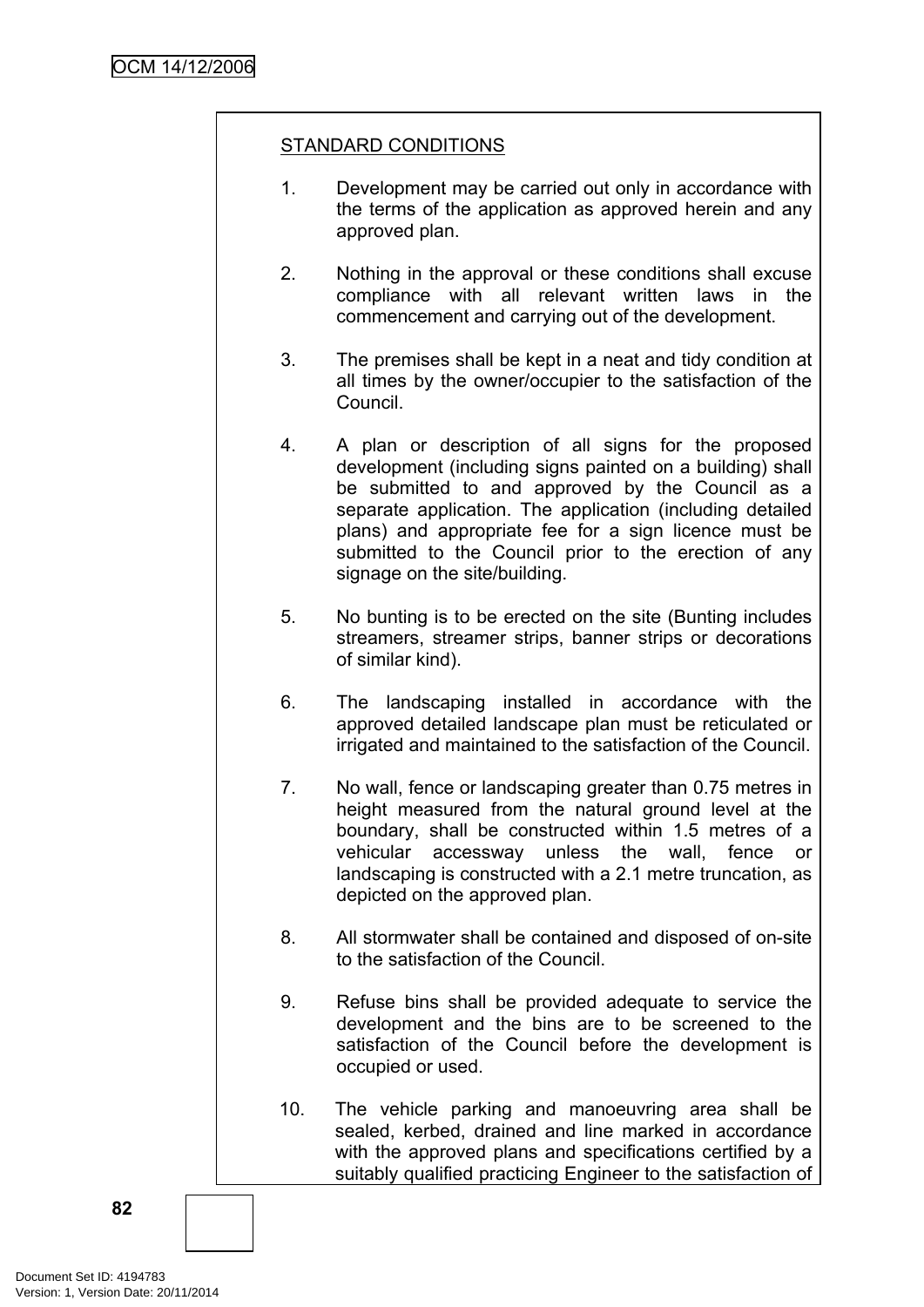# STANDARD CONDITIONS

- 1. Development may be carried out only in accordance with the terms of the application as approved herein and any approved plan.
- 2. Nothing in the approval or these conditions shall excuse compliance with all relevant written laws in the commencement and carrying out of the development.
- 3. The premises shall be kept in a neat and tidy condition at all times by the owner/occupier to the satisfaction of the Council.
- 4. A plan or description of all signs for the proposed development (including signs painted on a building) shall be submitted to and approved by the Council as a separate application. The application (including detailed plans) and appropriate fee for a sign licence must be submitted to the Council prior to the erection of any signage on the site/building.
- 5. No bunting is to be erected on the site (Bunting includes streamers, streamer strips, banner strips or decorations of similar kind).
- 6. The landscaping installed in accordance with the approved detailed landscape plan must be reticulated or irrigated and maintained to the satisfaction of the Council.
- 7. No wall, fence or landscaping greater than 0.75 metres in height measured from the natural ground level at the boundary, shall be constructed within 1.5 metres of a vehicular accessway unless the wall, fence or landscaping is constructed with a 2.1 metre truncation, as depicted on the approved plan.
- 8. All stormwater shall be contained and disposed of on-site to the satisfaction of the Council.
- 9. Refuse bins shall be provided adequate to service the development and the bins are to be screened to the satisfaction of the Council before the development is occupied or used.
- 10. The vehicle parking and manoeuvring area shall be sealed, kerbed, drained and line marked in accordance with the approved plans and specifications certified by a suitably qualified practicing Engineer to the satisfaction of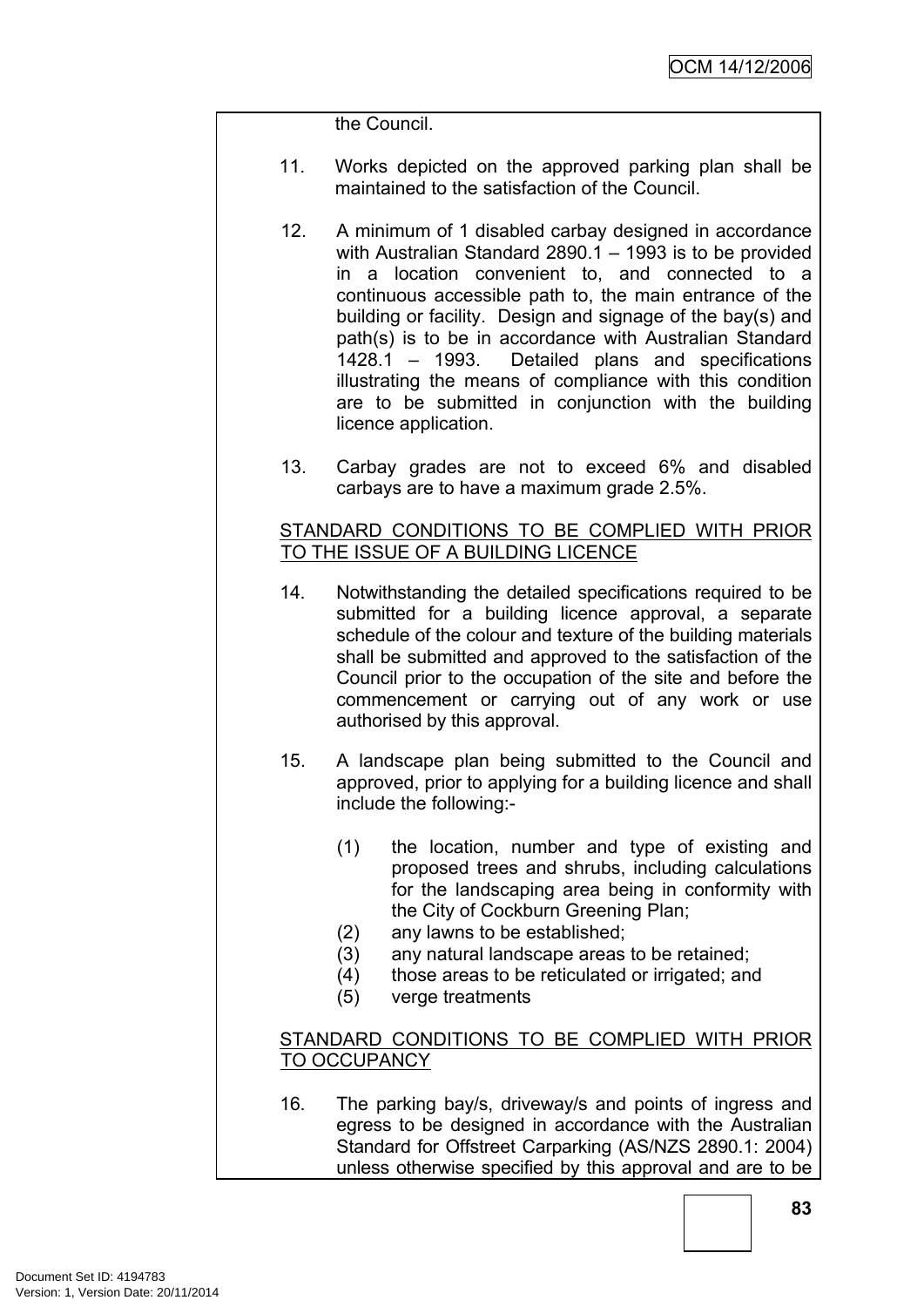the Council.

- 11. Works depicted on the approved parking plan shall be maintained to the satisfaction of the Council.
- 12. A minimum of 1 disabled carbay designed in accordance with Australian Standard 2890.1 – 1993 is to be provided in a location convenient to, and connected to a continuous accessible path to, the main entrance of the building or facility. Design and signage of the bay(s) and path(s) is to be in accordance with Australian Standard 1428.1 – 1993. Detailed plans and specifications illustrating the means of compliance with this condition are to be submitted in conjunction with the building licence application.
- 13. Carbay grades are not to exceed 6% and disabled carbays are to have a maximum grade 2.5%.

# STANDARD CONDITIONS TO BE COMPLIED WITH PRIOR TO THE ISSUE OF A BUILDING LICENCE

- 14. Notwithstanding the detailed specifications required to be submitted for a building licence approval, a separate schedule of the colour and texture of the building materials shall be submitted and approved to the satisfaction of the Council prior to the occupation of the site and before the commencement or carrying out of any work or use authorised by this approval.
- 15. A landscape plan being submitted to the Council and approved, prior to applying for a building licence and shall include the following:-
	- (1) the location, number and type of existing and proposed trees and shrubs, including calculations for the landscaping area being in conformity with the City of Cockburn Greening Plan;
	- (2) any lawns to be established;
	- (3) any natural landscape areas to be retained;
	- (4) those areas to be reticulated or irrigated; and
	- (5) verge treatments

# STANDARD CONDITIONS TO BE COMPLIED WITH PRIOR TO OCCUPANCY

16. The parking bay/s, driveway/s and points of ingress and egress to be designed in accordance with the Australian Standard for Offstreet Carparking (AS/NZS 2890.1: 2004) unless otherwise specified by this approval and are to be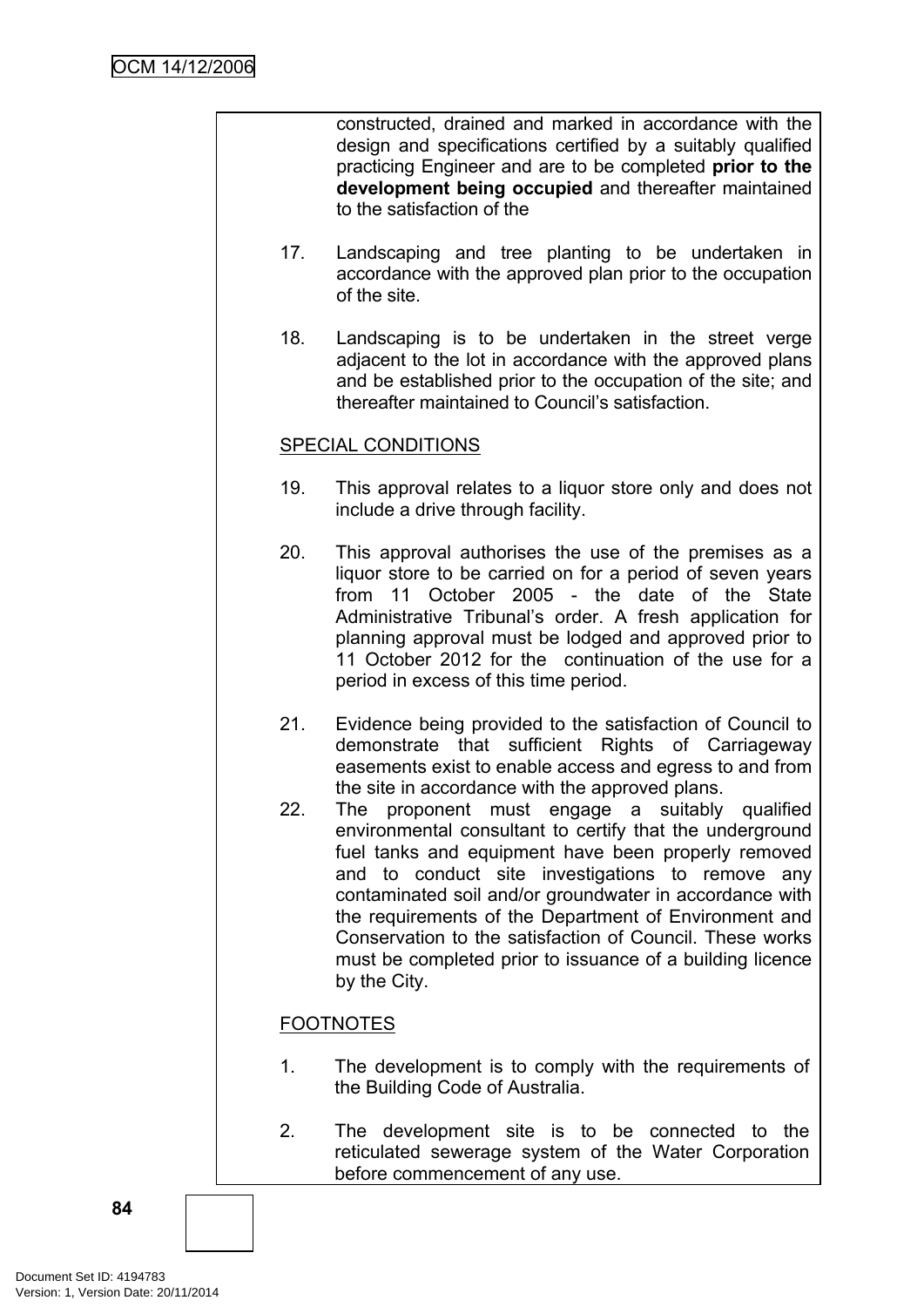constructed, drained and marked in accordance with the design and specifications certified by a suitably qualified practicing Engineer and are to be completed **prior to the development being occupied** and thereafter maintained to the satisfaction of the

- 17. Landscaping and tree planting to be undertaken in accordance with the approved plan prior to the occupation of the site.
- 18. Landscaping is to be undertaken in the street verge adjacent to the lot in accordance with the approved plans and be established prior to the occupation of the site; and thereafter maintained to Council's satisfaction.

# SPECIAL CONDITIONS

- 19. This approval relates to a liquor store only and does not include a drive through facility.
- 20. This approval authorises the use of the premises as a liquor store to be carried on for a period of seven years from 11 October 2005 - the date of the State Administrative Tribunal's order. A fresh application for planning approval must be lodged and approved prior to 11 October 2012 for the continuation of the use for a period in excess of this time period.
- 21. Evidence being provided to the satisfaction of Council to demonstrate that sufficient Rights of Carriageway easements exist to enable access and egress to and from the site in accordance with the approved plans.
- 22. The proponent must engage a suitably qualified environmental consultant to certify that the underground fuel tanks and equipment have been properly removed and to conduct site investigations to remove any contaminated soil and/or groundwater in accordance with the requirements of the Department of Environment and Conservation to the satisfaction of Council. These works must be completed prior to issuance of a building licence by the City.

# FOOTNOTES

- 1. The development is to comply with the requirements of the Building Code of Australia.
- 2. The development site is to be connected to the reticulated sewerage system of the Water Corporation before commencement of any use.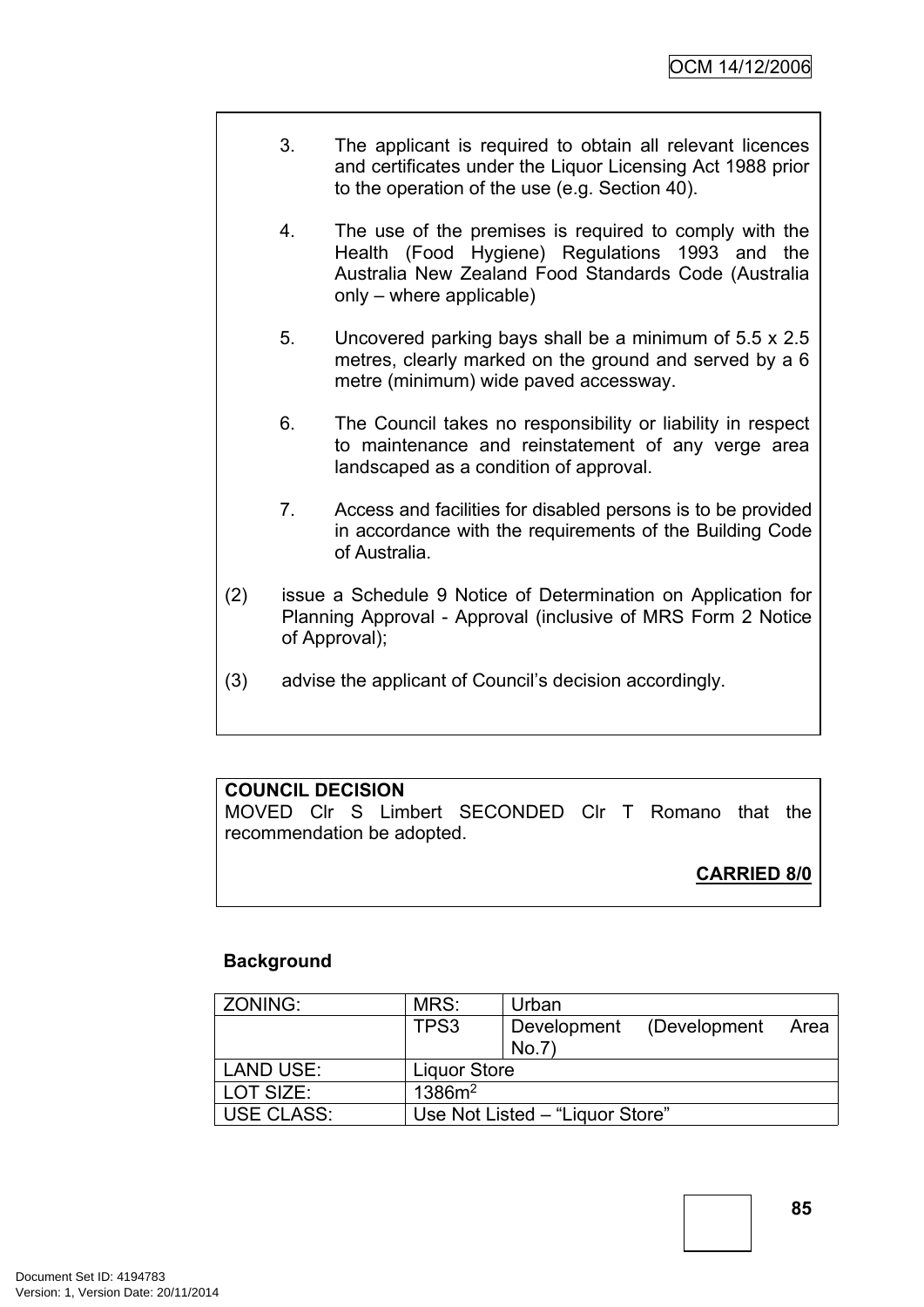- 3. The applicant is required to obtain all relevant licences and certificates under the Liquor Licensing Act 1988 prior to the operation of the use (e.g. Section 40).
- 4. The use of the premises is required to comply with the Health (Food Hygiene) Regulations 1993 and the Australia New Zealand Food Standards Code (Australia only – where applicable)
- 5. Uncovered parking bays shall be a minimum of 5.5 x 2.5 metres, clearly marked on the ground and served by a 6 metre (minimum) wide paved accessway.
- 6. The Council takes no responsibility or liability in respect to maintenance and reinstatement of any verge area landscaped as a condition of approval.
- 7. Access and facilities for disabled persons is to be provided in accordance with the requirements of the Building Code of Australia.
- (2) issue a Schedule 9 Notice of Determination on Application for Planning Approval - Approval (inclusive of MRS Form 2 Notice of Approval);
- (3) advise the applicant of Council's decision accordingly.

# **COUNCIL DECISION**

MOVED Clr S Limbert SECONDED Clr T Romano that the recommendation be adopted.

# **CARRIED 8/0**

# **Background**

| ZONING:           | MRS:                            | Urban       |              |      |
|-------------------|---------------------------------|-------------|--------------|------|
|                   | TPS3                            | Development | (Development | Area |
|                   |                                 | No.7'       |              |      |
| <b>LAND USE:</b>  | <b>Liquor Store</b>             |             |              |      |
| LOT SIZE:         | 1386m <sup>2</sup>              |             |              |      |
| <b>USE CLASS:</b> | Use Not Listed – "Liquor Store" |             |              |      |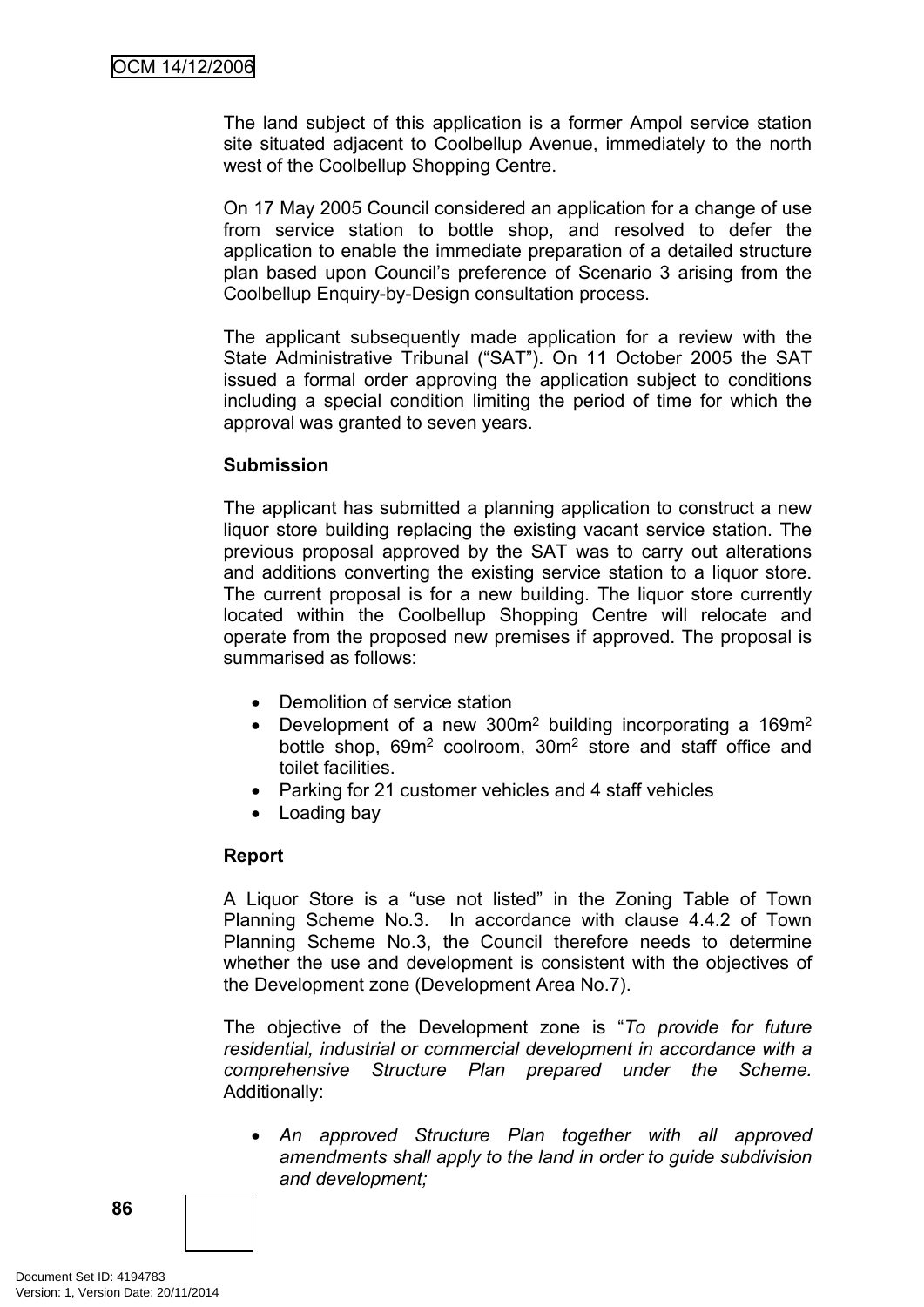The land subject of this application is a former Ampol service station site situated adjacent to Coolbellup Avenue, immediately to the north west of the Coolbellup Shopping Centre.

On 17 May 2005 Council considered an application for a change of use from service station to bottle shop, and resolved to defer the application to enable the immediate preparation of a detailed structure plan based upon Council's preference of Scenario 3 arising from the Coolbellup Enquiry-by-Design consultation process.

The applicant subsequently made application for a review with the State Administrative Tribunal ("SAT"). On 11 October 2005 the SAT issued a formal order approving the application subject to conditions including a special condition limiting the period of time for which the approval was granted to seven years.

# **Submission**

The applicant has submitted a planning application to construct a new liquor store building replacing the existing vacant service station. The previous proposal approved by the SAT was to carry out alterations and additions converting the existing service station to a liquor store. The current proposal is for a new building. The liquor store currently located within the Coolbellup Shopping Centre will relocate and operate from the proposed new premises if approved. The proposal is summarised as follows:

- Demolition of service station
- Development of a new 300 $m<sup>2</sup>$  building incorporating a 169 $m<sup>2</sup>$ bottle shop, 69m<sup>2</sup> coolroom, 30m<sup>2</sup> store and staff office and toilet facilities.
- Parking for 21 customer vehicles and 4 staff vehicles
- Loading bay

# **Report**

A Liquor Store is a "use not listed" in the Zoning Table of Town Planning Scheme No.3. In accordance with clause 4.4.2 of Town Planning Scheme No.3, the Council therefore needs to determine whether the use and development is consistent with the objectives of the Development zone (Development Area No.7).

The objective of the Development zone is "*To provide for future residential, industrial or commercial development in accordance with a comprehensive Structure Plan prepared under the Scheme.* Additionally:

 *An approved Structure Plan together with all approved amendments shall apply to the land in order to guide subdivision and development;*

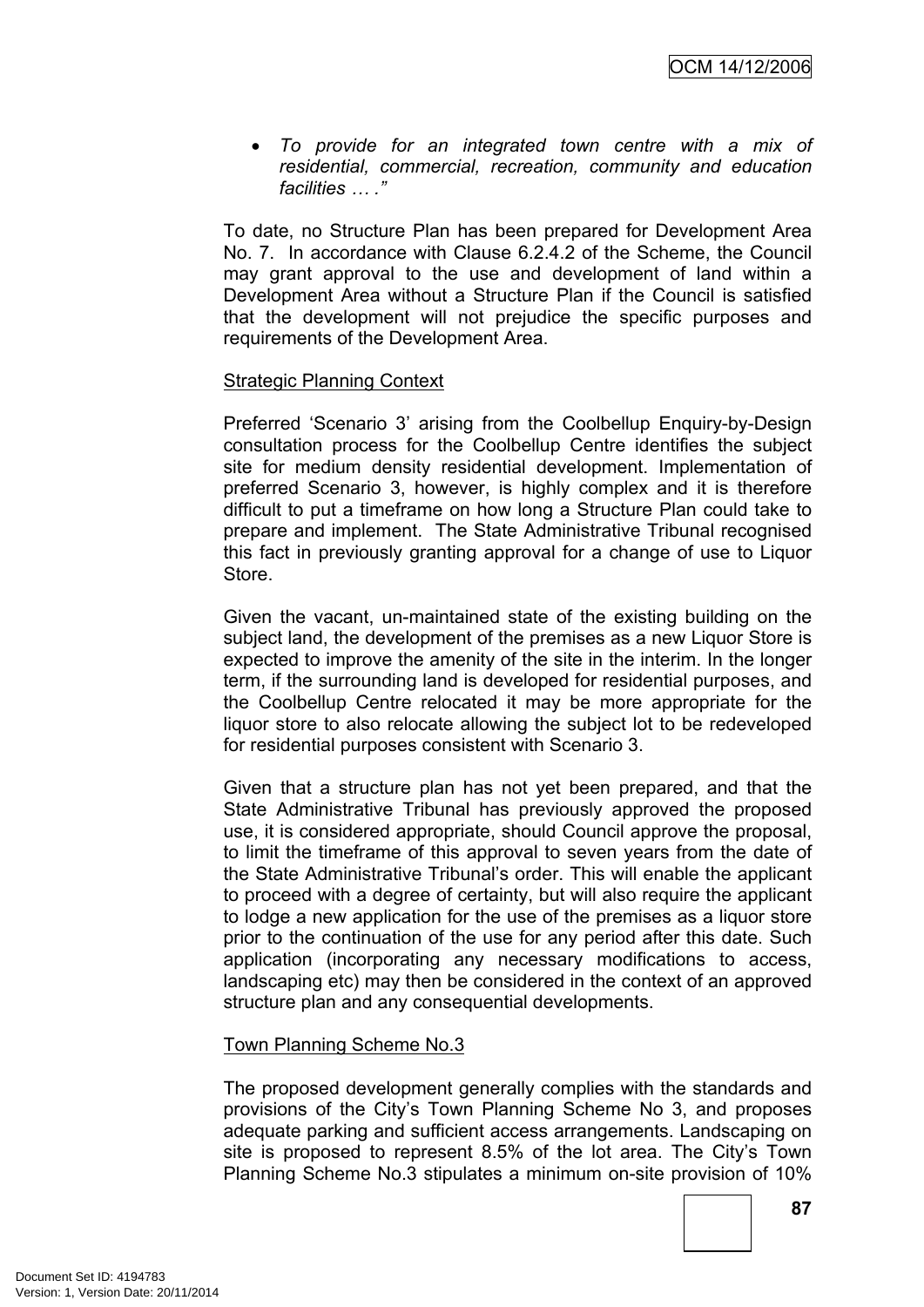*To provide for an integrated town centre with a mix of residential, commercial, recreation, community and education facilities … ."*

To date, no Structure Plan has been prepared for Development Area No. 7. In accordance with Clause 6.2.4.2 of the Scheme, the Council may grant approval to the use and development of land within a Development Area without a Structure Plan if the Council is satisfied that the development will not prejudice the specific purposes and requirements of the Development Area.

# Strategic Planning Context

Preferred 'Scenario 3' arising from the Coolbellup Enquiry-by-Design consultation process for the Coolbellup Centre identifies the subject site for medium density residential development. Implementation of preferred Scenario 3, however, is highly complex and it is therefore difficult to put a timeframe on how long a Structure Plan could take to prepare and implement. The State Administrative Tribunal recognised this fact in previously granting approval for a change of use to Liquor Store.

Given the vacant, un-maintained state of the existing building on the subject land, the development of the premises as a new Liquor Store is expected to improve the amenity of the site in the interim. In the longer term, if the surrounding land is developed for residential purposes, and the Coolbellup Centre relocated it may be more appropriate for the liquor store to also relocate allowing the subject lot to be redeveloped for residential purposes consistent with Scenario 3.

Given that a structure plan has not yet been prepared, and that the State Administrative Tribunal has previously approved the proposed use, it is considered appropriate, should Council approve the proposal, to limit the timeframe of this approval to seven years from the date of the State Administrative Tribunal's order. This will enable the applicant to proceed with a degree of certainty, but will also require the applicant to lodge a new application for the use of the premises as a liquor store prior to the continuation of the use for any period after this date. Such application (incorporating any necessary modifications to access, landscaping etc) may then be considered in the context of an approved structure plan and any consequential developments.

#### Town Planning Scheme No.3

The proposed development generally complies with the standards and provisions of the City's Town Planning Scheme No 3, and proposes adequate parking and sufficient access arrangements. Landscaping on site is proposed to represent 8.5% of the lot area. The City's Town Planning Scheme No.3 stipulates a minimum on-site provision of 10%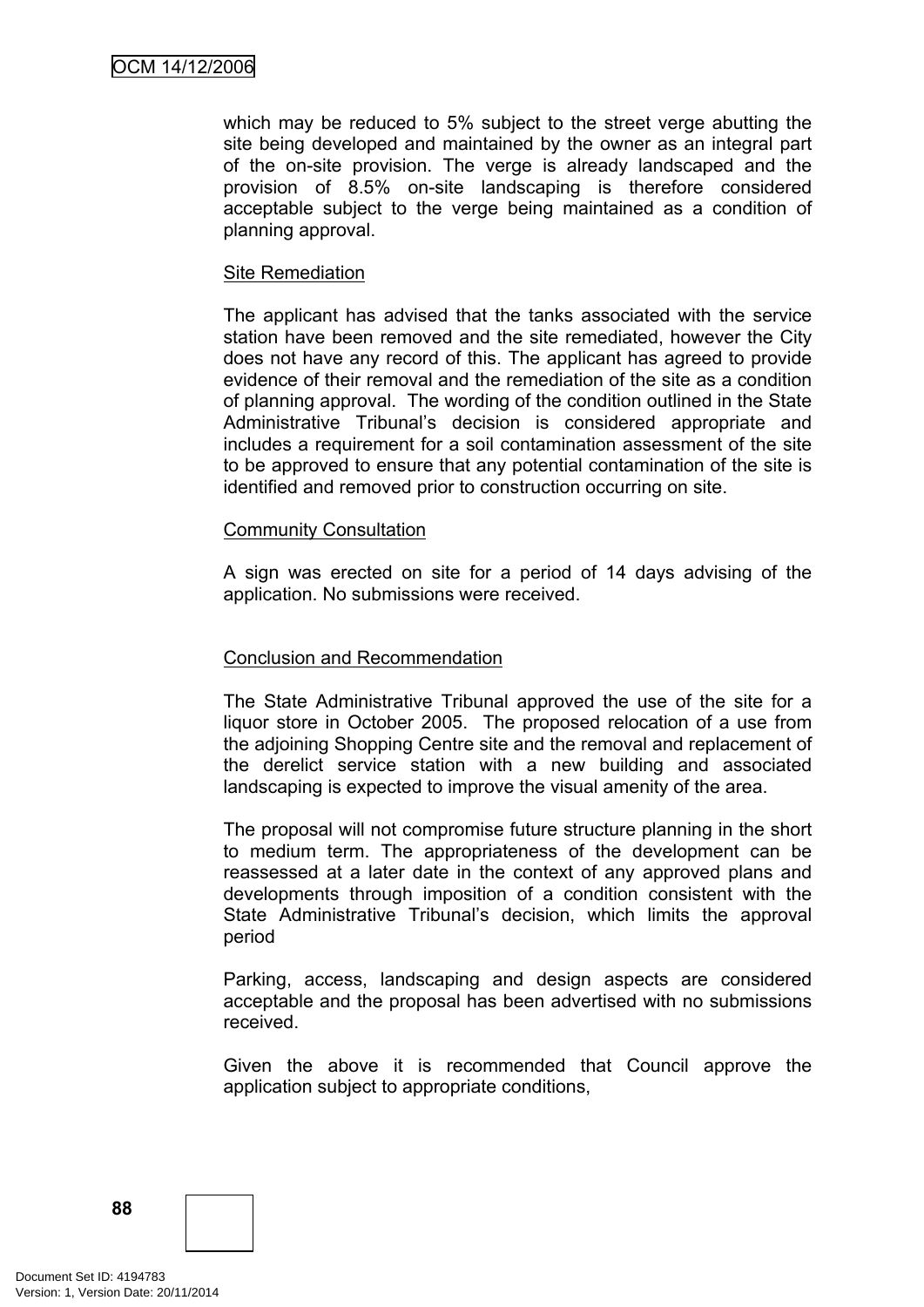which may be reduced to 5% subject to the street verge abutting the site being developed and maintained by the owner as an integral part of the on-site provision. The verge is already landscaped and the provision of 8.5% on-site landscaping is therefore considered acceptable subject to the verge being maintained as a condition of planning approval.

#### Site Remediation

The applicant has advised that the tanks associated with the service station have been removed and the site remediated, however the City does not have any record of this. The applicant has agreed to provide evidence of their removal and the remediation of the site as a condition of planning approval. The wording of the condition outlined in the State Administrative Tribunal's decision is considered appropriate and includes a requirement for a soil contamination assessment of the site to be approved to ensure that any potential contamination of the site is identified and removed prior to construction occurring on site.

#### Community Consultation

A sign was erected on site for a period of 14 days advising of the application. No submissions were received.

# Conclusion and Recommendation

The State Administrative Tribunal approved the use of the site for a liquor store in October 2005. The proposed relocation of a use from the adjoining Shopping Centre site and the removal and replacement of the derelict service station with a new building and associated landscaping is expected to improve the visual amenity of the area.

The proposal will not compromise future structure planning in the short to medium term. The appropriateness of the development can be reassessed at a later date in the context of any approved plans and developments through imposition of a condition consistent with the State Administrative Tribunal's decision, which limits the approval period

Parking, access, landscaping and design aspects are considered acceptable and the proposal has been advertised with no submissions received.

Given the above it is recommended that Council approve the application subject to appropriate conditions,

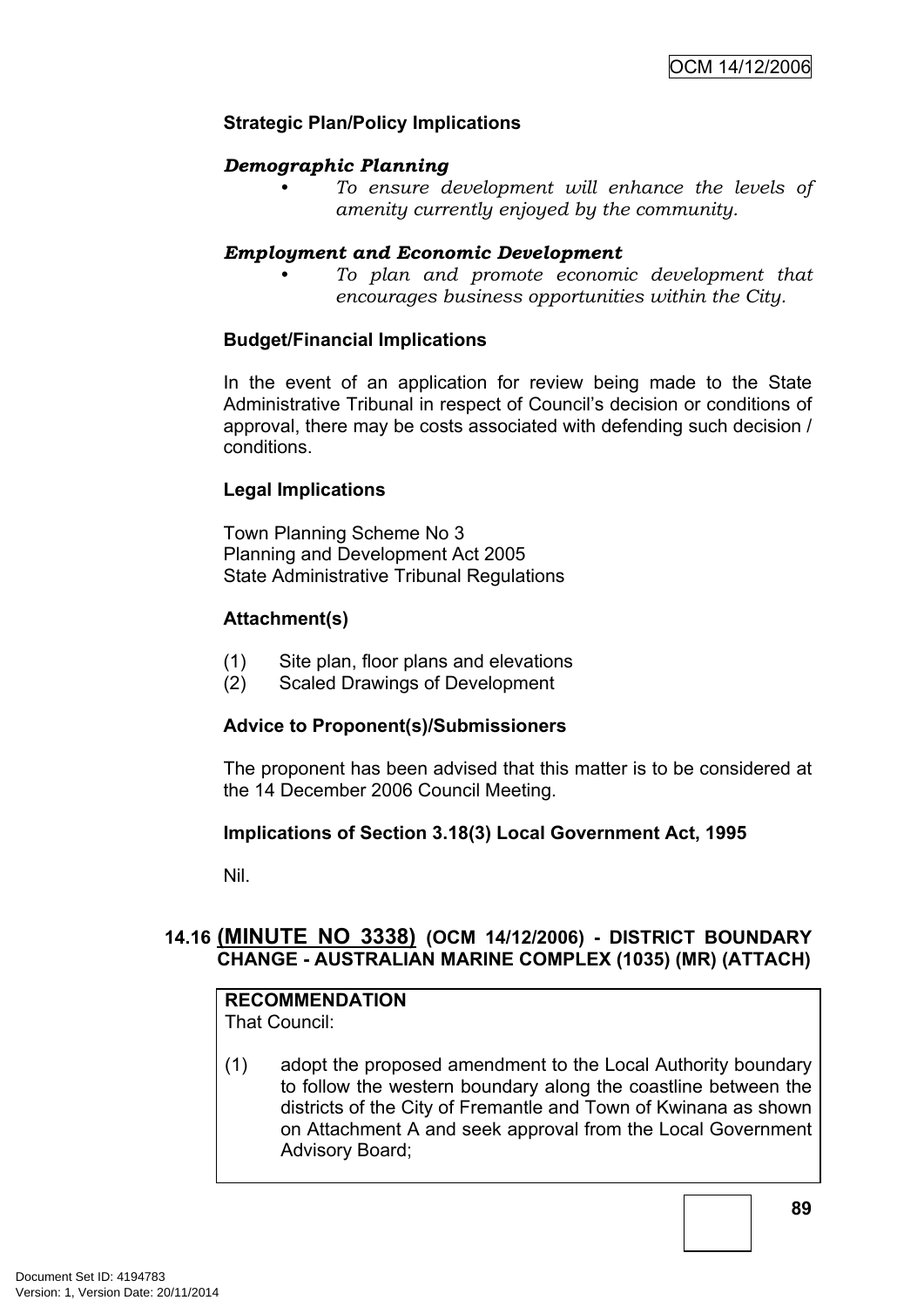# **Strategic Plan/Policy Implications**

# *Demographic Planning*

*• To ensure development will enhance the levels of amenity currently enjoyed by the community.*

### *Employment and Economic Development*

*• To plan and promote economic development that encourages business opportunities within the City.*

# **Budget/Financial Implications**

In the event of an application for review being made to the State Administrative Tribunal in respect of Council's decision or conditions of approval, there may be costs associated with defending such decision / conditions.

#### **Legal Implications**

Town Planning Scheme No 3 Planning and Development Act 2005 State Administrative Tribunal Regulations

# **Attachment(s)**

- (1) Site plan, floor plans and elevations
- (2) Scaled Drawings of Development

# **Advice to Proponent(s)/Submissioners**

The proponent has been advised that this matter is to be considered at the 14 December 2006 Council Meeting.

# **Implications of Section 3.18(3) Local Government Act, 1995**

Nil.

# **14.16 (MINUTE NO 3338) (OCM 14/12/2006) - DISTRICT BOUNDARY CHANGE - AUSTRALIAN MARINE COMPLEX (1035) (MR) (ATTACH)**

# **RECOMMENDATION**

That Council:

(1) adopt the proposed amendment to the Local Authority boundary to follow the western boundary along the coastline between the districts of the City of Fremantle and Town of Kwinana as shown on Attachment A and seek approval from the Local Government Advisory Board;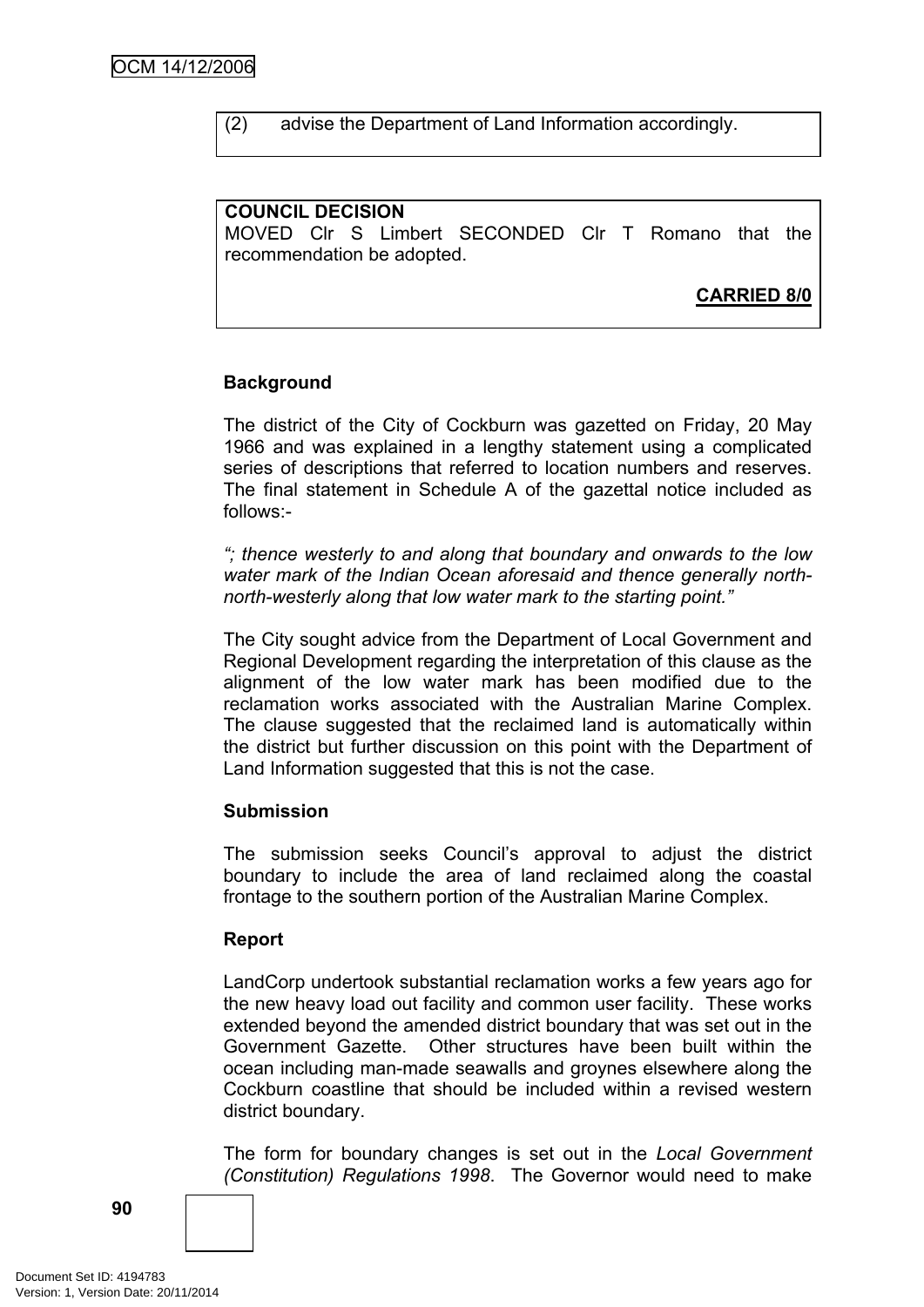(2) advise the Department of Land Information accordingly.

#### **COUNCIL DECISION** MOVED Clr S Limbert SECONDED Clr T Romano that the recommendation be adopted.

**CARRIED 8/0**

# **Background**

The district of the City of Cockburn was gazetted on Friday, 20 May 1966 and was explained in a lengthy statement using a complicated series of descriptions that referred to location numbers and reserves. The final statement in Schedule A of the gazettal notice included as follows:-

*"; thence westerly to and along that boundary and onwards to the low water mark of the Indian Ocean aforesaid and thence generally northnorth-westerly along that low water mark to the starting point."*

The City sought advice from the Department of Local Government and Regional Development regarding the interpretation of this clause as the alignment of the low water mark has been modified due to the reclamation works associated with the Australian Marine Complex. The clause suggested that the reclaimed land is automatically within the district but further discussion on this point with the Department of Land Information suggested that this is not the case.

# **Submission**

The submission seeks Council's approval to adjust the district boundary to include the area of land reclaimed along the coastal frontage to the southern portion of the Australian Marine Complex.

# **Report**

LandCorp undertook substantial reclamation works a few years ago for the new heavy load out facility and common user facility. These works extended beyond the amended district boundary that was set out in the Government Gazette. Other structures have been built within the ocean including man-made seawalls and groynes elsewhere along the Cockburn coastline that should be included within a revised western district boundary.

The form for boundary changes is set out in the *Local Government (Constitution) Regulations 1998*. The Governor would need to make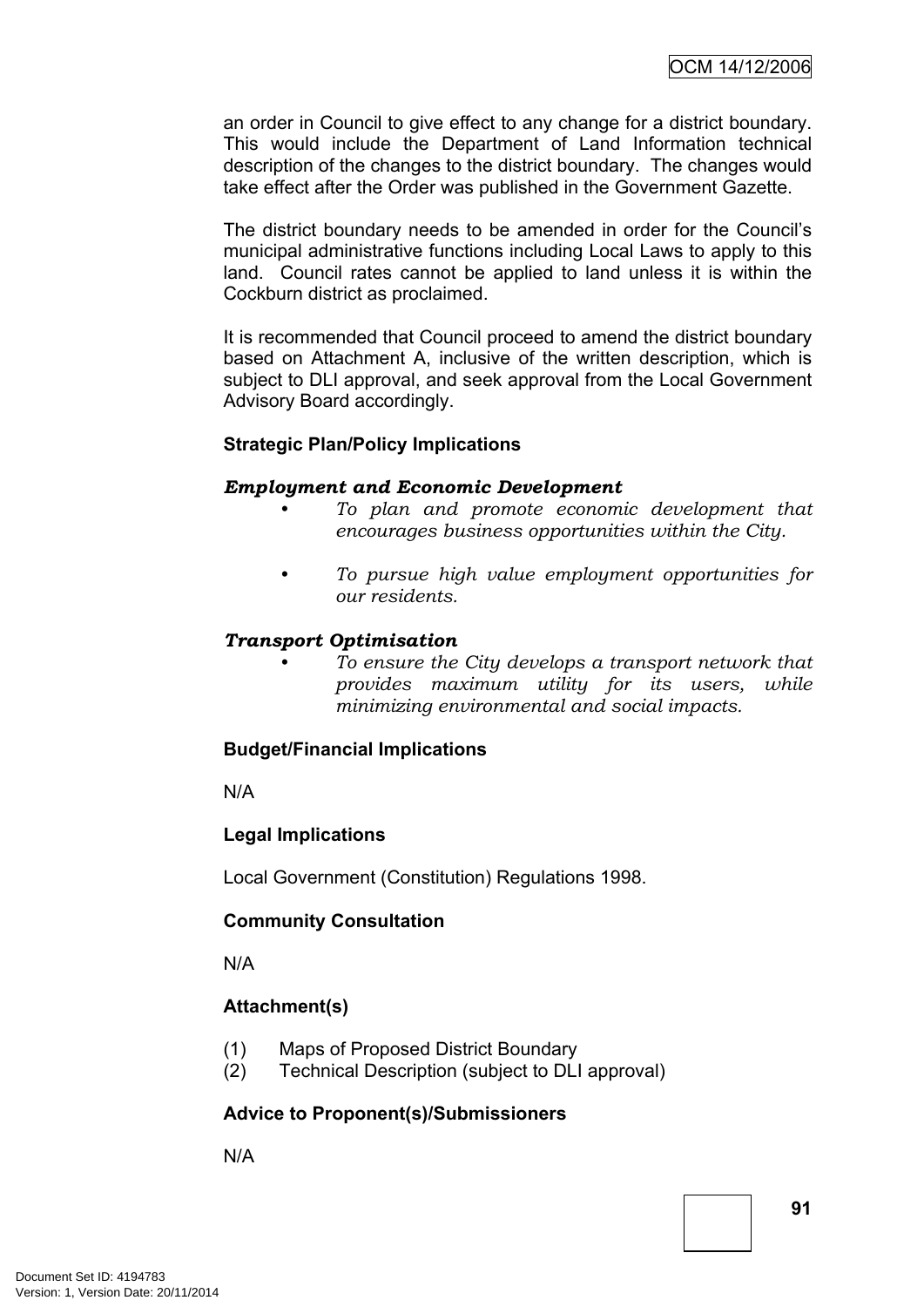an order in Council to give effect to any change for a district boundary. This would include the Department of Land Information technical description of the changes to the district boundary. The changes would take effect after the Order was published in the Government Gazette.

The district boundary needs to be amended in order for the Council's municipal administrative functions including Local Laws to apply to this land. Council rates cannot be applied to land unless it is within the Cockburn district as proclaimed.

It is recommended that Council proceed to amend the district boundary based on Attachment A, inclusive of the written description, which is subject to DLI approval, and seek approval from the Local Government Advisory Board accordingly.

# **Strategic Plan/Policy Implications**

#### *Employment and Economic Development*

- *• To plan and promote economic development that encourages business opportunities within the City.*
- *• To pursue high value employment opportunities for our residents.*

# *Transport Optimisation*

*• To ensure the City develops a transport network that provides maximum utility for its users, while minimizing environmental and social impacts.*

# **Budget/Financial Implications**

N/A

# **Legal Implications**

Local Government (Constitution) Regulations 1998.

# **Community Consultation**

N/A

# **Attachment(s)**

- (1) Maps of Proposed District Boundary
- (2) Technical Description (subject to DLI approval)

# **Advice to Proponent(s)/Submissioners**

N/A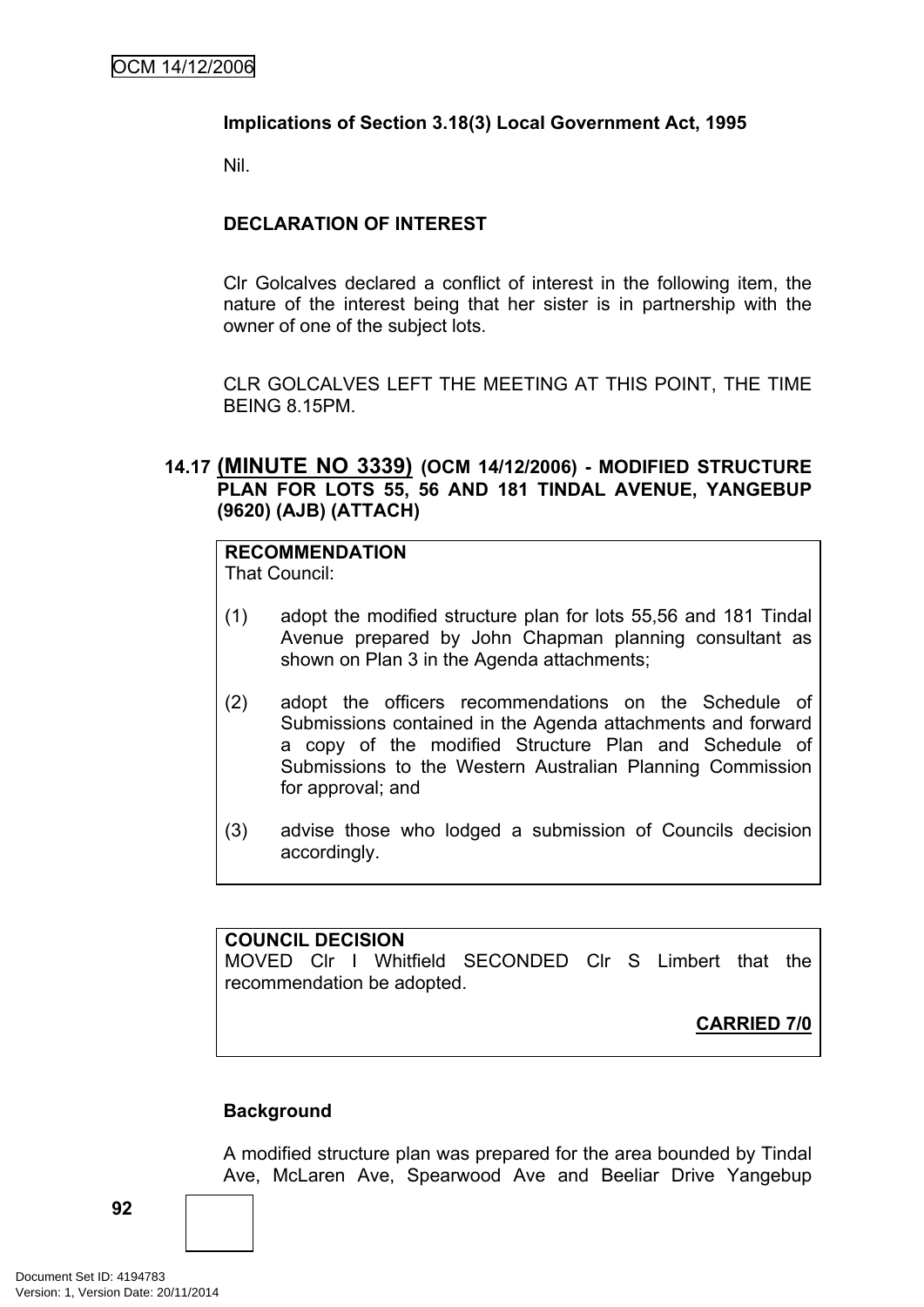# **Implications of Section 3.18(3) Local Government Act, 1995**

Nil.

# **DECLARATION OF INTEREST**

Clr Golcalves declared a conflict of interest in the following item, the nature of the interest being that her sister is in partnership with the owner of one of the subject lots.

CLR GOLCALVES LEFT THE MEETING AT THIS POINT, THE TIME BEING 8.15PM.

# **14.17 (MINUTE NO 3339) (OCM 14/12/2006) - MODIFIED STRUCTURE PLAN FOR LOTS 55, 56 AND 181 TINDAL AVENUE, YANGEBUP (9620) (AJB) (ATTACH)**

# **RECOMMENDATION**

That Council:

- (1) adopt the modified structure plan for lots 55,56 and 181 Tindal Avenue prepared by John Chapman planning consultant as shown on Plan 3 in the Agenda attachments;
- (2) adopt the officers recommendations on the Schedule of Submissions contained in the Agenda attachments and forward a copy of the modified Structure Plan and Schedule of Submissions to the Western Australian Planning Commission for approval; and
- (3) advise those who lodged a submission of Councils decision accordingly.

#### **COUNCIL DECISION**

MOVED Clr I Whitfield SECONDED Clr S Limbert that the recommendation be adopted.

**CARRIED 7/0**

# **Background**

A modified structure plan was prepared for the area bounded by Tindal Ave, McLaren Ave, Spearwood Ave and Beeliar Drive Yangebup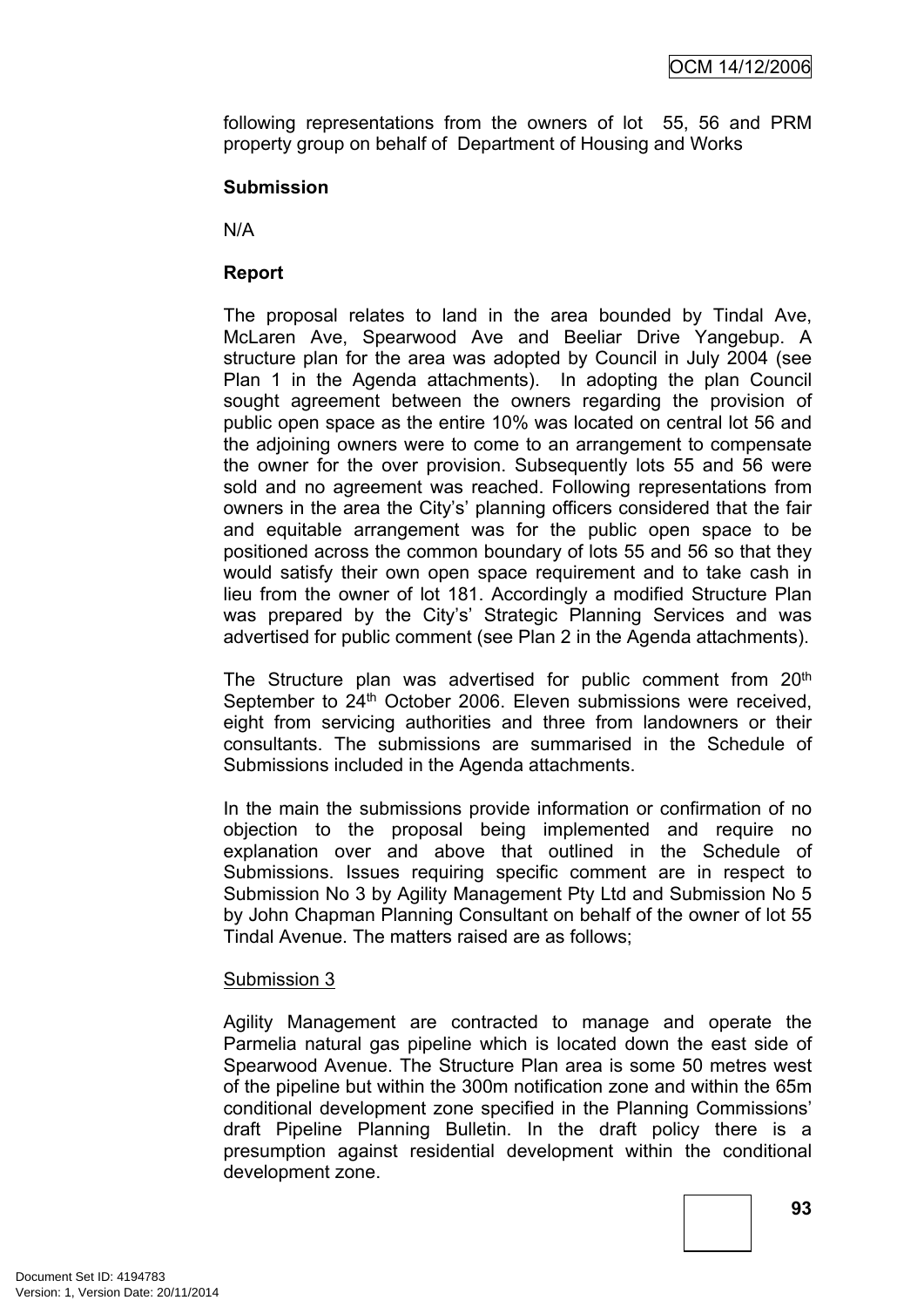following representations from the owners of lot 55, 56 and PRM property group on behalf of Department of Housing and Works

### **Submission**

N/A

# **Report**

The proposal relates to land in the area bounded by Tindal Ave, McLaren Ave, Spearwood Ave and Beeliar Drive Yangebup. A structure plan for the area was adopted by Council in July 2004 (see Plan 1 in the Agenda attachments). In adopting the plan Council sought agreement between the owners regarding the provision of public open space as the entire 10% was located on central lot 56 and the adjoining owners were to come to an arrangement to compensate the owner for the over provision. Subsequently lots 55 and 56 were sold and no agreement was reached. Following representations from owners in the area the City's' planning officers considered that the fair and equitable arrangement was for the public open space to be positioned across the common boundary of lots 55 and 56 so that they would satisfy their own open space requirement and to take cash in lieu from the owner of lot 181. Accordingly a modified Structure Plan was prepared by the City's' Strategic Planning Services and was advertised for public comment (see Plan 2 in the Agenda attachments).

The Structure plan was advertised for public comment from 20<sup>th</sup> September to 24<sup>th</sup> October 2006. Eleven submissions were received, eight from servicing authorities and three from landowners or their consultants. The submissions are summarised in the Schedule of Submissions included in the Agenda attachments.

In the main the submissions provide information or confirmation of no objection to the proposal being implemented and require no explanation over and above that outlined in the Schedule of Submissions. Issues requiring specific comment are in respect to Submission No 3 by Agility Management Pty Ltd and Submission No 5 by John Chapman Planning Consultant on behalf of the owner of lot 55 Tindal Avenue. The matters raised are as follows;

#### Submission 3

Agility Management are contracted to manage and operate the Parmelia natural gas pipeline which is located down the east side of Spearwood Avenue. The Structure Plan area is some 50 metres west of the pipeline but within the 300m notification zone and within the 65m conditional development zone specified in the Planning Commissions' draft Pipeline Planning Bulletin. In the draft policy there is a presumption against residential development within the conditional development zone.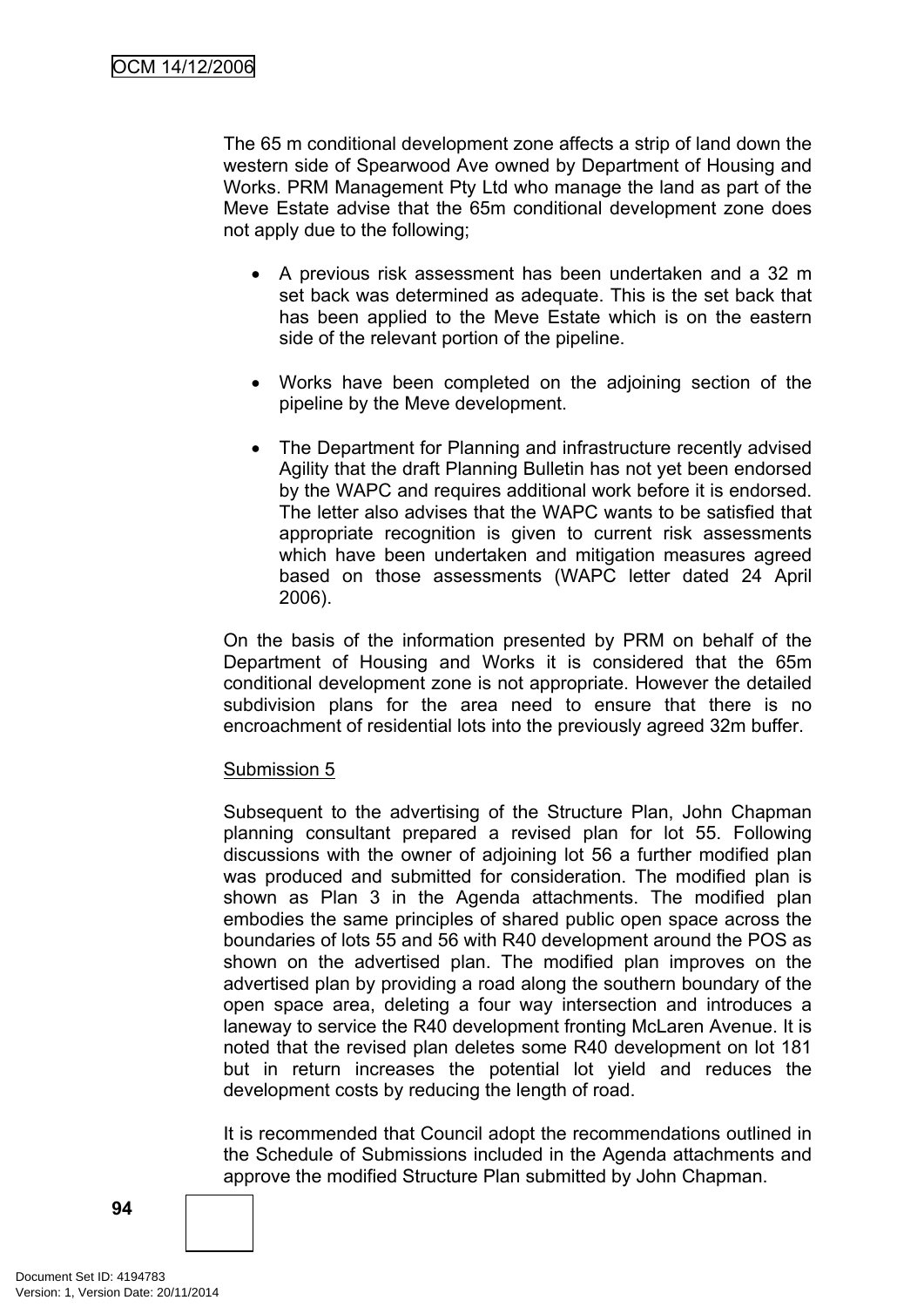The 65 m conditional development zone affects a strip of land down the western side of Spearwood Ave owned by Department of Housing and Works. PRM Management Pty Ltd who manage the land as part of the Meve Estate advise that the 65m conditional development zone does not apply due to the following;

- A previous risk assessment has been undertaken and a 32 m set back was determined as adequate. This is the set back that has been applied to the Meve Estate which is on the eastern side of the relevant portion of the pipeline.
- Works have been completed on the adjoining section of the pipeline by the Meve development.
- The Department for Planning and infrastructure recently advised Agility that the draft Planning Bulletin has not yet been endorsed by the WAPC and requires additional work before it is endorsed. The letter also advises that the WAPC wants to be satisfied that appropriate recognition is given to current risk assessments which have been undertaken and mitigation measures agreed based on those assessments (WAPC letter dated 24 April 2006).

On the basis of the information presented by PRM on behalf of the Department of Housing and Works it is considered that the 65m conditional development zone is not appropriate. However the detailed subdivision plans for the area need to ensure that there is no encroachment of residential lots into the previously agreed 32m buffer.

# Submission 5

Subsequent to the advertising of the Structure Plan, John Chapman planning consultant prepared a revised plan for lot 55. Following discussions with the owner of adjoining lot 56 a further modified plan was produced and submitted for consideration. The modified plan is shown as Plan 3 in the Agenda attachments. The modified plan embodies the same principles of shared public open space across the boundaries of lots 55 and 56 with R40 development around the POS as shown on the advertised plan. The modified plan improves on the advertised plan by providing a road along the southern boundary of the open space area, deleting a four way intersection and introduces a laneway to service the R40 development fronting McLaren Avenue. It is noted that the revised plan deletes some R40 development on lot 181 but in return increases the potential lot yield and reduces the development costs by reducing the length of road.

It is recommended that Council adopt the recommendations outlined in the Schedule of Submissions included in the Agenda attachments and approve the modified Structure Plan submitted by John Chapman.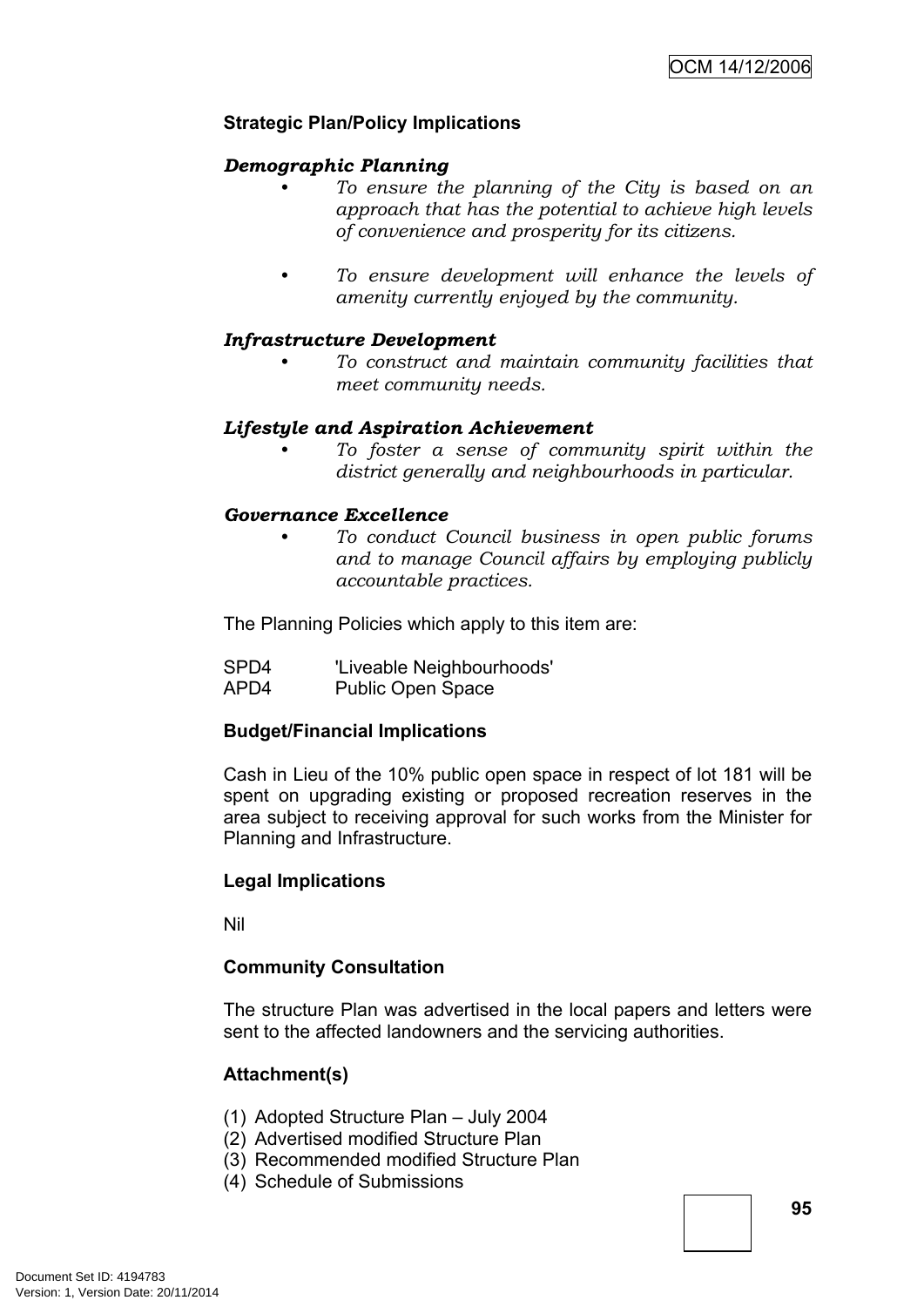# **Strategic Plan/Policy Implications**

# *Demographic Planning*

- *• To ensure the planning of the City is based on an approach that has the potential to achieve high levels of convenience and prosperity for its citizens.*
- *• To ensure development will enhance the levels of amenity currently enjoyed by the community.*

# *Infrastructure Development*

*• To construct and maintain community facilities that meet community needs.*

# *Lifestyle and Aspiration Achievement*

*• To foster a sense of community spirit within the district generally and neighbourhoods in particular.*

# *Governance Excellence*

*• To conduct Council business in open public forums and to manage Council affairs by employing publicly accountable practices.*

The Planning Policies which apply to this item are:

SPD4 'Liveable Neighbourhoods' APD4 Public Open Space

# **Budget/Financial Implications**

Cash in Lieu of the 10% public open space in respect of lot 181 will be spent on upgrading existing or proposed recreation reserves in the area subject to receiving approval for such works from the Minister for Planning and Infrastructure.

# **Legal Implications**

Nil

# **Community Consultation**

The structure Plan was advertised in the local papers and letters were sent to the affected landowners and the servicing authorities.

# **Attachment(s)**

- (1) Adopted Structure Plan July 2004
- (2) Advertised modified Structure Plan
- (3) Recommended modified Structure Plan
- (4) Schedule of Submissions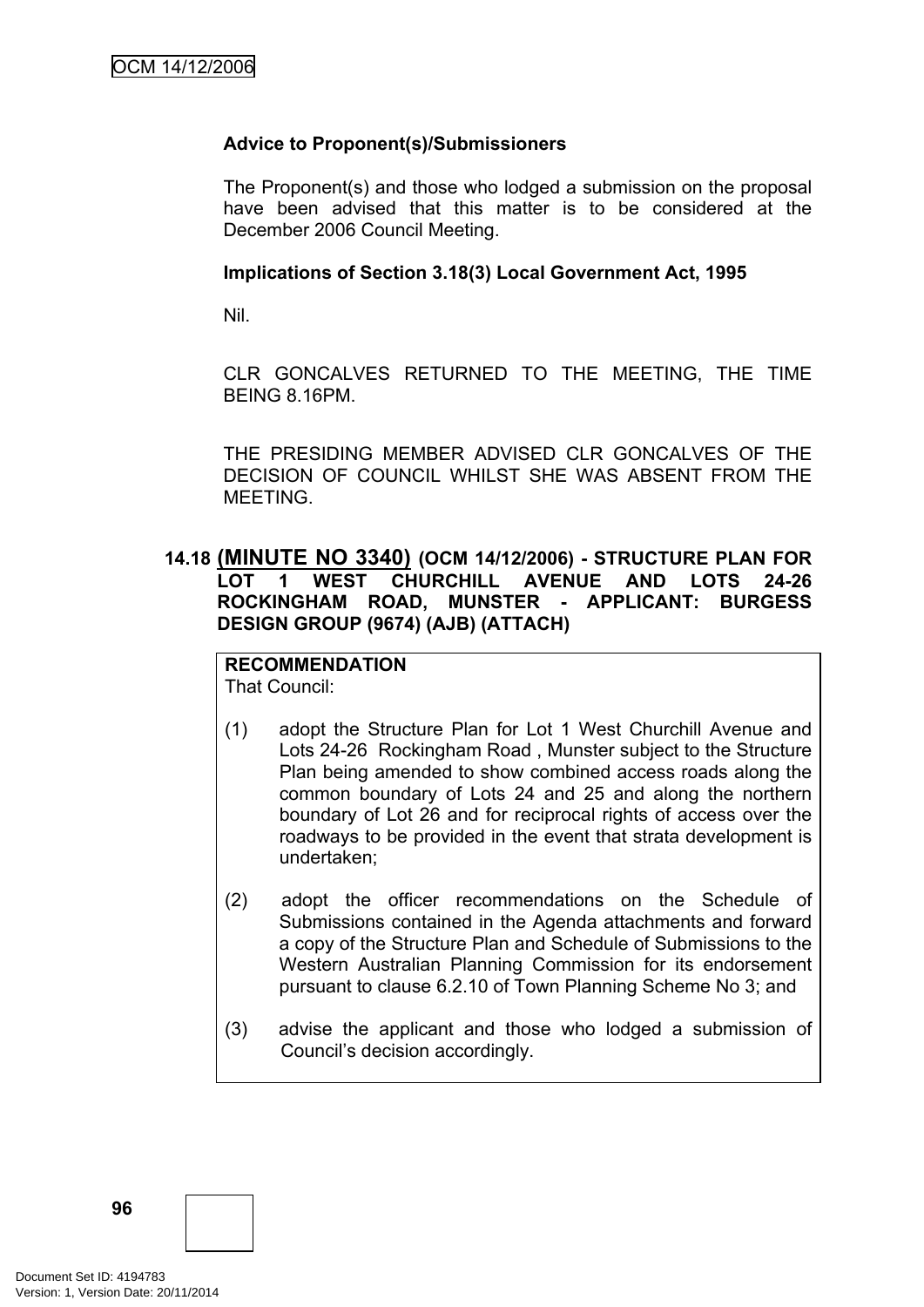# **Advice to Proponent(s)/Submissioners**

The Proponent(s) and those who lodged a submission on the proposal have been advised that this matter is to be considered at the December 2006 Council Meeting.

#### **Implications of Section 3.18(3) Local Government Act, 1995**

Nil.

CLR GONCALVES RETURNED TO THE MEETING, THE TIME BEING 8.16PM.

THE PRESIDING MEMBER ADVISED CLR GONCALVES OF THE DECISION OF COUNCIL WHILST SHE WAS ABSENT FROM THE MEETING.

# **14.18 (MINUTE NO 3340) (OCM 14/12/2006) - STRUCTURE PLAN FOR LOT 1 WEST CHURCHILL AVENUE AND LOTS 24-26 ROCKINGHAM ROAD, MUNSTER - APPLICANT: BURGESS DESIGN GROUP (9674) (AJB) (ATTACH)**

# **RECOMMENDATION**

That Council:

- (1) adopt the Structure Plan for Lot 1 West Churchill Avenue and Lots 24-26 Rockingham Road , Munster subject to the Structure Plan being amended to show combined access roads along the common boundary of Lots 24 and 25 and along the northern boundary of Lot 26 and for reciprocal rights of access over the roadways to be provided in the event that strata development is undertaken;
- (2) adopt the officer recommendations on the Schedule of Submissions contained in the Agenda attachments and forward a copy of the Structure Plan and Schedule of Submissions to the Western Australian Planning Commission for its endorsement pursuant to clause 6.2.10 of Town Planning Scheme No 3; and
- (3) advise the applicant and those who lodged a submission of Council's decision accordingly.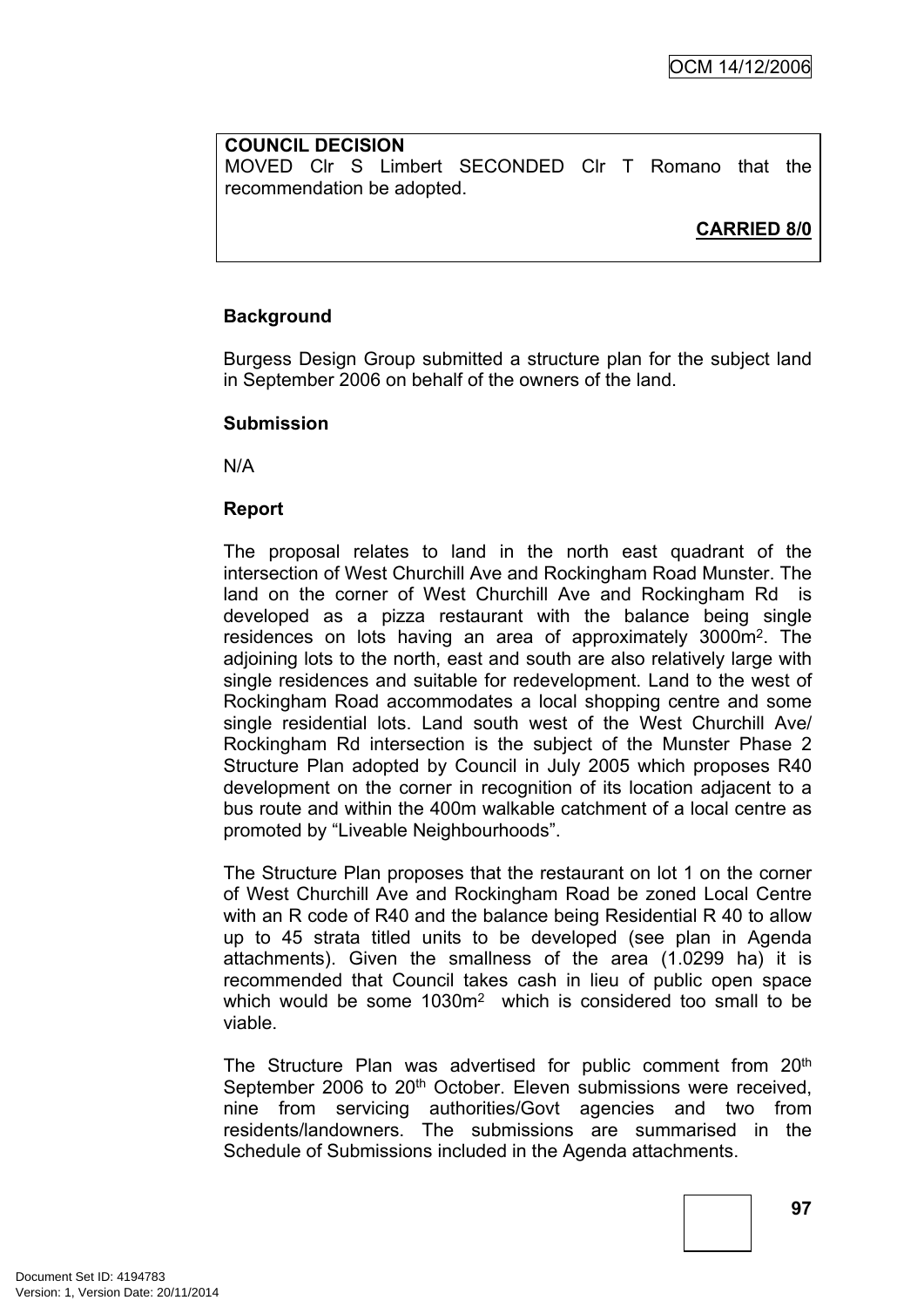### **COUNCIL DECISION**

MOVED Clr S Limbert SECONDED Clr T Romano that the recommendation be adopted.

**CARRIED 8/0**

# **Background**

Burgess Design Group submitted a structure plan for the subject land in September 2006 on behalf of the owners of the land.

#### **Submission**

N/A

# **Report**

The proposal relates to land in the north east quadrant of the intersection of West Churchill Ave and Rockingham Road Munster. The land on the corner of West Churchill Ave and Rockingham Rd is developed as a pizza restaurant with the balance being single residences on lots having an area of approximately 3000m<sup>2</sup>. The adjoining lots to the north, east and south are also relatively large with single residences and suitable for redevelopment. Land to the west of Rockingham Road accommodates a local shopping centre and some single residential lots. Land south west of the West Churchill Ave/ Rockingham Rd intersection is the subject of the Munster Phase 2 Structure Plan adopted by Council in July 2005 which proposes R40 development on the corner in recognition of its location adjacent to a bus route and within the 400m walkable catchment of a local centre as promoted by "Liveable Neighbourhoods".

The Structure Plan proposes that the restaurant on lot 1 on the corner of West Churchill Ave and Rockingham Road be zoned Local Centre with an R code of R40 and the balance being Residential R 40 to allow up to 45 strata titled units to be developed (see plan in Agenda attachments). Given the smallness of the area (1.0299 ha) it is recommended that Council takes cash in lieu of public open space which would be some 1030m<sup>2</sup> which is considered too small to be viable.

The Structure Plan was advertised for public comment from 20<sup>th</sup> September 2006 to 20<sup>th</sup> October. Eleven submissions were received, nine from servicing authorities/Govt agencies and two from residents/landowners. The submissions are summarised in the Schedule of Submissions included in the Agenda attachments.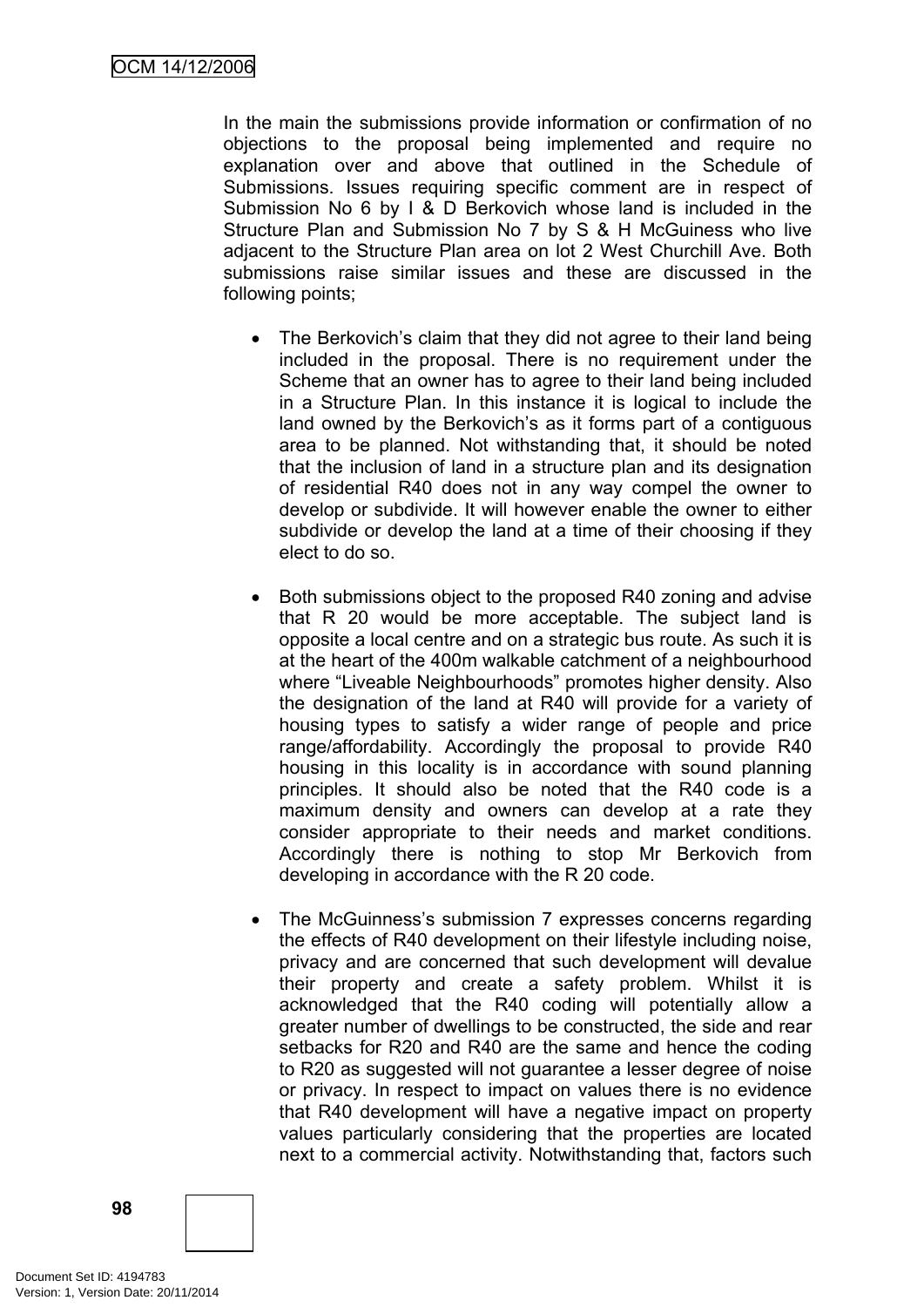In the main the submissions provide information or confirmation of no objections to the proposal being implemented and require no explanation over and above that outlined in the Schedule of Submissions. Issues requiring specific comment are in respect of Submission No 6 by I & D Berkovich whose land is included in the Structure Plan and Submission No 7 by S & H McGuiness who live adjacent to the Structure Plan area on lot 2 West Churchill Ave. Both submissions raise similar issues and these are discussed in the following points;

- The Berkovich's claim that they did not agree to their land being included in the proposal. There is no requirement under the Scheme that an owner has to agree to their land being included in a Structure Plan. In this instance it is logical to include the land owned by the Berkovich's as it forms part of a contiguous area to be planned. Not withstanding that, it should be noted that the inclusion of land in a structure plan and its designation of residential R40 does not in any way compel the owner to develop or subdivide. It will however enable the owner to either subdivide or develop the land at a time of their choosing if they elect to do so.
- Both submissions object to the proposed R40 zoning and advise that R 20 would be more acceptable. The subject land is opposite a local centre and on a strategic bus route. As such it is at the heart of the 400m walkable catchment of a neighbourhood where "Liveable Neighbourhoods" promotes higher density. Also the designation of the land at R40 will provide for a variety of housing types to satisfy a wider range of people and price range/affordability. Accordingly the proposal to provide R40 housing in this locality is in accordance with sound planning principles. It should also be noted that the R40 code is a maximum density and owners can develop at a rate they consider appropriate to their needs and market conditions. Accordingly there is nothing to stop Mr Berkovich from developing in accordance with the R 20 code.
- The McGuinness's submission 7 expresses concerns regarding the effects of R40 development on their lifestyle including noise, privacy and are concerned that such development will devalue their property and create a safety problem. Whilst it is acknowledged that the R40 coding will potentially allow a greater number of dwellings to be constructed, the side and rear setbacks for R20 and R40 are the same and hence the coding to R20 as suggested will not guarantee a lesser degree of noise or privacy. In respect to impact on values there is no evidence that R40 development will have a negative impact on property values particularly considering that the properties are located next to a commercial activity. Notwithstanding that, factors such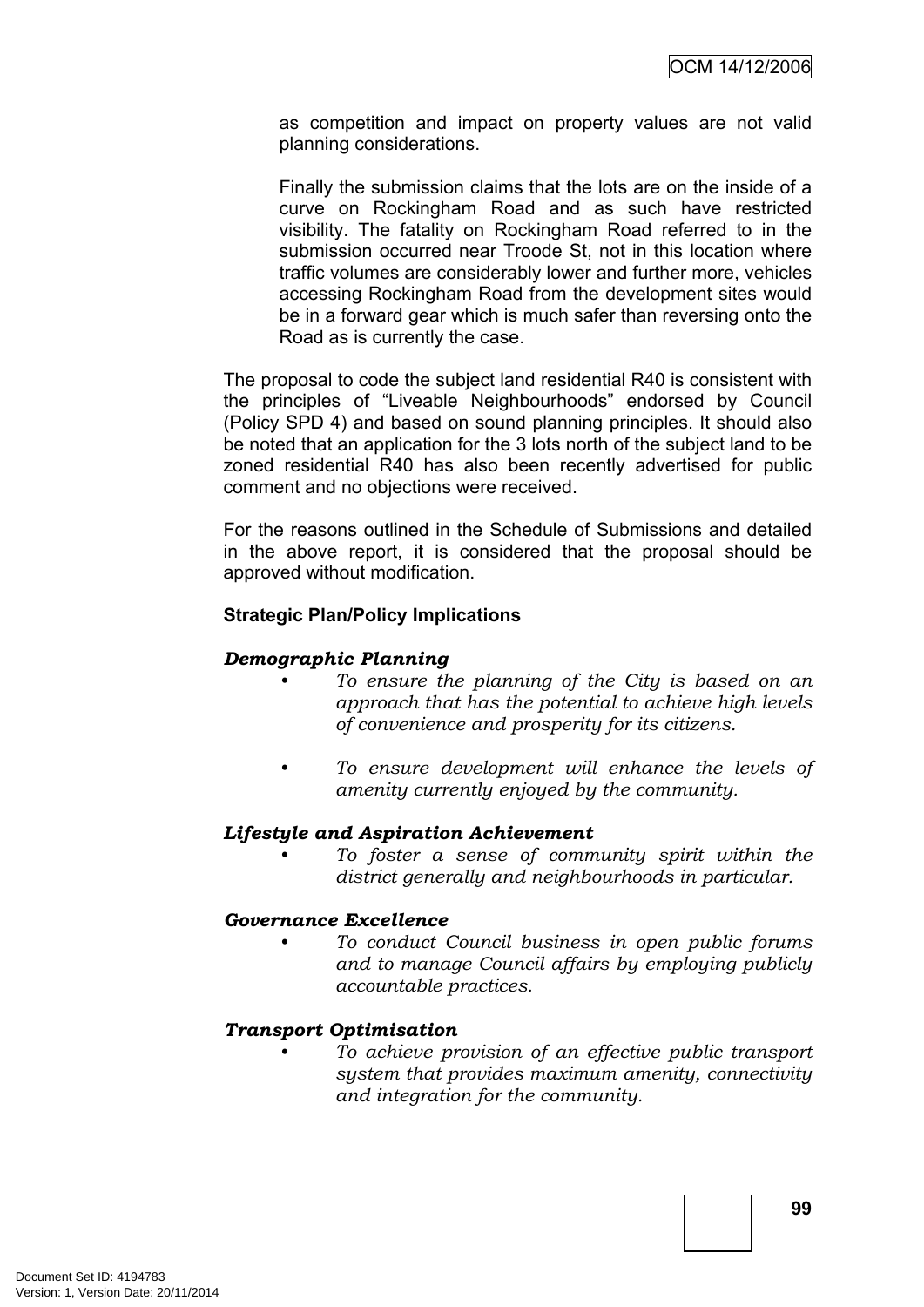as competition and impact on property values are not valid planning considerations.

Finally the submission claims that the lots are on the inside of a curve on Rockingham Road and as such have restricted visibility. The fatality on Rockingham Road referred to in the submission occurred near Troode St, not in this location where traffic volumes are considerably lower and further more, vehicles accessing Rockingham Road from the development sites would be in a forward gear which is much safer than reversing onto the Road as is currently the case.

The proposal to code the subject land residential R40 is consistent with the principles of "Liveable Neighbourhoods" endorsed by Council (Policy SPD 4) and based on sound planning principles. It should also be noted that an application for the 3 lots north of the subject land to be zoned residential R40 has also been recently advertised for public comment and no objections were received.

For the reasons outlined in the Schedule of Submissions and detailed in the above report, it is considered that the proposal should be approved without modification.

#### **Strategic Plan/Policy Implications**

### *Demographic Planning*

- *• To ensure the planning of the City is based on an approach that has the potential to achieve high levels of convenience and prosperity for its citizens.*
- *• To ensure development will enhance the levels of amenity currently enjoyed by the community.*

#### *Lifestyle and Aspiration Achievement*

*• To foster a sense of community spirit within the district generally and neighbourhoods in particular.*

#### *Governance Excellence*

*• To conduct Council business in open public forums and to manage Council affairs by employing publicly accountable practices.*

#### *Transport Optimisation*

*• To achieve provision of an effective public transport system that provides maximum amenity, connectivity and integration for the community.*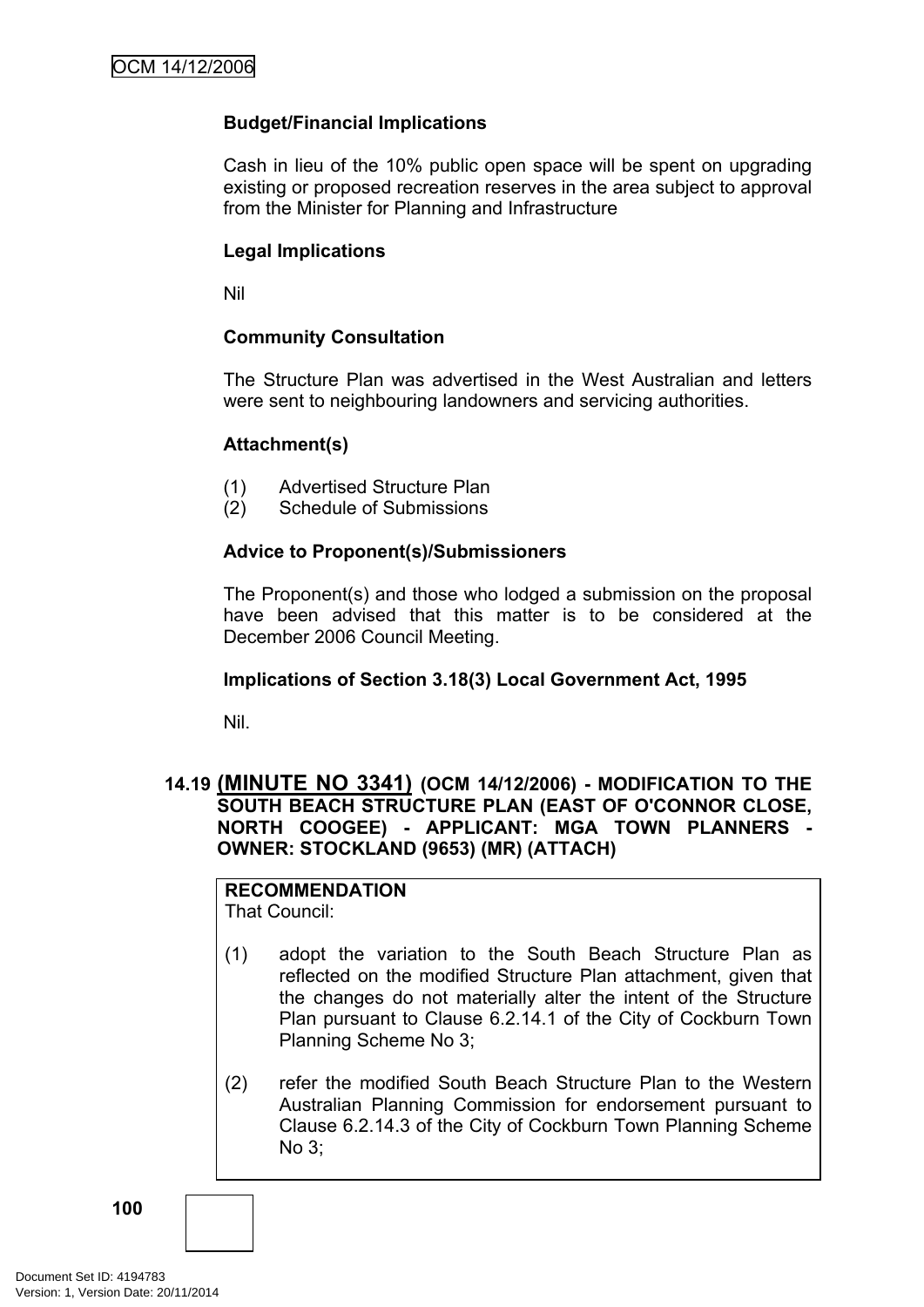# **Budget/Financial Implications**

Cash in lieu of the 10% public open space will be spent on upgrading existing or proposed recreation reserves in the area subject to approval from the Minister for Planning and Infrastructure

### **Legal Implications**

Nil

# **Community Consultation**

The Structure Plan was advertised in the West Australian and letters were sent to neighbouring landowners and servicing authorities.

#### **Attachment(s)**

- (1) Advertised Structure Plan
- (2) Schedule of Submissions

#### **Advice to Proponent(s)/Submissioners**

The Proponent(s) and those who lodged a submission on the proposal have been advised that this matter is to be considered at the December 2006 Council Meeting.

#### **Implications of Section 3.18(3) Local Government Act, 1995**

Nil.

# **14.19 (MINUTE NO 3341) (OCM 14/12/2006) - MODIFICATION TO THE SOUTH BEACH STRUCTURE PLAN (EAST OF O'CONNOR CLOSE, NORTH COOGEE) - APPLICANT: MGA TOWN PLANNERS - OWNER: STOCKLAND (9653) (MR) (ATTACH)**

# **RECOMMENDATION**

That Council:

- (1) adopt the variation to the South Beach Structure Plan as reflected on the modified Structure Plan attachment, given that the changes do not materially alter the intent of the Structure Plan pursuant to Clause 6.2.14.1 of the City of Cockburn Town Planning Scheme No 3;
- (2) refer the modified South Beach Structure Plan to the Western Australian Planning Commission for endorsement pursuant to Clause 6.2.14.3 of the City of Cockburn Town Planning Scheme No 3;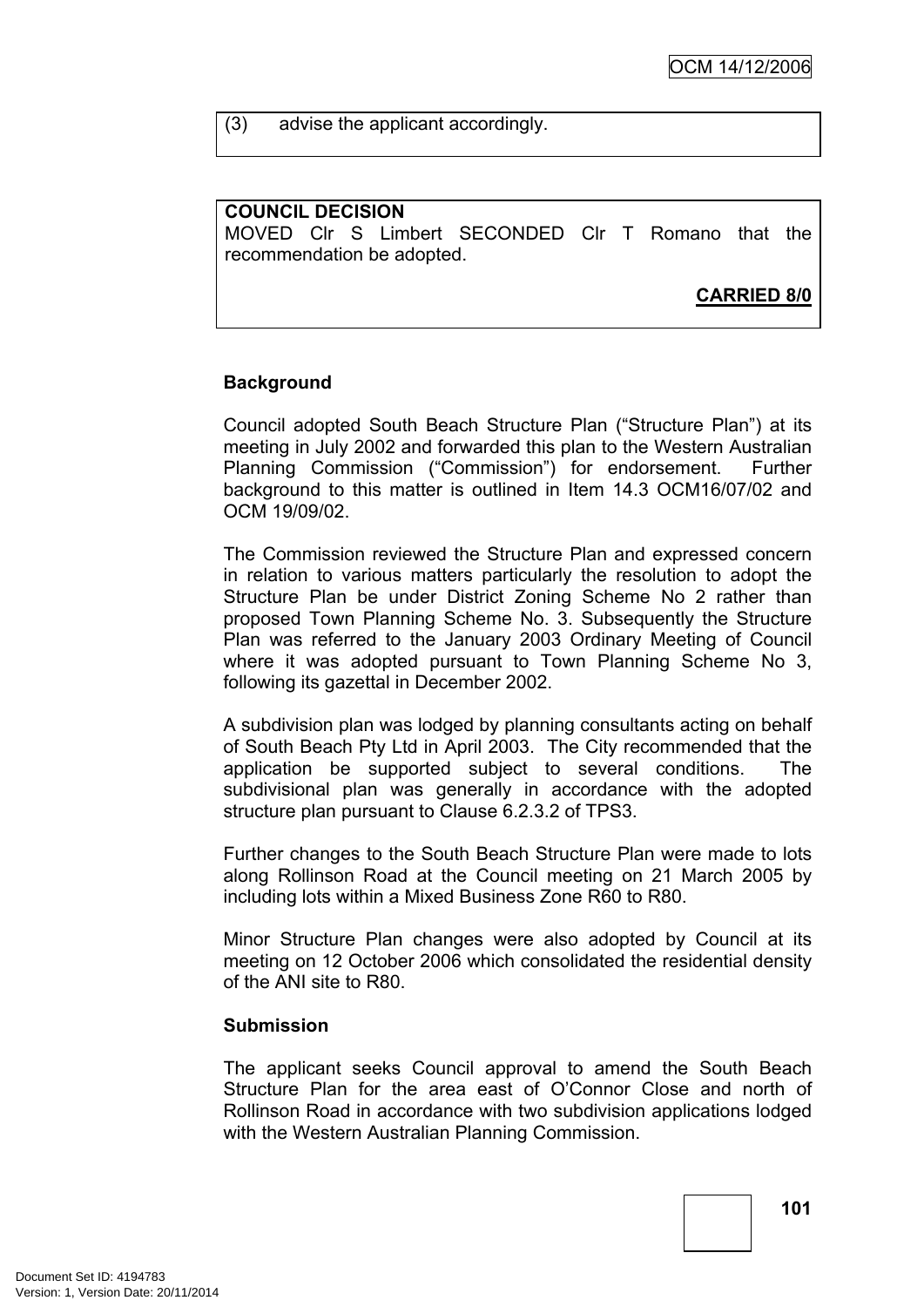(3) advise the applicant accordingly.

#### **COUNCIL DECISION**

MOVED Clr S Limbert SECONDED Clr T Romano that the recommendation be adopted.

**CARRIED 8/0**

# **Background**

Council adopted South Beach Structure Plan ("Structure Plan") at its meeting in July 2002 and forwarded this plan to the Western Australian Planning Commission ("Commission") for endorsement. Further background to this matter is outlined in Item 14.3 OCM16/07/02 and OCM 19/09/02.

The Commission reviewed the Structure Plan and expressed concern in relation to various matters particularly the resolution to adopt the Structure Plan be under District Zoning Scheme No 2 rather than proposed Town Planning Scheme No. 3. Subsequently the Structure Plan was referred to the January 2003 Ordinary Meeting of Council where it was adopted pursuant to Town Planning Scheme No 3, following its gazettal in December 2002.

A subdivision plan was lodged by planning consultants acting on behalf of South Beach Pty Ltd in April 2003. The City recommended that the application be supported subject to several conditions. The subdivisional plan was generally in accordance with the adopted structure plan pursuant to Clause 6.2.3.2 of TPS3.

Further changes to the South Beach Structure Plan were made to lots along Rollinson Road at the Council meeting on 21 March 2005 by including lots within a Mixed Business Zone R60 to R80.

Minor Structure Plan changes were also adopted by Council at its meeting on 12 October 2006 which consolidated the residential density of the ANI site to R80.

#### **Submission**

The applicant seeks Council approval to amend the South Beach Structure Plan for the area east of O'Connor Close and north of Rollinson Road in accordance with two subdivision applications lodged with the Western Australian Planning Commission.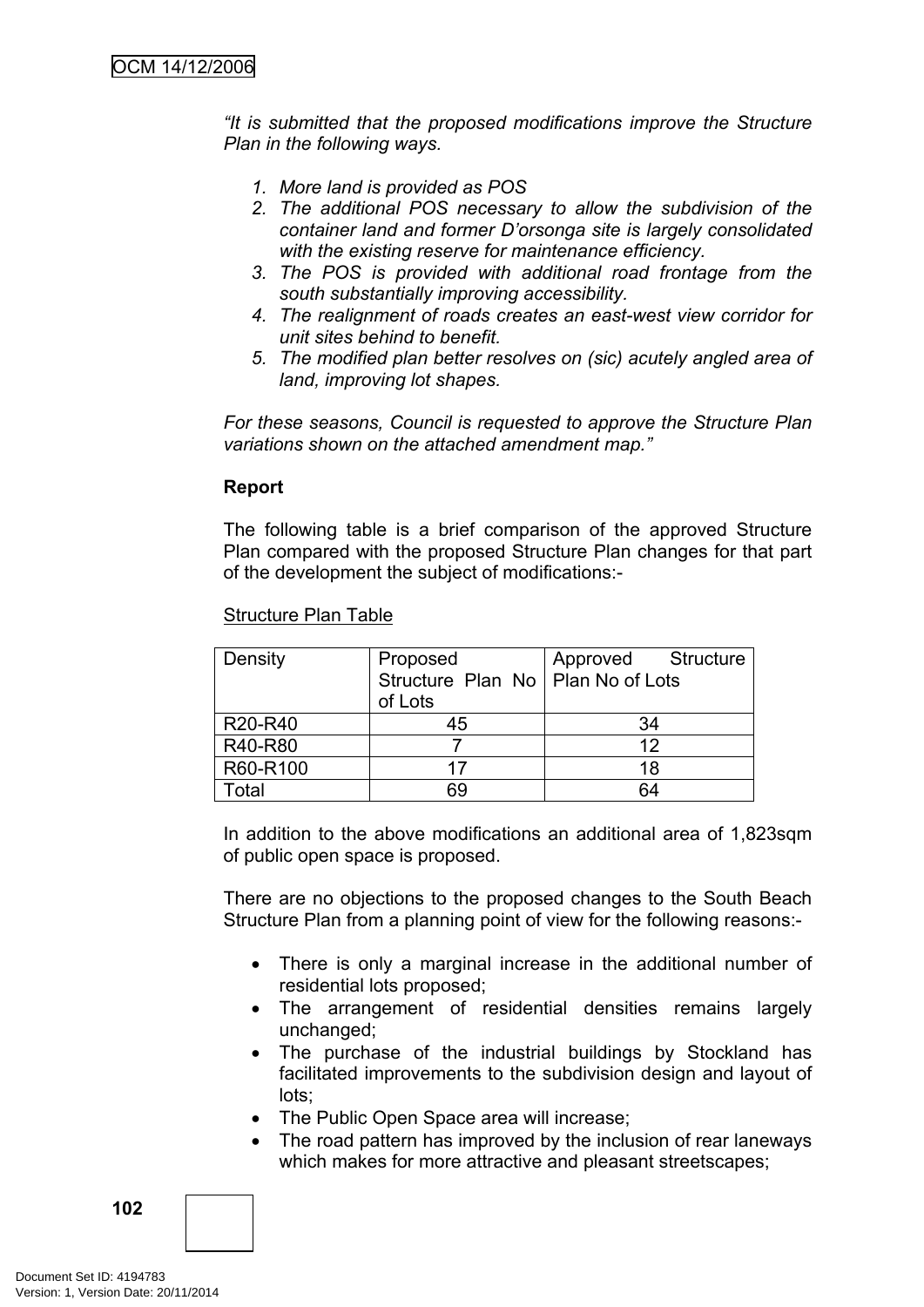*"It is submitted that the proposed modifications improve the Structure Plan in the following ways.*

- *1. More land is provided as POS*
- *2. The additional POS necessary to allow the subdivision of the container land and former D'orsonga site is largely consolidated with the existing reserve for maintenance efficiency.*
- *3. The POS is provided with additional road frontage from the south substantially improving accessibility.*
- *4. The realignment of roads creates an east-west view corridor for unit sites behind to benefit.*
- *5. The modified plan better resolves on (sic) acutely angled area of land, improving lot shapes.*

*For these seasons, Council is requested to approve the Structure Plan variations shown on the attached amendment map."*

#### **Report**

The following table is a brief comparison of the approved Structure Plan compared with the proposed Structure Plan changes for that part of the development the subject of modifications:-

| Density                          | Proposed<br>Structure Plan No   Plan No of Lots<br>of Lots | Approved Structure |
|----------------------------------|------------------------------------------------------------|--------------------|
| R <sub>20</sub> -R <sub>40</sub> | 45                                                         | 34                 |
| R40-R80                          |                                                            | 12                 |
| R60-R100                         | 17                                                         | 18                 |
| Total                            | 69                                                         | 64                 |

Structure Plan Table

In addition to the above modifications an additional area of 1,823sqm of public open space is proposed.

There are no objections to the proposed changes to the South Beach Structure Plan from a planning point of view for the following reasons:-

- There is only a marginal increase in the additional number of residential lots proposed;
- The arrangement of residential densities remains largely unchanged;
- The purchase of the industrial buildings by Stockland has facilitated improvements to the subdivision design and layout of lots;
- The Public Open Space area will increase;
- The road pattern has improved by the inclusion of rear laneways which makes for more attractive and pleasant streetscapes;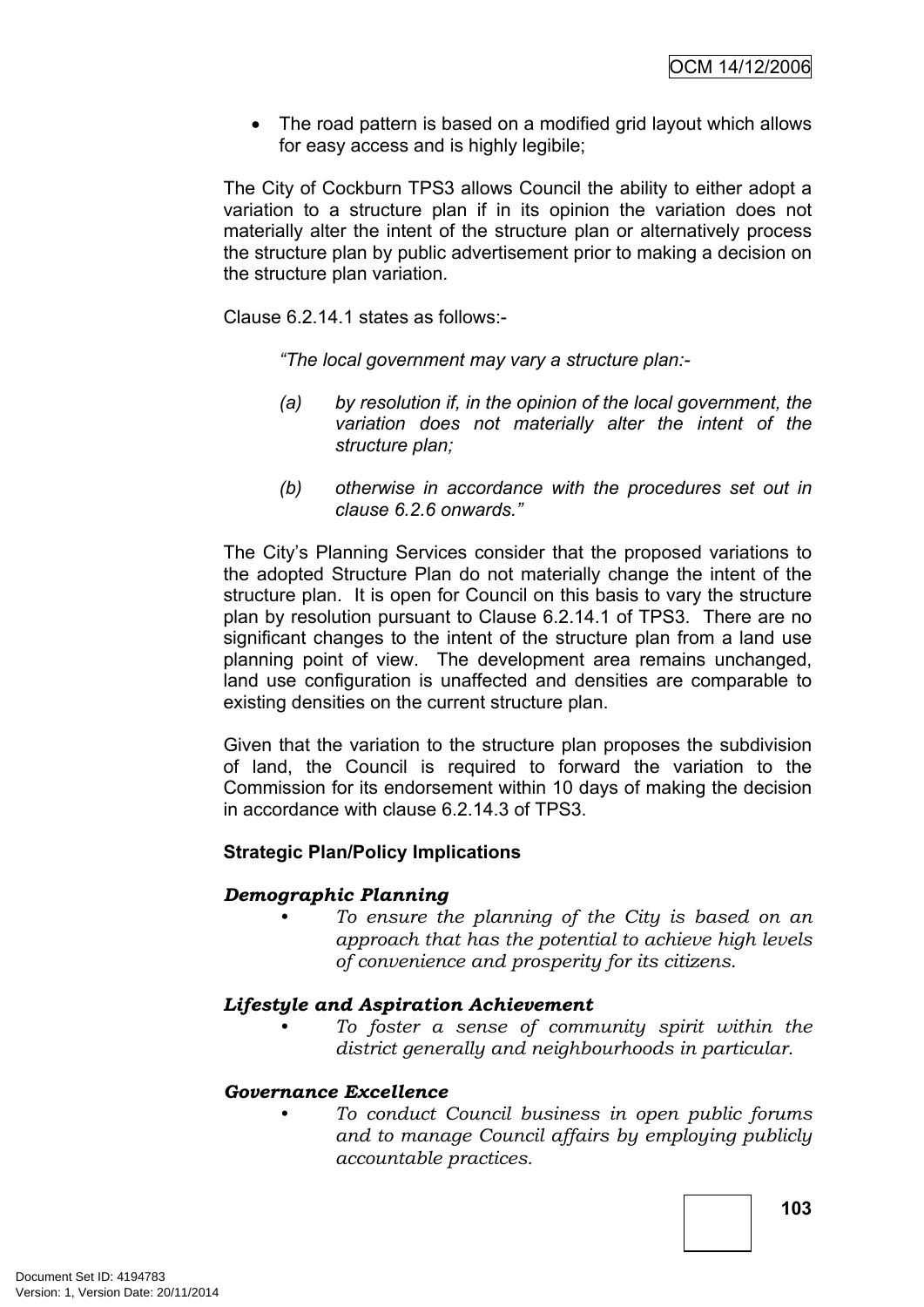• The road pattern is based on a modified grid layout which allows for easy access and is highly legibile;

The City of Cockburn TPS3 allows Council the ability to either adopt a variation to a structure plan if in its opinion the variation does not materially alter the intent of the structure plan or alternatively process the structure plan by public advertisement prior to making a decision on the structure plan variation.

Clause 6.2.14.1 states as follows:-

*"The local government may vary a structure plan:-*

- *(a) by resolution if, in the opinion of the local government, the variation does not materially alter the intent of the structure plan;*
- *(b) otherwise in accordance with the procedures set out in clause 6.2.6 onwards."*

The City's Planning Services consider that the proposed variations to the adopted Structure Plan do not materially change the intent of the structure plan. It is open for Council on this basis to vary the structure plan by resolution pursuant to Clause 6.2.14.1 of TPS3. There are no significant changes to the intent of the structure plan from a land use planning point of view. The development area remains unchanged, land use configuration is unaffected and densities are comparable to existing densities on the current structure plan.

Given that the variation to the structure plan proposes the subdivision of land, the Council is required to forward the variation to the Commission for its endorsement within 10 days of making the decision in accordance with clause 6.2.14.3 of TPS3.

# **Strategic Plan/Policy Implications**

#### *Demographic Planning*

*• To ensure the planning of the City is based on an approach that has the potential to achieve high levels of convenience and prosperity for its citizens.*

#### *Lifestyle and Aspiration Achievement*

*• To foster a sense of community spirit within the district generally and neighbourhoods in particular.*

#### *Governance Excellence*

*• To conduct Council business in open public forums and to manage Council affairs by employing publicly accountable practices.*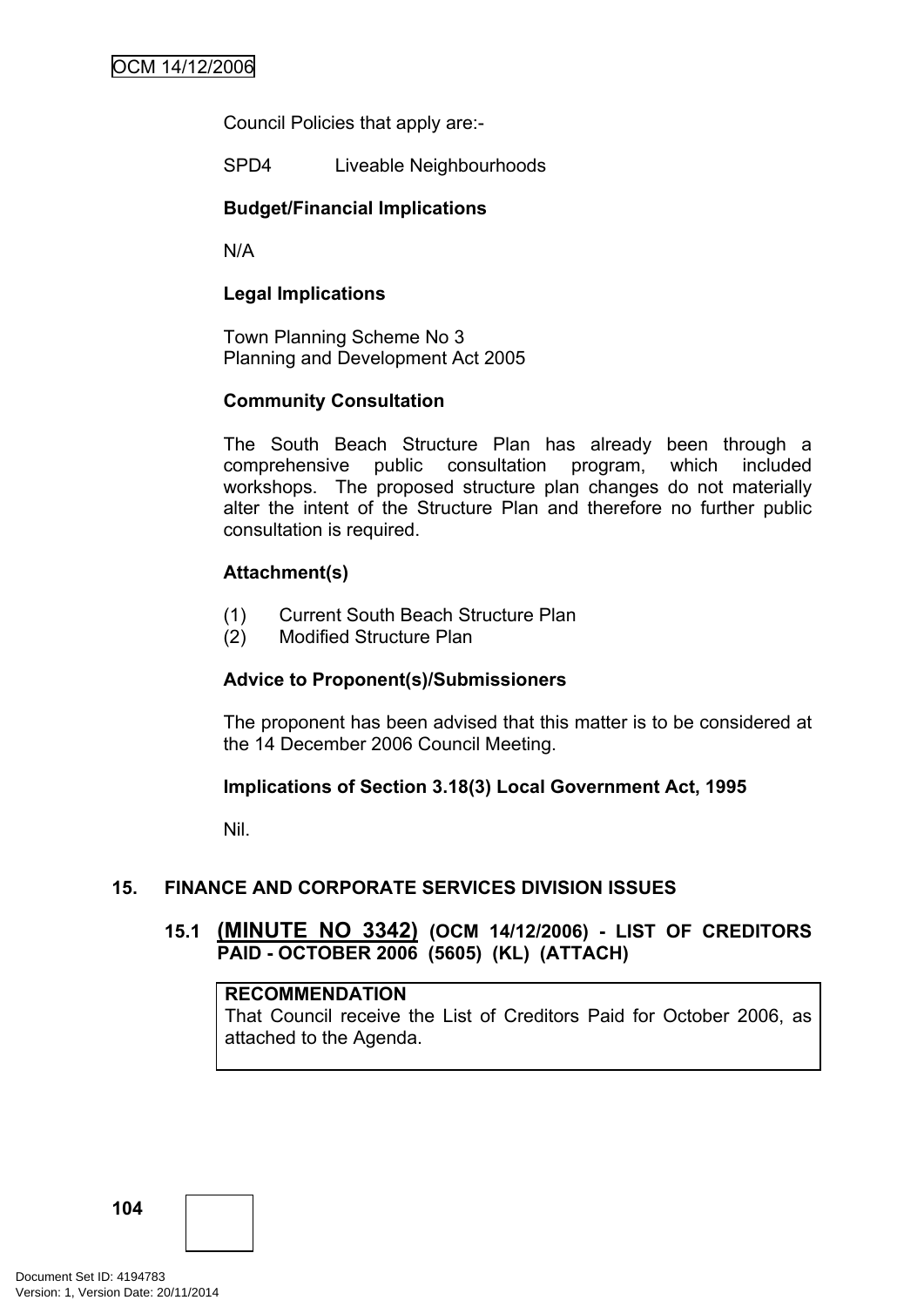Council Policies that apply are:-

SPD4 Liveable Neighbourhoods

# **Budget/Financial Implications**

N/A

# **Legal Implications**

Town Planning Scheme No 3 Planning and Development Act 2005

# **Community Consultation**

The South Beach Structure Plan has already been through a comprehensive public consultation program, which included workshops. The proposed structure plan changes do not materially alter the intent of the Structure Plan and therefore no further public consultation is required.

# **Attachment(s)**

- (1) Current South Beach Structure Plan
- (2) Modified Structure Plan

# **Advice to Proponent(s)/Submissioners**

The proponent has been advised that this matter is to be considered at the 14 December 2006 Council Meeting.

# **Implications of Section 3.18(3) Local Government Act, 1995**

Nil.

# **15. FINANCE AND CORPORATE SERVICES DIVISION ISSUES**

# **15.1 (MINUTE NO 3342) (OCM 14/12/2006) - LIST OF CREDITORS PAID - OCTOBER 2006 (5605) (KL) (ATTACH)**

# **RECOMMENDATION**

That Council receive the List of Creditors Paid for October 2006, as attached to the Agenda.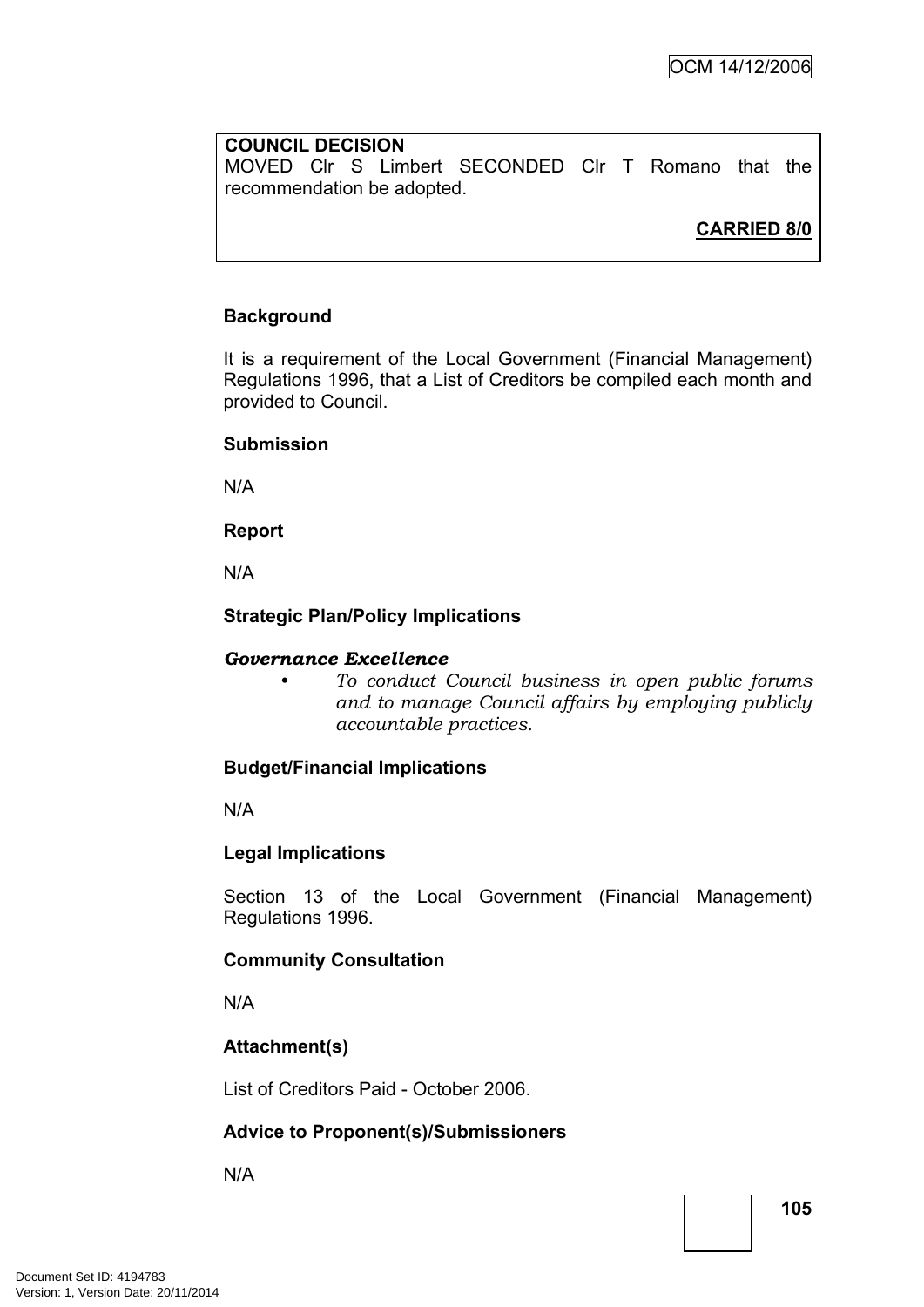# **COUNCIL DECISION**

MOVED Clr S Limbert SECONDED Clr T Romano that the recommendation be adopted.

**CARRIED 8/0**

# **Background**

It is a requirement of the Local Government (Financial Management) Regulations 1996, that a List of Creditors be compiled each month and provided to Council.

### **Submission**

N/A

**Report**

N/A

# **Strategic Plan/Policy Implications**

### *Governance Excellence*

*• To conduct Council business in open public forums and to manage Council affairs by employing publicly accountable practices.*

### **Budget/Financial Implications**

N/A

### **Legal Implications**

Section 13 of the Local Government (Financial Management) Regulations 1996.

### **Community Consultation**

N/A

# **Attachment(s)**

List of Creditors Paid - October 2006.

# **Advice to Proponent(s)/Submissioners**

N/A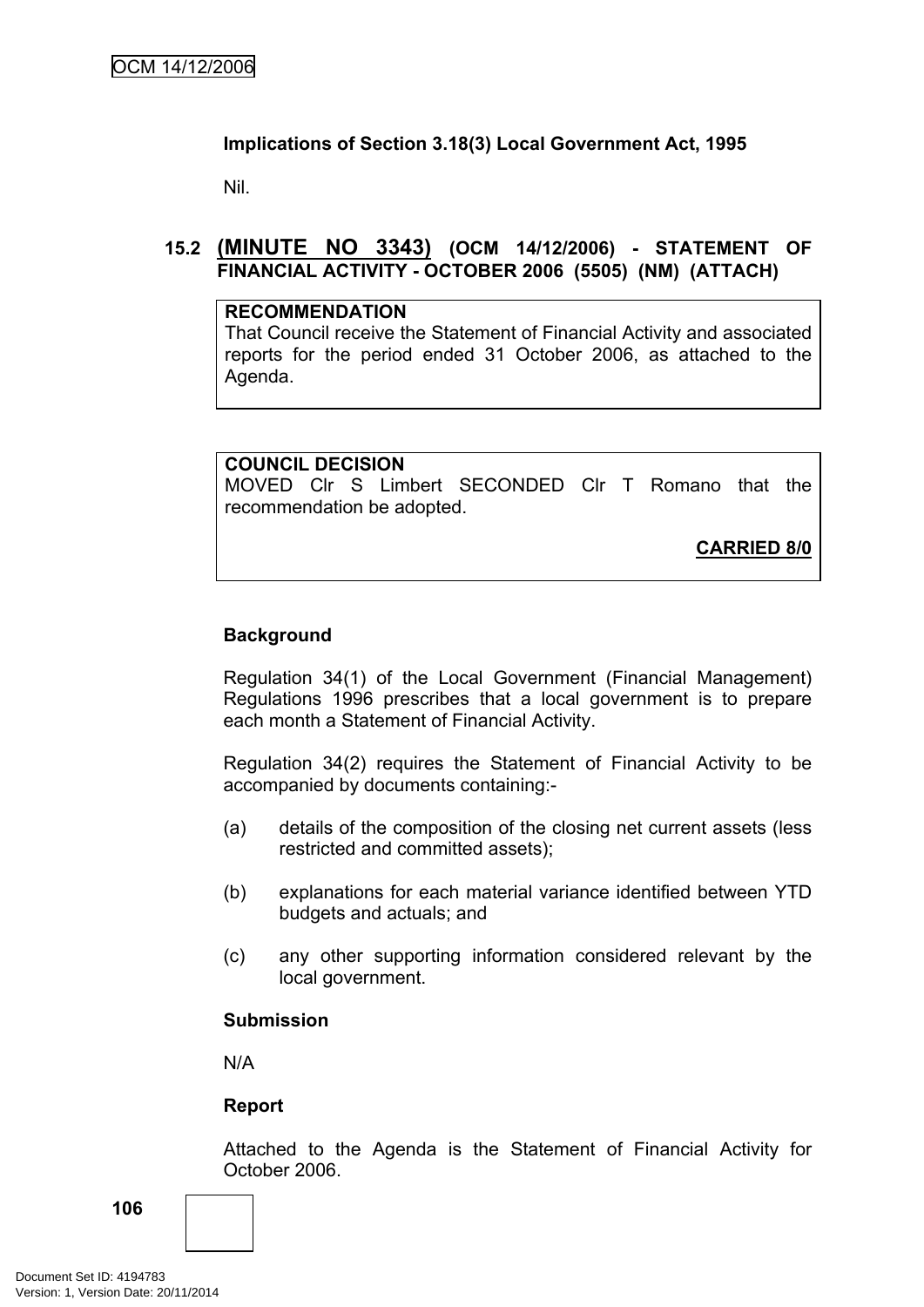# **Implications of Section 3.18(3) Local Government Act, 1995**

Nil.

# **15.2 (MINUTE NO 3343) (OCM 14/12/2006) - STATEMENT OF FINANCIAL ACTIVITY - OCTOBER 2006 (5505) (NM) (ATTACH)**

#### **RECOMMENDATION**

That Council receive the Statement of Financial Activity and associated reports for the period ended 31 October 2006, as attached to the Agenda.

# **COUNCIL DECISION**

MOVED Clr S Limbert SECONDED Clr T Romano that the recommendation be adopted.

**CARRIED 8/0**

# **Background**

Regulation 34(1) of the Local Government (Financial Management) Regulations 1996 prescribes that a local government is to prepare each month a Statement of Financial Activity.

Regulation 34(2) requires the Statement of Financial Activity to be accompanied by documents containing:-

- (a) details of the composition of the closing net current assets (less restricted and committed assets);
- (b) explanations for each material variance identified between YTD budgets and actuals; and
- (c) any other supporting information considered relevant by the local government.

### **Submission**

N/A

### **Report**

Attached to the Agenda is the Statement of Financial Activity for October 2006.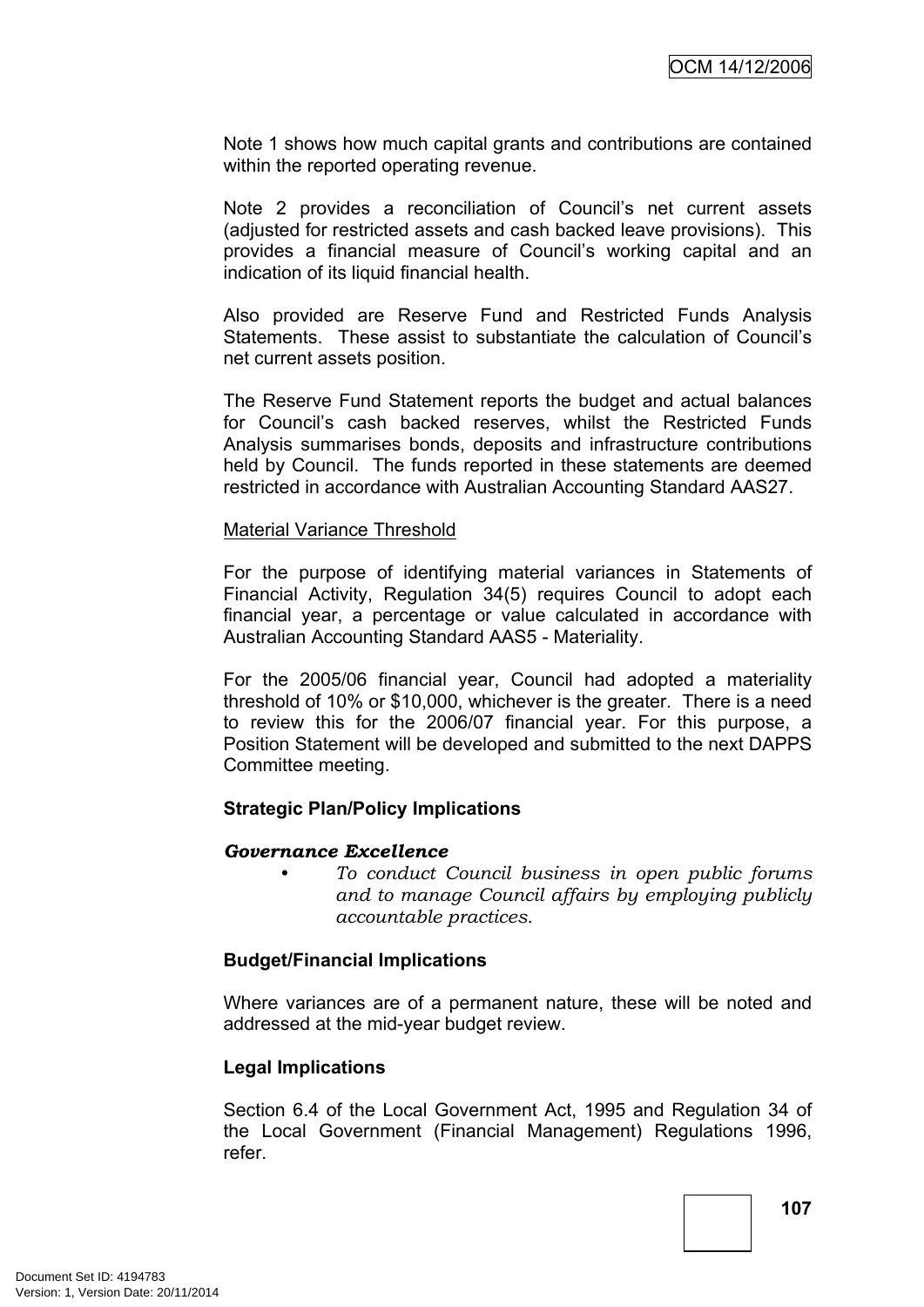Note 1 shows how much capital grants and contributions are contained within the reported operating revenue.

Note 2 provides a reconciliation of Council's net current assets (adjusted for restricted assets and cash backed leave provisions). This provides a financial measure of Council's working capital and an indication of its liquid financial health.

Also provided are Reserve Fund and Restricted Funds Analysis Statements. These assist to substantiate the calculation of Council's net current assets position.

The Reserve Fund Statement reports the budget and actual balances for Council's cash backed reserves, whilst the Restricted Funds Analysis summarises bonds, deposits and infrastructure contributions held by Council. The funds reported in these statements are deemed restricted in accordance with Australian Accounting Standard AAS27.

#### Material Variance Threshold

For the purpose of identifying material variances in Statements of Financial Activity, Regulation 34(5) requires Council to adopt each financial year, a percentage or value calculated in accordance with Australian Accounting Standard AAS5 - Materiality.

For the 2005/06 financial year, Council had adopted a materiality threshold of 10% or \$10,000, whichever is the greater. There is a need to review this for the 2006/07 financial year. For this purpose, a Position Statement will be developed and submitted to the next DAPPS Committee meeting.

### **Strategic Plan/Policy Implications**

#### *Governance Excellence*

*• To conduct Council business in open public forums and to manage Council affairs by employing publicly accountable practices.*

### **Budget/Financial Implications**

Where variances are of a permanent nature, these will be noted and addressed at the mid-year budget review.

### **Legal Implications**

Section 6.4 of the Local Government Act, 1995 and Regulation 34 of the Local Government (Financial Management) Regulations 1996, refer.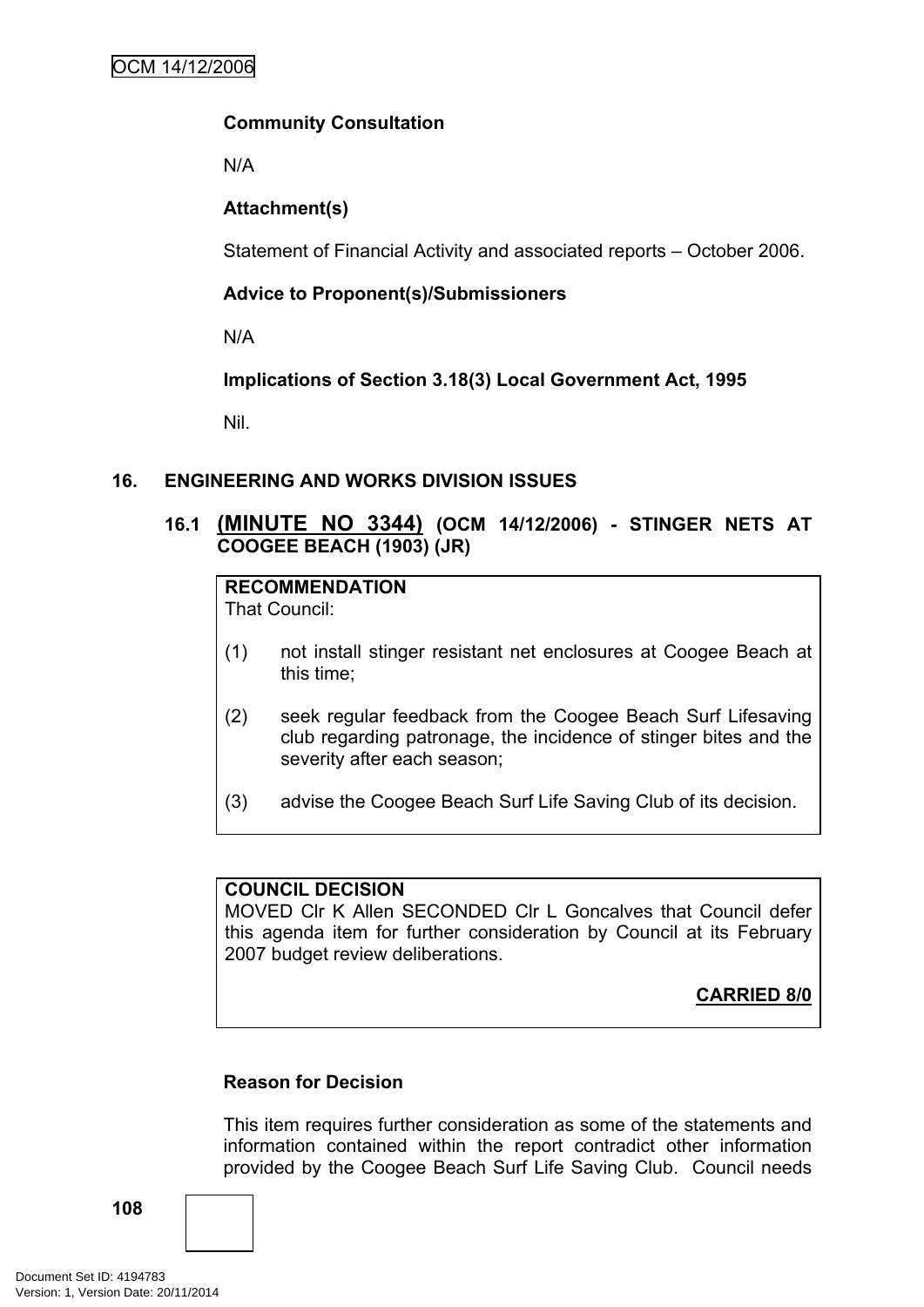# **Community Consultation**

N/A

# **Attachment(s)**

Statement of Financial Activity and associated reports – October 2006.

# **Advice to Proponent(s)/Submissioners**

N/A

# **Implications of Section 3.18(3) Local Government Act, 1995**

Nil.

# **16. ENGINEERING AND WORKS DIVISION ISSUES**

# **16.1 (MINUTE NO 3344) (OCM 14/12/2006) - STINGER NETS AT COOGEE BEACH (1903) (JR)**

# **RECOMMENDATION**

That Council:

- (1) not install stinger resistant net enclosures at Coogee Beach at this time;
- (2) seek regular feedback from the Coogee Beach Surf Lifesaving club regarding patronage, the incidence of stinger bites and the severity after each season;
- (3) advise the Coogee Beach Surf Life Saving Club of its decision.

### **COUNCIL DECISION**

MOVED Clr K Allen SECONDED Clr L Goncalves that Council defer this agenda item for further consideration by Council at its February 2007 budget review deliberations.

**CARRIED 8/0**

### **Reason for Decision**

This item requires further consideration as some of the statements and information contained within the report contradict other information provided by the Coogee Beach Surf Life Saving Club. Council needs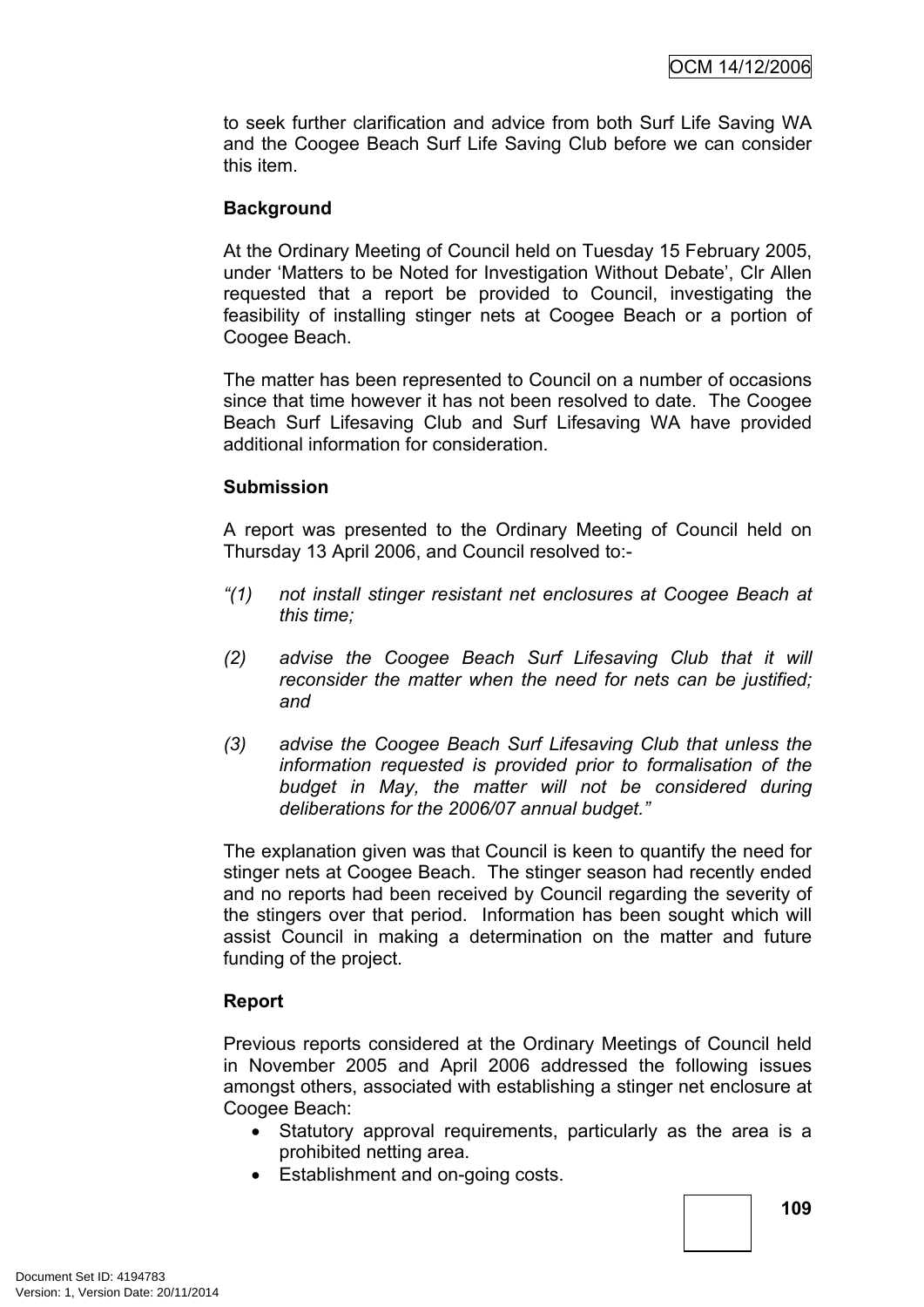to seek further clarification and advice from both Surf Life Saving WA and the Coogee Beach Surf Life Saving Club before we can consider this item.

# **Background**

At the Ordinary Meeting of Council held on Tuesday 15 February 2005, under 'Matters to be Noted for Investigation Without Debate', Clr Allen requested that a report be provided to Council, investigating the feasibility of installing stinger nets at Coogee Beach or a portion of Coogee Beach.

The matter has been represented to Council on a number of occasions since that time however it has not been resolved to date. The Coogee Beach Surf Lifesaving Club and Surf Lifesaving WA have provided additional information for consideration.

# **Submission**

A report was presented to the Ordinary Meeting of Council held on Thursday 13 April 2006, and Council resolved to:-

- *"(1) not install stinger resistant net enclosures at Coogee Beach at this time;*
- *(2) advise the Coogee Beach Surf Lifesaving Club that it will reconsider the matter when the need for nets can be justified; and*
- *(3) advise the Coogee Beach Surf Lifesaving Club that unless the information requested is provided prior to formalisation of the budget in May, the matter will not be considered during deliberations for the 2006/07 annual budget."*

The explanation given was that Council is keen to quantify the need for stinger nets at Coogee Beach. The stinger season had recently ended and no reports had been received by Council regarding the severity of the stingers over that period. Information has been sought which will assist Council in making a determination on the matter and future funding of the project.

# **Report**

Previous reports considered at the Ordinary Meetings of Council held in November 2005 and April 2006 addressed the following issues amongst others, associated with establishing a stinger net enclosure at Coogee Beach:

- Statutory approval requirements, particularly as the area is a prohibited netting area.
- Establishment and on-going costs.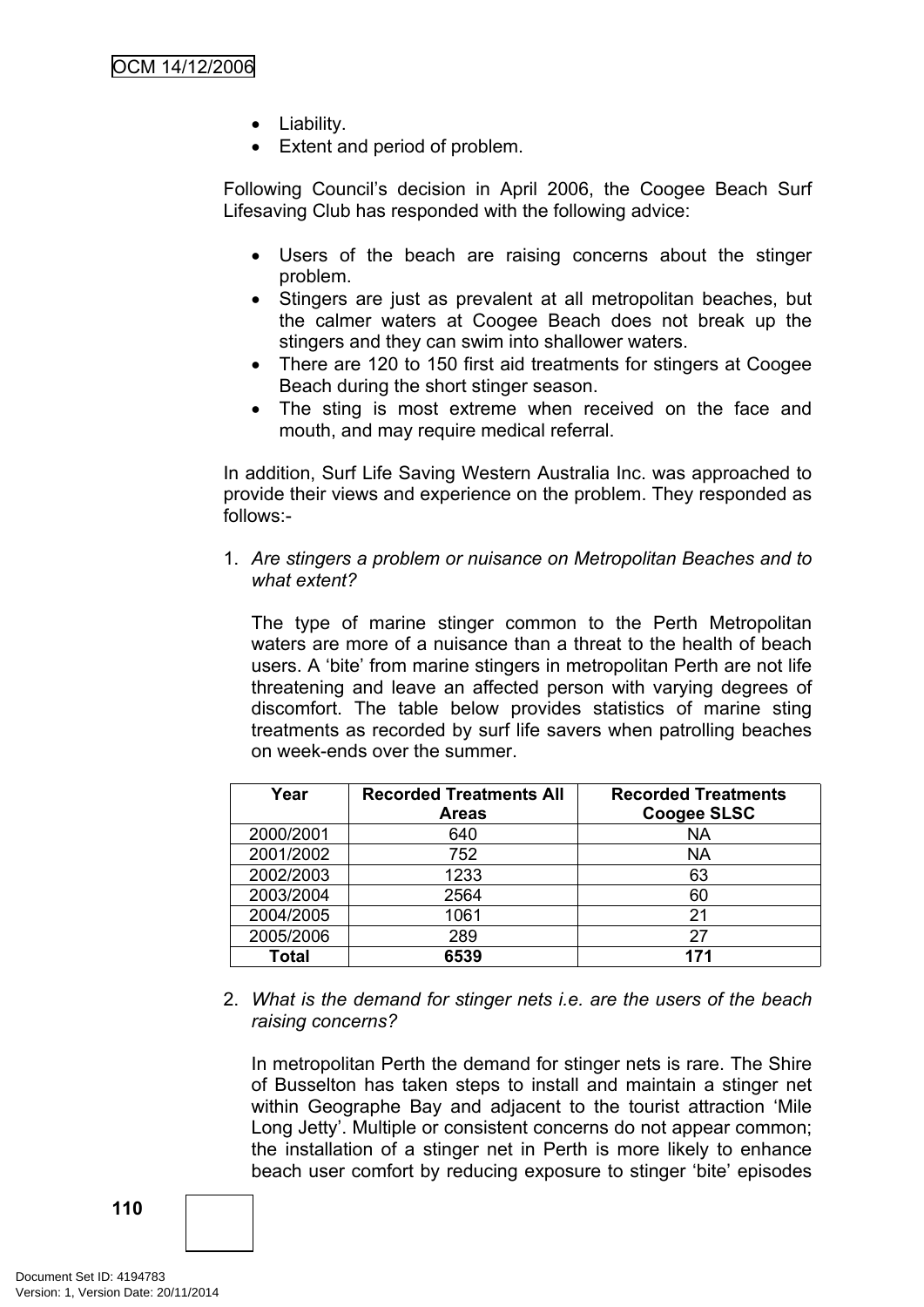- Liability.
- Extent and period of problem.

Following Council's decision in April 2006, the Coogee Beach Surf Lifesaving Club has responded with the following advice:

- Users of the beach are raising concerns about the stinger problem.
- Stingers are just as prevalent at all metropolitan beaches, but the calmer waters at Coogee Beach does not break up the stingers and they can swim into shallower waters.
- There are 120 to 150 first aid treatments for stingers at Coogee Beach during the short stinger season.
- The sting is most extreme when received on the face and mouth, and may require medical referral.

In addition, Surf Life Saving Western Australia Inc. was approached to provide their views and experience on the problem. They responded as follows:-

1. *Are stingers a problem or nuisance on Metropolitan Beaches and to what extent?*

The type of marine stinger common to the Perth Metropolitan waters are more of a nuisance than a threat to the health of beach users. A 'bite' from marine stingers in metropolitan Perth are not life threatening and leave an affected person with varying degrees of discomfort. The table below provides statistics of marine sting treatments as recorded by surf life savers when patrolling beaches on week-ends over the summer.

| Year         | <b>Recorded Treatments All</b><br><b>Areas</b> | <b>Recorded Treatments</b><br><b>Coogee SLSC</b> |
|--------------|------------------------------------------------|--------------------------------------------------|
| 2000/2001    | 640                                            | <b>NA</b>                                        |
| 2001/2002    | 752                                            | ΝA                                               |
| 2002/2003    | 1233                                           | 63                                               |
| 2003/2004    | 2564                                           | 60                                               |
| 2004/2005    | 1061                                           | 21                                               |
| 2005/2006    | 289                                            | 27                                               |
| <b>Total</b> | 6539                                           | 171                                              |

2. *What is the demand for stinger nets i.e. are the users of the beach raising concerns?*

In metropolitan Perth the demand for stinger nets is rare. The Shire of Busselton has taken steps to install and maintain a stinger net within Geographe Bay and adjacent to the tourist attraction 'Mile Long Jetty'. Multiple or consistent concerns do not appear common; the installation of a stinger net in Perth is more likely to enhance beach user comfort by reducing exposure to stinger 'bite' episodes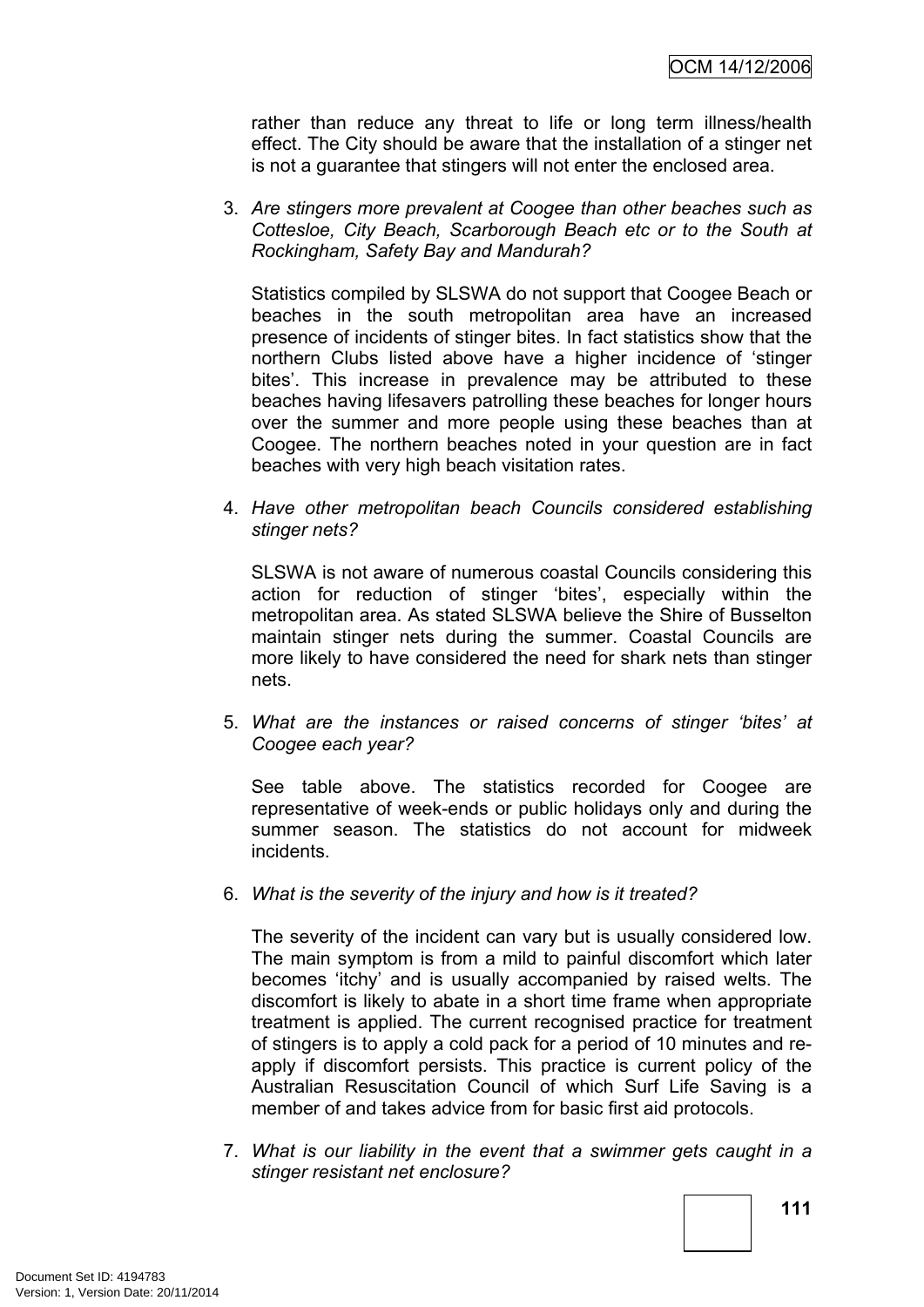rather than reduce any threat to life or long term illness/health effect. The City should be aware that the installation of a stinger net is not a guarantee that stingers will not enter the enclosed area.

3. *Are stingers more prevalent at Coogee than other beaches such as Cottesloe, City Beach, Scarborough Beach etc or to the South at Rockingham, Safety Bay and Mandurah?*

Statistics compiled by SLSWA do not support that Coogee Beach or beaches in the south metropolitan area have an increased presence of incidents of stinger bites. In fact statistics show that the northern Clubs listed above have a higher incidence of 'stinger bites'. This increase in prevalence may be attributed to these beaches having lifesavers patrolling these beaches for longer hours over the summer and more people using these beaches than at Coogee. The northern beaches noted in your question are in fact beaches with very high beach visitation rates.

4. *Have other metropolitan beach Councils considered establishing stinger nets?*

SLSWA is not aware of numerous coastal Councils considering this action for reduction of stinger 'bites', especially within the metropolitan area. As stated SLSWA believe the Shire of Busselton maintain stinger nets during the summer. Coastal Councils are more likely to have considered the need for shark nets than stinger nets.

5. *What are the instances or raised concerns of stinger 'bites' at Coogee each year?*

See table above. The statistics recorded for Coogee are representative of week-ends or public holidays only and during the summer season. The statistics do not account for midweek incidents.

6. *What is the severity of the injury and how is it treated?*

The severity of the incident can vary but is usually considered low. The main symptom is from a mild to painful discomfort which later becomes 'itchy' and is usually accompanied by raised welts. The discomfort is likely to abate in a short time frame when appropriate treatment is applied. The current recognised practice for treatment of stingers is to apply a cold pack for a period of 10 minutes and reapply if discomfort persists. This practice is current policy of the Australian Resuscitation Council of which Surf Life Saving is a member of and takes advice from for basic first aid protocols.

7. *What is our liability in the event that a swimmer gets caught in a stinger resistant net enclosure?*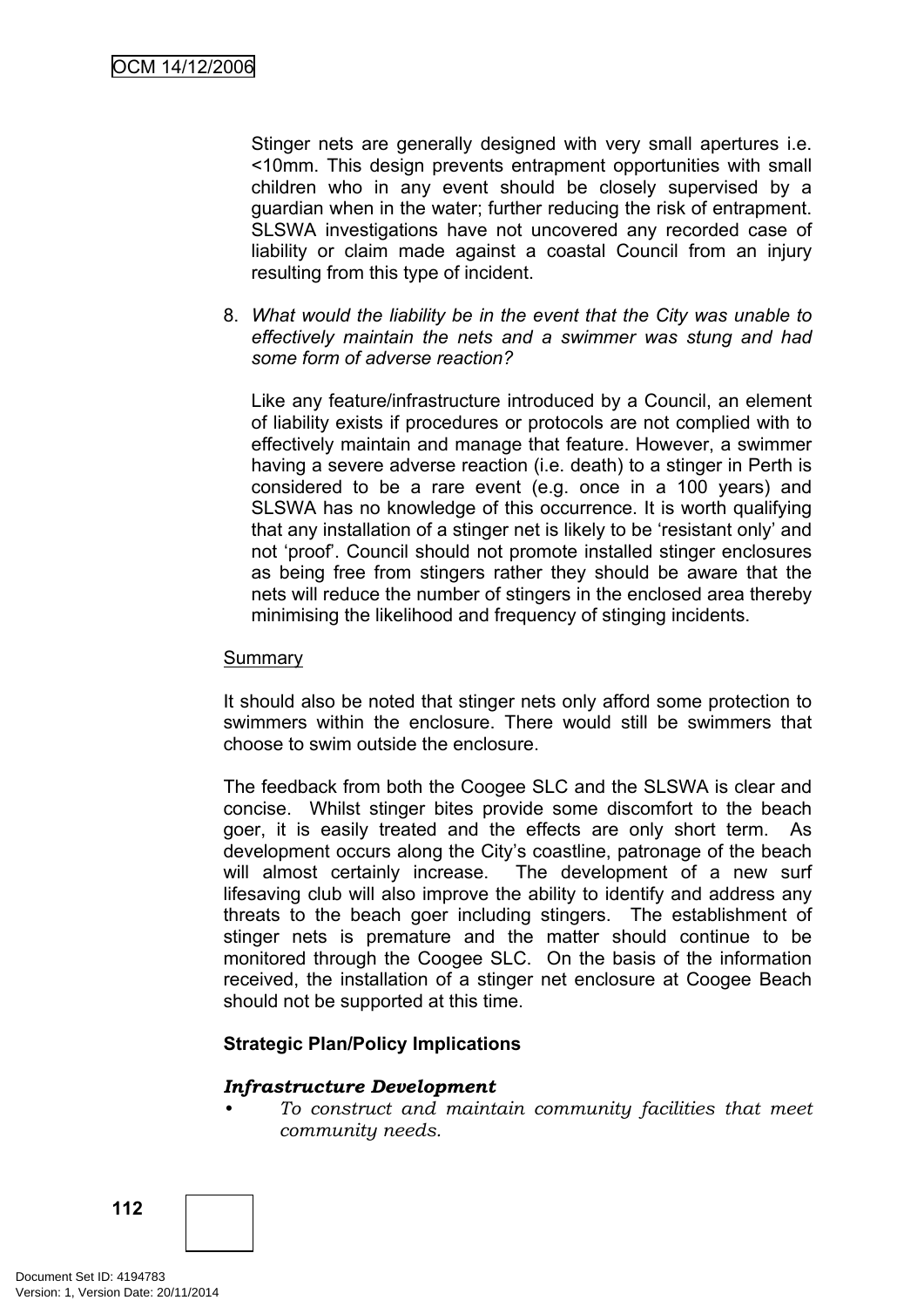Stinger nets are generally designed with very small apertures i.e. <10mm. This design prevents entrapment opportunities with small children who in any event should be closely supervised by a guardian when in the water; further reducing the risk of entrapment. SLSWA investigations have not uncovered any recorded case of liability or claim made against a coastal Council from an injury resulting from this type of incident.

8. *What would the liability be in the event that the City was unable to effectively maintain the nets and a swimmer was stung and had some form of adverse reaction?*

Like any feature/infrastructure introduced by a Council, an element of liability exists if procedures or protocols are not complied with to effectively maintain and manage that feature. However, a swimmer having a severe adverse reaction (i.e. death) to a stinger in Perth is considered to be a rare event (e.g. once in a 100 years) and SLSWA has no knowledge of this occurrence. It is worth qualifying that any installation of a stinger net is likely to be 'resistant only' and not 'proof'. Council should not promote installed stinger enclosures as being free from stingers rather they should be aware that the nets will reduce the number of stingers in the enclosed area thereby minimising the likelihood and frequency of stinging incidents.

### **Summary**

It should also be noted that stinger nets only afford some protection to swimmers within the enclosure. There would still be swimmers that choose to swim outside the enclosure.

The feedback from both the Coogee SLC and the SLSWA is clear and concise. Whilst stinger bites provide some discomfort to the beach goer, it is easily treated and the effects are only short term. As development occurs along the City's coastline, patronage of the beach will almost certainly increase. The development of a new surf lifesaving club will also improve the ability to identify and address any threats to the beach goer including stingers. The establishment of stinger nets is premature and the matter should continue to be monitored through the Coogee SLC. On the basis of the information received, the installation of a stinger net enclosure at Coogee Beach should not be supported at this time.

### **Strategic Plan/Policy Implications**

#### *Infrastructure Development*

*• To construct and maintain community facilities that meet community needs.*

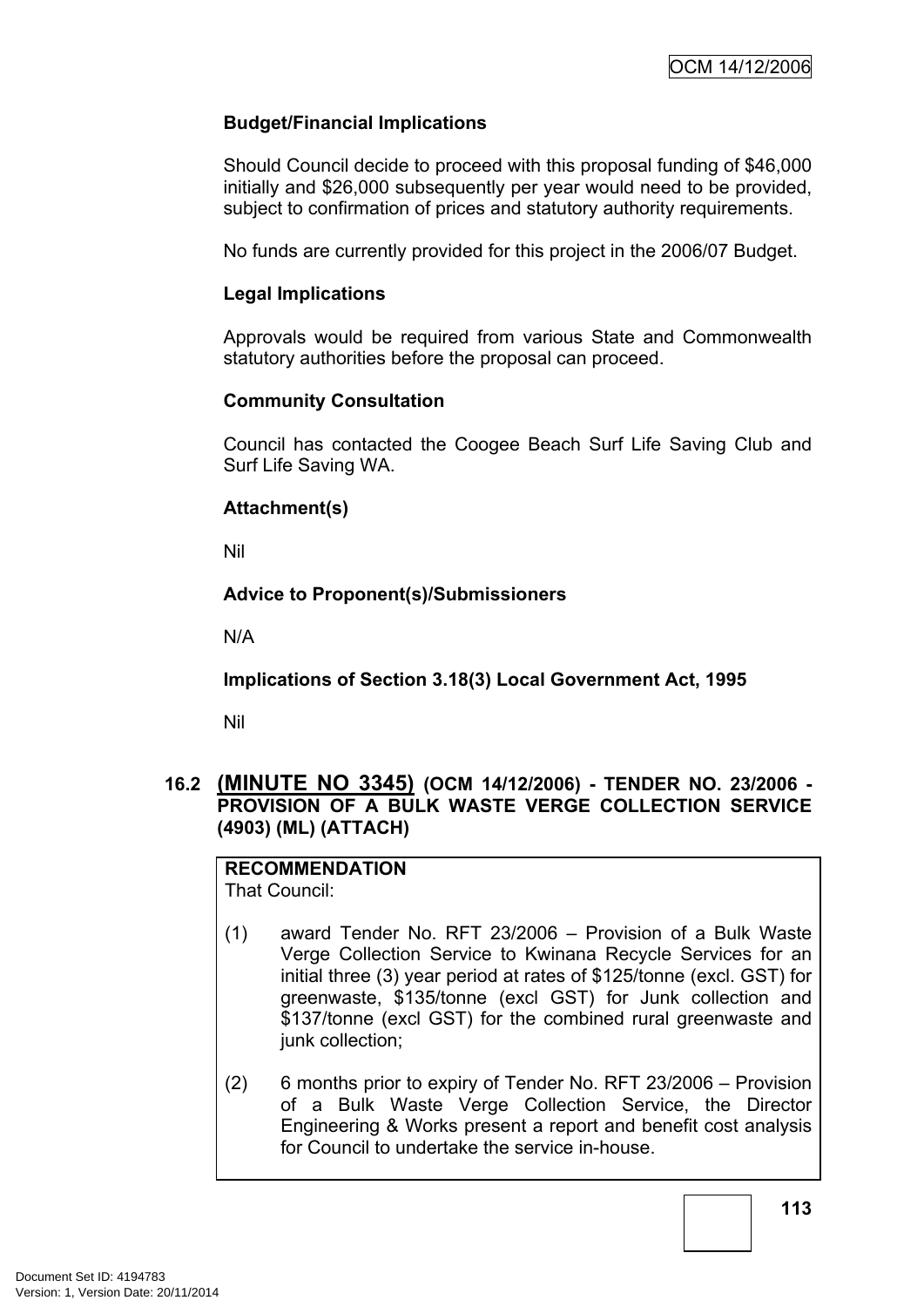# **Budget/Financial Implications**

Should Council decide to proceed with this proposal funding of \$46,000 initially and \$26,000 subsequently per year would need to be provided, subject to confirmation of prices and statutory authority requirements.

No funds are currently provided for this project in the 2006/07 Budget.

### **Legal Implications**

Approvals would be required from various State and Commonwealth statutory authorities before the proposal can proceed.

### **Community Consultation**

Council has contacted the Coogee Beach Surf Life Saving Club and Surf Life Saving WA.

### **Attachment(s)**

Nil

### **Advice to Proponent(s)/Submissioners**

N/A

**Implications of Section 3.18(3) Local Government Act, 1995**

Nil

# **16.2 (MINUTE NO 3345) (OCM 14/12/2006) - TENDER NO. 23/2006 - PROVISION OF A BULK WASTE VERGE COLLECTION SERVICE (4903) (ML) (ATTACH)**

# **RECOMMENDATION**

That Council:

- (1) award Tender No. RFT 23/2006 Provision of a Bulk Waste Verge Collection Service to Kwinana Recycle Services for an initial three (3) year period at rates of \$125/tonne (excl. GST) for greenwaste, \$135/tonne (excl GST) for Junk collection and \$137/tonne (excl GST) for the combined rural greenwaste and junk collection;
- (2) 6 months prior to expiry of Tender No. RFT 23/2006 Provision of a Bulk Waste Verge Collection Service, the Director Engineering & Works present a report and benefit cost analysis for Council to undertake the service in-house.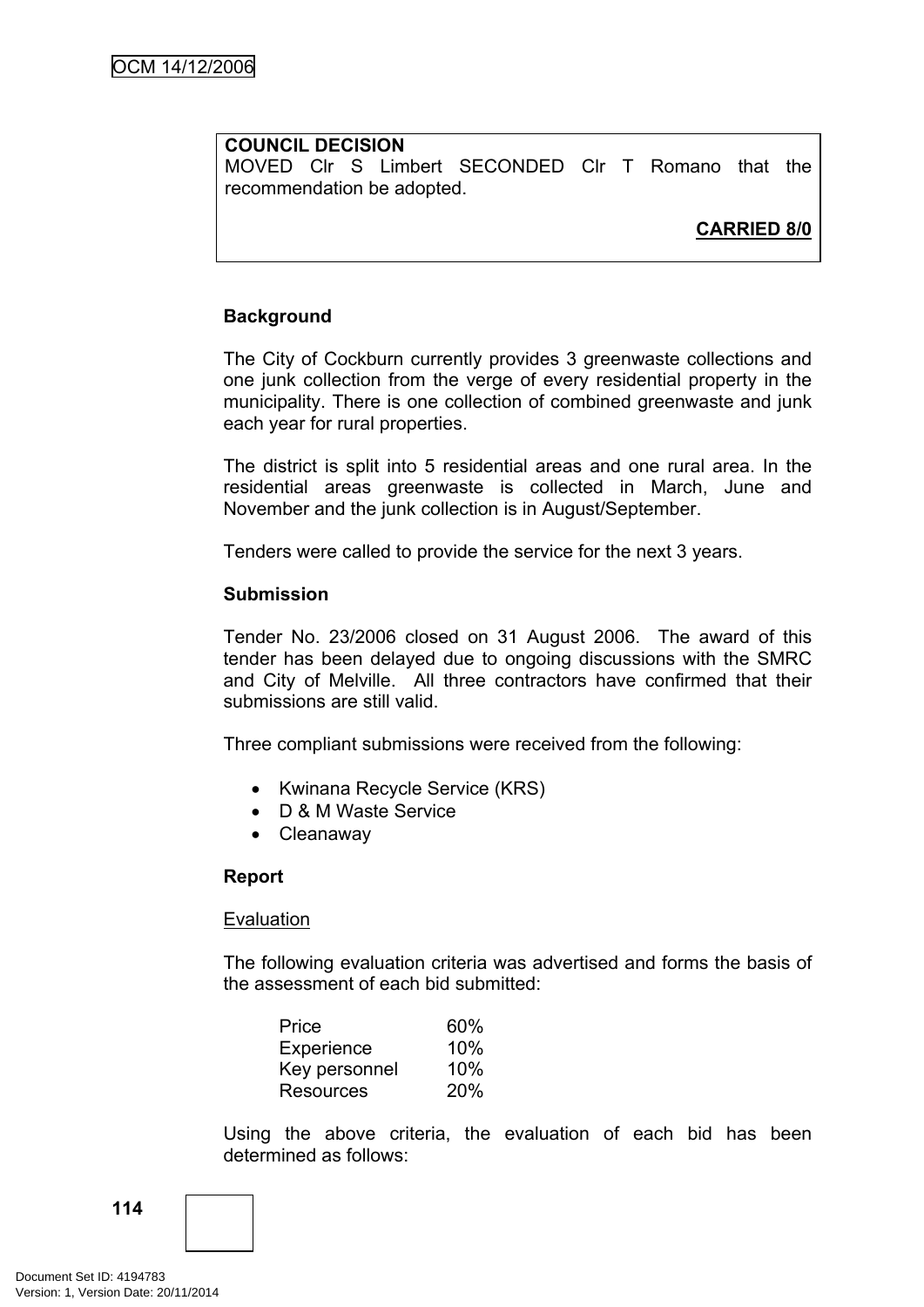### **COUNCIL DECISION**

MOVED Clr S Limbert SECONDED Clr T Romano that the recommendation be adopted.

# **CARRIED 8/0**

### **Background**

The City of Cockburn currently provides 3 greenwaste collections and one junk collection from the verge of every residential property in the municipality. There is one collection of combined greenwaste and junk each year for rural properties.

The district is split into 5 residential areas and one rural area. In the residential areas greenwaste is collected in March, June and November and the junk collection is in August/September.

Tenders were called to provide the service for the next 3 years.

#### **Submission**

Tender No. 23/2006 closed on 31 August 2006. The award of this tender has been delayed due to ongoing discussions with the SMRC and City of Melville. All three contractors have confirmed that their submissions are still valid.

Three compliant submissions were received from the following:

- Kwinana Recycle Service (KRS)
- D & M Waste Service
- Cleanaway

#### **Report**

#### Evaluation

The following evaluation criteria was advertised and forms the basis of the assessment of each bid submitted:

| Price            | 60% |
|------------------|-----|
| Experience       | 10% |
| Key personnel    | 10% |
| <b>Resources</b> | 20% |

Using the above criteria, the evaluation of each bid has been determined as follows:

**114**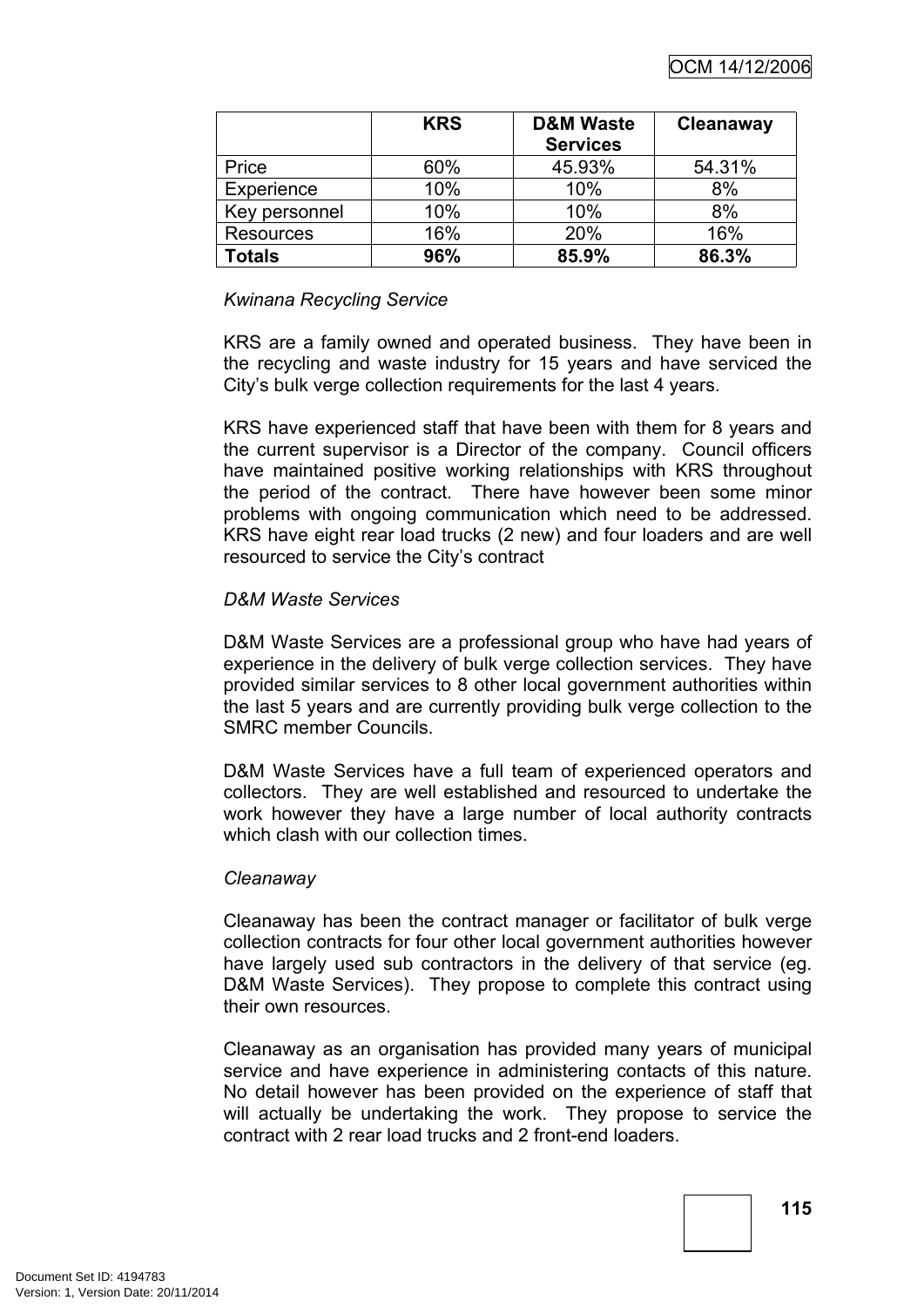|                  | <b>KRS</b> | <b>D&amp;M Waste</b><br><b>Services</b> | Cleanaway |
|------------------|------------|-----------------------------------------|-----------|
| Price            | 60%        | 45.93%                                  | 54.31%    |
| Experience       | 10%        | 10%                                     | 8%        |
| Key personnel    | 10%        | 10%                                     | 8%        |
| <b>Resources</b> | 16%        | 20%                                     | 16%       |
| Totals           | 96%        | 85.9%                                   | 86.3%     |

# *Kwinana Recycling Service*

KRS are a family owned and operated business. They have been in the recycling and waste industry for 15 years and have serviced the City's bulk verge collection requirements for the last 4 years.

KRS have experienced staff that have been with them for 8 years and the current supervisor is a Director of the company. Council officers have maintained positive working relationships with KRS throughout the period of the contract. There have however been some minor problems with ongoing communication which need to be addressed. KRS have eight rear load trucks (2 new) and four loaders and are well resourced to service the City's contract

### *D&M Waste Services*

D&M Waste Services are a professional group who have had years of experience in the delivery of bulk verge collection services. They have provided similar services to 8 other local government authorities within the last 5 years and are currently providing bulk verge collection to the SMRC member Councils.

D&M Waste Services have a full team of experienced operators and collectors. They are well established and resourced to undertake the work however they have a large number of local authority contracts which clash with our collection times.

### *Cleanaway*

Cleanaway has been the contract manager or facilitator of bulk verge collection contracts for four other local government authorities however have largely used sub contractors in the delivery of that service (eg. D&M Waste Services). They propose to complete this contract using their own resources.

Cleanaway as an organisation has provided many years of municipal service and have experience in administering contacts of this nature. No detail however has been provided on the experience of staff that will actually be undertaking the work. They propose to service the contract with 2 rear load trucks and 2 front-end loaders.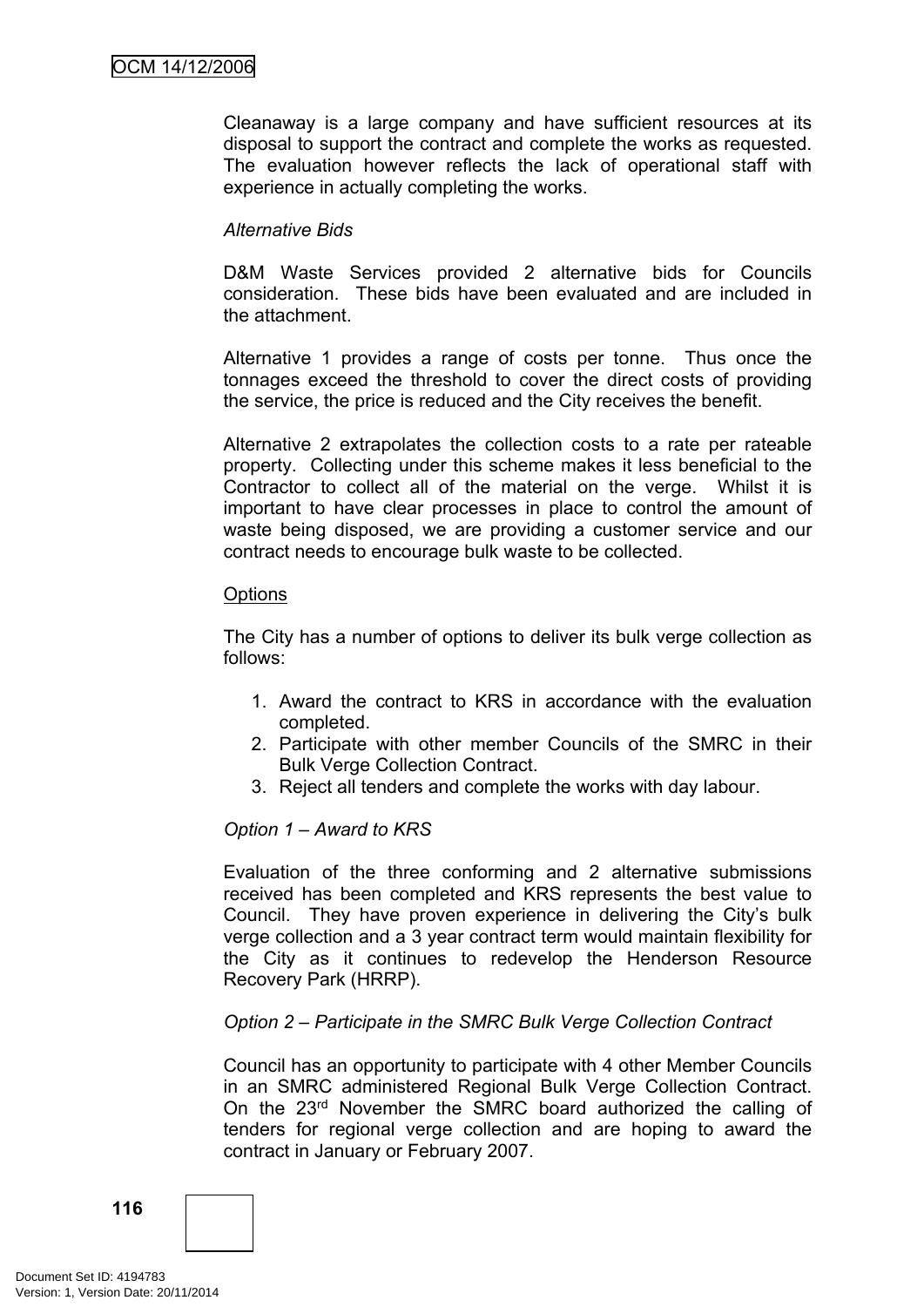Cleanaway is a large company and have sufficient resources at its disposal to support the contract and complete the works as requested. The evaluation however reflects the lack of operational staff with experience in actually completing the works.

# *Alternative Bids*

D&M Waste Services provided 2 alternative bids for Councils consideration. These bids have been evaluated and are included in the attachment.

Alternative 1 provides a range of costs per tonne. Thus once the tonnages exceed the threshold to cover the direct costs of providing the service, the price is reduced and the City receives the benefit.

Alternative 2 extrapolates the collection costs to a rate per rateable property. Collecting under this scheme makes it less beneficial to the Contractor to collect all of the material on the verge. Whilst it is important to have clear processes in place to control the amount of waste being disposed, we are providing a customer service and our contract needs to encourage bulk waste to be collected.

### **Options**

The City has a number of options to deliver its bulk verge collection as follows:

- 1. Award the contract to KRS in accordance with the evaluation completed.
- 2. Participate with other member Councils of the SMRC in their Bulk Verge Collection Contract.
- 3. Reject all tenders and complete the works with day labour.

### *Option 1 – Award to KRS*

Evaluation of the three conforming and 2 alternative submissions received has been completed and KRS represents the best value to Council. They have proven experience in delivering the City's bulk verge collection and a 3 year contract term would maintain flexibility for the City as it continues to redevelop the Henderson Resource Recovery Park (HRRP).

### *Option 2 – Participate in the SMRC Bulk Verge Collection Contract*

Council has an opportunity to participate with 4 other Member Councils in an SMRC administered Regional Bulk Verge Collection Contract. On the 23rd November the SMRC board authorized the calling of tenders for regional verge collection and are hoping to award the contract in January or February 2007.

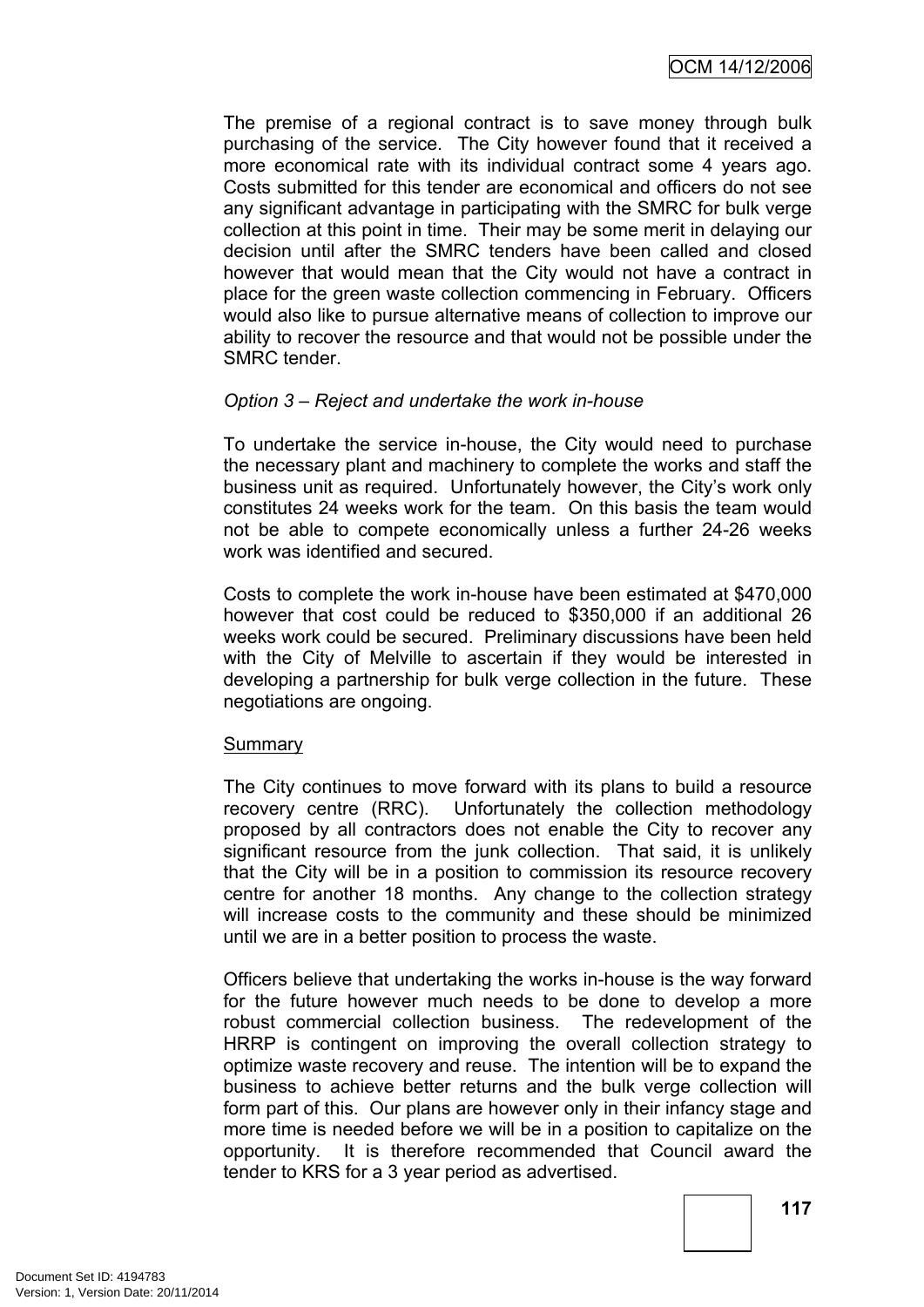The premise of a regional contract is to save money through bulk purchasing of the service. The City however found that it received a more economical rate with its individual contract some 4 years ago. Costs submitted for this tender are economical and officers do not see any significant advantage in participating with the SMRC for bulk verge collection at this point in time. Their may be some merit in delaying our decision until after the SMRC tenders have been called and closed however that would mean that the City would not have a contract in place for the green waste collection commencing in February. Officers would also like to pursue alternative means of collection to improve our ability to recover the resource and that would not be possible under the SMRC tender.

# *Option 3 – Reject and undertake the work in-house*

To undertake the service in-house, the City would need to purchase the necessary plant and machinery to complete the works and staff the business unit as required. Unfortunately however, the City's work only constitutes 24 weeks work for the team. On this basis the team would not be able to compete economically unless a further 24-26 weeks work was identified and secured.

Costs to complete the work in-house have been estimated at \$470,000 however that cost could be reduced to \$350,000 if an additional 26 weeks work could be secured. Preliminary discussions have been held with the City of Melville to ascertain if they would be interested in developing a partnership for bulk verge collection in the future. These negotiations are ongoing.

### **Summary**

The City continues to move forward with its plans to build a resource recovery centre (RRC). Unfortunately the collection methodology proposed by all contractors does not enable the City to recover any significant resource from the junk collection. That said, it is unlikely that the City will be in a position to commission its resource recovery centre for another 18 months. Any change to the collection strategy will increase costs to the community and these should be minimized until we are in a better position to process the waste.

Officers believe that undertaking the works in-house is the way forward for the future however much needs to be done to develop a more robust commercial collection business. The redevelopment of the HRRP is contingent on improving the overall collection strategy to optimize waste recovery and reuse. The intention will be to expand the business to achieve better returns and the bulk verge collection will form part of this. Our plans are however only in their infancy stage and more time is needed before we will be in a position to capitalize on the opportunity. It is therefore recommended that Council award the tender to KRS for a 3 year period as advertised.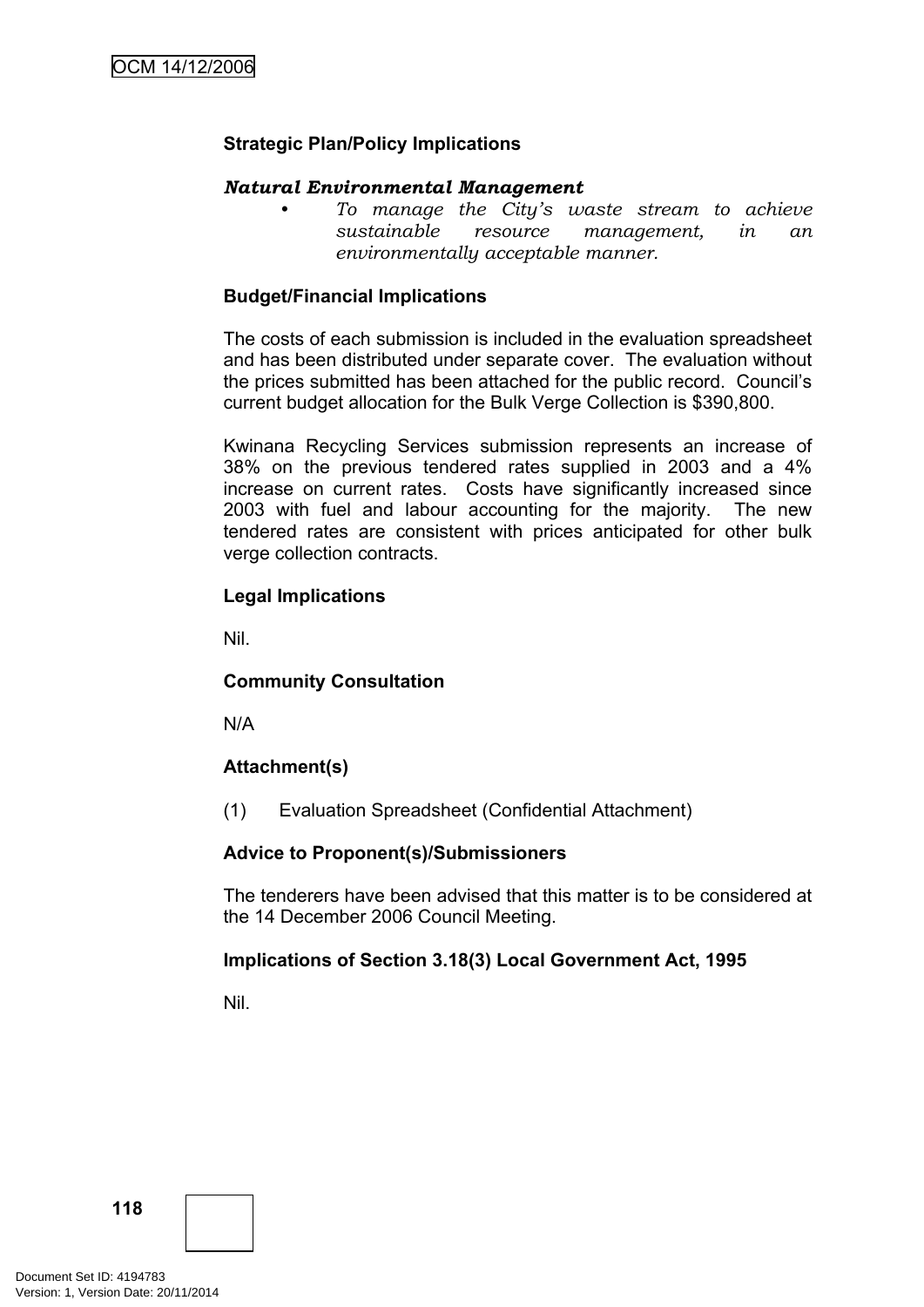# **Strategic Plan/Policy Implications**

### *Natural Environmental Management*

*• To manage the City's waste stream to achieve sustainable resource management, in an environmentally acceptable manner.*

## **Budget/Financial Implications**

The costs of each submission is included in the evaluation spreadsheet and has been distributed under separate cover. The evaluation without the prices submitted has been attached for the public record. Council's current budget allocation for the Bulk Verge Collection is \$390,800.

Kwinana Recycling Services submission represents an increase of 38% on the previous tendered rates supplied in 2003 and a 4% increase on current rates. Costs have significantly increased since 2003 with fuel and labour accounting for the majority. The new tendered rates are consistent with prices anticipated for other bulk verge collection contracts.

# **Legal Implications**

Nil.

### **Community Consultation**

N/A

# **Attachment(s)**

(1) Evaluation Spreadsheet (Confidential Attachment)

### **Advice to Proponent(s)/Submissioners**

The tenderers have been advised that this matter is to be considered at the 14 December 2006 Council Meeting.

### **Implications of Section 3.18(3) Local Government Act, 1995**

Nil.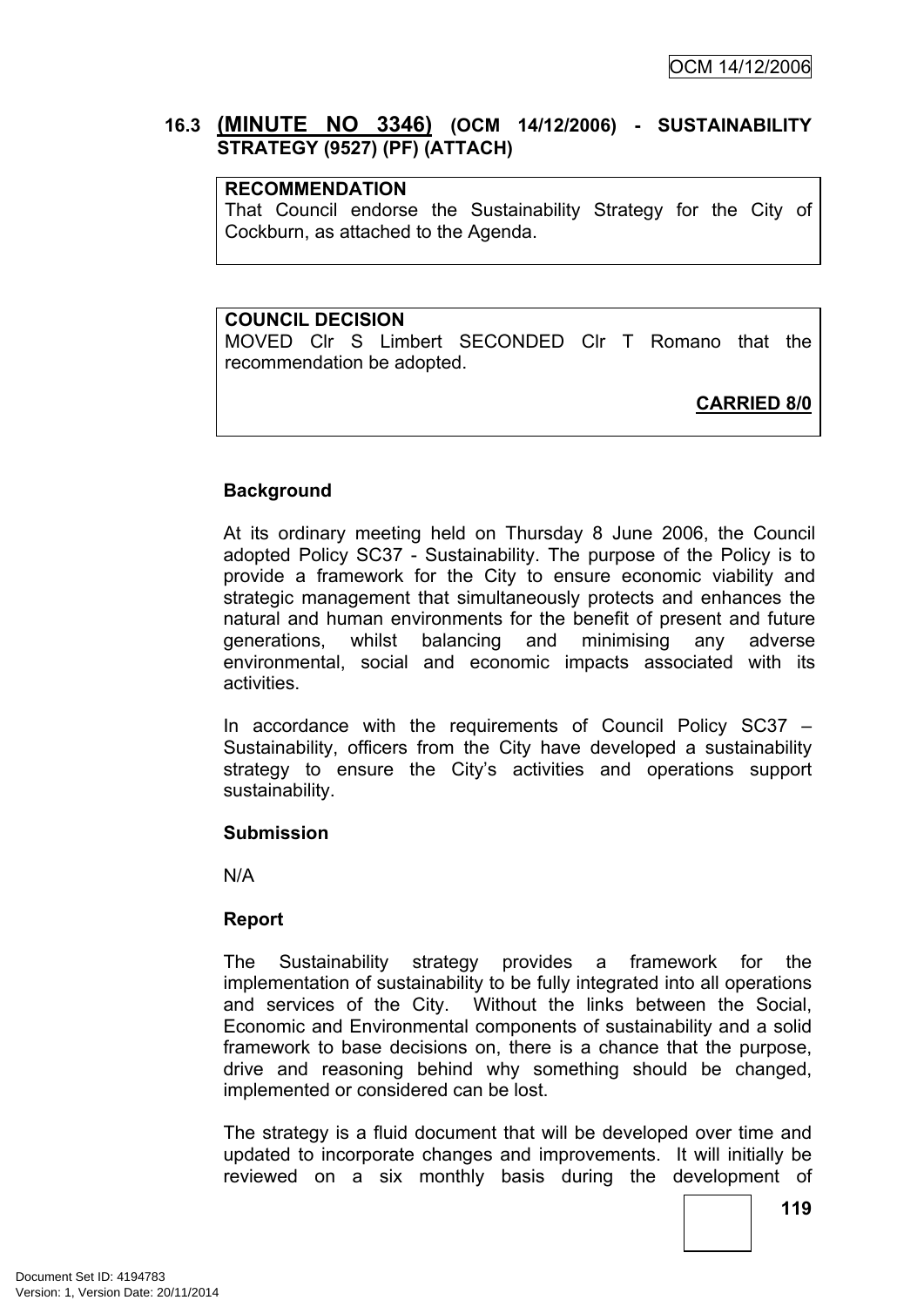# **16.3 (MINUTE NO 3346) (OCM 14/12/2006) - SUSTAINABILITY STRATEGY (9527) (PF) (ATTACH)**

### **RECOMMENDATION**

That Council endorse the Sustainability Strategy for the City of Cockburn, as attached to the Agenda.

### **COUNCIL DECISION**

MOVED Clr S Limbert SECONDED Clr T Romano that the recommendation be adopted.

**CARRIED 8/0**

# **Background**

At its ordinary meeting held on Thursday 8 June 2006, the Council adopted Policy SC37 - Sustainability. The purpose of the Policy is to provide a framework for the City to ensure economic viability and strategic management that simultaneously protects and enhances the natural and human environments for the benefit of present and future generations, whilst balancing and minimising any adverse environmental, social and economic impacts associated with its activities.

In accordance with the requirements of Council Policy SC37 – Sustainability, officers from the City have developed a sustainability strategy to ensure the City's activities and operations support sustainability.

### **Submission**

N/A

### **Report**

The Sustainability strategy provides a framework for the implementation of sustainability to be fully integrated into all operations and services of the City. Without the links between the Social, Economic and Environmental components of sustainability and a solid framework to base decisions on, there is a chance that the purpose, drive and reasoning behind why something should be changed, implemented or considered can be lost.

The strategy is a fluid document that will be developed over time and updated to incorporate changes and improvements. It will initially be reviewed on a six monthly basis during the development of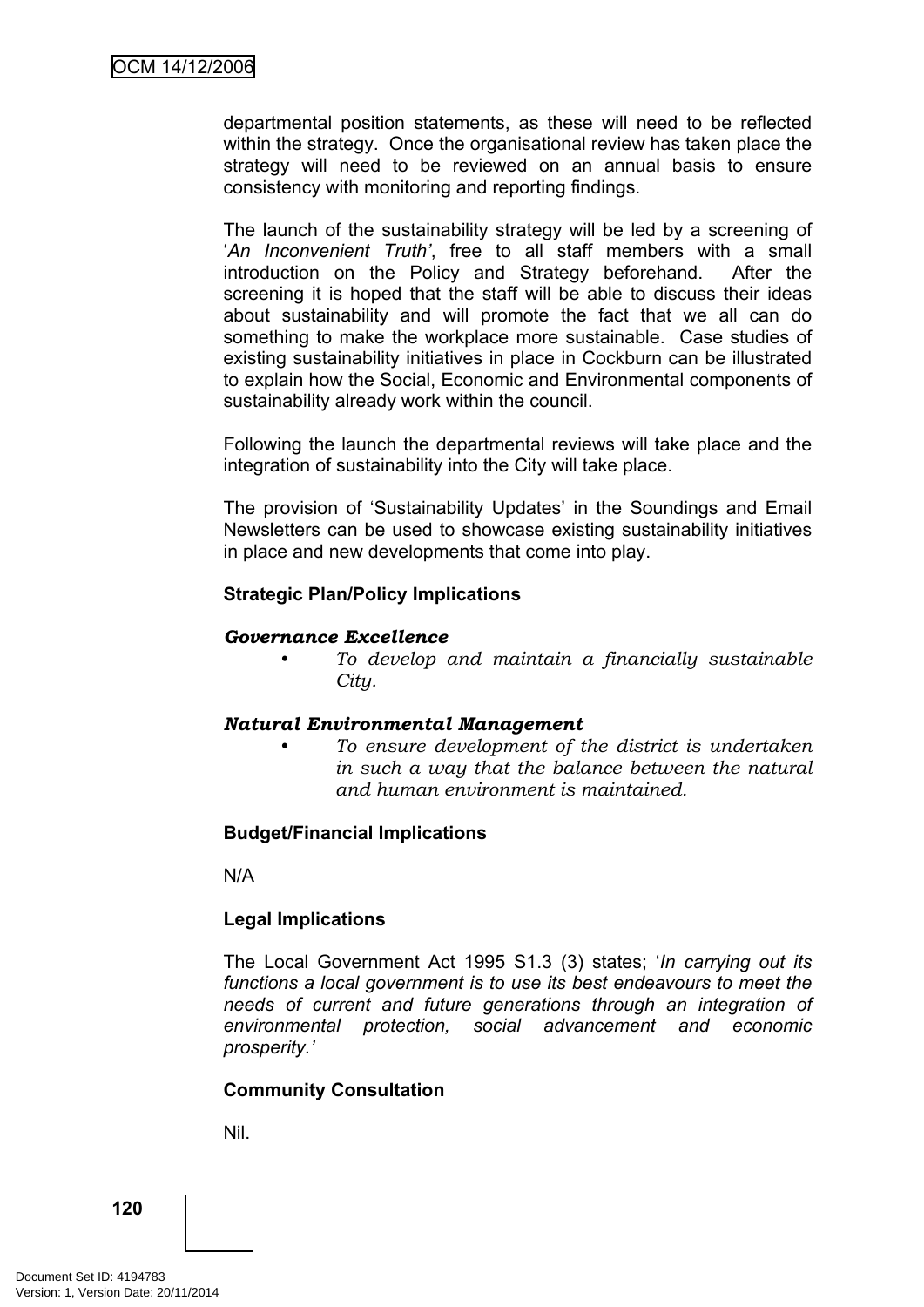departmental position statements, as these will need to be reflected within the strategy. Once the organisational review has taken place the strategy will need to be reviewed on an annual basis to ensure consistency with monitoring and reporting findings.

The launch of the sustainability strategy will be led by a screening of '*An Inconvenient Truth'*, free to all staff members with a small introduction on the Policy and Strategy beforehand. After the screening it is hoped that the staff will be able to discuss their ideas about sustainability and will promote the fact that we all can do something to make the workplace more sustainable. Case studies of existing sustainability initiatives in place in Cockburn can be illustrated to explain how the Social, Economic and Environmental components of sustainability already work within the council.

Following the launch the departmental reviews will take place and the integration of sustainability into the City will take place.

The provision of 'Sustainability Updates' in the Soundings and Email Newsletters can be used to showcase existing sustainability initiatives in place and new developments that come into play.

### **Strategic Plan/Policy Implications**

### *Governance Excellence*

*• To develop and maintain a financially sustainable City.*

#### *Natural Environmental Management*

*• To ensure development of the district is undertaken in such a way that the balance between the natural and human environment is maintained.*

### **Budget/Financial Implications**

N/A

### **Legal Implications**

The Local Government Act 1995 S1.3 (3) states; '*In carrying out its functions a local government is to use its best endeavours to meet the needs of current and future generations through an integration of environmental protection, social advancement and economic prosperity.'*

#### **Community Consultation**

Nil.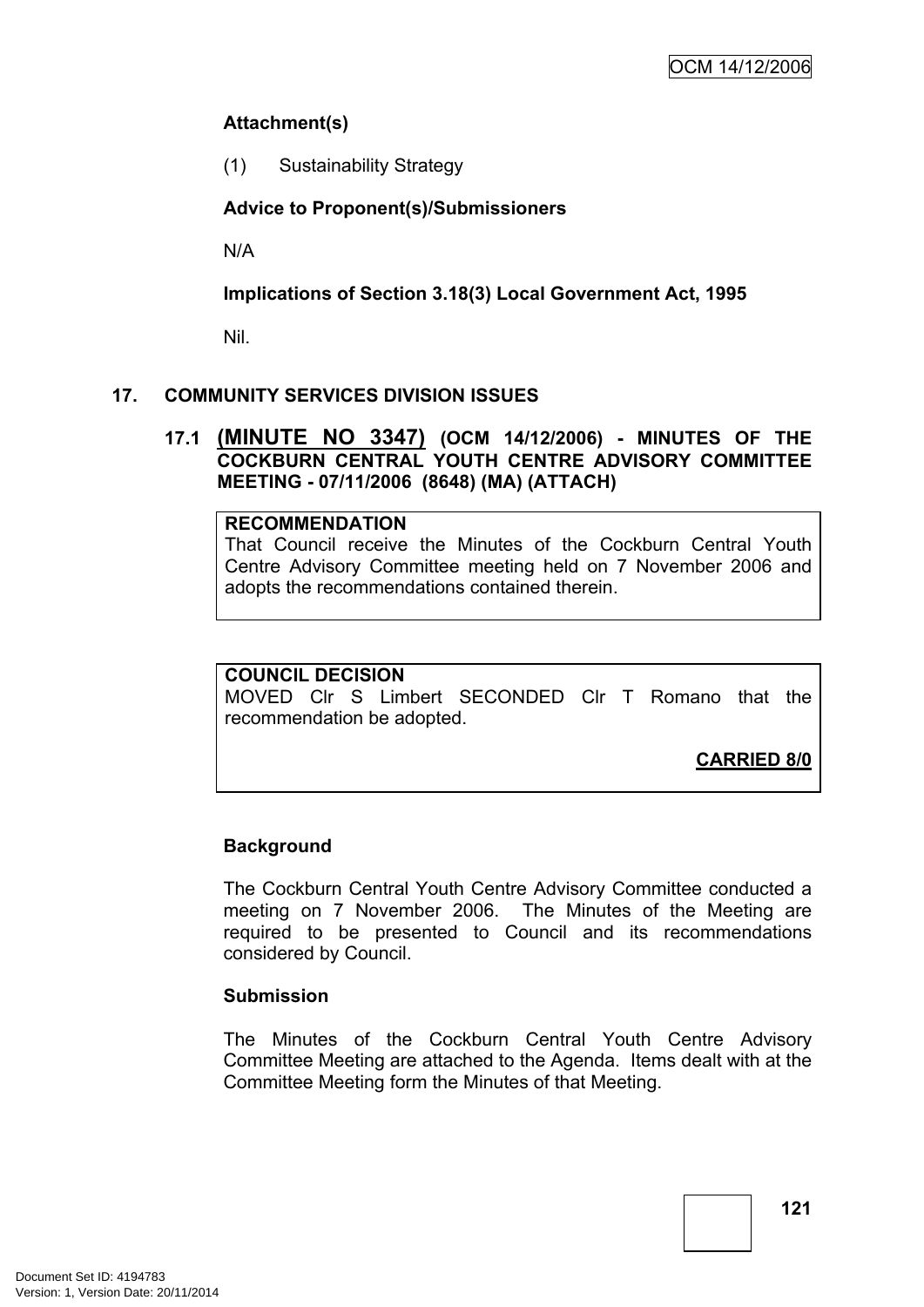# **Attachment(s)**

(1) Sustainability Strategy

# **Advice to Proponent(s)/Submissioners**

N/A

**Implications of Section 3.18(3) Local Government Act, 1995**

Nil.

# **17. COMMUNITY SERVICES DIVISION ISSUES**

**17.1 (MINUTE NO 3347) (OCM 14/12/2006) - MINUTES OF THE COCKBURN CENTRAL YOUTH CENTRE ADVISORY COMMITTEE MEETING - 07/11/2006 (8648) (MA) (ATTACH)**

### **RECOMMENDATION**

That Council receive the Minutes of the Cockburn Central Youth Centre Advisory Committee meeting held on 7 November 2006 and adopts the recommendations contained therein.

# **COUNCIL DECISION**

MOVED Clr S Limbert SECONDED Clr T Romano that the recommendation be adopted.

**CARRIED 8/0**

# **Background**

The Cockburn Central Youth Centre Advisory Committee conducted a meeting on 7 November 2006. The Minutes of the Meeting are required to be presented to Council and its recommendations considered by Council.

### **Submission**

The Minutes of the Cockburn Central Youth Centre Advisory Committee Meeting are attached to the Agenda. Items dealt with at the Committee Meeting form the Minutes of that Meeting.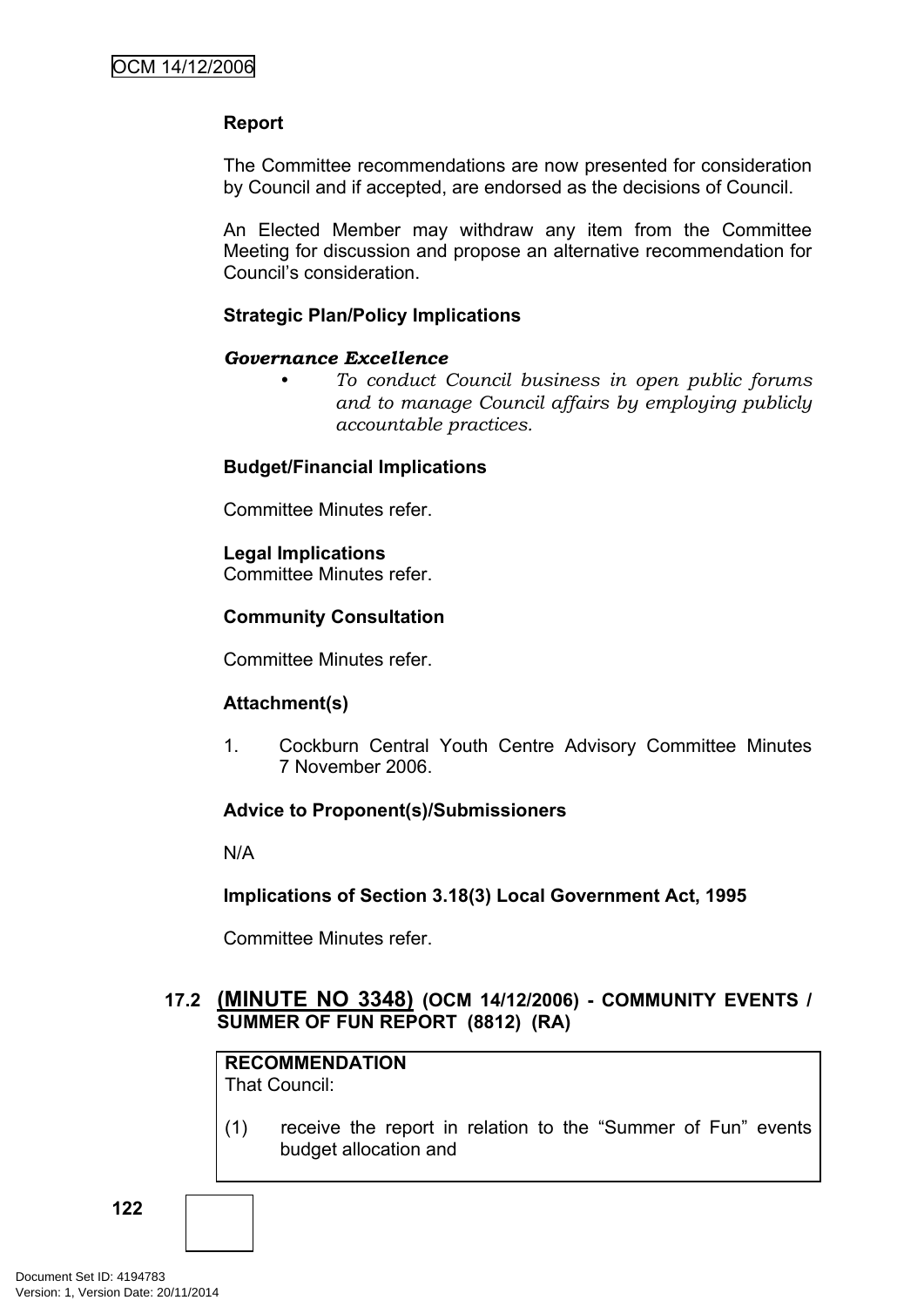# **Report**

The Committee recommendations are now presented for consideration by Council and if accepted, are endorsed as the decisions of Council.

An Elected Member may withdraw any item from the Committee Meeting for discussion and propose an alternative recommendation for Council's consideration.

## **Strategic Plan/Policy Implications**

### *Governance Excellence*

*• To conduct Council business in open public forums and to manage Council affairs by employing publicly accountable practices.*

### **Budget/Financial Implications**

Committee Minutes refer.

# **Legal Implications**

Committee Minutes refer.

# **Community Consultation**

Committee Minutes refer.

### **Attachment(s)**

1. Cockburn Central Youth Centre Advisory Committee Minutes 7 November 2006.

### **Advice to Proponent(s)/Submissioners**

N/A

### **Implications of Section 3.18(3) Local Government Act, 1995**

Committee Minutes refer.

# **17.2 (MINUTE NO 3348) (OCM 14/12/2006) - COMMUNITY EVENTS / SUMMER OF FUN REPORT (8812) (RA)**

**RECOMMENDATION** That Council:

(1) receive the report in relation to the "Summer of Fun" events budget allocation and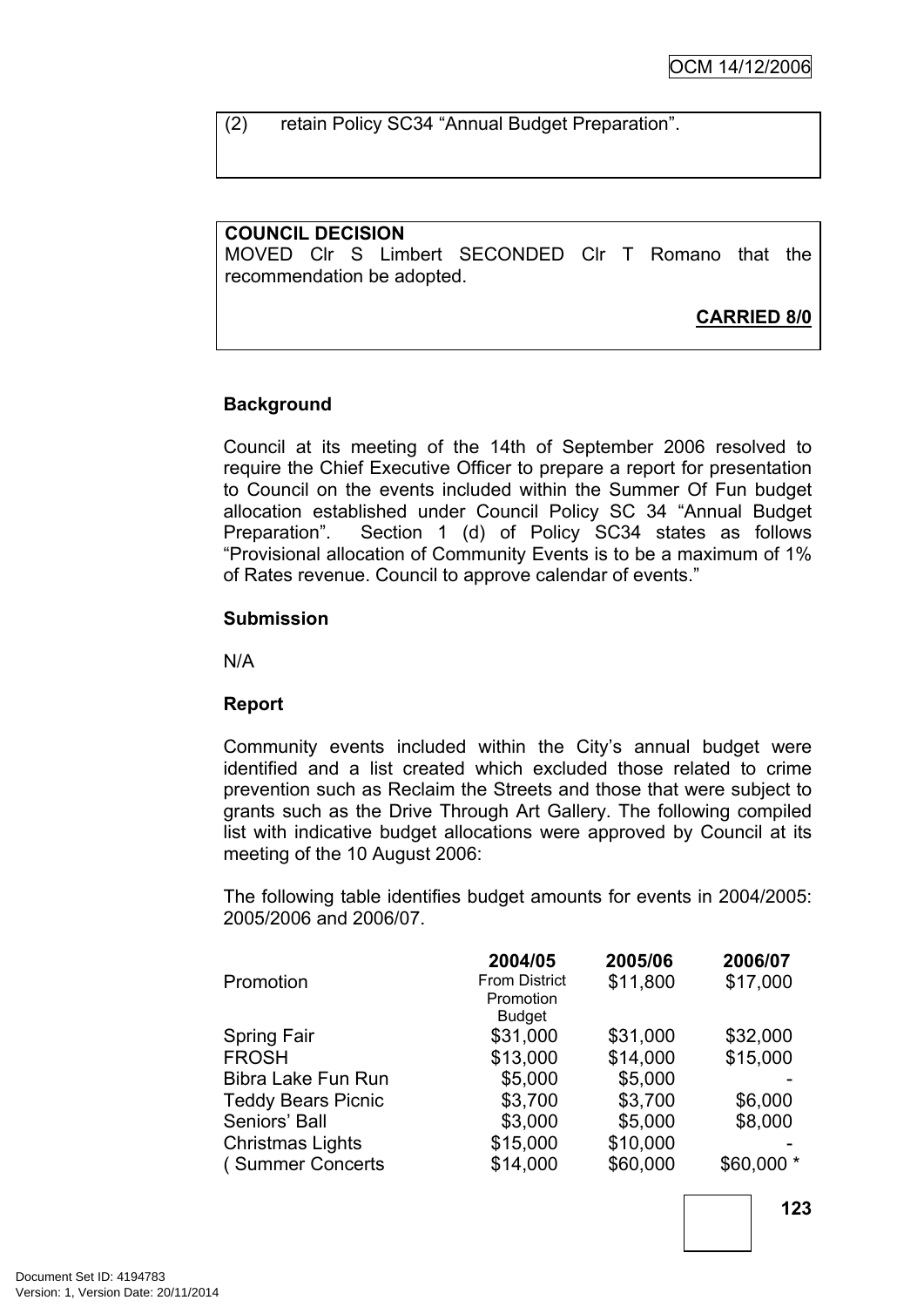(2) retain Policy SC34 "Annual Budget Preparation".

### **COUNCIL DECISION**

MOVED Clr S Limbert SECONDED Clr T Romano that the recommendation be adopted.

**CARRIED 8/0**

### **Background**

Council at its meeting of the 14th of September 2006 resolved to require the Chief Executive Officer to prepare a report for presentation to Council on the events included within the Summer Of Fun budget allocation established under Council Policy SC 34 "Annual Budget Preparation". Section 1 (d) of Policy SC34 states as follows "Provisional allocation of Community Events is to be a maximum of 1% of Rates revenue. Council to approve calendar of events."

#### **Submission**

N/A

#### **Report**

Community events included within the City's annual budget were identified and a list created which excluded those related to crime prevention such as Reclaim the Streets and those that were subject to grants such as the Drive Through Art Gallery. The following compiled list with indicative budget allocations were approved by Council at its meeting of the 10 August 2006:

The following table identifies budget amounts for events in 2004/2005: 2005/2006 and 2006/07.

|                           | 2004/05              | 2005/06  | 2006/07    |
|---------------------------|----------------------|----------|------------|
| Promotion                 | <b>From District</b> | \$11,800 | \$17,000   |
|                           | Promotion            |          |            |
|                           | <b>Budget</b>        |          |            |
| <b>Spring Fair</b>        | \$31,000             | \$31,000 | \$32,000   |
| <b>FROSH</b>              | \$13,000             | \$14,000 | \$15,000   |
| Bibra Lake Fun Run        | \$5,000              | \$5,000  |            |
| <b>Teddy Bears Picnic</b> | \$3,700              | \$3,700  | \$6,000    |
| Seniors' Ball             | \$3,000              | \$5,000  | \$8,000    |
| <b>Christmas Lights</b>   | \$15,000             | \$10,000 |            |
| (Summer Concerts          | \$14,000             | \$60,000 | \$60,000 * |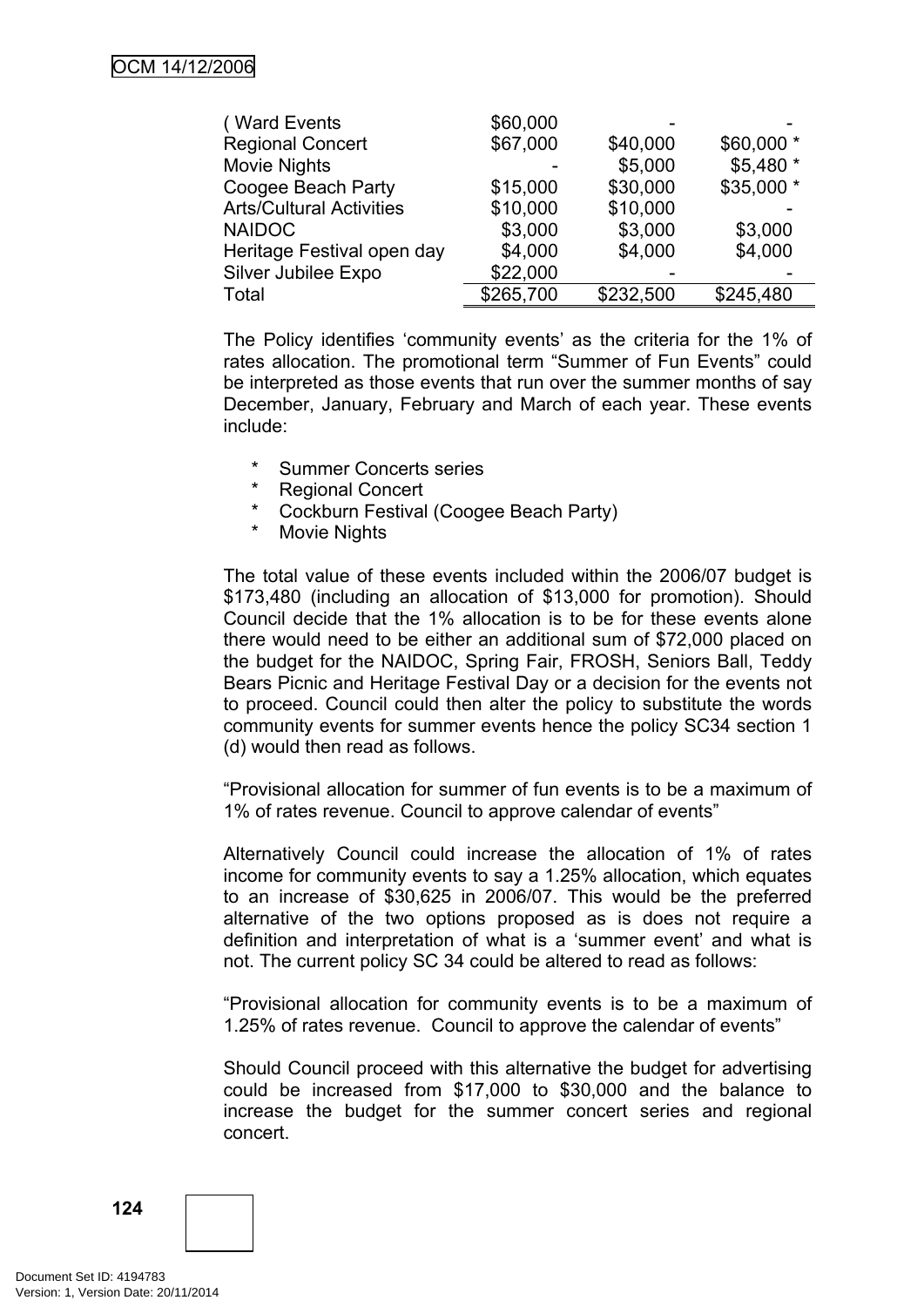| (Ward Events                    | \$60,000  |           |            |
|---------------------------------|-----------|-----------|------------|
| <b>Regional Concert</b>         | \$67,000  | \$40,000  | \$60,000 * |
| <b>Movie Nights</b>             |           | \$5,000   | \$5,480 *  |
| Coogee Beach Party              | \$15,000  | \$30,000  | \$35,000 * |
| <b>Arts/Cultural Activities</b> | \$10,000  | \$10,000  |            |
| <b>NAIDOC</b>                   | \$3,000   | \$3,000   | \$3,000    |
| Heritage Festival open day      | \$4,000   | \$4,000   | \$4,000    |
| Silver Jubilee Expo             | \$22,000  |           |            |
| Total                           | \$265,700 | \$232,500 | \$245,480  |

The Policy identifies 'community events' as the criteria for the 1% of rates allocation. The promotional term "Summer of Fun Events" could be interpreted as those events that run over the summer months of say December, January, February and March of each year. These events include:

- \* Summer Concerts series
- \* Regional Concert<br>\* Cockhurn Festival
- \* Cockburn Festival (Coogee Beach Party)
- **Movie Nights**

The total value of these events included within the 2006/07 budget is \$173,480 (including an allocation of \$13,000 for promotion). Should Council decide that the 1% allocation is to be for these events alone there would need to be either an additional sum of \$72,000 placed on the budget for the NAIDOC, Spring Fair, FROSH, Seniors Ball, Teddy Bears Picnic and Heritage Festival Day or a decision for the events not to proceed. Council could then alter the policy to substitute the words community events for summer events hence the policy SC34 section 1 (d) would then read as follows.

"Provisional allocation for summer of fun events is to be a maximum of 1% of rates revenue. Council to approve calendar of events"

Alternatively Council could increase the allocation of 1% of rates income for community events to say a 1.25% allocation, which equates to an increase of \$30,625 in 2006/07. This would be the preferred alternative of the two options proposed as is does not require a definition and interpretation of what is a 'summer event' and what is not. The current policy SC 34 could be altered to read as follows:

"Provisional allocation for community events is to be a maximum of 1.25% of rates revenue. Council to approve the calendar of events"

Should Council proceed with this alternative the budget for advertising could be increased from \$17,000 to \$30,000 and the balance to increase the budget for the summer concert series and regional concert.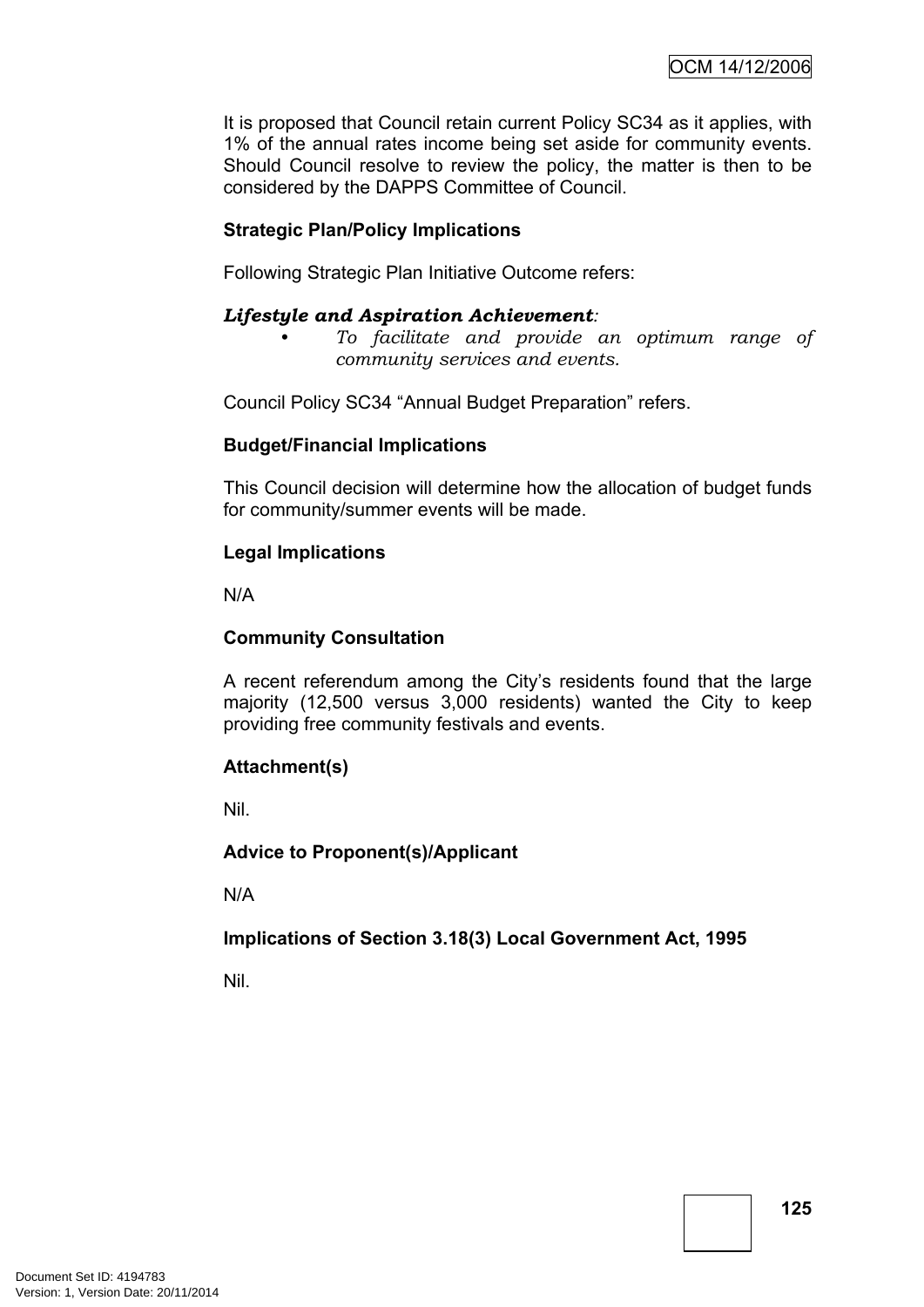It is proposed that Council retain current Policy SC34 as it applies, with 1% of the annual rates income being set aside for community events. Should Council resolve to review the policy, the matter is then to be considered by the DAPPS Committee of Council.

# **Strategic Plan/Policy Implications**

Following Strategic Plan Initiative Outcome refers:

### *Lifestyle and Aspiration Achievement:*

*• To facilitate and provide an optimum range of community services and events.*

Council Policy SC34 "Annual Budget Preparation" refers.

### **Budget/Financial Implications**

This Council decision will determine how the allocation of budget funds for community/summer events will be made.

### **Legal Implications**

N/A

### **Community Consultation**

A recent referendum among the City's residents found that the large majority (12,500 versus 3,000 residents) wanted the City to keep providing free community festivals and events.

#### **Attachment(s)**

Nil.

### **Advice to Proponent(s)/Applicant**

N/A

### **Implications of Section 3.18(3) Local Government Act, 1995**

Nil.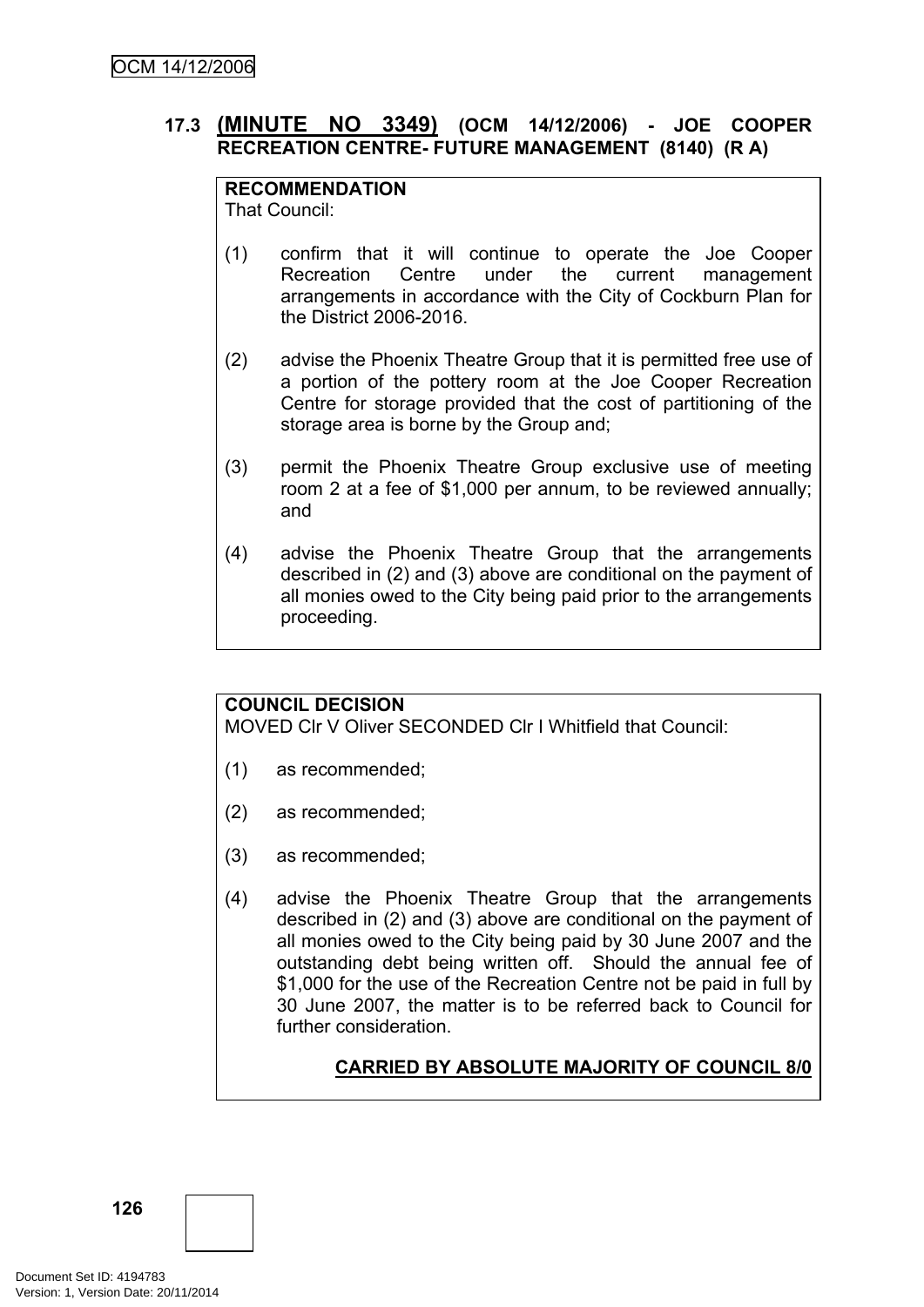# **17.3 (MINUTE NO 3349) (OCM 14/12/2006) - JOE COOPER RECREATION CENTRE- FUTURE MANAGEMENT (8140) (R A)**

# **RECOMMENDATION**

That Council:

- (1) confirm that it will continue to operate the Joe Cooper Recreation Centre under the current management arrangements in accordance with the City of Cockburn Plan for the District 2006-2016.
- (2) advise the Phoenix Theatre Group that it is permitted free use of a portion of the pottery room at the Joe Cooper Recreation Centre for storage provided that the cost of partitioning of the storage area is borne by the Group and;
- (3) permit the Phoenix Theatre Group exclusive use of meeting room 2 at a fee of \$1,000 per annum, to be reviewed annually; and
- (4) advise the Phoenix Theatre Group that the arrangements described in (2) and (3) above are conditional on the payment of all monies owed to the City being paid prior to the arrangements proceeding.

# **COUNCIL DECISION**

MOVED Clr V Oliver SECONDED Clr I Whitfield that Council:

- (1) as recommended;
- (2) as recommended;
- (3) as recommended;
- (4) advise the Phoenix Theatre Group that the arrangements described in (2) and (3) above are conditional on the payment of all monies owed to the City being paid by 30 June 2007 and the outstanding debt being written off. Should the annual fee of \$1,000 for the use of the Recreation Centre not be paid in full by 30 June 2007, the matter is to be referred back to Council for further consideration.

# **CARRIED BY ABSOLUTE MAJORITY OF COUNCIL 8/0**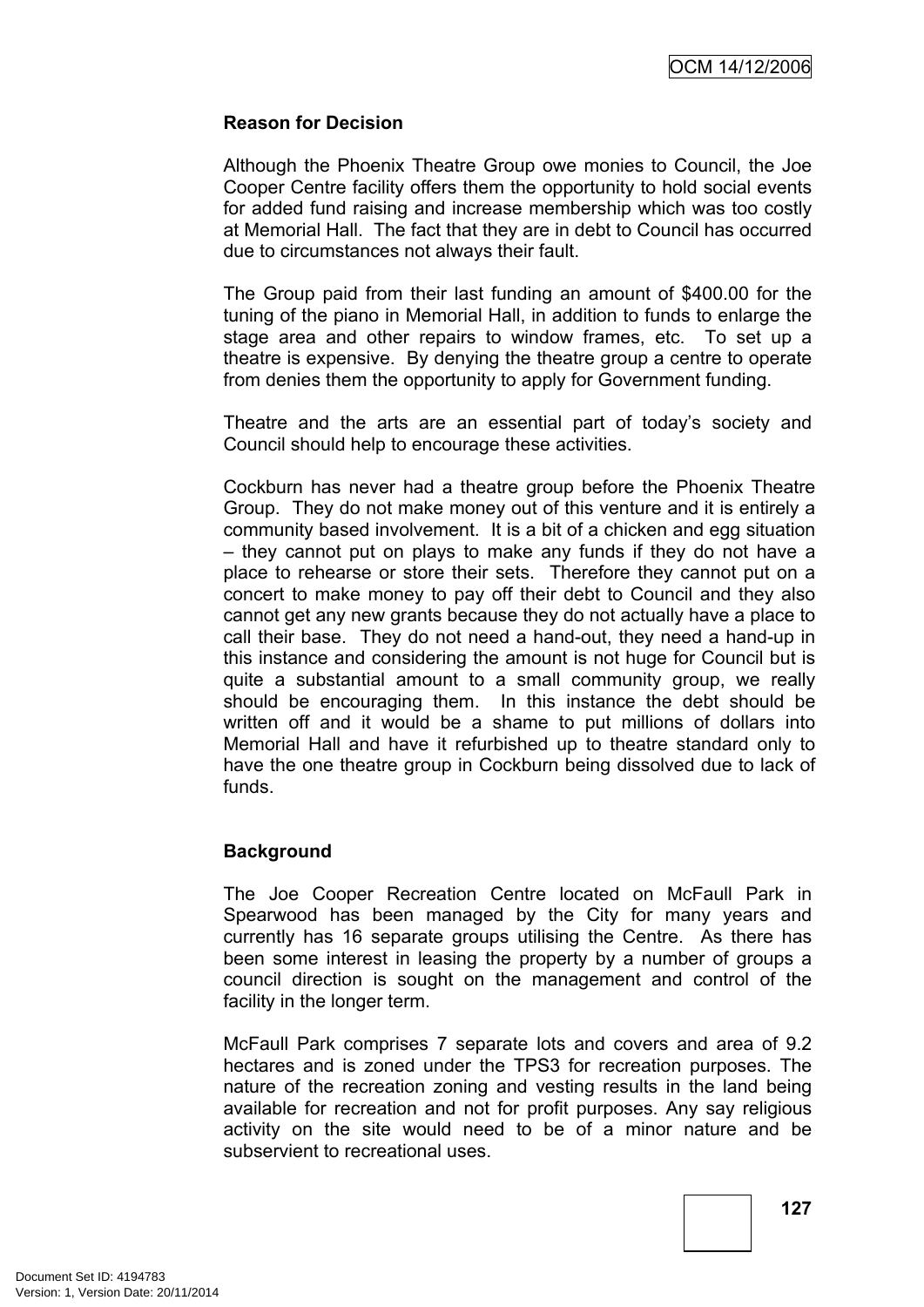### **Reason for Decision**

Although the Phoenix Theatre Group owe monies to Council, the Joe Cooper Centre facility offers them the opportunity to hold social events for added fund raising and increase membership which was too costly at Memorial Hall. The fact that they are in debt to Council has occurred due to circumstances not always their fault.

The Group paid from their last funding an amount of \$400.00 for the tuning of the piano in Memorial Hall, in addition to funds to enlarge the stage area and other repairs to window frames, etc. To set up a theatre is expensive. By denying the theatre group a centre to operate from denies them the opportunity to apply for Government funding.

Theatre and the arts are an essential part of today's society and Council should help to encourage these activities.

Cockburn has never had a theatre group before the Phoenix Theatre Group. They do not make money out of this venture and it is entirely a community based involvement. It is a bit of a chicken and egg situation – they cannot put on plays to make any funds if they do not have a place to rehearse or store their sets. Therefore they cannot put on a concert to make money to pay off their debt to Council and they also cannot get any new grants because they do not actually have a place to call their base. They do not need a hand-out, they need a hand-up in this instance and considering the amount is not huge for Council but is quite a substantial amount to a small community group, we really should be encouraging them. In this instance the debt should be written off and it would be a shame to put millions of dollars into Memorial Hall and have it refurbished up to theatre standard only to have the one theatre group in Cockburn being dissolved due to lack of funds.

### **Background**

The Joe Cooper Recreation Centre located on McFaull Park in Spearwood has been managed by the City for many years and currently has 16 separate groups utilising the Centre. As there has been some interest in leasing the property by a number of groups a council direction is sought on the management and control of the facility in the longer term.

McFaull Park comprises 7 separate lots and covers and area of 9.2 hectares and is zoned under the TPS3 for recreation purposes. The nature of the recreation zoning and vesting results in the land being available for recreation and not for profit purposes. Any say religious activity on the site would need to be of a minor nature and be subservient to recreational uses.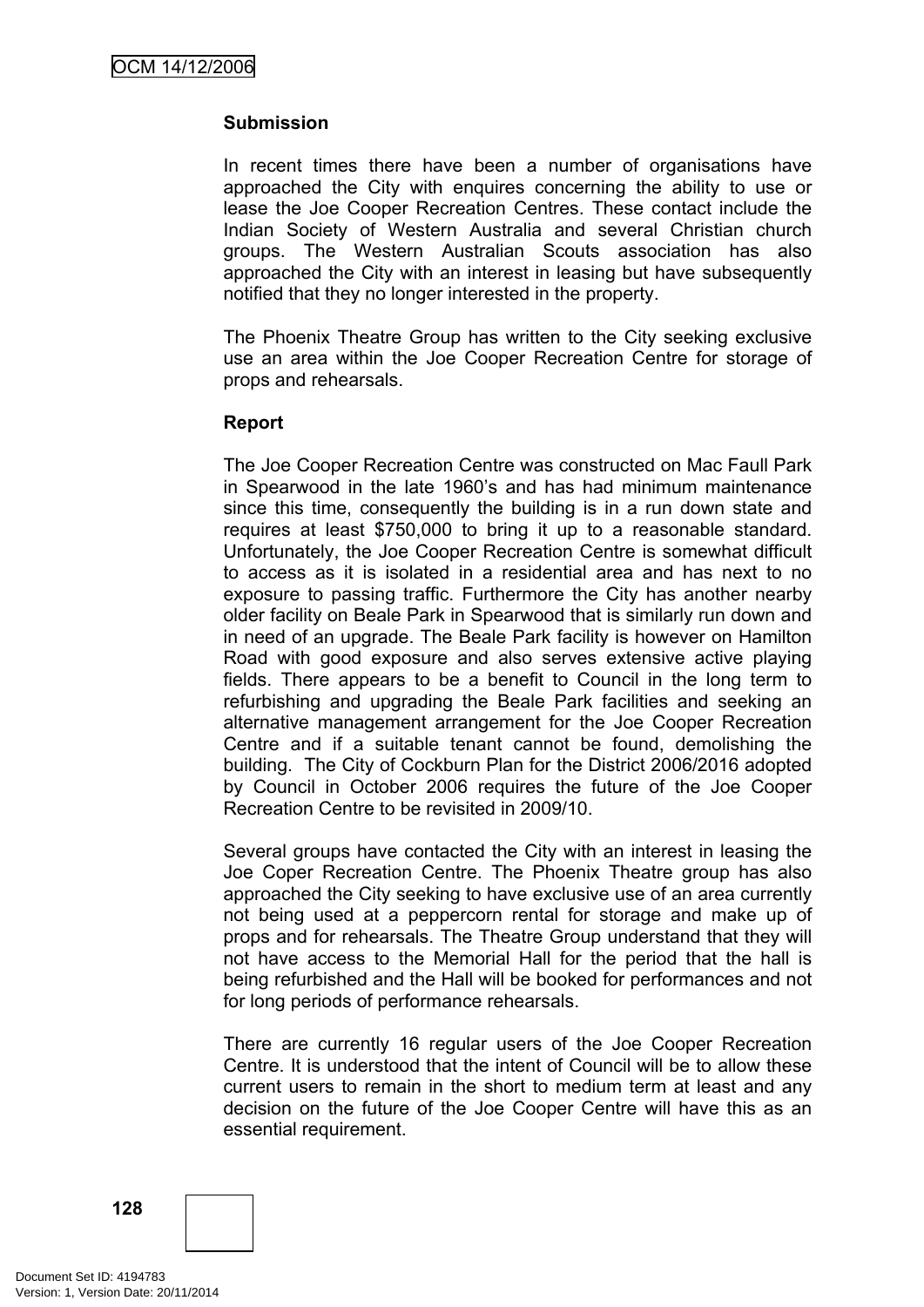### **Submission**

In recent times there have been a number of organisations have approached the City with enquires concerning the ability to use or lease the Joe Cooper Recreation Centres. These contact include the Indian Society of Western Australia and several Christian church groups. The Western Australian Scouts association has also approached the City with an interest in leasing but have subsequently notified that they no longer interested in the property.

The Phoenix Theatre Group has written to the City seeking exclusive use an area within the Joe Cooper Recreation Centre for storage of props and rehearsals.

### **Report**

The Joe Cooper Recreation Centre was constructed on Mac Faull Park in Spearwood in the late 1960's and has had minimum maintenance since this time, consequently the building is in a run down state and requires at least \$750,000 to bring it up to a reasonable standard. Unfortunately, the Joe Cooper Recreation Centre is somewhat difficult to access as it is isolated in a residential area and has next to no exposure to passing traffic. Furthermore the City has another nearby older facility on Beale Park in Spearwood that is similarly run down and in need of an upgrade. The Beale Park facility is however on Hamilton Road with good exposure and also serves extensive active playing fields. There appears to be a benefit to Council in the long term to refurbishing and upgrading the Beale Park facilities and seeking an alternative management arrangement for the Joe Cooper Recreation Centre and if a suitable tenant cannot be found, demolishing the building. The City of Cockburn Plan for the District 2006/2016 adopted by Council in October 2006 requires the future of the Joe Cooper Recreation Centre to be revisited in 2009/10.

Several groups have contacted the City with an interest in leasing the Joe Coper Recreation Centre. The Phoenix Theatre group has also approached the City seeking to have exclusive use of an area currently not being used at a peppercorn rental for storage and make up of props and for rehearsals. The Theatre Group understand that they will not have access to the Memorial Hall for the period that the hall is being refurbished and the Hall will be booked for performances and not for long periods of performance rehearsals.

There are currently 16 regular users of the Joe Cooper Recreation Centre. It is understood that the intent of Council will be to allow these current users to remain in the short to medium term at least and any decision on the future of the Joe Cooper Centre will have this as an essential requirement.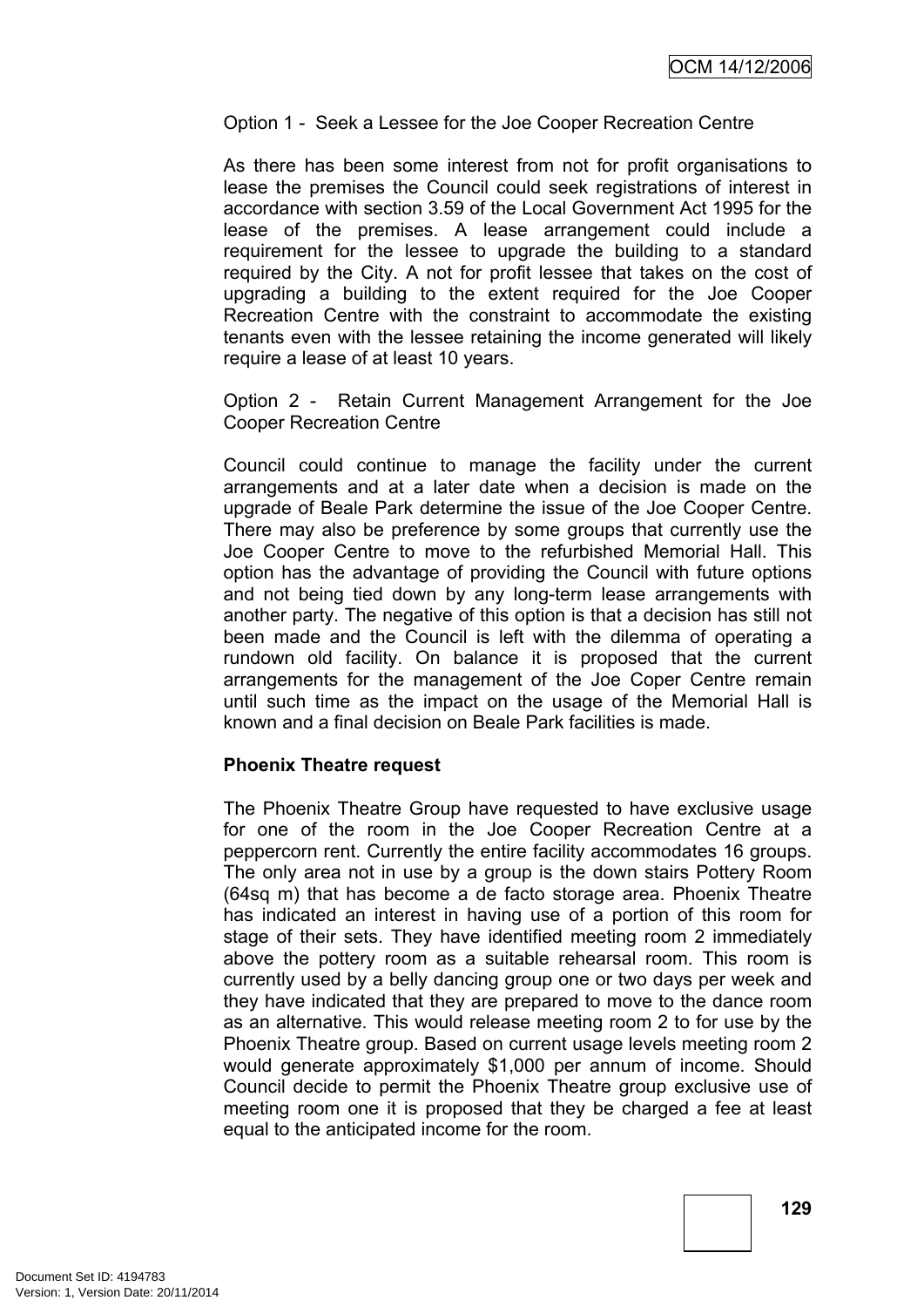Option 1 - Seek a Lessee for the Joe Cooper Recreation Centre

As there has been some interest from not for profit organisations to lease the premises the Council could seek registrations of interest in accordance with section 3.59 of the Local Government Act 1995 for the lease of the premises. A lease arrangement could include a requirement for the lessee to upgrade the building to a standard required by the City. A not for profit lessee that takes on the cost of upgrading a building to the extent required for the Joe Cooper Recreation Centre with the constraint to accommodate the existing tenants even with the lessee retaining the income generated will likely require a lease of at least 10 years.

Option 2 - Retain Current Management Arrangement for the Joe Cooper Recreation Centre

Council could continue to manage the facility under the current arrangements and at a later date when a decision is made on the upgrade of Beale Park determine the issue of the Joe Cooper Centre. There may also be preference by some groups that currently use the Joe Cooper Centre to move to the refurbished Memorial Hall. This option has the advantage of providing the Council with future options and not being tied down by any long-term lease arrangements with another party. The negative of this option is that a decision has still not been made and the Council is left with the dilemma of operating a rundown old facility. On balance it is proposed that the current arrangements for the management of the Joe Coper Centre remain until such time as the impact on the usage of the Memorial Hall is known and a final decision on Beale Park facilities is made.

### **Phoenix Theatre request**

The Phoenix Theatre Group have requested to have exclusive usage for one of the room in the Joe Cooper Recreation Centre at a peppercorn rent. Currently the entire facility accommodates 16 groups. The only area not in use by a group is the down stairs Pottery Room (64sq m) that has become a de facto storage area. Phoenix Theatre has indicated an interest in having use of a portion of this room for stage of their sets. They have identified meeting room 2 immediately above the pottery room as a suitable rehearsal room. This room is currently used by a belly dancing group one or two days per week and they have indicated that they are prepared to move to the dance room as an alternative. This would release meeting room 2 to for use by the Phoenix Theatre group. Based on current usage levels meeting room 2 would generate approximately \$1,000 per annum of income. Should Council decide to permit the Phoenix Theatre group exclusive use of meeting room one it is proposed that they be charged a fee at least equal to the anticipated income for the room.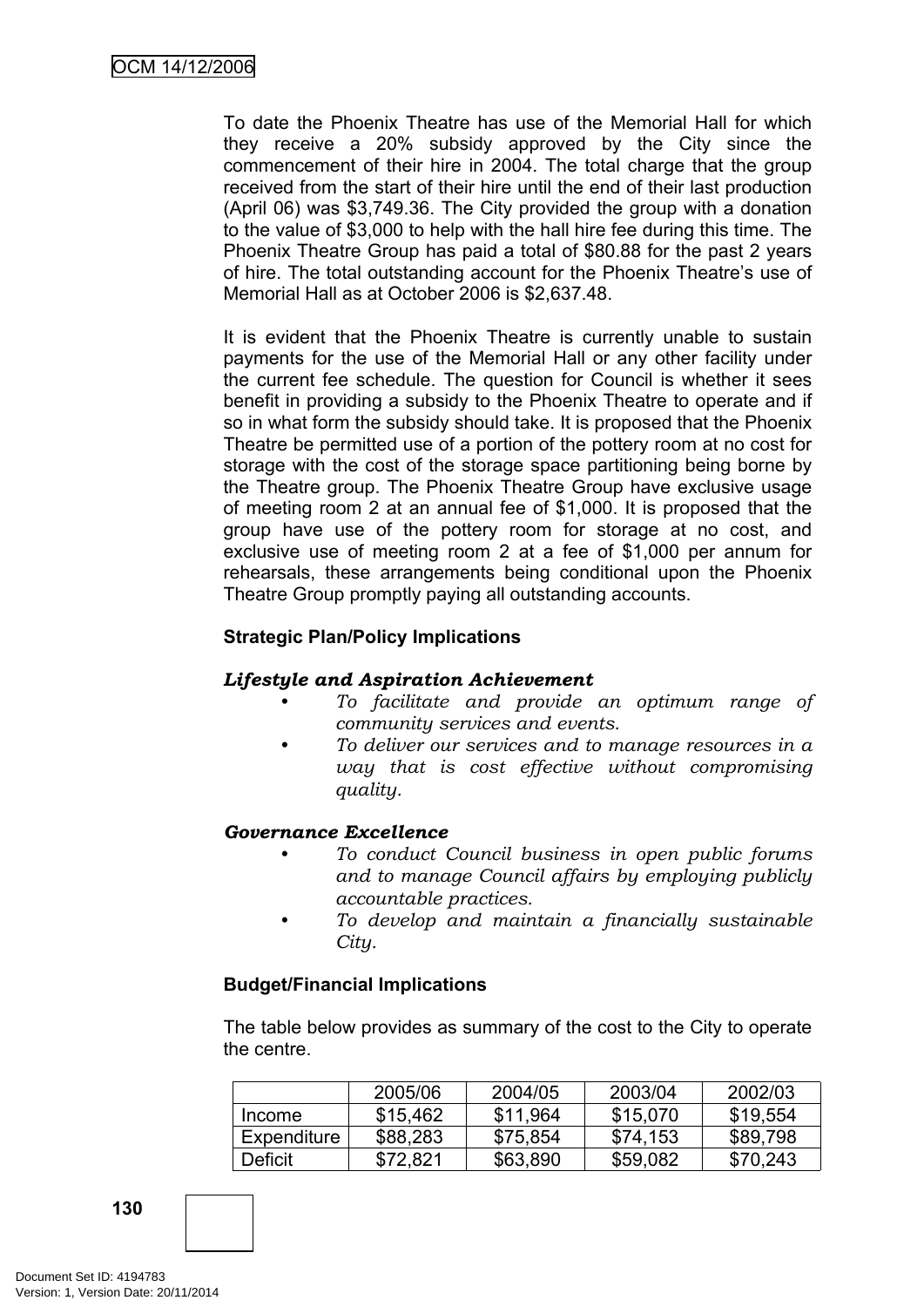To date the Phoenix Theatre has use of the Memorial Hall for which they receive a 20% subsidy approved by the City since the commencement of their hire in 2004. The total charge that the group received from the start of their hire until the end of their last production (April 06) was \$3,749.36. The City provided the group with a donation to the value of \$3,000 to help with the hall hire fee during this time. The Phoenix Theatre Group has paid a total of \$80.88 for the past 2 years of hire. The total outstanding account for the Phoenix Theatre's use of Memorial Hall as at October 2006 is \$2,637.48.

It is evident that the Phoenix Theatre is currently unable to sustain payments for the use of the Memorial Hall or any other facility under the current fee schedule. The question for Council is whether it sees benefit in providing a subsidy to the Phoenix Theatre to operate and if so in what form the subsidy should take. It is proposed that the Phoenix Theatre be permitted use of a portion of the pottery room at no cost for storage with the cost of the storage space partitioning being borne by the Theatre group. The Phoenix Theatre Group have exclusive usage of meeting room 2 at an annual fee of \$1,000. It is proposed that the group have use of the pottery room for storage at no cost, and exclusive use of meeting room 2 at a fee of \$1,000 per annum for rehearsals, these arrangements being conditional upon the Phoenix Theatre Group promptly paying all outstanding accounts.

# **Strategic Plan/Policy Implications**

### *Lifestyle and Aspiration Achievement*

- *• To facilitate and provide an optimum range of community services and events.*
- *• To deliver our services and to manage resources in a way that is cost effective without compromising quality.*

### *Governance Excellence*

- *• To conduct Council business in open public forums and to manage Council affairs by employing publicly accountable practices.*
- *• To develop and maintain a financially sustainable City.*

### **Budget/Financial Implications**

The table below provides as summary of the cost to the City to operate the centre.

|             | 2005/06  | 2004/05  | 2003/04  | 2002/03  |
|-------------|----------|----------|----------|----------|
| Income      | \$15,462 | \$11,964 | \$15,070 | \$19,554 |
| Expenditure | \$88,283 | \$75,854 | \$74,153 | \$89,798 |
| Deficit     | \$72.821 | \$63,890 | \$59,082 | \$70,243 |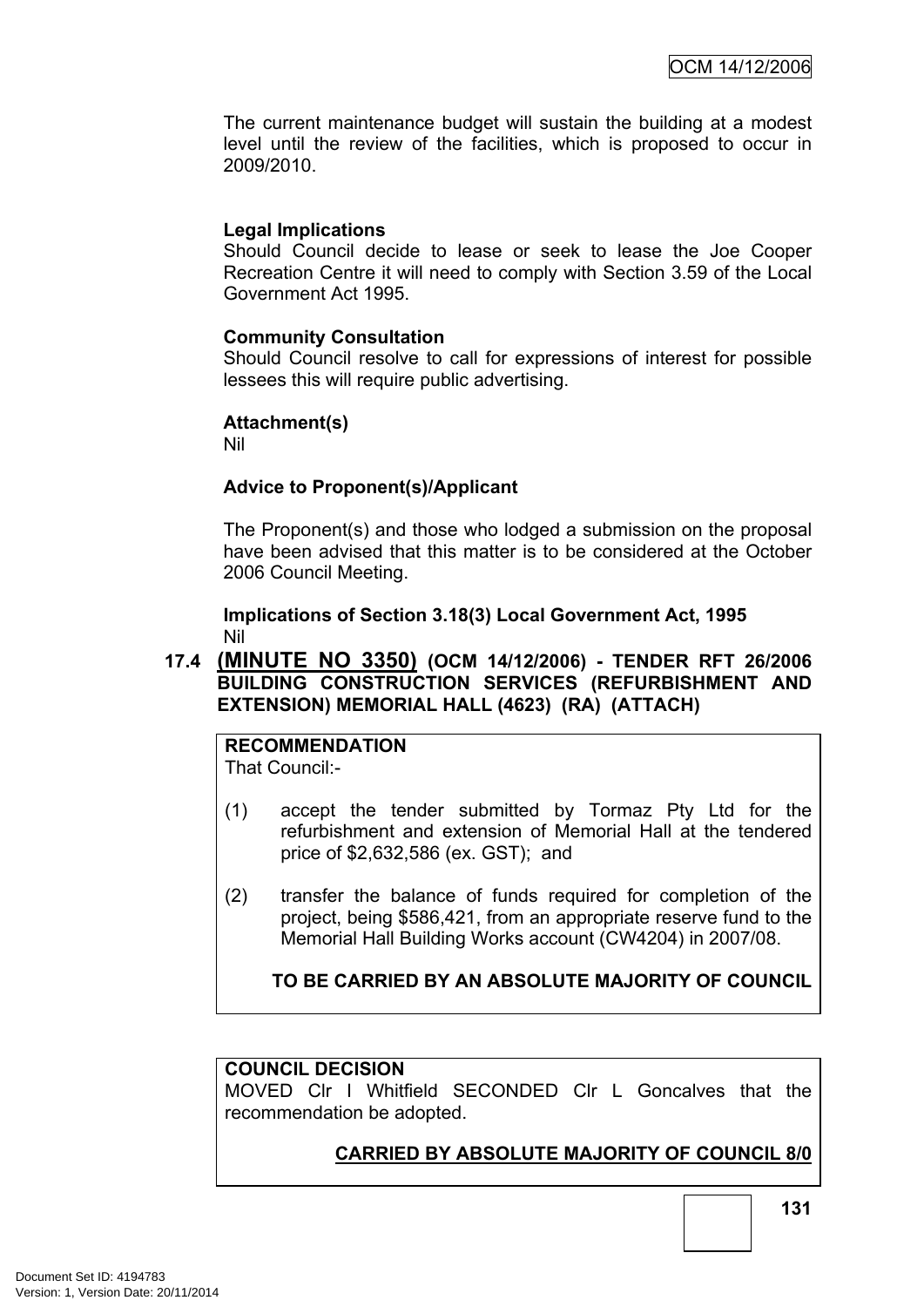The current maintenance budget will sustain the building at a modest level until the review of the facilities, which is proposed to occur in 2009/2010.

### **Legal Implications**

Should Council decide to lease or seek to lease the Joe Cooper Recreation Centre it will need to comply with Section 3.59 of the Local Government Act 1995.

### **Community Consultation**

Should Council resolve to call for expressions of interest for possible lessees this will require public advertising.

### **Attachment(s)**

Nil

### **Advice to Proponent(s)/Applicant**

The Proponent(s) and those who lodged a submission on the proposal have been advised that this matter is to be considered at the October 2006 Council Meeting.

**Implications of Section 3.18(3) Local Government Act, 1995** Nil

# **17.4 (MINUTE NO 3350) (OCM 14/12/2006) - TENDER RFT 26/2006 BUILDING CONSTRUCTION SERVICES (REFURBISHMENT AND EXTENSION) MEMORIAL HALL (4623) (RA) (ATTACH)**

# **RECOMMENDATION**

That Council:-

- (1) accept the tender submitted by Tormaz Pty Ltd for the refurbishment and extension of Memorial Hall at the tendered price of \$2,632,586 (ex. GST); and
- (2) transfer the balance of funds required for completion of the project, being \$586,421, from an appropriate reserve fund to the Memorial Hall Building Works account (CW4204) in 2007/08.

# **TO BE CARRIED BY AN ABSOLUTE MAJORITY OF COUNCIL**

#### **COUNCIL DECISION**

MOVED Clr I Whitfield SECONDED Clr L Goncalves that the recommendation be adopted.

# **CARRIED BY ABSOLUTE MAJORITY OF COUNCIL 8/0**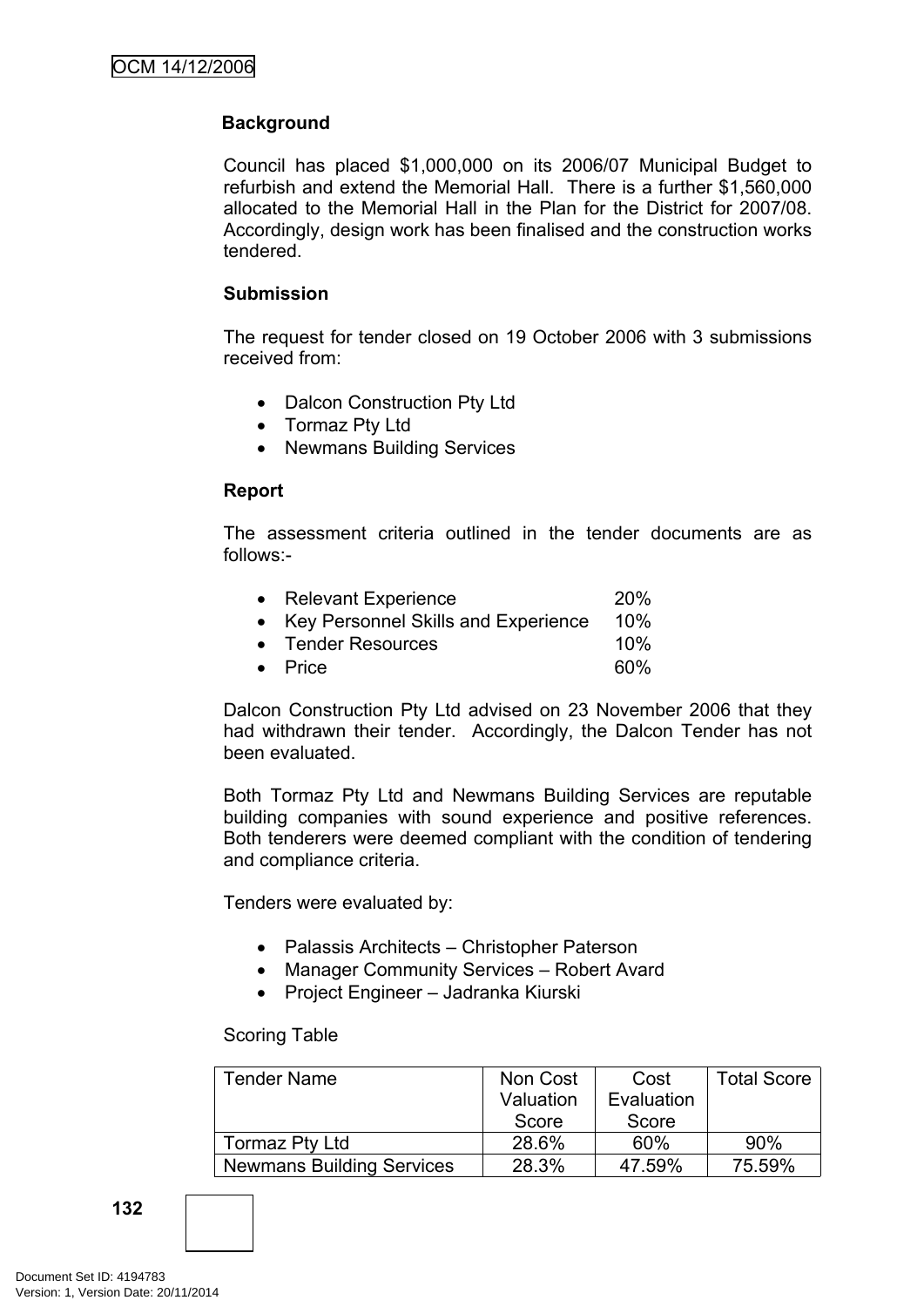# **Background**

Council has placed \$1,000,000 on its 2006/07 Municipal Budget to refurbish and extend the Memorial Hall. There is a further \$1,560,000 allocated to the Memorial Hall in the Plan for the District for 2007/08. Accordingly, design work has been finalised and the construction works tendered.

### **Submission**

The request for tender closed on 19 October 2006 with 3 submissions received from:

- Dalcon Construction Pty Ltd
- Tormaz Pty Ltd
- Newmans Building Services

### **Report**

The assessment criteria outlined in the tender documents are as follows:-

| • Relevant Experience                 | <b>20%</b> |
|---------------------------------------|------------|
| • Key Personnel Skills and Experience | 10%        |
| • Tender Resources                    | 10%        |
| $\bullet$ Price                       | 60%        |

Dalcon Construction Pty Ltd advised on 23 November 2006 that they had withdrawn their tender. Accordingly, the Dalcon Tender has not been evaluated.

Both Tormaz Pty Ltd and Newmans Building Services are reputable building companies with sound experience and positive references. Both tenderers were deemed compliant with the condition of tendering and compliance criteria.

Tenders were evaluated by:

- Palassis Architects Christopher Paterson
- Manager Community Services Robert Avard
- Project Engineer Jadranka Kiurski

#### Scoring Table

| <b>Tender Name</b>               | Non Cost  | Cost       | <b>Total Score</b> |
|----------------------------------|-----------|------------|--------------------|
|                                  | Valuation | Evaluation |                    |
|                                  | Score     | Score      |                    |
| Tormaz Pty Ltd                   | 28.6%     | 60%        | 90%                |
| <b>Newmans Building Services</b> | 28.3%     | 47.59%     | 75.59%             |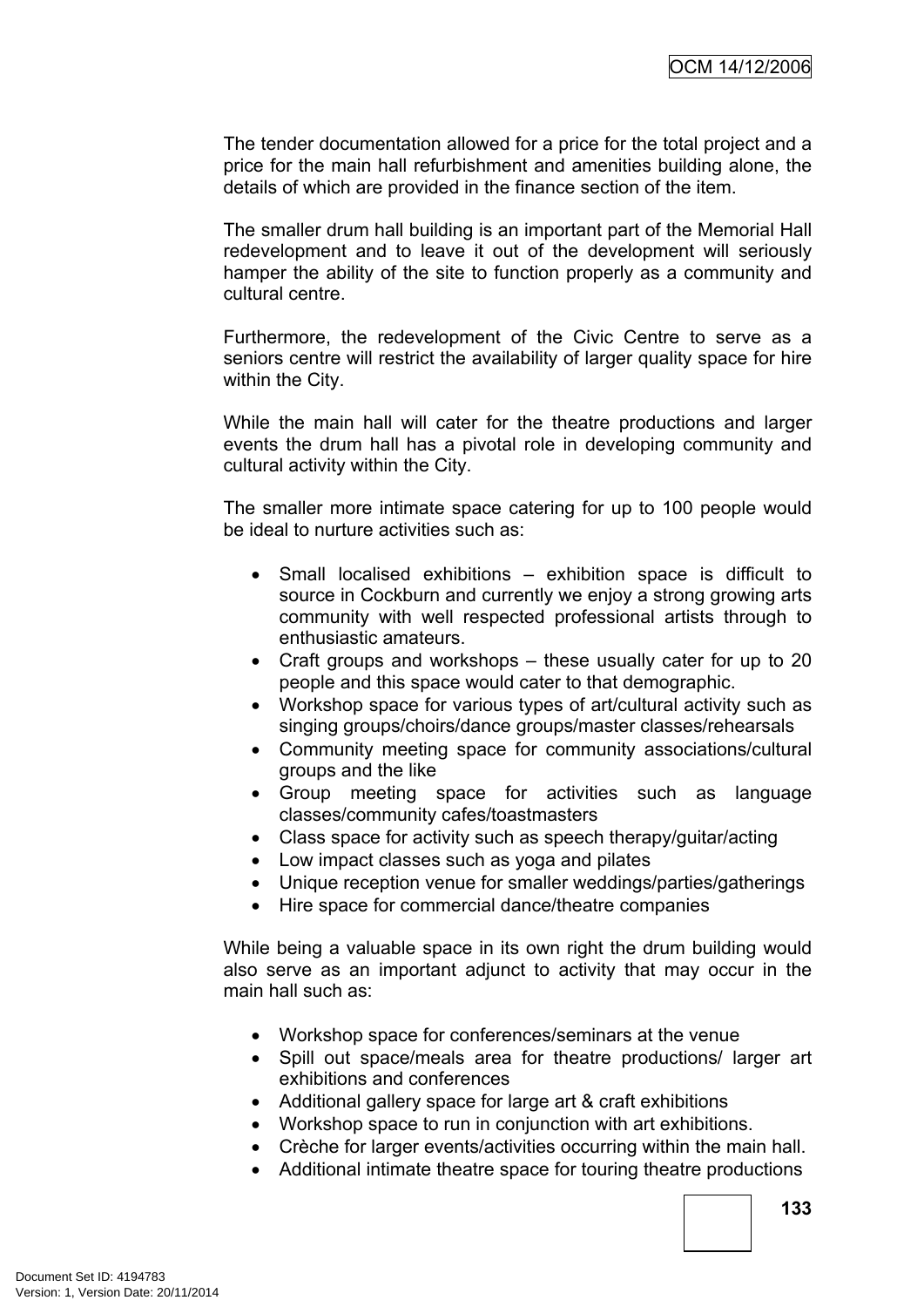The tender documentation allowed for a price for the total project and a price for the main hall refurbishment and amenities building alone, the details of which are provided in the finance section of the item.

The smaller drum hall building is an important part of the Memorial Hall redevelopment and to leave it out of the development will seriously hamper the ability of the site to function properly as a community and cultural centre.

Furthermore, the redevelopment of the Civic Centre to serve as a seniors centre will restrict the availability of larger quality space for hire within the City.

While the main hall will cater for the theatre productions and larger events the drum hall has a pivotal role in developing community and cultural activity within the City.

The smaller more intimate space catering for up to 100 people would be ideal to nurture activities such as:

- Small localised exhibitions exhibition space is difficult to source in Cockburn and currently we enjoy a strong growing arts community with well respected professional artists through to enthusiastic amateurs.
- Craft groups and workshops these usually cater for up to 20 people and this space would cater to that demographic.
- Workshop space for various types of art/cultural activity such as singing groups/choirs/dance groups/master classes/rehearsals
- Community meeting space for community associations/cultural groups and the like
- Group meeting space for activities such as language classes/community cafes/toastmasters
- Class space for activity such as speech therapy/guitar/acting
- Low impact classes such as yoga and pilates
- Unique reception venue for smaller weddings/parties/gatherings
- Hire space for commercial dance/theatre companies

While being a valuable space in its own right the drum building would also serve as an important adjunct to activity that may occur in the main hall such as:

- Workshop space for conferences/seminars at the venue
- Spill out space/meals area for theatre productions/ larger art exhibitions and conferences
- Additional gallery space for large art & craft exhibitions
- Workshop space to run in conjunction with art exhibitions.
- Crèche for larger events/activities occurring within the main hall.
- Additional intimate theatre space for touring theatre productions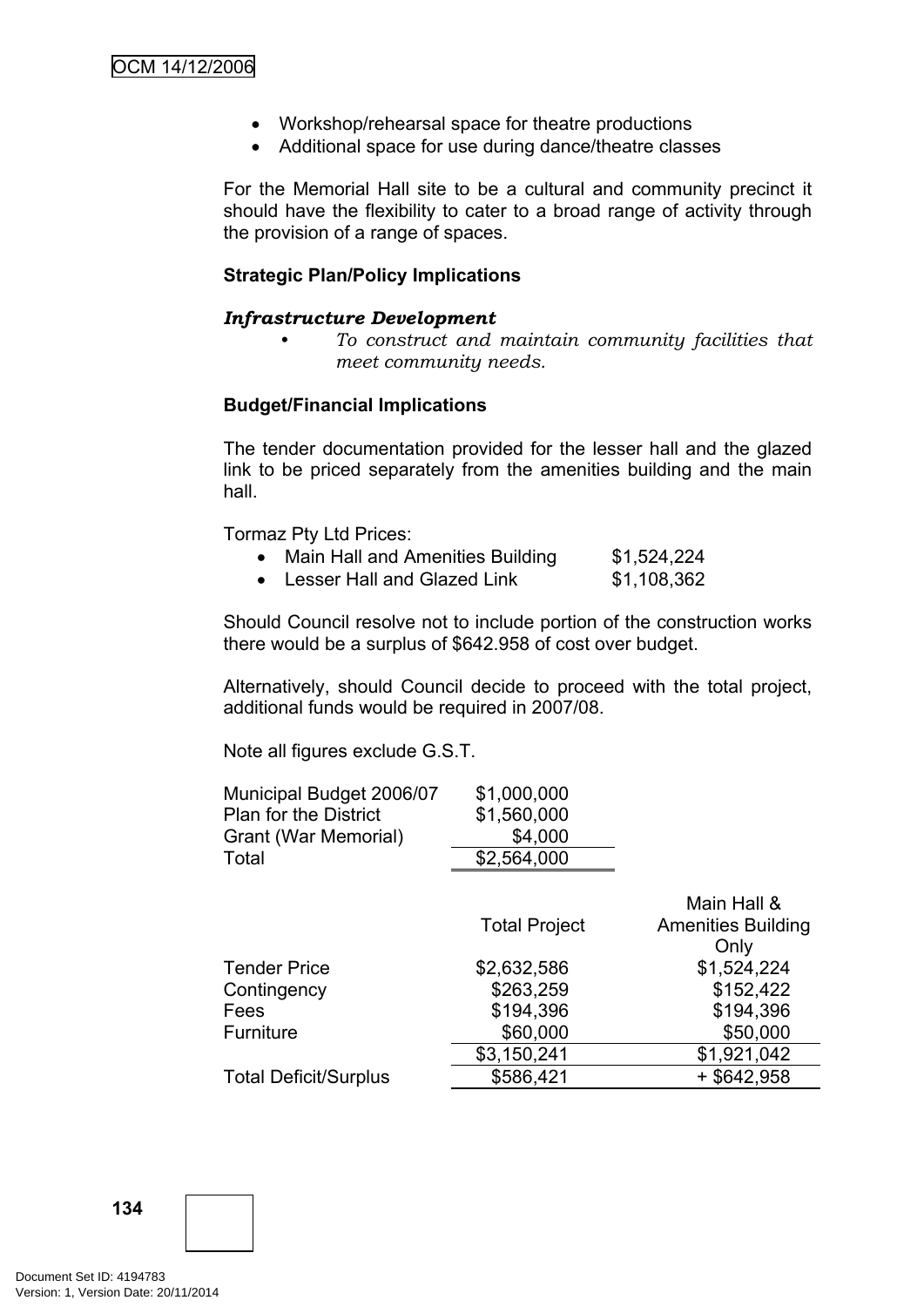- Workshop/rehearsal space for theatre productions
- Additional space for use during dance/theatre classes

For the Memorial Hall site to be a cultural and community precinct it should have the flexibility to cater to a broad range of activity through the provision of a range of spaces.

### **Strategic Plan/Policy Implications**

#### *Infrastructure Development*

*• To construct and maintain community facilities that meet community needs.*

### **Budget/Financial Implications**

The tender documentation provided for the lesser hall and the glazed link to be priced separately from the amenities building and the main hall.

Tormaz Pty Ltd Prices:

| Main Hall and Amenities Building | \$1,524,224 |
|----------------------------------|-------------|
| Joseph Jolland Clearal Jink      | A JAO OCO   |

• Lesser Hall and Glazed Link  $$1,108,362$ 

Should Council resolve not to include portion of the construction works there would be a surplus of \$642.958 of cost over budget.

Alternatively, should Council decide to proceed with the total project, additional funds would be required in 2007/08.

Note all figures exclude G.S.T.

| Municipal Budget 2006/07<br><b>Plan for the District</b><br>Grant (War Memorial)<br>Total | \$1,000,000<br>\$1,560,000<br>\$4,000<br>\$2,564,000 |                                          |
|-------------------------------------------------------------------------------------------|------------------------------------------------------|------------------------------------------|
|                                                                                           | <b>Total Project</b>                                 | Main Hall &<br><b>Amenities Building</b> |
|                                                                                           |                                                      | Only                                     |
| <b>Tender Price</b>                                                                       | \$2,632,586                                          | \$1,524,224                              |
| Contingency                                                                               | \$263,259                                            | \$152,422                                |
| Fees                                                                                      | \$194,396                                            | \$194,396                                |
| <b>Furniture</b>                                                                          | \$60,000                                             | \$50,000                                 |
|                                                                                           | \$3,150,241                                          | \$1,921,042                              |
| <b>Total Deficit/Surplus</b>                                                              | \$586,421                                            | $+$ \$642,958                            |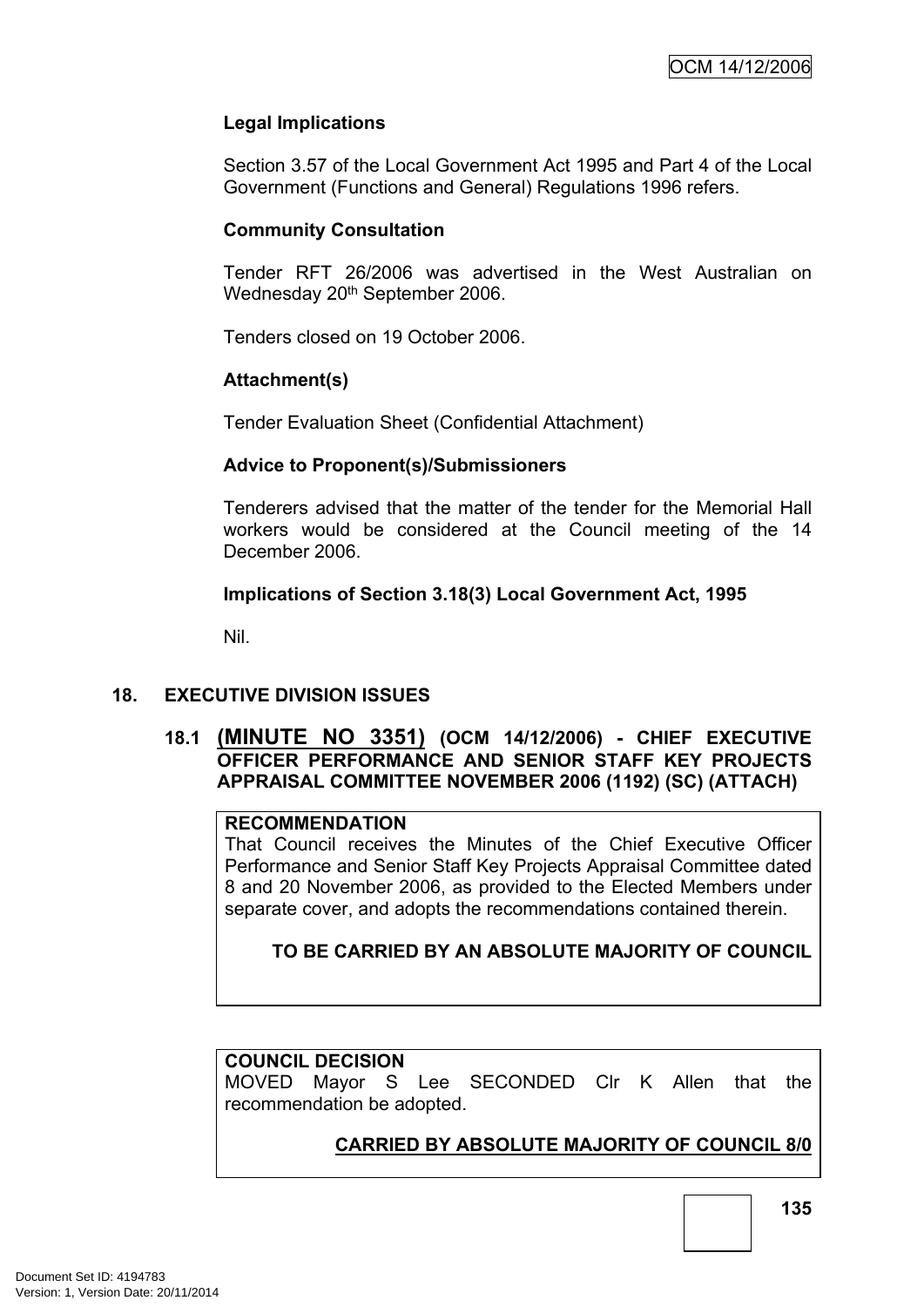# **Legal Implications**

Section 3.57 of the Local Government Act 1995 and Part 4 of the Local Government (Functions and General) Regulations 1996 refers.

### **Community Consultation**

Tender RFT 26/2006 was advertised in the West Australian on Wednesday 20<sup>th</sup> September 2006.

Tenders closed on 19 October 2006.

# **Attachment(s)**

Tender Evaluation Sheet (Confidential Attachment)

### **Advice to Proponent(s)/Submissioners**

Tenderers advised that the matter of the tender for the Memorial Hall workers would be considered at the Council meeting of the 14 December 2006.

### **Implications of Section 3.18(3) Local Government Act, 1995**

Nil.

### **18. EXECUTIVE DIVISION ISSUES**

# **18.1 (MINUTE NO 3351) (OCM 14/12/2006) - CHIEF EXECUTIVE OFFICER PERFORMANCE AND SENIOR STAFF KEY PROJECTS APPRAISAL COMMITTEE NOVEMBER 2006 (1192) (SC) (ATTACH)**

### **RECOMMENDATION**

That Council receives the Minutes of the Chief Executive Officer Performance and Senior Staff Key Projects Appraisal Committee dated 8 and 20 November 2006, as provided to the Elected Members under separate cover, and adopts the recommendations contained therein.

**TO BE CARRIED BY AN ABSOLUTE MAJORITY OF COUNCIL**

### **COUNCIL DECISION**

MOVED Mayor S Lee SECONDED Clr K Allen that the recommendation be adopted.

# **CARRIED BY ABSOLUTE MAJORITY OF COUNCIL 8/0**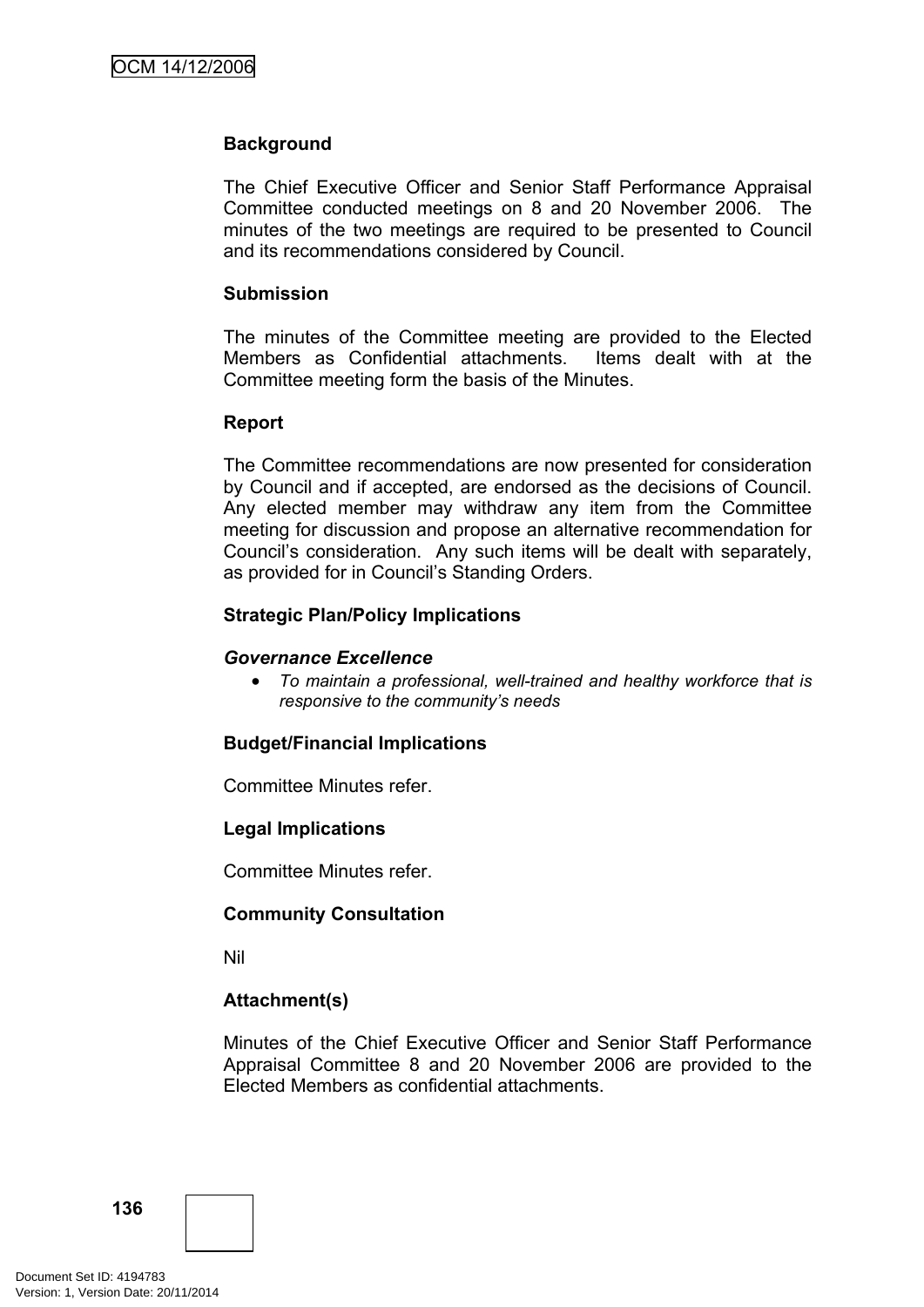### **Background**

The Chief Executive Officer and Senior Staff Performance Appraisal Committee conducted meetings on 8 and 20 November 2006. The minutes of the two meetings are required to be presented to Council and its recommendations considered by Council.

#### **Submission**

The minutes of the Committee meeting are provided to the Elected Members as Confidential attachments. Items dealt with at the Committee meeting form the basis of the Minutes.

#### **Report**

The Committee recommendations are now presented for consideration by Council and if accepted, are endorsed as the decisions of Council. Any elected member may withdraw any item from the Committee meeting for discussion and propose an alternative recommendation for Council's consideration. Any such items will be dealt with separately, as provided for in Council's Standing Orders.

#### **Strategic Plan/Policy Implications**

#### *Governance Excellence*

 *To maintain a professional, well-trained and healthy workforce that is responsive to the community's needs*

#### **Budget/Financial Implications**

Committee Minutes refer.

#### **Legal Implications**

Committee Minutes refer.

#### **Community Consultation**

Nil

### **Attachment(s)**

Minutes of the Chief Executive Officer and Senior Staff Performance Appraisal Committee 8 and 20 November 2006 are provided to the Elected Members as confidential attachments.

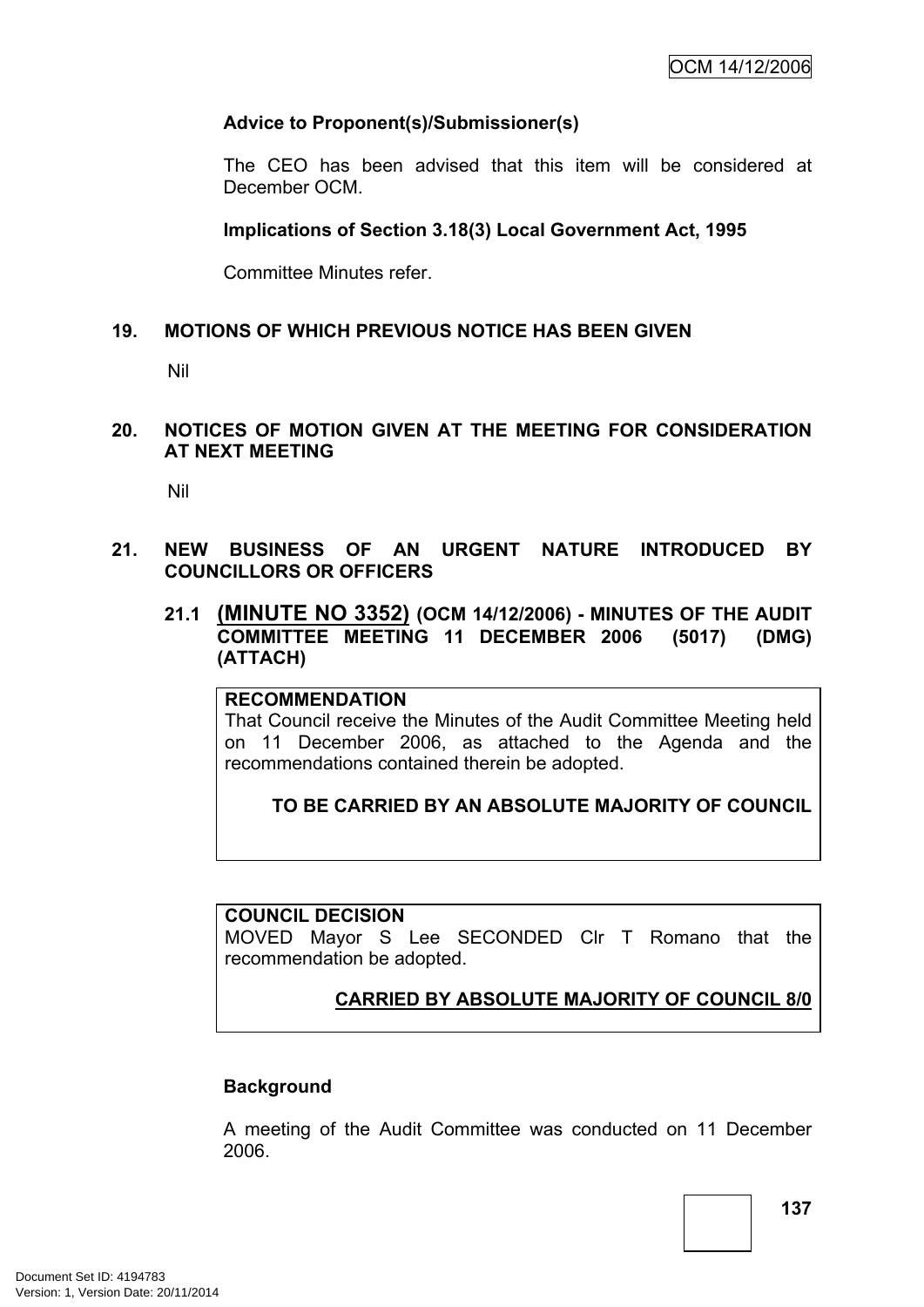# **Advice to Proponent(s)/Submissioner(s)**

The CEO has been advised that this item will be considered at December OCM.

### **Implications of Section 3.18(3) Local Government Act, 1995**

Committee Minutes refer.

### **19. MOTIONS OF WHICH PREVIOUS NOTICE HAS BEEN GIVEN**

Nil

### **20. NOTICES OF MOTION GIVEN AT THE MEETING FOR CONSIDERATION AT NEXT MEETING**

Nil

- **21. NEW BUSINESS OF AN URGENT NATURE INTRODUCED BY COUNCILLORS OR OFFICERS**
	- **21.1 (MINUTE NO 3352) (OCM 14/12/2006) - MINUTES OF THE AUDIT COMMITTEE MEETING 11 DECEMBER 2006 (5017) (DMG) (ATTACH)**

#### **RECOMMENDATION**

That Council receive the Minutes of the Audit Committee Meeting held on 11 December 2006, as attached to the Agenda and the recommendations contained therein be adopted.

### **TO BE CARRIED BY AN ABSOLUTE MAJORITY OF COUNCIL**

#### **COUNCIL DECISION**

MOVED Mayor S Lee SECONDED Clr T Romano that the recommendation be adopted.

# **CARRIED BY ABSOLUTE MAJORITY OF COUNCIL 8/0**

### **Background**

A meeting of the Audit Committee was conducted on 11 December 2006.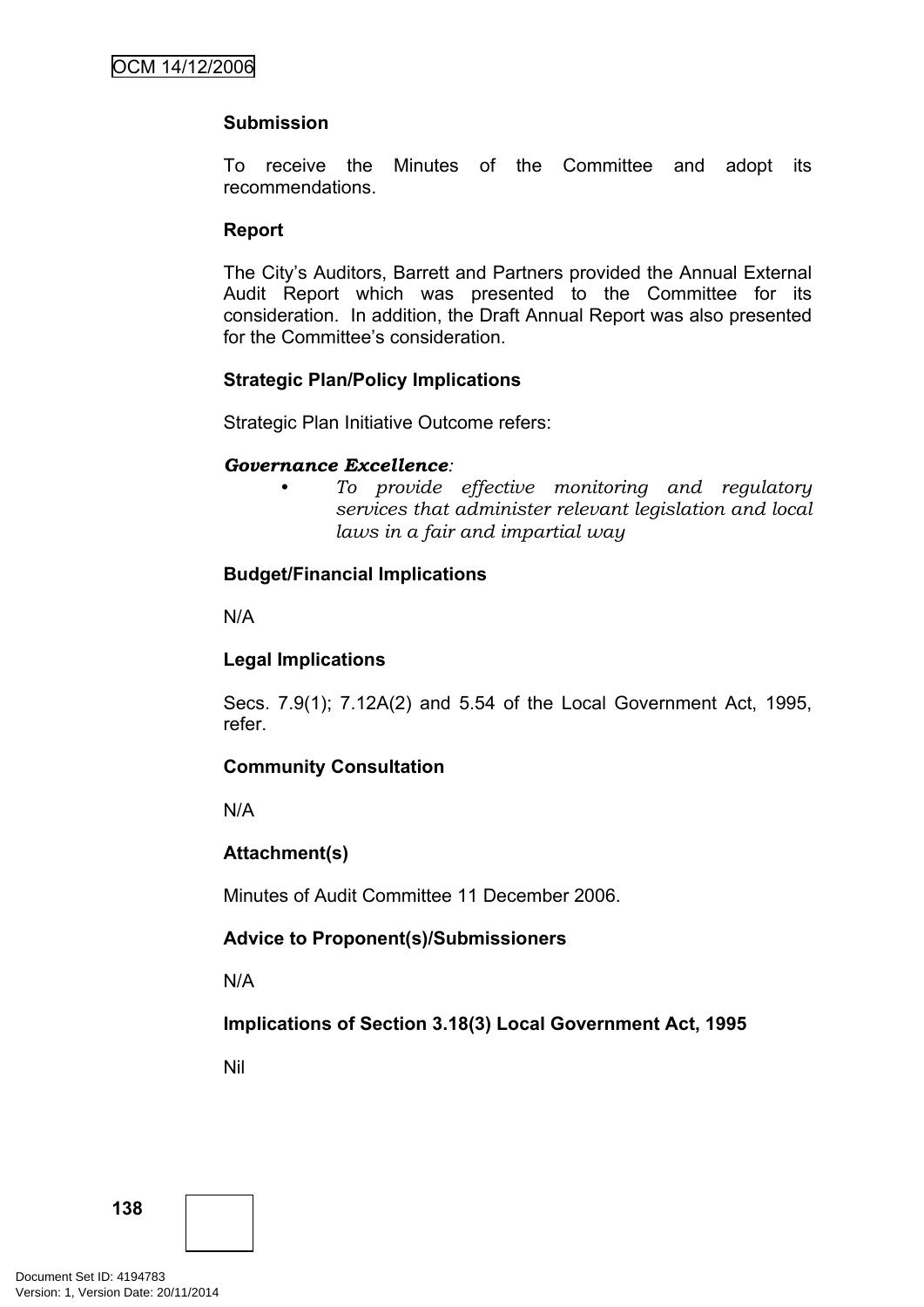# **Submission**

To receive the Minutes of the Committee and adopt its recommendations.

### **Report**

The City's Auditors, Barrett and Partners provided the Annual External Audit Report which was presented to the Committee for its consideration. In addition, the Draft Annual Report was also presented for the Committee's consideration.

### **Strategic Plan/Policy Implications**

Strategic Plan Initiative Outcome refers:

#### *Governance Excellence:*

*• To provide effective monitoring and regulatory services that administer relevant legislation and local laws in a fair and impartial way*

### **Budget/Financial Implications**

N/A

### **Legal Implications**

Secs. 7.9(1); 7.12A(2) and 5.54 of the Local Government Act, 1995, refer.

### **Community Consultation**

N/A

### **Attachment(s)**

Minutes of Audit Committee 11 December 2006.

### **Advice to Proponent(s)/Submissioners**

N/A

### **Implications of Section 3.18(3) Local Government Act, 1995**

Nil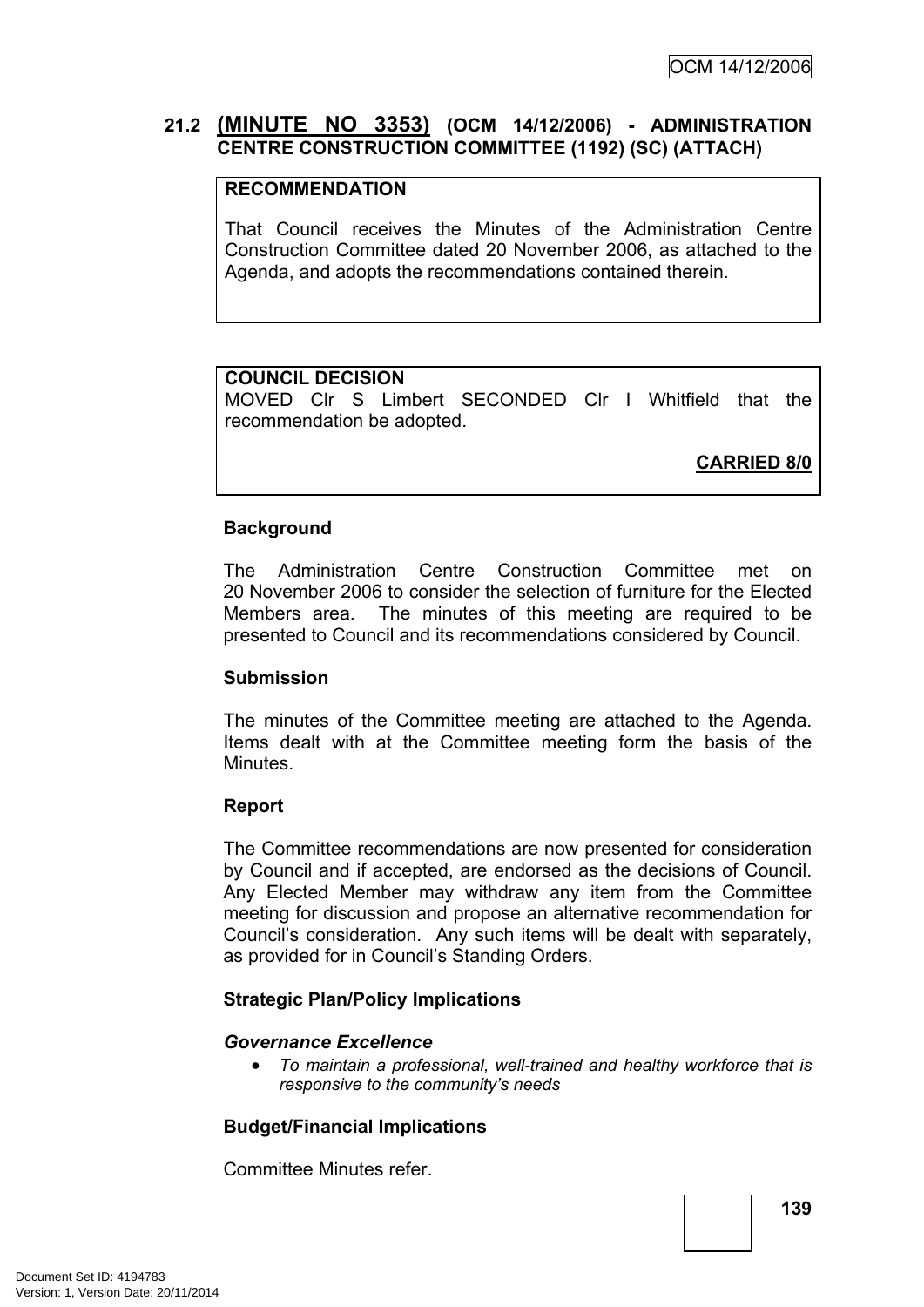# **21.2 (MINUTE NO 3353) (OCM 14/12/2006) - ADMINISTRATION CENTRE CONSTRUCTION COMMITTEE (1192) (SC) (ATTACH)**

## **RECOMMENDATION**

That Council receives the Minutes of the Administration Centre Construction Committee dated 20 November 2006, as attached to the Agenda, and adopts the recommendations contained therein.

# **COUNCIL DECISION**

MOVED Clr S Limbert SECONDED Clr I Whitfield that the recommendation be adopted.

**CARRIED 8/0**

### **Background**

The Administration Centre Construction Committee met on 20 November 2006 to consider the selection of furniture for the Elected Members area. The minutes of this meeting are required to be presented to Council and its recommendations considered by Council.

### **Submission**

The minutes of the Committee meeting are attached to the Agenda. Items dealt with at the Committee meeting form the basis of the Minutes.

### **Report**

The Committee recommendations are now presented for consideration by Council and if accepted, are endorsed as the decisions of Council. Any Elected Member may withdraw any item from the Committee meeting for discussion and propose an alternative recommendation for Council's consideration. Any such items will be dealt with separately, as provided for in Council's Standing Orders.

### **Strategic Plan/Policy Implications**

### *Governance Excellence*

 *To maintain a professional, well-trained and healthy workforce that is responsive to the community's needs*

# **Budget/Financial Implications**

Committee Minutes refer.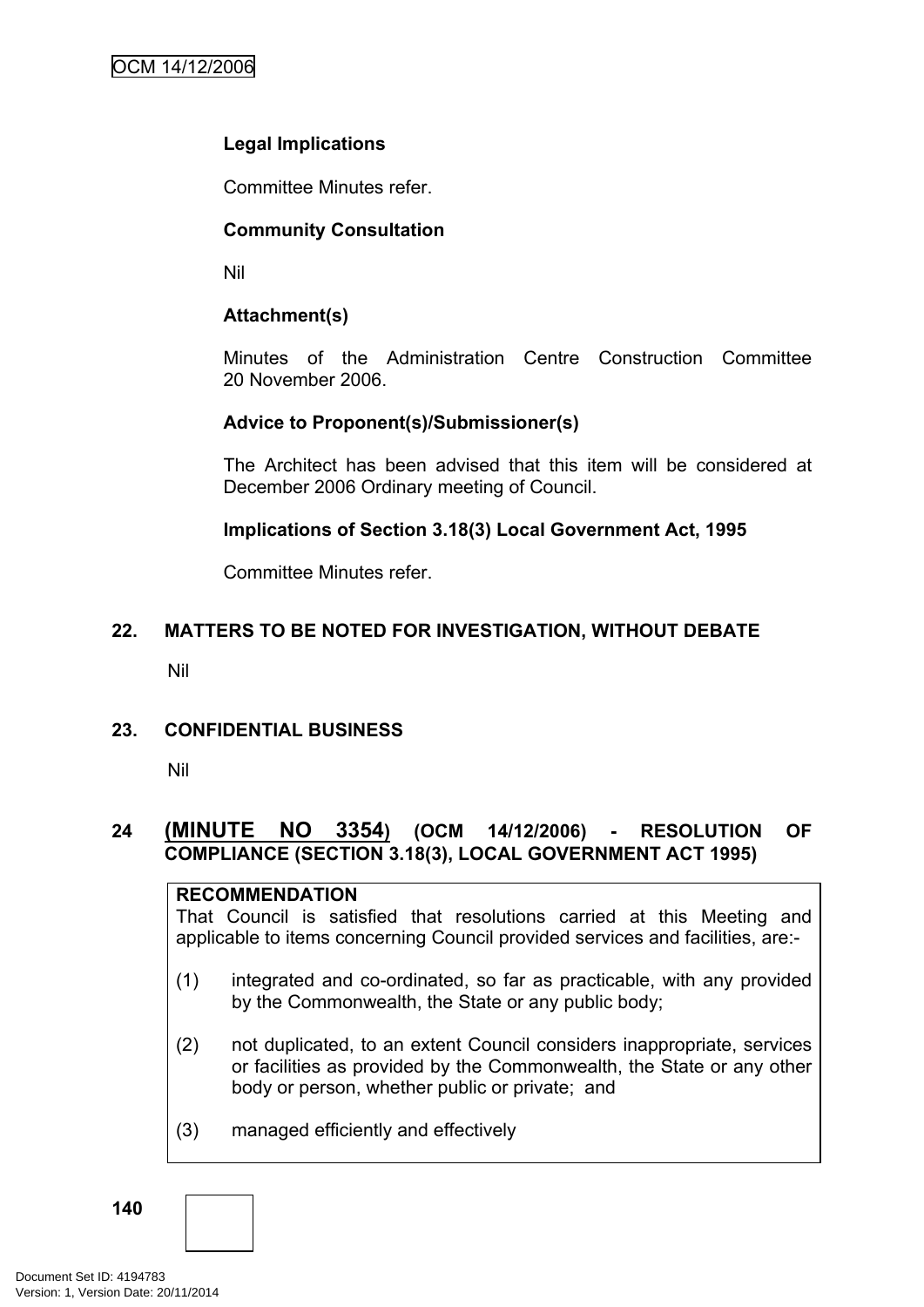# **Legal Implications**

Committee Minutes refer.

# **Community Consultation**

Nil

# **Attachment(s)**

Minutes of the Administration Centre Construction Committee 20 November 2006.

# **Advice to Proponent(s)/Submissioner(s)**

The Architect has been advised that this item will be considered at December 2006 Ordinary meeting of Council.

### **Implications of Section 3.18(3) Local Government Act, 1995**

Committee Minutes refer.

# **22. MATTERS TO BE NOTED FOR INVESTIGATION, WITHOUT DEBATE**

Nil

### **23. CONFIDENTIAL BUSINESS**

Nil

# **24 (MINUTE NO 3354) (OCM 14/12/2006) - RESOLUTION OF COMPLIANCE (SECTION 3.18(3), LOCAL GOVERNMENT ACT 1995)**

### **RECOMMENDATION**

That Council is satisfied that resolutions carried at this Meeting and applicable to items concerning Council provided services and facilities, are:-

- (1) integrated and co-ordinated, so far as practicable, with any provided by the Commonwealth, the State or any public body;
- (2) not duplicated, to an extent Council considers inappropriate, services or facilities as provided by the Commonwealth, the State or any other body or person, whether public or private; and
- (3) managed efficiently and effectively